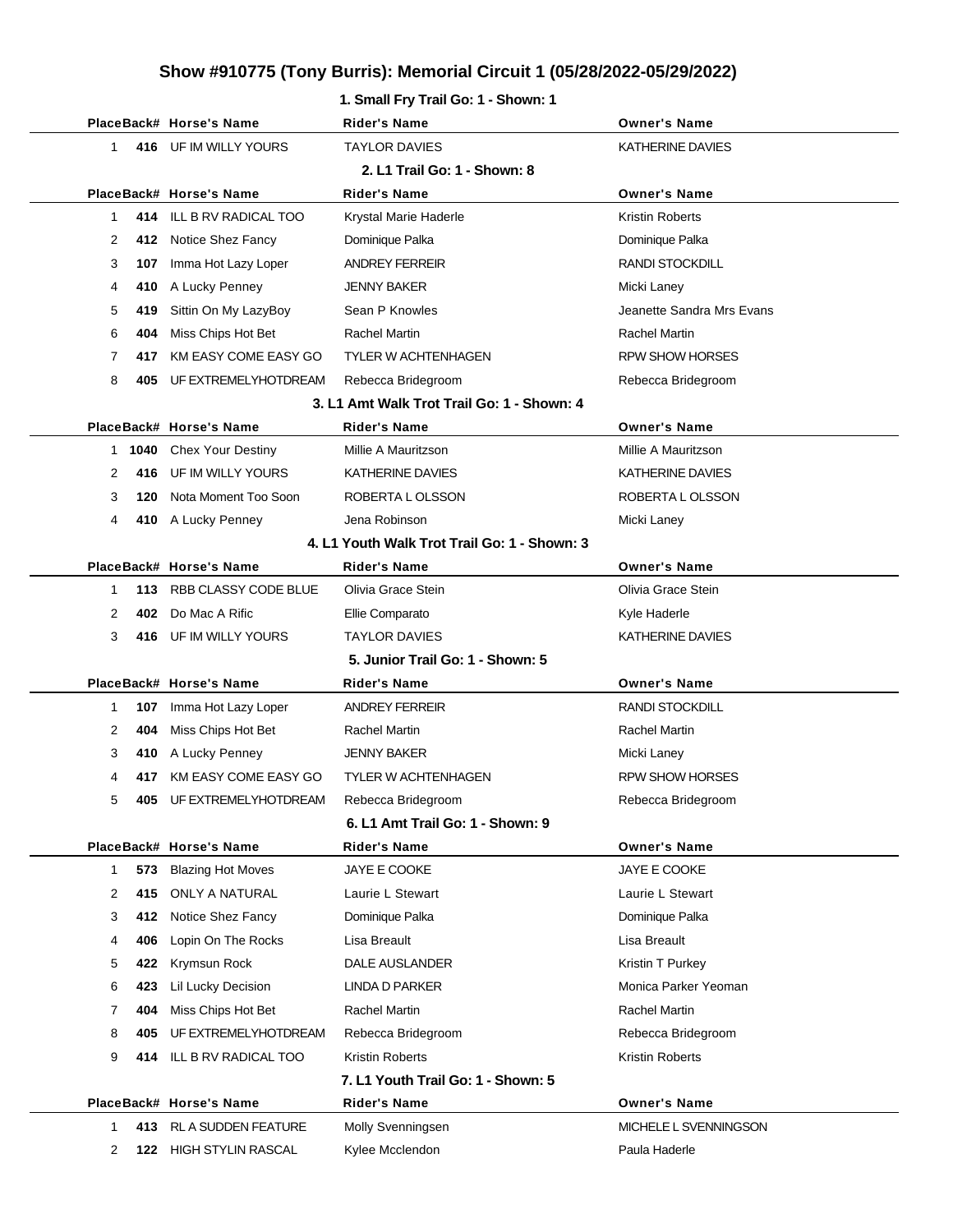#### **1. Small Fry Trail Go: 1 - Shown: 1**

|   |     | PlaceBack# Horse's Name    | Rider's Name                                 | <b>Owner's Name</b>       |
|---|-----|----------------------------|----------------------------------------------|---------------------------|
| 1 |     | 416 UF IM WILLY YOURS      | <b>TAYLOR DAVIES</b>                         | KATHERINE DAVIES          |
|   |     |                            | 2. L1 Trail Go: 1 - Shown: 8                 |                           |
|   |     | PlaceBack# Horse's Name    | Rider's Name                                 | <b>Owner's Name</b>       |
| 1 |     | 414 ILL B RV RADICAL TOO   | Krystal Marie Haderle                        | <b>Kristin Roberts</b>    |
| 2 |     | 412 Notice Shez Fancy      | Dominique Palka                              | Dominique Palka           |
| 3 |     | 107 Imma Hot Lazy Loper    | <b>ANDREY FERREIR</b>                        | <b>RANDI STOCKDILL</b>    |
| 4 |     | 410 A Lucky Penney         | <b>JENNY BAKER</b>                           | Micki Laney               |
| 5 | 419 | Sittin On My LazyBoy       | Sean P Knowles                               | Jeanette Sandra Mrs Evans |
| 6 | 404 | Miss Chips Hot Bet         | <b>Rachel Martin</b>                         | Rachel Martin             |
| 7 | 417 | KM EASY COME EASY GO       | <b>TYLER W ACHTENHAGEN</b>                   | <b>RPW SHOW HORSES</b>    |
| 8 | 405 | UF EXTREMELYHOTDREAM       | Rebecca Bridegroom                           | Rebecca Bridegroom        |
|   |     |                            | 3. L1 Amt Walk Trot Trail Go: 1 - Shown: 4   |                           |
|   |     | PlaceBack# Horse's Name    | <b>Rider's Name</b>                          | <b>Owner's Name</b>       |
|   |     | 1 1040 Chex Your Destiny   | Millie A Mauritzson                          | Millie A Mauritzson       |
| 2 | 416 | UF IM WILLY YOURS          | KATHERINE DAVIES                             | KATHERINE DAVIES          |
| 3 | 120 | Nota Moment Too Soon       | ROBERTA L OLSSON                             | ROBERTA L OLSSON          |
| 4 |     | 410 A Lucky Penney         | Jena Robinson                                | Micki Laney               |
|   |     |                            | 4. L1 Youth Walk Trot Trail Go: 1 - Shown: 3 |                           |
|   |     | PlaceBack# Horse's Name    | <b>Rider's Name</b>                          | <b>Owner's Name</b>       |
| 1 |     | 113 RBB CLASSY CODE BLUE   | Olivia Grace Stein                           | Olivia Grace Stein        |
| 2 | 402 | Do Mac A Rific             | Ellie Comparato                              | Kyle Haderle              |
| 3 |     | 416 UF IM WILLY YOURS      | <b>TAYLOR DAVIES</b>                         | KATHERINE DAVIES          |
|   |     |                            | 5. Junior Trail Go: 1 - Shown: 5             |                           |
|   |     | PlaceBack# Horse's Name    | Rider's Name                                 | <b>Owner's Name</b>       |
| 1 | 107 | Imma Hot Lazy Loper        | <b>ANDREY FERREIR</b>                        | <b>RANDI STOCKDILL</b>    |
| 2 | 404 | Miss Chips Hot Bet         | Rachel Martin                                | Rachel Martin             |
| 3 |     | 410 A Lucky Penney         | <b>JENNY BAKER</b>                           | Micki Laney               |
| 4 | 417 | KM EASY COME EASY GO       | <b>TYLER W ACHTENHAGEN</b>                   | <b>RPW SHOW HORSES</b>    |
| 5 |     | 405 UF EXTREMELYHOTDREAM   | Rebecca Bridegroom                           | Rebecca Bridegroom        |
|   |     |                            | 6. L1 Amt Trail Go: 1 - Shown: 9             |                           |
|   |     | PlaceBack# Horse's Name    | <b>Rider's Name</b>                          | <b>Owner's Name</b>       |
| 1 | 573 | <b>Blazing Hot Moves</b>   | <b>JAYE E COOKE</b>                          | <b>JAYE E COOKE</b>       |
| 2 | 415 | <b>ONLY A NATURAL</b>      | Laurie L Stewart                             | Laurie L Stewart          |
| 3 |     | 412 Notice Shez Fancy      | Dominique Palka                              | Dominique Palka           |
| 4 | 406 | Lopin On The Rocks         | Lisa Breault                                 | Lisa Breault              |
| 5 | 422 | Krymsun Rock               | DALE AUSLANDER                               | Kristin T Purkey          |
| 6 | 423 | Lil Lucky Decision         | LINDA D PARKER                               | Monica Parker Yeoman      |
| 7 | 404 | Miss Chips Hot Bet         | Rachel Martin                                | Rachel Martin             |
| 8 | 405 | UF EXTREMELYHOTDREAM       | Rebecca Bridegroom                           | Rebecca Bridegroom        |
| 9 |     | 414 ILL B RV RADICAL TOO   | <b>Kristin Roberts</b>                       | <b>Kristin Roberts</b>    |
|   |     |                            | 7. L1 Youth Trail Go: 1 - Shown: 5           |                           |
|   |     | PlaceBack# Horse's Name    | <b>Rider's Name</b>                          | <b>Owner's Name</b>       |
| 1 | 413 | <b>RL A SUDDEN FEATURE</b> | Molly Svenningsen                            | MICHELE L SVENNINGSON     |
| 2 |     | 122 HIGH STYLIN RASCAL     | Kylee Mcclendon                              | Paula Haderle             |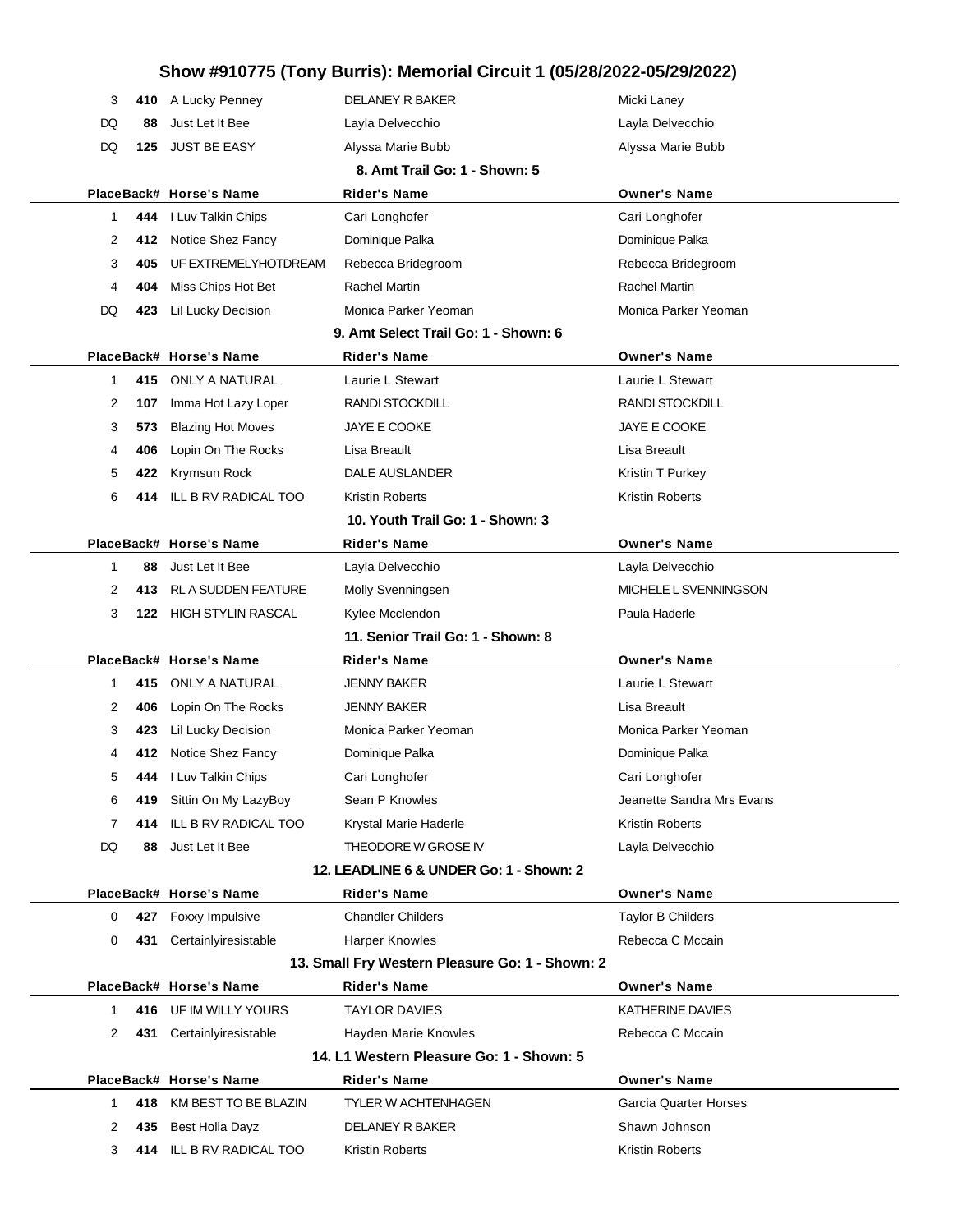| 3      |     | 410 A Lucky Penney                              | DELANEY R BAKER                                 | Micki Laney                      |
|--------|-----|-------------------------------------------------|-------------------------------------------------|----------------------------------|
| DQ     | 88  | Just Let It Bee                                 | Layla Delvecchio                                | Layla Delvecchio                 |
| DQ     | 125 | <b>JUST BE EASY</b>                             | Alyssa Marie Bubb                               | Alyssa Marie Bubb                |
|        |     |                                                 | 8. Amt Trail Go: 1 - Shown: 5                   |                                  |
|        |     | PlaceBack# Horse's Name                         | <b>Rider's Name</b>                             | Owner's Name                     |
| 1      | 444 | I Luv Talkin Chips                              | Cari Longhofer                                  | Cari Longhofer                   |
| 2      |     | 412 Notice Shez Fancy                           | Dominique Palka                                 | Dominique Palka                  |
| 3      | 405 | UF EXTREMELYHOTDREAM                            | Rebecca Bridegroom                              | Rebecca Bridegroom               |
| 4      | 404 | Miss Chips Hot Bet                              | Rachel Martin                                   | Rachel Martin                    |
| DQ     | 423 | Lil Lucky Decision                              | Monica Parker Yeoman                            | Monica Parker Yeoman             |
|        |     |                                                 | 9. Amt Select Trail Go: 1 - Shown: 6            |                                  |
|        |     | PlaceBack# Horse's Name                         | <b>Rider's Name</b>                             | <b>Owner's Name</b>              |
| 1      | 415 | ONLY A NATURAL                                  | Laurie L Stewart                                | Laurie L Stewart                 |
| 2      | 107 | Imma Hot Lazy Loper                             | <b>RANDI STOCKDILL</b>                          | RANDI STOCKDILL                  |
| 3      | 573 | <b>Blazing Hot Moves</b>                        | JAYE E COOKE                                    | <b>JAYE E COOKE</b>              |
| 4      | 406 | Lopin On The Rocks                              | Lisa Breault                                    | Lisa Breault                     |
| 5      | 422 | Krymsun Rock                                    | DALE AUSLANDER                                  | Kristin T Purkey                 |
| 6      | 414 | ILL B RV RADICAL TOO                            | Kristin Roberts                                 | <b>Kristin Roberts</b>           |
|        |     |                                                 | 10. Youth Trail Go: 1 - Shown: 3                |                                  |
|        |     | PlaceBack# Horse's Name                         | <b>Rider's Name</b>                             | <b>Owner's Name</b>              |
| 1      | 88  | Just Let It Bee                                 | Layla Delvecchio                                | Layla Delvecchio                 |
| 2      | 413 | <b>RL A SUDDEN FEATURE</b>                      | Molly Svenningsen                               | MICHELE L SVENNINGSON            |
| 3      |     | 122 HIGH STYLIN RASCAL                          | Kylee Mcclendon                                 | Paula Haderle                    |
|        |     |                                                 |                                                 |                                  |
|        |     |                                                 | 11. Senior Trail Go: 1 - Shown: 8               |                                  |
|        |     | PlaceBack# Horse's Name                         | Rider's Name                                    | <b>Owner's Name</b>              |
| 1      | 415 | <b>ONLY A NATURAL</b>                           | JENNY BAKER                                     | Laurie L Stewart                 |
| 2      | 406 | Lopin On The Rocks                              | JENNY BAKER                                     | Lisa Breault                     |
| 3      | 423 | Lil Lucky Decision                              | Monica Parker Yeoman                            | Monica Parker Yeoman             |
| 4      |     | 412 Notice Shez Fancy                           | Dominique Palka                                 | Dominique Palka                  |
| 5      |     | 444 I Luv Talkin Chips                          | Cari Longhofer                                  | Cari Longhofer                   |
| 6      |     | 419 Sittin On My LazyBoy                        | Sean P Knowles                                  | Jeanette Sandra Mrs Evans        |
| 7      | 414 | ILL B RV RADICAL TOO                            | Krystal Marie Haderle                           | <b>Kristin Roberts</b>           |
| DQ     | 88  | Just Let It Bee                                 | THEODORE W GROSE IV                             | Layla Delvecchio                 |
|        |     |                                                 | 12. LEADLINE 6 & UNDER Go: 1 - Shown: 2         |                                  |
|        |     | PlaceBack# Horse's Name                         | <b>Rider's Name</b>                             | Owner's Name                     |
| 0      | 427 | Foxxy Impulsive                                 | <b>Chandler Childers</b>                        | <b>Taylor B Childers</b>         |
| 0      |     | 431 Certainlyiresistable                        | <b>Harper Knowles</b>                           | Rebecca C Mccain                 |
|        |     |                                                 | 13. Small Fry Western Pleasure Go: 1 - Shown: 2 |                                  |
|        |     | PlaceBack# Horse's Name                         | Rider's Name                                    | <b>Owner's Name</b>              |
| 1      |     | 416 UF IM WILLY YOURS                           | TAYLOR DAVIES                                   | KATHERINE DAVIES                 |
| 2      |     | 431 Certainlyiresistable                        | Hayden Marie Knowles                            | Rebecca C Mccain                 |
|        |     |                                                 | 14. L1 Western Pleasure Go: 1 - Shown: 5        |                                  |
|        |     | PlaceBack# Horse's Name                         | <b>Rider's Name</b>                             | <b>Owner's Name</b>              |
| 1      |     | 418 KM BEST TO BE BLAZIN                        | <b>TYLER W ACHTENHAGEN</b>                      | Garcia Quarter Horses            |
| 2<br>3 |     | 435 Best Holla Dayz<br>414 ILL B RV RADICAL TOO | DELANEY R BAKER<br><b>Kristin Roberts</b>       | Shawn Johnson<br>Kristin Roberts |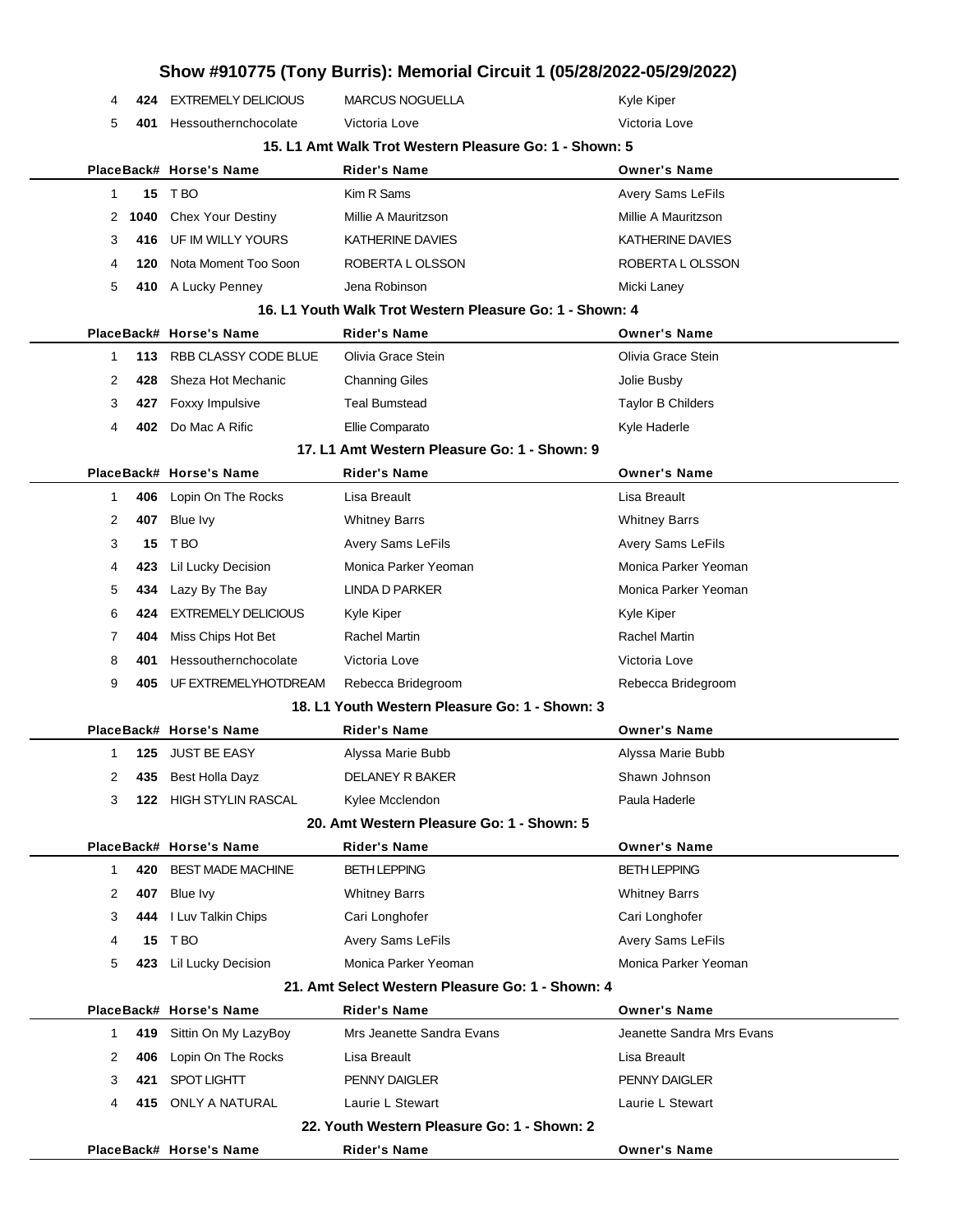|           |                            | Show #910775 (Tony Burris): Memorial Circuit 1 (05/28/2022-05/29/2022) |                           |
|-----------|----------------------------|------------------------------------------------------------------------|---------------------------|
| 424<br>4  | <b>EXTREMELY DELICIOUS</b> | <b>MARCUS NOGUELLA</b>                                                 | Kyle Kiper                |
| 5<br>401  | Hessouthernchocolate       | Victoria Love                                                          | Victoria Love             |
|           |                            | 15. L1 Amt Walk Trot Western Pleasure Go: 1 - Shown: 5                 |                           |
|           | PlaceBack# Horse's Name    | <b>Rider's Name</b>                                                    | <b>Owner's Name</b>       |
| 15<br>1   | T BO                       | Kim R Sams                                                             | Avery Sams LeFils         |
| 1040<br>2 | <b>Chex Your Destiny</b>   | Millie A Mauritzson                                                    | Millie A Mauritzson       |
| 3<br>416  | UF IM WILLY YOURS          | KATHERINE DAVIES                                                       | KATHERINE DAVIES          |
| 120<br>4  | Nota Moment Too Soon       | ROBERTA L OLSSON                                                       | ROBERTA L OLSSON          |
| 5         | 410 A Lucky Penney         | Jena Robinson                                                          | Micki Laney               |
|           |                            | 16. L1 Youth Walk Trot Western Pleasure Go: 1 - Shown: 4               |                           |
|           | PlaceBack# Horse's Name    | <b>Rider's Name</b>                                                    | <b>Owner's Name</b>       |
| 113<br>1  | RBB CLASSY CODE BLUE       | Olivia Grace Stein                                                     | Olivia Grace Stein        |
| 2<br>428  | Sheza Hot Mechanic         | <b>Channing Giles</b>                                                  | Jolie Busby               |
| 3<br>427  | Foxxy Impulsive            | <b>Teal Bumstead</b>                                                   | <b>Taylor B Childers</b>  |
| 402<br>4  | Do Mac A Rific             | Ellie Comparato                                                        | Kyle Haderle              |
|           |                            | 17. L1 Amt Western Pleasure Go: 1 - Shown: 9                           |                           |
|           | PlaceBack# Horse's Name    | <b>Rider's Name</b>                                                    | <b>Owner's Name</b>       |
| 406<br>1  | Lopin On The Rocks         | Lisa Breault                                                           | Lisa Breault              |
| 2<br>407  | Blue Ivy                   | <b>Whitney Barrs</b>                                                   | <b>Whitney Barrs</b>      |
| 3<br>15   | T BO                       | Avery Sams LeFils                                                      | Avery Sams LeFils         |
| 423<br>4  | Lil Lucky Decision         | Monica Parker Yeoman                                                   | Monica Parker Yeoman      |
| 5<br>434  | Lazy By The Bay            | <b>LINDA D PARKER</b>                                                  | Monica Parker Yeoman      |
| 424<br>6  | <b>EXTREMELY DELICIOUS</b> | Kyle Kiper                                                             | Kyle Kiper                |
| 7<br>404  | Miss Chips Hot Bet         | <b>Rachel Martin</b>                                                   | Rachel Martin             |
| 8<br>401  | Hessouthernchocolate       | Victoria Love                                                          | Victoria Love             |
| 9<br>405  | UF EXTREMELYHOTDREAM       | Rebecca Bridegroom                                                     | Rebecca Bridegroom        |
|           |                            | 18. L1 Youth Western Pleasure Go: 1 - Shown: 3                         |                           |
|           | PlaceBack# Horse's Name    | <b>Rider's Name</b>                                                    | <b>Owner's Name</b>       |
| 1         | <b>125 JUST BE EASY</b>    | Alyssa Marie Bubb                                                      | Alvssa Marie Bubb         |
| 2<br>435  | Best Holla Dayz            | DELANEY R BAKER                                                        | Shawn Johnson             |
| 3<br>122  | <b>HIGH STYLIN RASCAL</b>  | Kylee Mcclendon                                                        | Paula Haderle             |
|           |                            | 20. Amt Western Pleasure Go: 1 - Shown: 5                              |                           |
|           | PlaceBack# Horse's Name    | <b>Rider's Name</b>                                                    | <b>Owner's Name</b>       |
| 420<br>1  | <b>BEST MADE MACHINE</b>   | <b>BETH LEPPING</b>                                                    | <b>BETH LEPPING</b>       |
| 2<br>407  | Blue Ivy                   | <b>Whitney Barrs</b>                                                   | <b>Whitney Barrs</b>      |
| 3<br>444  | I Luv Talkin Chips         | Cari Longhofer                                                         | Cari Longhofer            |
| 15<br>4   | T BO                       | Avery Sams LeFils                                                      | <b>Avery Sams LeFils</b>  |
| 5<br>423  | Lil Lucky Decision         | Monica Parker Yeoman                                                   | Monica Parker Yeoman      |
|           |                            | 21. Amt Select Western Pleasure Go: 1 - Shown: 4                       |                           |
|           | PlaceBack# Horse's Name    | <b>Rider's Name</b>                                                    | <b>Owner's Name</b>       |
| 419<br>1  | Sittin On My LazyBoy       | Mrs Jeanette Sandra Evans                                              | Jeanette Sandra Mrs Evans |
| 2<br>406  | Lopin On The Rocks         | Lisa Breault                                                           | Lisa Breault              |
| 3<br>421  | SPOT LIGHTT                | PENNY DAIGLER                                                          | PENNY DAIGLER             |
| 415<br>4  | <b>ONLY A NATURAL</b>      | Laurie L Stewart                                                       | Laurie L Stewart          |
|           |                            | 22. Youth Western Pleasure Go: 1 - Shown: 2                            |                           |
|           | PlaceBack# Horse's Name    | <b>Rider's Name</b>                                                    | <b>Owner's Name</b>       |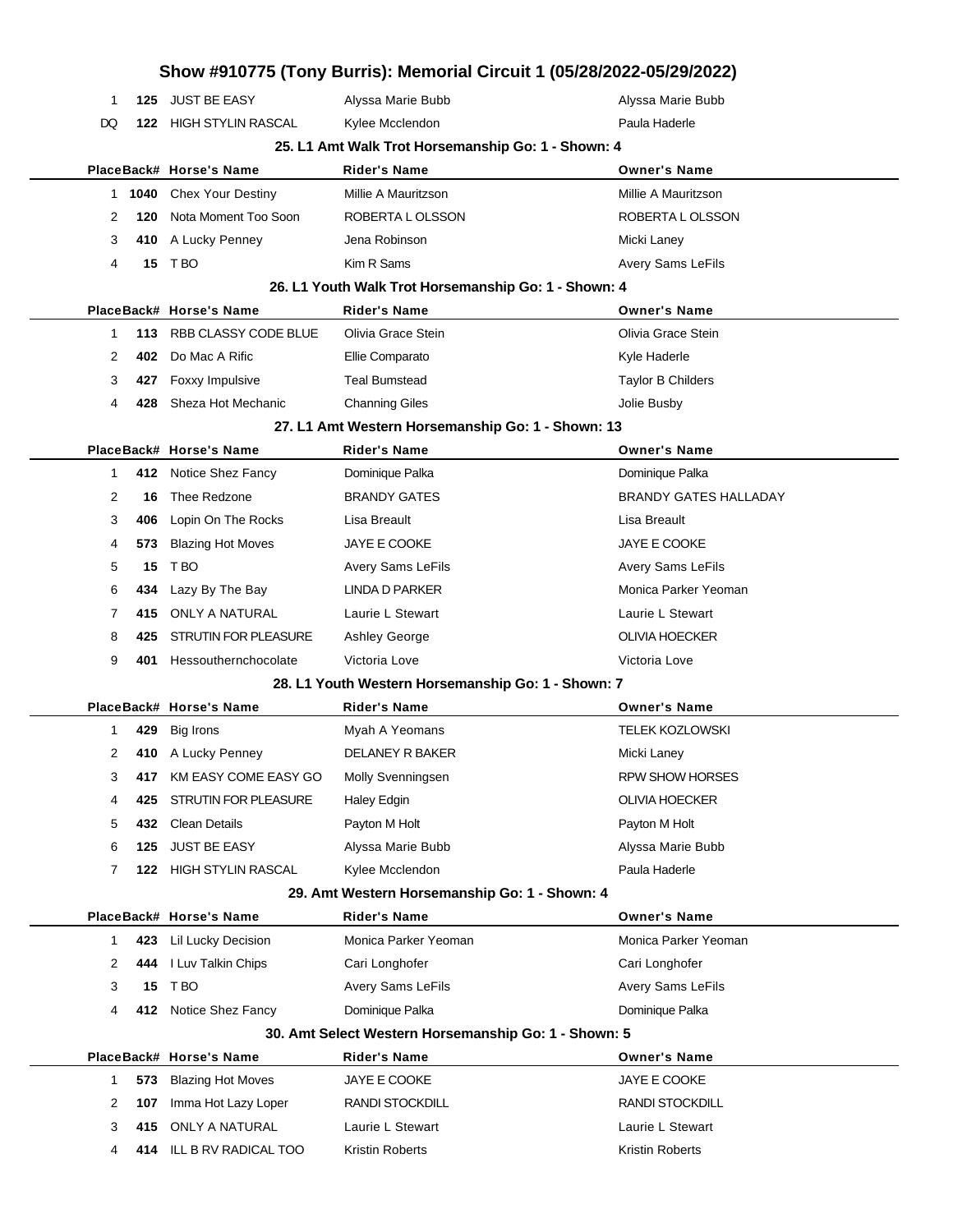|    |      |                           | Show #910775 (Tony Burris): Memorial Circuit 1 (05/28/2022-05/29/2022) |                              |
|----|------|---------------------------|------------------------------------------------------------------------|------------------------------|
| 1  |      | 125 JUST BE EASY          | Alyssa Marie Bubb                                                      | Alyssa Marie Bubb            |
| DQ | 122  | <b>HIGH STYLIN RASCAL</b> | Kylee Mcclendon                                                        | Paula Haderle                |
|    |      |                           | 25. L1 Amt Walk Trot Horsemanship Go: 1 - Shown: 4                     |                              |
|    |      | PlaceBack# Horse's Name   | <b>Rider's Name</b>                                                    | <b>Owner's Name</b>          |
| 1. | 1040 | <b>Chex Your Destiny</b>  | Millie A Mauritzson                                                    | Millie A Mauritzson          |
| 2  | 120  | Nota Moment Too Soon      | ROBERTA L OLSSON                                                       | ROBERTA L OLSSON             |
| 3  |      | 410 A Lucky Penney        | Jena Robinson                                                          | Micki Laney                  |
| 4  | 15   | T BO                      | Kim R Sams                                                             | Avery Sams LeFils            |
|    |      |                           | 26. L1 Youth Walk Trot Horsemanship Go: 1 - Shown: 4                   |                              |
|    |      | PlaceBack# Horse's Name   | <b>Rider's Name</b>                                                    | <b>Owner's Name</b>          |
| 1  | 113  | RBB CLASSY CODE BLUE      | Olivia Grace Stein                                                     | Olivia Grace Stein           |
| 2  | 402  | Do Mac A Rific            | Ellie Comparato                                                        | Kyle Haderle                 |
| 3  | 427  | Foxxy Impulsive           | <b>Teal Bumstead</b>                                                   | <b>Taylor B Childers</b>     |
| 4  | 428  | Sheza Hot Mechanic        | <b>Channing Giles</b>                                                  | Jolie Busby                  |
|    |      |                           | 27. L1 Amt Western Horsemanship Go: 1 - Shown: 13                      |                              |
|    |      | PlaceBack# Horse's Name   | <b>Rider's Name</b>                                                    | <b>Owner's Name</b>          |
| 1  | 412  | <b>Notice Shez Fancy</b>  | Dominique Palka                                                        | Dominique Palka              |
| 2  | 16   | Thee Redzone              | <b>BRANDY GATES</b>                                                    | <b>BRANDY GATES HALLADAY</b> |
| 3  | 406  | Lopin On The Rocks        | Lisa Breault                                                           | Lisa Breault                 |
| 4  | 573  | <b>Blazing Hot Moves</b>  | JAYE E COOKE                                                           | <b>JAYE E COOKE</b>          |
| 5  | 15   | T BO                      | Avery Sams LeFils                                                      | <b>Avery Sams LeFils</b>     |
| 6  | 434  | Lazy By The Bay           | <b>LINDA D PARKER</b>                                                  | Monica Parker Yeoman         |
| 7  | 415  | ONLY A NATURAL            | Laurie L Stewart                                                       | Laurie L Stewart             |
| 8  | 425  | STRUTIN FOR PLEASURE      | Ashley George                                                          | <b>OLIVIA HOECKER</b>        |
| 9  | 401  | Hessouthernchocolate      | Victoria Love                                                          | Victoria Love                |
|    |      |                           | 28. L1 Youth Western Horsemanship Go: 1 - Shown: 7                     |                              |
|    |      | PlaceBack# Horse's Name   | Rider's Name                                                           | <b>Owner's Name</b>          |
| 1  | 429  | <b>Big Irons</b>          | Myah A Yeomans                                                         | <b>TELEK KOZLOWSKI</b>       |
| 2  |      | 410 A Lucky Penney        | DELANEY R BAKER                                                        | Micki Laney                  |
| 3  | 417  | KM EASY COME EASY GO      | Molly Svenningsen                                                      | <b>RPW SHOW HORSES</b>       |
| 4  | 425  | STRUTIN FOR PLEASURE      | Haley Edgin                                                            | <b>OLIVIA HOECKER</b>        |
| 5  | 432  | <b>Clean Details</b>      | Payton M Holt                                                          | Payton M Holt                |
| 6  | 125  | <b>JUST BE EASY</b>       | Alyssa Marie Bubb                                                      | Alyssa Marie Bubb            |
| 7  | 122  | <b>HIGH STYLIN RASCAL</b> | Kylee Mcclendon                                                        | Paula Haderle                |
|    |      |                           | 29. Amt Western Horsemanship Go: 1 - Shown: 4                          |                              |
|    |      | PlaceBack# Horse's Name   | <b>Rider's Name</b>                                                    | <b>Owner's Name</b>          |
| 1  | 423  | Lil Lucky Decision        | Monica Parker Yeoman                                                   | Monica Parker Yeoman         |
| 2  | 444  | I Luv Talkin Chips        | Cari Longhofer                                                         | Cari Longhofer               |
| 3  | 15   | T BO                      | Avery Sams LeFils                                                      | Avery Sams LeFils            |
| 4  |      | 412 Notice Shez Fancy     | Dominique Palka                                                        | Dominique Palka              |
|    |      |                           | 30. Amt Select Western Horsemanship Go: 1 - Shown: 5                   |                              |
|    |      | PlaceBack# Horse's Name   | <b>Rider's Name</b>                                                    | <b>Owner's Name</b>          |
| 1  | 573  | <b>Blazing Hot Moves</b>  | JAYE E COOKE                                                           | JAYE E COOKE                 |
| 2  | 107  | Imma Hot Lazy Loper       | <b>RANDI STOCKDILL</b>                                                 | <b>RANDI STOCKDILL</b>       |
| 3  | 415  | <b>ONLY A NATURAL</b>     | Laurie L Stewart                                                       | Laurie L Stewart             |
| 4  | 414  | ILL B RV RADICAL TOO      | Kristin Roberts                                                        | Kristin Roberts              |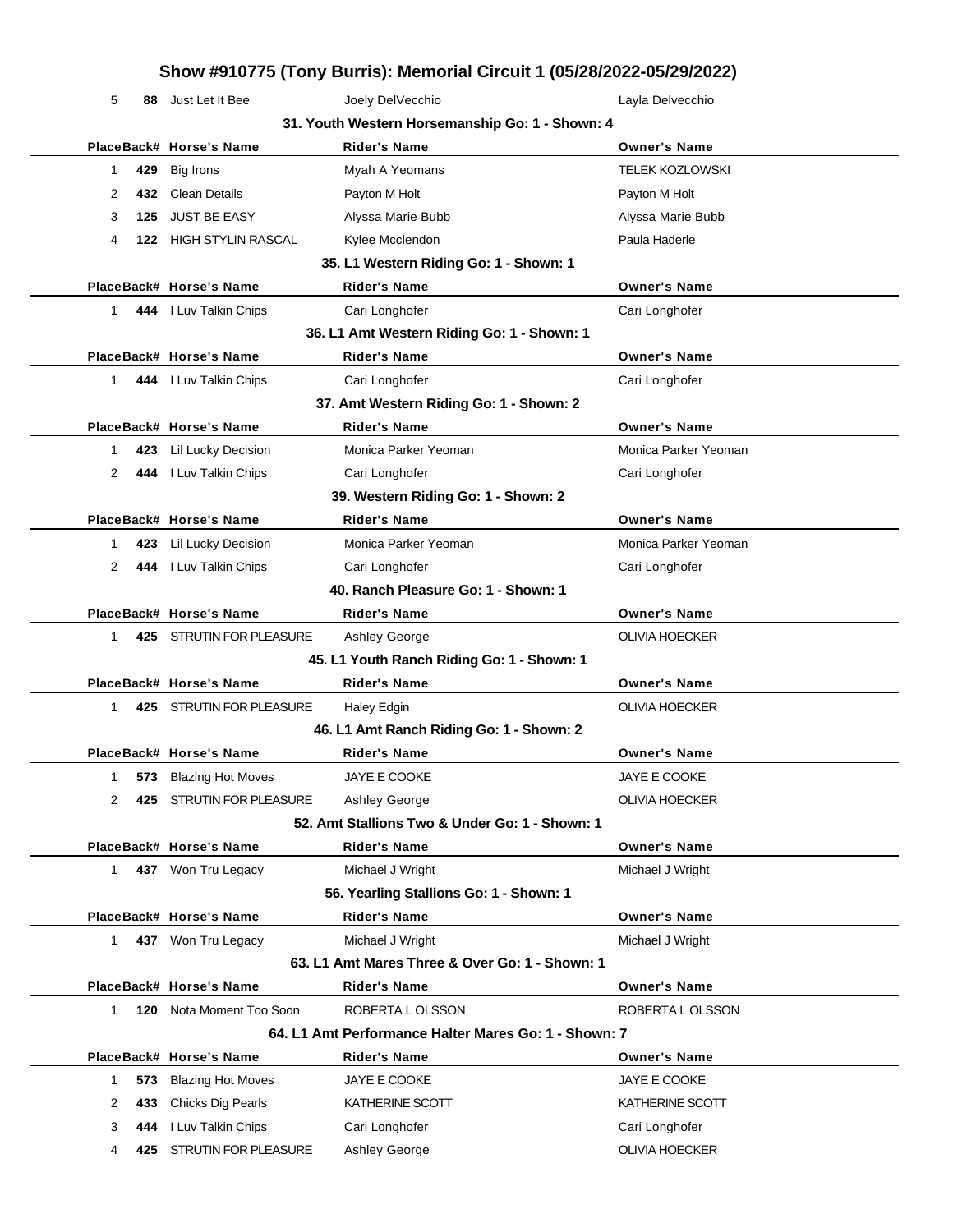| 5 | 88  | Just Let It Bee          | Joely DelVecchio                                     | Layla Delvecchio       |
|---|-----|--------------------------|------------------------------------------------------|------------------------|
|   |     |                          | 31. Youth Western Horsemanship Go: 1 - Shown: 4      |                        |
|   |     | PlaceBack# Horse's Name  | <b>Rider's Name</b>                                  | <b>Owner's Name</b>    |
| 1 | 429 | Big Irons                | Myah A Yeomans                                       | <b>TELEK KOZLOWSKI</b> |
| 2 | 432 | Clean Details            | Payton M Holt                                        | Payton M Holt          |
| 3 | 125 | <b>JUST BE EASY</b>      | Alyssa Marie Bubb                                    | Alyssa Marie Bubb      |
| 4 |     | 122 HIGH STYLIN RASCAL   | Kylee Mcclendon                                      | Paula Haderle          |
|   |     |                          | 35. L1 Western Riding Go: 1 - Shown: 1               |                        |
|   |     | PlaceBack# Horse's Name  | <b>Rider's Name</b>                                  | <b>Owner's Name</b>    |
| 1 |     | 444 I Luv Talkin Chips   | Cari Longhofer                                       | Cari Longhofer         |
|   |     |                          | 36. L1 Amt Western Riding Go: 1 - Shown: 1           |                        |
|   |     | PlaceBack# Horse's Name  | <b>Rider's Name</b>                                  | <b>Owner's Name</b>    |
| 1 |     | 444 I Luv Talkin Chips   | Cari Longhofer                                       | Cari Longhofer         |
|   |     |                          | 37. Amt Western Riding Go: 1 - Shown: 2              |                        |
|   |     | PlaceBack# Horse's Name  | <b>Rider's Name</b>                                  | <b>Owner's Name</b>    |
| 1 | 423 | Lil Lucky Decision       | Monica Parker Yeoman                                 | Monica Parker Yeoman   |
| 2 |     | 444 I Luv Talkin Chips   | Cari Longhofer                                       | Cari Longhofer         |
|   |     |                          | 39. Western Riding Go: 1 - Shown: 2                  |                        |
|   |     | PlaceBack# Horse's Name  | <b>Rider's Name</b>                                  | <b>Owner's Name</b>    |
| 1 | 423 | Lil Lucky Decision       | Monica Parker Yeoman                                 | Monica Parker Yeoman   |
| 2 | 444 | I Luv Talkin Chips       | Cari Longhofer                                       | Cari Longhofer         |
|   |     |                          | 40. Ranch Pleasure Go: 1 - Shown: 1                  |                        |
|   |     | PlaceBack# Horse's Name  | Rider's Name                                         | <b>Owner's Name</b>    |
| 1 |     | 425 STRUTIN FOR PLEASURE | Ashley George                                        | OLIVIA HOECKER         |
|   |     |                          | 45. L1 Youth Ranch Riding Go: 1 - Shown: 1           |                        |
|   |     | PlaceBack# Horse's Name  | <b>Rider's Name</b>                                  | <b>Owner's Name</b>    |
| 1 |     | 425 STRUTIN FOR PLEASURE | <b>Haley Edgin</b>                                   | OLIVIA HOECKER         |
|   |     |                          | 46. L1 Amt Ranch Riding Go: 1 - Shown: 2             |                        |
|   |     | PlaceBack# Horse's Name  | <b>Rider's Name</b>                                  | <b>Owner's Name</b>    |
| 1 |     | 573 Blazing Hot Moves    | JAYE E COOKE                                         | JAYE E COOKE           |
| 2 |     | 425 STRUTIN FOR PLEASURE | Ashley George                                        | <b>OLIVIA HOECKER</b>  |
|   |     |                          | 52. Amt Stallions Two & Under Go: 1 - Shown: 1       |                        |
|   |     | PlaceBack# Horse's Name  | <b>Rider's Name</b>                                  | <b>Owner's Name</b>    |
| 1 |     | 437 Won Tru Legacy       | Michael J Wright                                     | Michael J Wright       |
|   |     |                          | 56. Yearling Stallions Go: 1 - Shown: 1              |                        |
|   |     | PlaceBack# Horse's Name  | <b>Rider's Name</b>                                  | <b>Owner's Name</b>    |
| 1 |     | 437 Won Tru Legacy       | Michael J Wright                                     | Michael J Wright       |
|   |     |                          | 63. L1 Amt Mares Three & Over Go: 1 - Shown: 1       |                        |
|   |     | PlaceBack# Horse's Name  | <b>Rider's Name</b>                                  | <b>Owner's Name</b>    |
| 1 | 120 | Nota Moment Too Soon     | ROBERTA L OLSSON                                     | ROBERTA L OLSSON       |
|   |     |                          | 64. L1 Amt Performance Halter Mares Go: 1 - Shown: 7 |                        |
|   |     | PlaceBack# Horse's Name  | Rider's Name                                         | <b>Owner's Name</b>    |
| 1 | 573 | <b>Blazing Hot Moves</b> | JAYE E COOKE                                         | JAYE E COOKE           |
| 2 | 433 | Chicks Dig Pearls        | KATHERINE SCOTT                                      | KATHERINE SCOTT        |
| 3 | 444 | I Luv Talkin Chips       | Cari Longhofer                                       | Cari Longhofer         |
| 4 | 425 | STRUTIN FOR PLEASURE     | Ashley George                                        | OLIVIA HOECKER         |
|   |     |                          |                                                      |                        |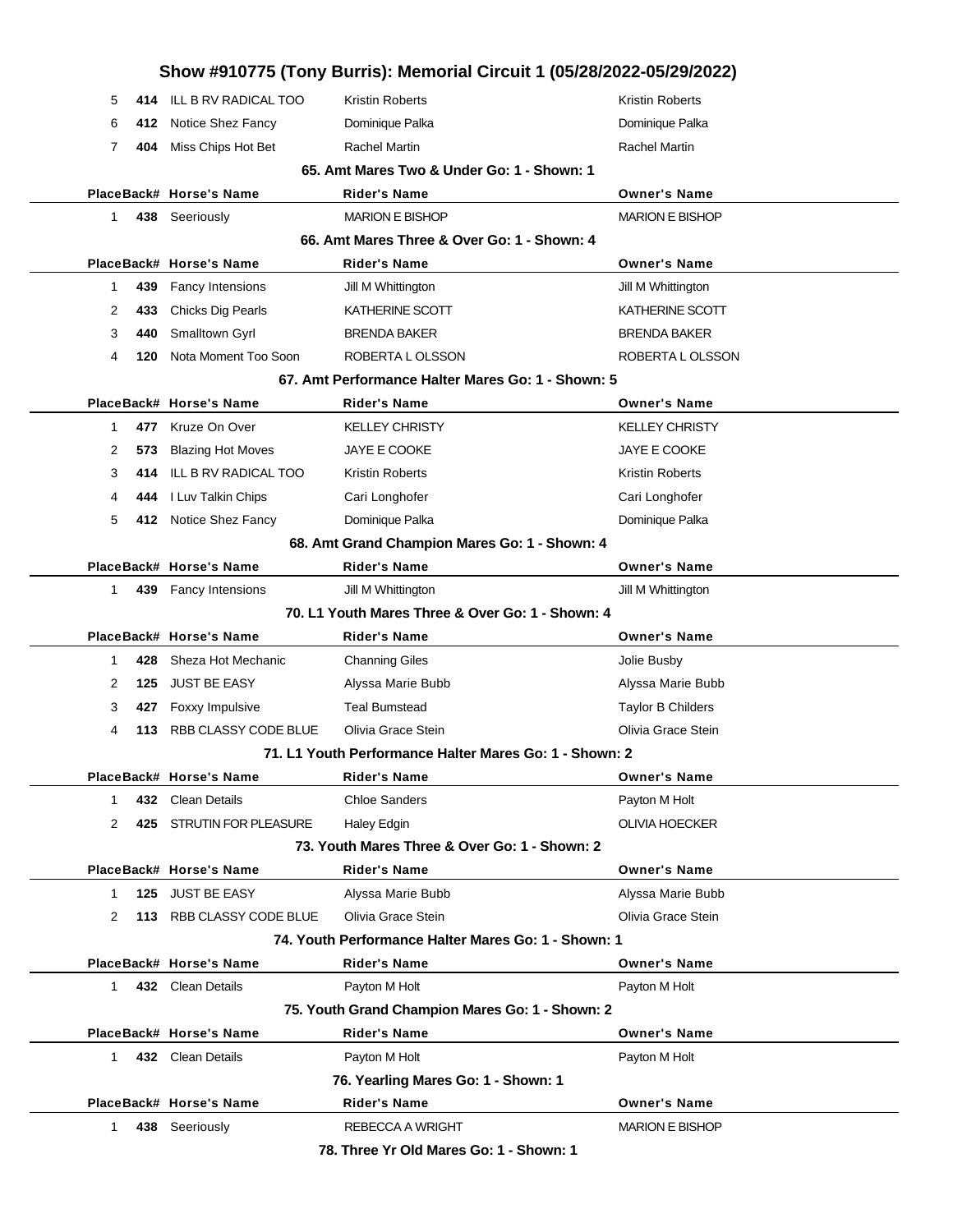|    |     |                                               | Show #910775 (Tony Burris): Memorial Circuit 1 (05/28/2022-05/29/2022) |                                    |
|----|-----|-----------------------------------------------|------------------------------------------------------------------------|------------------------------------|
| 5  | 414 | ILL B RV RADICAL TOO                          | Kristin Roberts                                                        | Kristin Roberts                    |
| 6  |     | 412 Notice Shez Fancy                         | Dominique Palka                                                        | Dominique Palka                    |
| 7  | 404 | Miss Chips Hot Bet                            | Rachel Martin                                                          | Rachel Martin                      |
|    |     |                                               | 65. Amt Mares Two & Under Go: 1 - Shown: 1                             |                                    |
|    |     | PlaceBack# Horse's Name                       | Rider's Name                                                           | <b>Owner's Name</b>                |
| 1  |     | 438 Seeriously                                | <b>MARION E BISHOP</b>                                                 | <b>MARION E BISHOP</b>             |
|    |     |                                               | 66. Amt Mares Three & Over Go: 1 - Shown: 4                            |                                    |
|    |     | PlaceBack# Horse's Name                       | Rider's Name                                                           | <b>Owner's Name</b>                |
| 1  | 439 | Fancy Intensions                              | Jill M Whittington                                                     | Jill M Whittington                 |
| 2  | 433 | Chicks Dig Pearls                             | KATHERINE SCOTT                                                        | KATHERINE SCOTT                    |
| 3  | 440 | Smalltown Gyrl                                | <b>BRENDA BAKER</b>                                                    | <b>BRENDA BAKER</b>                |
| 4  | 120 | Nota Moment Too Soon                          | ROBERTA L OLSSON                                                       | ROBERTA L OLSSON                   |
|    |     |                                               | 67. Amt Performance Halter Mares Go: 1 - Shown: 5                      |                                    |
|    |     | PlaceBack# Horse's Name                       | <b>Rider's Name</b>                                                    | <b>Owner's Name</b>                |
| 1  | 477 | Kruze On Over                                 | <b>KELLEY CHRISTY</b>                                                  | <b>KELLEY CHRISTY</b>              |
| 2  | 573 | <b>Blazing Hot Moves</b>                      | JAYE E COOKE                                                           | JAYE E COOKE                       |
| 3  | 414 | ILL B RV RADICAL TOO                          | Kristin Roberts                                                        | Kristin Roberts                    |
| 4  | 444 | I Luv Talkin Chips                            | Cari Longhofer                                                         | Cari Longhofer                     |
| 5  |     | 412 Notice Shez Fancy                         | Dominique Palka                                                        | Dominique Palka                    |
|    |     |                                               | 68. Amt Grand Champion Mares Go: 1 - Shown: 4                          |                                    |
|    |     | PlaceBack# Horse's Name                       | Rider's Name                                                           | <b>Owner's Name</b>                |
| 1  |     | 439 Fancy Intensions                          | Jill M Whittington                                                     | Jill M Whittington                 |
|    |     |                                               | 70. L1 Youth Mares Three & Over Go: 1 - Shown: 4                       |                                    |
| 1  | 428 | PlaceBack# Horse's Name<br>Sheza Hot Mechanic | Rider's Name<br><b>Channing Giles</b>                                  | <b>Owner's Name</b><br>Jolie Busby |
| 2  | 125 | <b>JUST BE EASY</b>                           | Alyssa Marie Bubb                                                      | Alyssa Marie Bubb                  |
| 3  | 427 | Foxxy Impulsive                               | <b>Teal Bumstead</b>                                                   | <b>Taylor B Childers</b>           |
| 4  | 113 | RBB CLASSY CODE BLUE                          | Olivia Grace Stein                                                     | Olivia Grace Stein                 |
|    |     |                                               | 71. L1 Youth Performance Halter Mares Go: 1 - Shown: 2                 |                                    |
|    |     | PlaceBack# Horse's Name                       | Rider's Name                                                           | <b>Owner's Name</b>                |
| 1  |     | 432 Clean Details                             | <b>Chloe Sanders</b>                                                   | Payton M Holt                      |
| 2  | 425 | STRUTIN FOR PLEASURE                          | Haley Edgin                                                            | <b>OLIVIA HOECKER</b>              |
|    |     |                                               | 73. Youth Mares Three & Over Go: 1 - Shown: 2                          |                                    |
|    |     | PlaceBack# Horse's Name                       | Rider's Name                                                           | <b>Owner's Name</b>                |
| 1  | 125 | <b>JUST BE EASY</b>                           | Alyssa Marie Bubb                                                      | Alyssa Marie Bubb                  |
| 2  | 113 | RBB CLASSY CODE BLUE                          | Olivia Grace Stein                                                     | Olivia Grace Stein                 |
|    |     |                                               | 74. Youth Performance Halter Mares Go: 1 - Shown: 1                    |                                    |
|    |     | PlaceBack# Horse's Name                       | Rider's Name                                                           | <b>Owner's Name</b>                |
| 1. |     | 432 Clean Details                             | Payton M Holt                                                          | Payton M Holt                      |
|    |     |                                               | 75. Youth Grand Champion Mares Go: 1 - Shown: 2                        |                                    |
|    |     | PlaceBack# Horse's Name                       | <b>Rider's Name</b>                                                    | <b>Owner's Name</b>                |
| 1. |     | 432 Clean Details                             | Payton M Holt                                                          | Payton M Holt                      |
|    |     |                                               | 76. Yearling Mares Go: 1 - Shown: 1                                    |                                    |
|    |     | PlaceBack# Horse's Name                       | Rider's Name                                                           | <b>Owner's Name</b>                |
| 1. |     | 438 Seeriously                                | REBECCA A WRIGHT                                                       | <b>MARION E BISHOP</b>             |
|    |     |                                               | 78. Three Yr Old Mares Go: 1 - Shown: 1                                |                                    |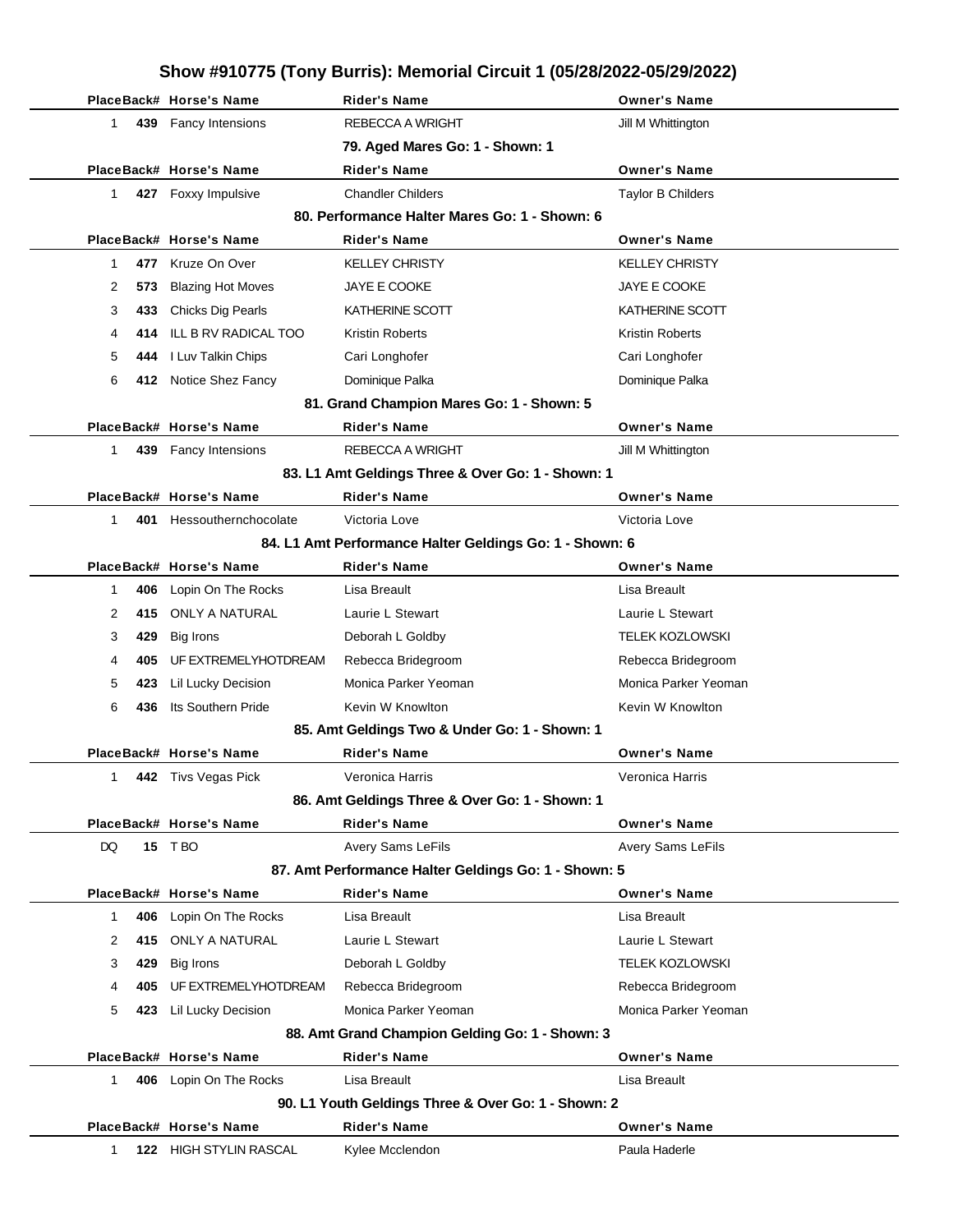|              |     | PlaceBack# Horse's Name  | 01100 70110110 (1011) DUITIO). MCMONA ON CAL T (0012012022-0012012022)<br><b>Rider's Name</b> | <b>Owner's Name</b>      |
|--------------|-----|--------------------------|-----------------------------------------------------------------------------------------------|--------------------------|
| 1.           |     | 439 Fancy Intensions     | REBECCA A WRIGHT                                                                              | Jill M Whittington       |
|              |     |                          | 79. Aged Mares Go: 1 - Shown: 1                                                               |                          |
|              |     | PlaceBack# Horse's Name  | <b>Rider's Name</b>                                                                           | <b>Owner's Name</b>      |
| $\mathbf{1}$ |     | 427 Foxxy Impulsive      | <b>Chandler Childers</b>                                                                      | <b>Taylor B Childers</b> |
|              |     |                          | 80. Performance Halter Mares Go: 1 - Shown: 6                                                 |                          |
|              |     | PlaceBack# Horse's Name  | <b>Rider's Name</b>                                                                           | <b>Owner's Name</b>      |
| $\mathbf{1}$ | 477 | Kruze On Over            | <b>KELLEY CHRISTY</b>                                                                         | <b>KELLEY CHRISTY</b>    |
| 2            | 573 | <b>Blazing Hot Moves</b> | JAYE E COOKE                                                                                  | JAYE E COOKE             |
| 3            | 433 | Chicks Dig Pearls        | KATHERINE SCOTT                                                                               | KATHERINE SCOTT          |
| 4            | 414 | ILL B RV RADICAL TOO     | Kristin Roberts                                                                               | Kristin Roberts          |
| 5            | 444 | I Luv Talkin Chips       | Cari Longhofer                                                                                | Cari Longhofer           |
| 6            | 412 | Notice Shez Fancy        | Dominique Palka                                                                               | Dominique Palka          |
|              |     |                          | 81. Grand Champion Mares Go: 1 - Shown: 5                                                     |                          |
|              |     | PlaceBack# Horse's Name  | <b>Rider's Name</b>                                                                           | <b>Owner's Name</b>      |
| $\mathbf{1}$ | 439 | <b>Fancy Intensions</b>  | REBECCA A WRIGHT                                                                              | Jill M Whittington       |
|              |     |                          | 83. L1 Amt Geldings Three & Over Go: 1 - Shown: 1                                             |                          |
|              |     | PlaceBack# Horse's Name  | <b>Rider's Name</b>                                                                           | <b>Owner's Name</b>      |
| $\mathbf{1}$ | 401 | Hessouthernchocolate     | Victoria Love                                                                                 | Victoria Love            |
|              |     |                          | 84. L1 Amt Performance Halter Geldings Go: 1 - Shown: 6                                       |                          |
|              |     | PlaceBack# Horse's Name  | <b>Rider's Name</b>                                                                           | <b>Owner's Name</b>      |
| $\mathbf{1}$ | 406 | Lopin On The Rocks       | Lisa Breault                                                                                  | Lisa Breault             |
| 2            | 415 | <b>ONLY A NATURAL</b>    | Laurie L Stewart                                                                              | Laurie L Stewart         |
| 3            | 429 | Big Irons                | Deborah L Goldby                                                                              | <b>TELEK KOZLOWSKI</b>   |
| 4            | 405 | UF EXTREMELYHOTDREAM     | Rebecca Bridegroom                                                                            | Rebecca Bridegroom       |
| 5            | 423 | Lil Lucky Decision       | Monica Parker Yeoman                                                                          | Monica Parker Yeoman     |
| 6            | 436 | Its Southern Pride       | Kevin W Knowlton                                                                              | Kevin W Knowlton         |
|              |     |                          | 85. Amt Geldings Two & Under Go: 1 - Shown: 1                                                 |                          |
|              |     | PlaceBack# Horse's Name  | <b>Rider's Name</b>                                                                           | <b>Owner's Name</b>      |
| 1            |     | 442 Tivs Vegas Pick      | Veronica Harris                                                                               | Veronica Harris          |
|              |     |                          | 86. Amt Geldings Three & Over Go: 1 - Shown: 1                                                |                          |
|              |     | PlaceBack# Horse's Name  | <b>Rider's Name</b>                                                                           | <b>Owner's Name</b>      |
| DQ           |     | 15 TBO                   | <b>Avery Sams LeFils</b>                                                                      | Avery Sams LeFils        |
|              |     |                          | 87. Amt Performance Halter Geldings Go: 1 - Shown: 5                                          |                          |
|              |     | PlaceBack# Horse's Name  | <b>Rider's Name</b>                                                                           | <b>Owner's Name</b>      |
| 1            | 406 | Lopin On The Rocks       | Lisa Breault                                                                                  | Lisa Breault             |
| 2            | 415 | <b>ONLY A NATURAL</b>    | Laurie L Stewart                                                                              | Laurie L Stewart         |
| 3            | 429 | <b>Big Irons</b>         | Deborah L Goldby                                                                              | <b>TELEK KOZLOWSKI</b>   |
| 4            | 405 | UF EXTREMELYHOTDREAM     | Rebecca Bridegroom                                                                            | Rebecca Bridegroom       |
| 5            | 423 | Lil Lucky Decision       | Monica Parker Yeoman                                                                          | Monica Parker Yeoman     |
|              |     |                          | 88. Amt Grand Champion Gelding Go: 1 - Shown: 3                                               |                          |
|              |     | PlaceBack# Horse's Name  | Rider's Name                                                                                  | <b>Owner's Name</b>      |
| $\mathbf{1}$ | 406 | Lopin On The Rocks       | Lisa Breault                                                                                  | Lisa Breault             |
|              |     |                          | 90. L1 Youth Geldings Three & Over Go: 1 - Shown: 2                                           |                          |
|              |     | PlaceBack# Horse's Name  | <b>Rider's Name</b>                                                                           | <b>Owner's Name</b>      |
| 1            |     | 122 HIGH STYLIN RASCAL   | Kylee Mcclendon                                                                               | Paula Haderle            |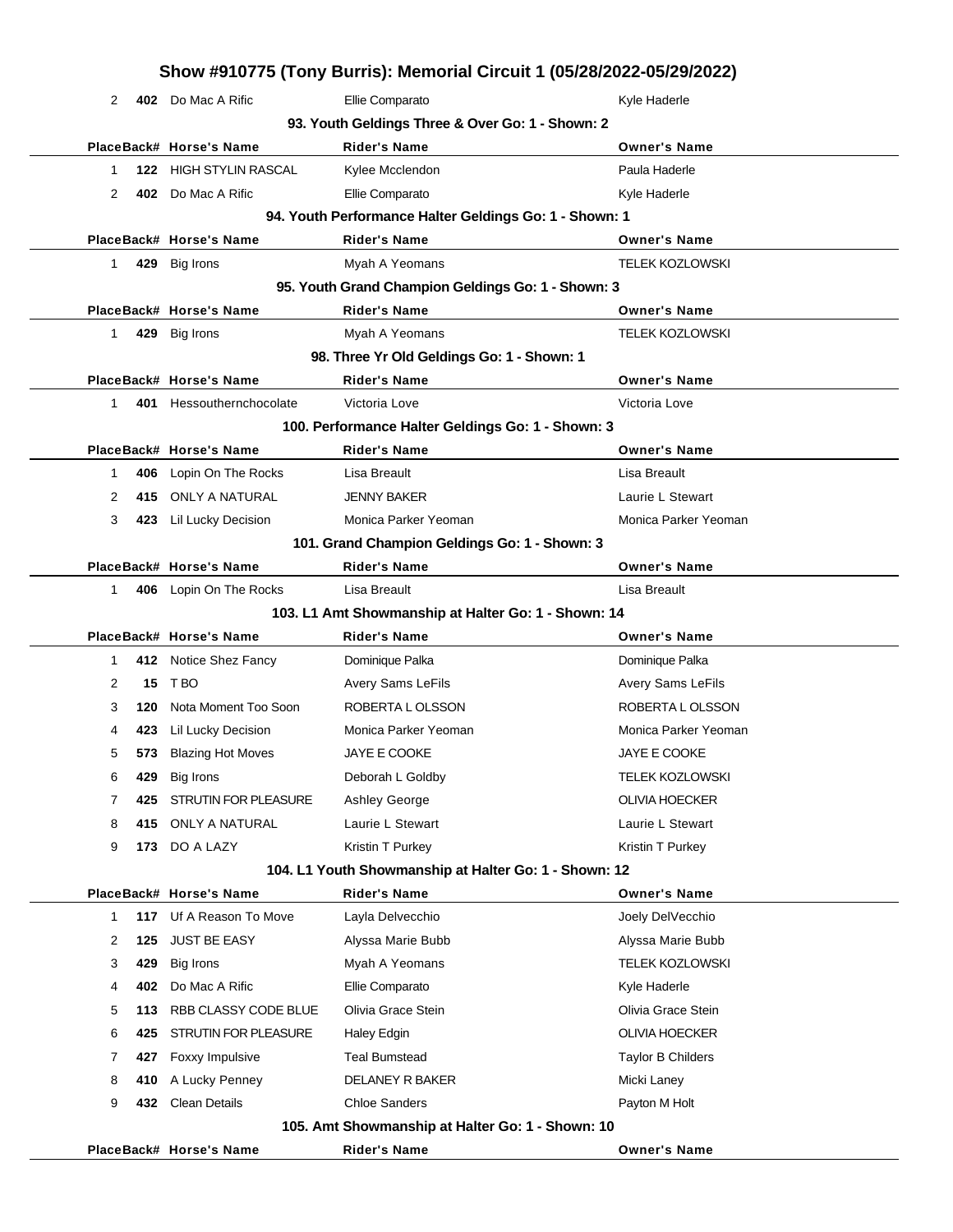## **Show #910775 (Tony Burris): Memorial Circuit 1 (05/28/2022-05/29/2022)** 2 **402** Do Mac A Rific **Ellie Comparato** Ellie Comparato Kyle Haderle **93. Youth Geldings Three & Over Go: 1 - Shown: 2 PlaceBack# Horse's Name Rider's Name Owner's Name** 1 **122** HIGH STYLIN RASCAL Kylee Mcclendon **Paula Haderle** Paula Haderle 2 **402** Do Mac A Rific **Ellie Comparato** Ellie Comparato Kyle Haderle **94. Youth Performance Halter Geldings Go: 1 - Shown: 1 PlaceBack# Horse's Name Rider's Name Owner's Name** 1 **429** Big Irons **Myah A Yeomans** TELEK KOZLOWSKI **95. Youth Grand Champion Geldings Go: 1 - Shown: 3 PlaceBack# Horse's Name Rider's Name Owner's Name** 1 **429** Big Irons **Myah A Yeomans** TELEK KOZLOWSKI **98. Three Yr Old Geldings Go: 1 - Shown: 1 PlaceBack# Horse's Name Rider's Name Owner's Name** 1 **401** Hessouthernchocolate Victoria Love **Victoria Love** Victoria Love **100. Performance Halter Geldings Go: 1 - Shown: 3 PlaceBack# Horse's Name Rider's Name Owner's Name** 1 **406** Lopin On The Rocks Lisa Breault Lisa Breault Lisa Breault Lisa Breault 2 415 ONLY A NATURAL JENNY BAKER **Laurie L Stewart** 3 **423** Lil Lucky Decision Monica Parker Yeoman Monica Parker Yeoman **101. Grand Champion Geldings Go: 1 - Shown: 3 PlaceBack# Horse's Name Rider's Name Owner's Name** 1 **406** Lopin On The Rocks Lisa Breault Lisa Breault **103. L1 Amt Showmanship at Halter Go: 1 - Shown: 14 PlaceBack# Horse's Name Rider's Name Owner's Name** 1 **412** Notice Shez Fancy **Dominique Palka** Dominique Palka Dominique Palka 2 **15** TBO **Avery Sams LeFils** Avery Sams LeFils Avery Sams LeFils 3 **120** Nota Moment Too Soon ROBERTA L OLSSON ROBERTA L OLSSON 4 **423** Lil Lucky Decision Monica Parker Yeoman Monica Parker Yeoman 5 **573** Blazing Hot Moves JAYE E COOKE JAYE E COOKE 6 **429** Big Irons Deborah L Goldby TELEK KOZLOWSKI 7 **425 STRUTIN FOR PLEASURE** Ashley George **CLIVIA HOECKER** 8 **415** ONLY A NATURAL Laurie L Stewart Laurie L Stewart Laurie L Stewart 9 **173** DO A LAZY Kristin T Purkey Kristin T Purkey **104. L1 Youth Showmanship at Halter Go: 1 - Shown: 12 PlaceBack# Horse's Name Rider's Name Owner's Name** 1 **117** Uf A Reason To Move Layla Delvecchio Joely DelVecchio 2 **125** JUST BE EASY **Alyssa Marie Bubb Alyssa Marie Bubb** Alyssa Marie Bubb 3 **429** Big Irons Myah A Yeomans TELEK KOZLOWSKI 4 **402** Do Mac A Rific **Ellie Comparato** Ellie Comparato Kyle Haderle 5 **113** RBB CLASSY CODE BLUE Olivia Grace Stein Olivia Grace Stein 6 **425** STRUTIN FOR PLEASURE Haley Edgin **COLIVIA HOECKER** 7 **427** Foxxy Impulsive Teal Bumstead Taylor B Childers 8 **410** A Lucky Penney **DELANEY R BAKER** Micki Laney 9 **432** Clean Details **Chloe Sanders Payton M Holt** Payton M Holt **105. Amt Showmanship at Halter Go: 1 - Shown: 10 PlaceBack# Horse's Name Rider's Name Owner's Name**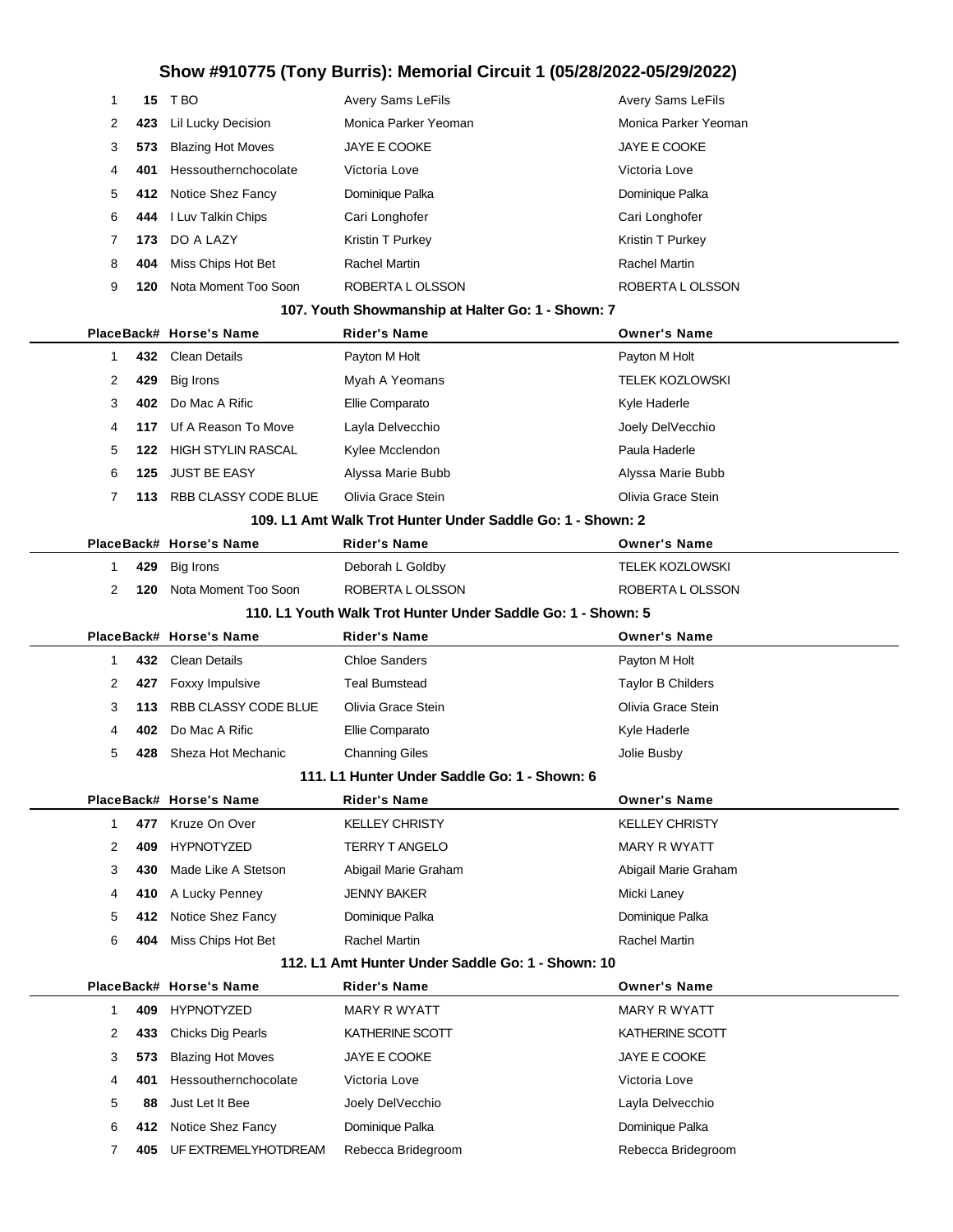| 1            | 15  | T BO                                      | <b>Avery Sams LeFils</b>                                     | Avery Sams LeFils                     |
|--------------|-----|-------------------------------------------|--------------------------------------------------------------|---------------------------------------|
| 2            | 423 | Lil Lucky Decision                        | Monica Parker Yeoman                                         | Monica Parker Yeoman                  |
| 3            | 573 | <b>Blazing Hot Moves</b>                  | JAYE E COOKE                                                 | JAYE E COOKE                          |
| 4            | 401 | Hessouthernchocolate                      | Victoria Love                                                | Victoria Love                         |
| 5            | 412 | Notice Shez Fancy                         | Dominique Palka                                              | Dominique Palka                       |
| 6            | 444 | I Luv Talkin Chips                        | Cari Longhofer                                               | Cari Longhofer                        |
| 7            | 173 | DO A LAZY                                 | Kristin T Purkey                                             | Kristin T Purkey                      |
| 8            | 404 | Miss Chips Hot Bet                        | <b>Rachel Martin</b>                                         | <b>Rachel Martin</b>                  |
| 9            | 120 | Nota Moment Too Soon                      | ROBERTA L OLSSON                                             | ROBERTA L OLSSON                      |
|              |     |                                           | 107. Youth Showmanship at Halter Go: 1 - Shown: 7            |                                       |
|              |     | PlaceBack# Horse's Name                   | <b>Rider's Name</b>                                          | <b>Owner's Name</b>                   |
| $\mathbf{1}$ | 432 | <b>Clean Details</b>                      | Payton M Holt                                                | Payton M Holt                         |
| 2            | 429 | Big Irons                                 | Myah A Yeomans                                               | TELEK KOZLOWSKI                       |
| 3            | 402 | Do Mac A Rific                            | Ellie Comparato                                              | Kyle Haderle                          |
| 4            | 117 | Uf A Reason To Move                       | Layla Delvecchio                                             | Joely DelVecchio                      |
| 5            | 122 | <b>HIGH STYLIN RASCAL</b>                 | Kylee Mcclendon                                              | Paula Haderle                         |
| 6            | 125 | <b>JUST BE EASY</b>                       | Alyssa Marie Bubb                                            | Alyssa Marie Bubb                     |
| 7            | 113 | RBB CLASSY CODE BLUE                      | Olivia Grace Stein                                           | Olivia Grace Stein                    |
|              |     |                                           | 109. L1 Amt Walk Trot Hunter Under Saddle Go: 1 - Shown: 2   |                                       |
|              |     | PlaceBack# Horse's Name                   | <b>Rider's Name</b>                                          | <b>Owner's Name</b>                   |
| 1            | 429 | Big Irons                                 | Deborah L Goldby                                             | <b>TELEK KOZLOWSKI</b>                |
| 2            | 120 | Nota Moment Too Soon                      | ROBERTA L OLSSON                                             | ROBERTA L OLSSON                      |
|              |     |                                           | 110. L1 Youth Walk Trot Hunter Under Saddle Go: 1 - Shown: 5 |                                       |
|              |     |                                           |                                                              |                                       |
|              |     | PlaceBack# Horse's Name                   | <b>Rider's Name</b>                                          | <b>Owner's Name</b>                   |
| 1            | 432 | Clean Details                             | <b>Chloe Sanders</b>                                         | Payton M Holt                         |
| 2            | 427 | Foxxy Impulsive                           | <b>Teal Bumstead</b>                                         | <b>Taylor B Childers</b>              |
| 3            | 113 | <b>RBB CLASSY CODE BLUE</b>               | Olivia Grace Stein                                           | Olivia Grace Stein                    |
| 4            | 402 | Do Mac A Rific                            | Ellie Comparato                                              | Kyle Haderle                          |
| 5            | 428 | Sheza Hot Mechanic                        | <b>Channing Giles</b>                                        | Jolie Busby                           |
|              |     |                                           | 111. L1 Hunter Under Saddle Go: 1 - Shown: 6                 |                                       |
|              |     | PlaceBack# Horse's Name                   | Rider's Name                                                 | <b>Owner's Name</b>                   |
| 1.           | 477 | Kruze On Over                             | <b>KELLEY CHRISTY</b>                                        | <b>KELLEY CHRISTY</b>                 |
| 2            | 409 | <b>HYPNOTYZED</b>                         | TERRY T ANGELO                                               | MARY R WYATT                          |
| 3            | 430 | Made Like A Stetson                       | Abigail Marie Graham                                         | Abigail Marie Graham                  |
| 4            | 410 | A Lucky Penney                            | JENNY BAKER                                                  | Micki Laney                           |
| 5            | 412 | Notice Shez Fancy                         | Dominique Palka                                              | Dominique Palka                       |
| 6            | 404 | Miss Chips Hot Bet                        | Rachel Martin                                                | Rachel Martin                         |
|              |     |                                           | 112. L1 Amt Hunter Under Saddle Go: 1 - Shown: 10            |                                       |
|              |     | PlaceBack# Horse's Name                   | <b>Rider's Name</b>                                          | <b>Owner's Name</b>                   |
| $\mathbf{1}$ | 409 | <b>HYPNOTYZED</b>                         | MARY R WYATT                                                 | MARY R WYATT                          |
| 2            | 433 | Chicks Dig Pearls                         | KATHERINE SCOTT                                              | KATHERINE SCOTT                       |
| 3            | 573 | <b>Blazing Hot Moves</b>                  | JAYE E COOKE                                                 | JAYE E COOKE                          |
| 4            | 401 | Hessouthernchocolate                      | Victoria Love                                                | Victoria Love                         |
| 5            | 88  | Just Let It Bee                           | Joely DelVecchio                                             | Layla Delvecchio                      |
| 6<br>7       | 412 | Notice Shez Fancy<br>UF EXTREMELYHOTDREAM | Dominique Palka<br>Rebecca Bridegroom                        | Dominique Palka<br>Rebecca Bridegroom |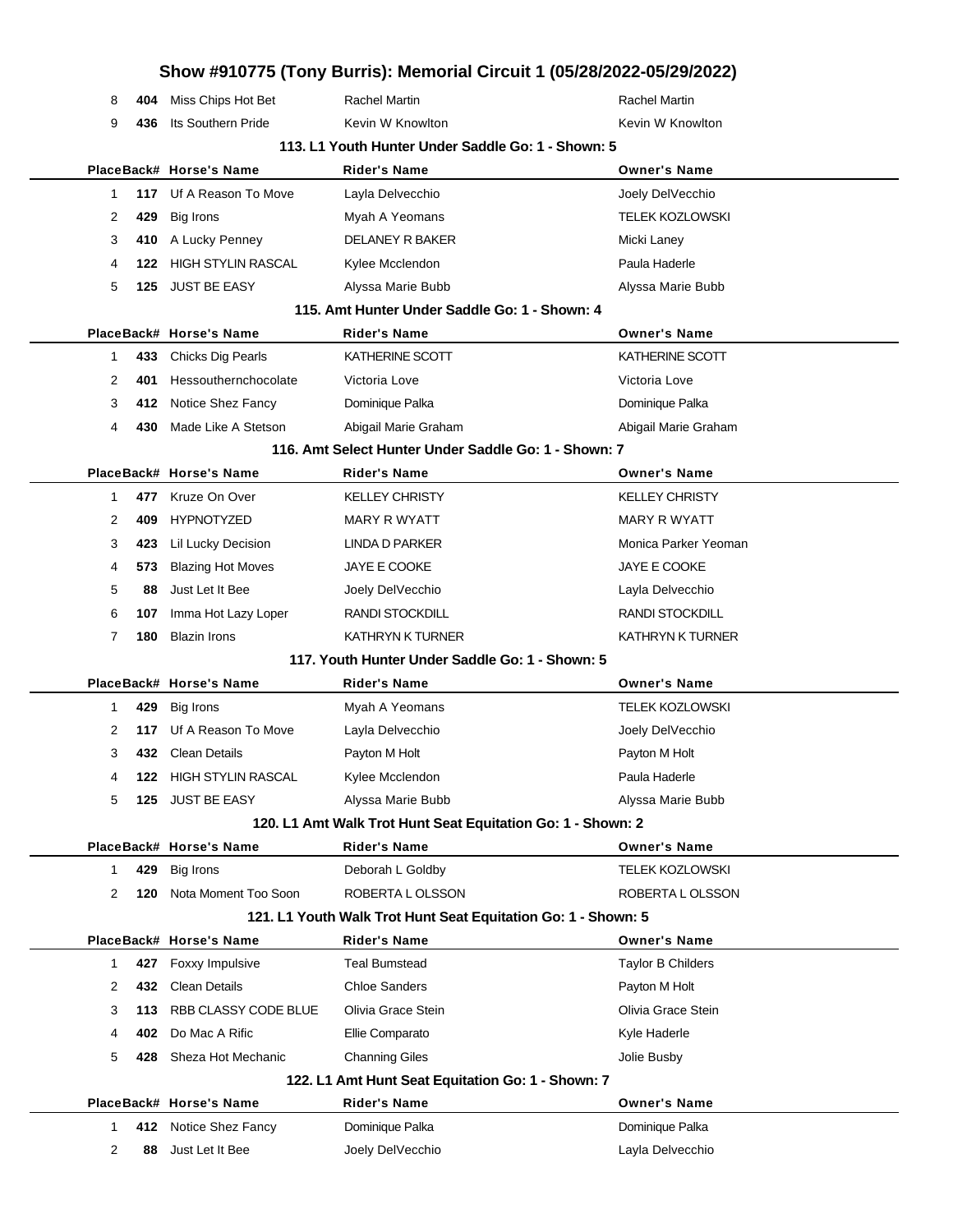|                |     |                           | Show #910775 (Tony Burris): Memorial Circuit 1 (05/28/2022-05/29/2022) |                          |
|----------------|-----|---------------------------|------------------------------------------------------------------------|--------------------------|
| 8              | 404 | Miss Chips Hot Bet        | Rachel Martin                                                          | <b>Rachel Martin</b>     |
| 9              | 436 | Its Southern Pride        | Kevin W Knowlton                                                       | Kevin W Knowlton         |
|                |     |                           | 113. L1 Youth Hunter Under Saddle Go: 1 - Shown: 5                     |                          |
|                |     | PlaceBack# Horse's Name   | <b>Rider's Name</b>                                                    | <b>Owner's Name</b>      |
| 1              | 117 | Uf A Reason To Move       | Layla Delvecchio                                                       | Joely DelVecchio         |
| 2              | 429 | Big Irons                 | Myah A Yeomans                                                         | <b>TELEK KOZLOWSKI</b>   |
| 3              | 410 | A Lucky Penney            | DELANEY R BAKER                                                        | Micki Laney              |
| 4              | 122 | <b>HIGH STYLIN RASCAL</b> | Kylee Mcclendon                                                        | Paula Haderle            |
| 5              | 125 | <b>JUST BE EASY</b>       | Alyssa Marie Bubb                                                      | Alyssa Marie Bubb        |
|                |     |                           | 115. Amt Hunter Under Saddle Go: 1 - Shown: 4                          |                          |
|                |     | PlaceBack# Horse's Name   | Rider's Name                                                           | <b>Owner's Name</b>      |
| 1              | 433 | Chicks Dig Pearls         | KATHERINE SCOTT                                                        | KATHERINE SCOTT          |
| 2              | 401 | Hessouthernchocolate      | Victoria Love                                                          | Victoria Love            |
| 3              | 412 | <b>Notice Shez Fancy</b>  | Dominique Palka                                                        | Dominique Palka          |
| 4              | 430 | Made Like A Stetson       | Abigail Marie Graham                                                   | Abigail Marie Graham     |
|                |     |                           | 116. Amt Select Hunter Under Saddle Go: 1 - Shown: 7                   |                          |
|                |     | PlaceBack# Horse's Name   | <b>Rider's Name</b>                                                    | <b>Owner's Name</b>      |
| $\mathbf{1}$   | 477 | Kruze On Over             | <b>KELLEY CHRISTY</b>                                                  | <b>KELLEY CHRISTY</b>    |
| 2              | 409 | <b>HYPNOTYZED</b>         | <b>MARY R WYATT</b>                                                    | <b>MARY R WYATT</b>      |
| 3              | 423 | Lil Lucky Decision        | LINDA D PARKER                                                         | Monica Parker Yeoman     |
| 4              | 573 | <b>Blazing Hot Moves</b>  | JAYE E COOKE                                                           | JAYE E COOKE             |
| 5              | 88  | Just Let It Bee           | Joely DelVecchio                                                       | Layla Delvecchio         |
| 6              | 107 | Imma Hot Lazy Loper       | RANDI STOCKDILL                                                        | RANDI STOCKDILL          |
| 7              | 180 | <b>Blazin Irons</b>       | <b>KATHRYN K TURNER</b>                                                | KATHRYN K TURNER         |
|                |     |                           | 117. Youth Hunter Under Saddle Go: 1 - Shown: 5                        |                          |
|                |     | PlaceBack# Horse's Name   | <b>Rider's Name</b>                                                    | <b>Owner's Name</b>      |
| 1              | 429 | Big Irons                 | Myah A Yeomans                                                         | <b>TELEK KOZLOWSKI</b>   |
| 2              | 117 | Uf A Reason To Move       | Layla Delvecchio                                                       | Joely DelVecchio         |
| 3              | 432 | <b>Clean Details</b>      | Payton M Holt                                                          | Payton M Holt            |
| 4              | 122 | <b>HIGH STYLIN RASCAL</b> | Kylee Mcclendon                                                        | Paula Haderle            |
| 5              | 125 | <b>JUST BE EASY</b>       | Alyssa Marie Bubb                                                      | Alyssa Marie Bubb        |
|                |     |                           | 120. L1 Amt Walk Trot Hunt Seat Equitation Go: 1 - Shown: 2            |                          |
|                |     | PlaceBack# Horse's Name   | <b>Rider's Name</b>                                                    | <b>Owner's Name</b>      |
| 1              | 429 | <b>Big Irons</b>          | Deborah L Goldby                                                       | <b>TELEK KOZLOWSKI</b>   |
| 2              | 120 | Nota Moment Too Soon      | ROBERTA LOLSSON                                                        | ROBERTA L OLSSON         |
|                |     |                           | 121. L1 Youth Walk Trot Hunt Seat Equitation Go: 1 - Shown: 5          |                          |
|                |     | PlaceBack# Horse's Name   | <b>Rider's Name</b>                                                    | <b>Owner's Name</b>      |
| 1              | 427 | Foxxy Impulsive           | <b>Teal Bumstead</b>                                                   | <b>Taylor B Childers</b> |
| 2              | 432 | <b>Clean Details</b>      | <b>Chloe Sanders</b>                                                   | Payton M Holt            |
| 3              | 113 | RBB CLASSY CODE BLUE      | Olivia Grace Stein                                                     | Olivia Grace Stein       |
| 4              | 402 | Do Mac A Rific            | Ellie Comparato                                                        | Kyle Haderle             |
| 5              | 428 | Sheza Hot Mechanic        | <b>Channing Giles</b>                                                  | Jolie Busby              |
|                |     |                           | 122. L1 Amt Hunt Seat Equitation Go: 1 - Shown: 7                      |                          |
|                |     | PlaceBack# Horse's Name   | <b>Rider's Name</b>                                                    | <b>Owner's Name</b>      |
| 1              |     | 412 Notice Shez Fancy     | Dominique Palka                                                        | Dominique Palka          |
| $\overline{2}$ | 88  | Just Let It Bee           | Joely DelVecchio                                                       | Layla Delvecchio         |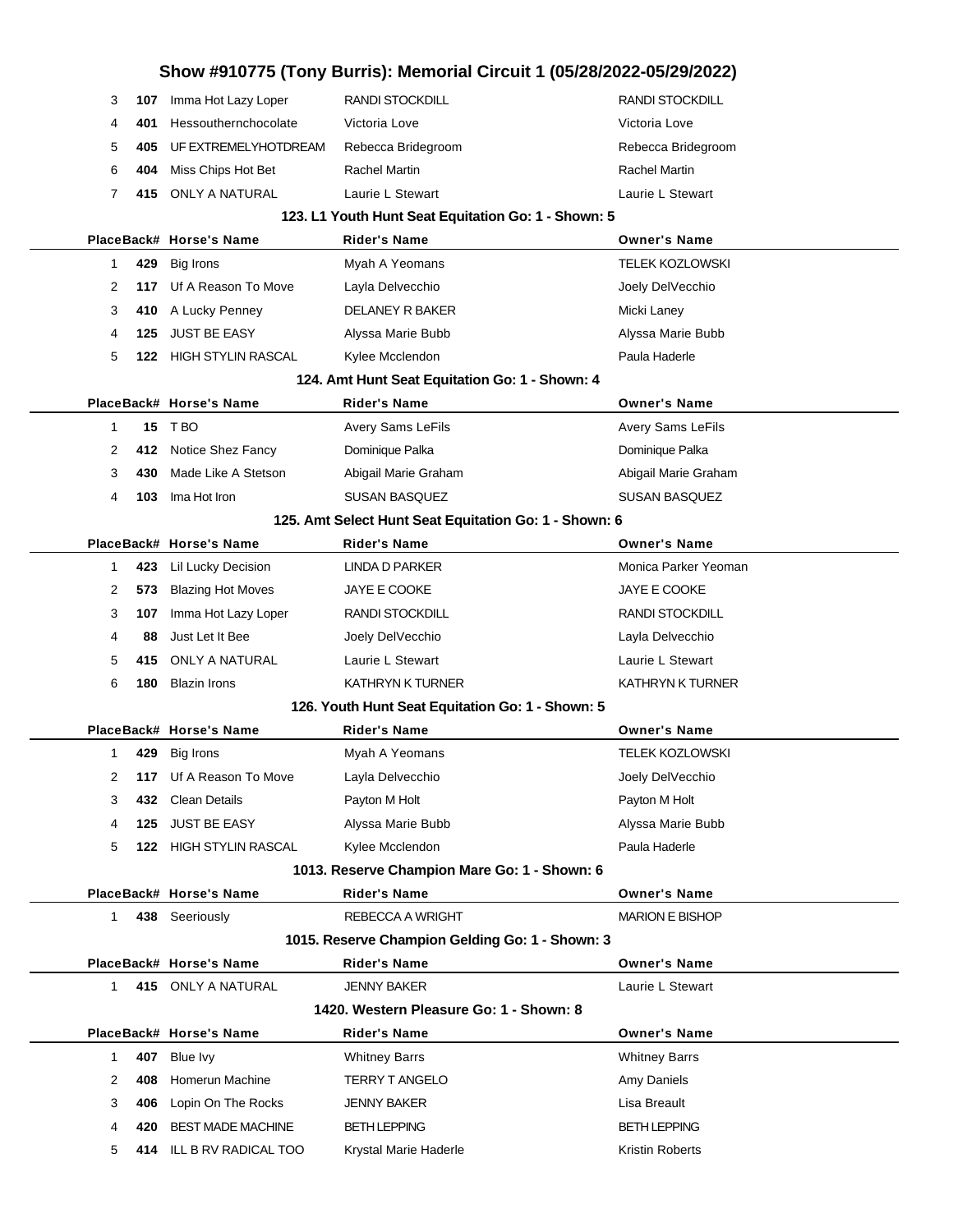|              |      |                                               | Show #910775 (Tony Burris): Memorial Circuit 1 (05/28/2022-05/29/2022) |                                         |
|--------------|------|-----------------------------------------------|------------------------------------------------------------------------|-----------------------------------------|
| 3            | 107  | Imma Hot Lazy Loper                           | <b>RANDI STOCKDILL</b>                                                 | RANDI STOCKDILL                         |
| 4            | 401  | Hessouthernchocolate                          | Victoria Love                                                          | Victoria Love                           |
| 5            | 405  | UF EXTREMELYHOTDREAM                          | Rebecca Bridegroom                                                     | Rebecca Bridegroom                      |
| 6            | 404  | Miss Chips Hot Bet                            | Rachel Martin                                                          | <b>Rachel Martin</b>                    |
| 7            | 415  | <b>ONLY A NATURAL</b>                         | Laurie L Stewart                                                       | Laurie L Stewart                        |
|              |      |                                               | 123. L1 Youth Hunt Seat Equitation Go: 1 - Shown: 5                    |                                         |
|              |      | PlaceBack# Horse's Name                       | Rider's Name                                                           | <b>Owner's Name</b>                     |
| 1            | 429  | <b>Big Irons</b>                              | Myah A Yeomans                                                         | <b>TELEK KOZLOWSKI</b>                  |
| 2            | 117  | Uf A Reason To Move                           | Layla Delvecchio                                                       | Joely DelVecchio                        |
| 3            | 410  | A Lucky Penney                                | DELANEY R BAKER                                                        | Micki Laney                             |
| 4            | 125  | <b>JUST BE EASY</b>                           | Alyssa Marie Bubb                                                      | Alyssa Marie Bubb                       |
| 5            | 122  | <b>HIGH STYLIN RASCAL</b>                     | Kylee Mcclendon                                                        | Paula Haderle                           |
|              |      |                                               | 124. Amt Hunt Seat Equitation Go: 1 - Shown: 4                         |                                         |
|              |      | PlaceBack# Horse's Name                       | Rider's Name                                                           | <b>Owner's Name</b>                     |
| $\mathbf{1}$ |      | <b>15 TBO</b>                                 | Avery Sams LeFils                                                      | Avery Sams LeFils                       |
| 2            | 412  | Notice Shez Fancy                             | Dominique Palka                                                        | Dominique Palka                         |
| 3            | 430  | Made Like A Stetson                           | Abigail Marie Graham                                                   | Abigail Marie Graham                    |
| 4            | 103  | Ima Hot Iron                                  | <b>SUSAN BASQUEZ</b>                                                   | <b>SUSAN BASQUEZ</b>                    |
|              |      |                                               | 125. Amt Select Hunt Seat Equitation Go: 1 - Shown: 6                  |                                         |
|              |      | PlaceBack# Horse's Name                       | <b>Rider's Name</b>                                                    | <b>Owner's Name</b>                     |
| $\mathbf 1$  | 423  | Lil Lucky Decision                            | LINDA D PARKER                                                         | Monica Parker Yeoman                    |
| 2            | 573  | <b>Blazing Hot Moves</b>                      | JAYE E COOKE                                                           | <b>JAYE E COOKE</b>                     |
| 3            | 107  | Imma Hot Lazy Loper                           | <b>RANDI STOCKDILL</b>                                                 | <b>RANDI STOCKDILL</b>                  |
| 4            | 88   | Just Let It Bee                               | Joely DelVecchio                                                       | Layla Delvecchio                        |
| 5            | 415  | ONLY A NATURAL                                | Laurie L Stewart                                                       | Laurie L Stewart                        |
| 6            | 180  | <b>Blazin Irons</b>                           | <b>KATHRYN K TURNER</b>                                                | <b>KATHRYN K TURNER</b>                 |
|              |      |                                               | 126. Youth Hunt Seat Equitation Go: 1 - Shown: 5                       |                                         |
|              |      | PlaceBack# Horse's Name                       | Rider's Name                                                           | <b>Owner's Name</b>                     |
| 1            | 429  | Big Irons                                     | Myah A Yeomans                                                         | <b>TELEK KOZLOWSKI</b>                  |
| 2            |      | 117 Uf A Reason To Move                       | Layla Delvecchio                                                       | Joely DelVecchio                        |
| 3            | 432  | Clean Details                                 | Payton M Holt                                                          | Payton M Holt                           |
| 4            | 125  | <b>JUST BE EASY</b>                           | Alyssa Marie Bubb                                                      | Alyssa Marie Bubb                       |
| 5            |      | 122 HIGH STYLIN RASCAL                        | Kylee Mcclendon                                                        | Paula Haderle                           |
|              |      |                                               | 1013. Reserve Champion Mare Go: 1 - Shown: 6                           |                                         |
|              |      | PlaceBack# Horse's Name                       | <b>Rider's Name</b>                                                    | <b>Owner's Name</b>                     |
| $\mathbf{1}$ |      | 438 Seeriously                                | REBECCA A WRIGHT                                                       | <b>MARION E BISHOP</b>                  |
|              |      |                                               | 1015. Reserve Champion Gelding Go: 1 - Shown: 3                        |                                         |
| $\mathbf 1$  |      | PlaceBack# Horse's Name<br>415 ONLY A NATURAL | <b>Rider's Name</b><br>JENNY BAKER                                     | <b>Owner's Name</b><br>Laurie L Stewart |
|              |      |                                               | 1420. Western Pleasure Go: 1 - Shown: 8                                |                                         |
|              |      | PlaceBack# Horse's Name                       | Rider's Name                                                           | <b>Owner's Name</b>                     |
| 1            | 407  | Blue Ivy                                      | <b>Whitney Barrs</b>                                                   | <b>Whitney Barrs</b>                    |
| 2            | 408  | Homerun Machine                               | <b>TERRY T ANGELO</b>                                                  | Amy Daniels                             |
| 3            | 406  | Lopin On The Rocks                            | JENNY BAKER                                                            | Lisa Breault                            |
| 4            | 420  | <b>BEST MADE MACHINE</b>                      | BETH LEPPING                                                           | <b>BETH LEPPING</b>                     |
| 5            | 414. | ILL B RV RADICAL TOO                          | Krystal Marie Haderle                                                  | Kristin Roberts                         |
|              |      |                                               |                                                                        |                                         |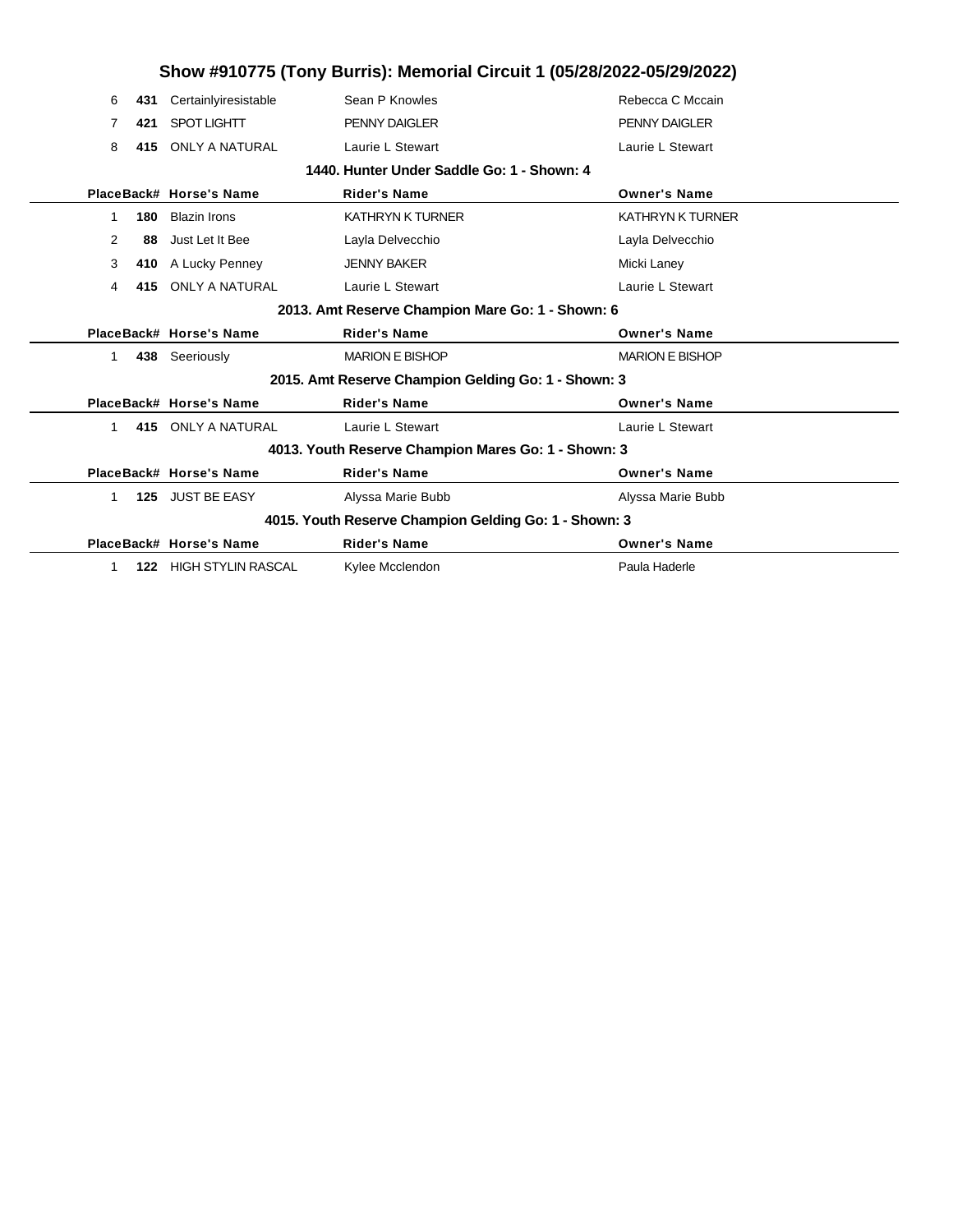|                |     |                                                     | Show #910775 (Tony Burris): Memorial Circuit 1 (05/28/2022-05/29/2022) |                         |  |  |  |  |  |
|----------------|-----|-----------------------------------------------------|------------------------------------------------------------------------|-------------------------|--|--|--|--|--|
| 6              | 431 | Certainlyiresistable                                | Sean P Knowles                                                         | Rebecca C Mccain        |  |  |  |  |  |
| 7              | 421 | <b>SPOT LIGHTT</b>                                  | <b>PENNY DAIGLER</b>                                                   | <b>PENNY DAIGLER</b>    |  |  |  |  |  |
| 8              | 415 | <b>ONLY A NATURAL</b>                               | Laurie L Stewart                                                       | Laurie L Stewart        |  |  |  |  |  |
|                |     |                                                     | 1440. Hunter Under Saddle Go: 1 - Shown: 4                             |                         |  |  |  |  |  |
|                |     | PlaceBack# Horse's Name                             | <b>Rider's Name</b>                                                    | <b>Owner's Name</b>     |  |  |  |  |  |
| 1              | 180 | <b>Blazin Irons</b>                                 | <b>KATHRYN K TURNER</b>                                                | <b>KATHRYN K TURNER</b> |  |  |  |  |  |
| $\overline{2}$ | 88  | Just Let It Bee                                     | Layla Delvecchio                                                       | Layla Delvecchio        |  |  |  |  |  |
| 3              | 410 | A Lucky Penney                                      | <b>JENNY BAKER</b>                                                     | Micki Laney             |  |  |  |  |  |
| 4              | 415 | <b>ONLY A NATURAL</b>                               | Laurie L Stewart                                                       | Laurie L Stewart        |  |  |  |  |  |
|                |     |                                                     | 2013. Amt Reserve Champion Mare Go: 1 - Shown: 6                       |                         |  |  |  |  |  |
|                |     | PlaceBack# Horse's Name                             | <b>Rider's Name</b>                                                    | <b>Owner's Name</b>     |  |  |  |  |  |
| 1              |     | 438 Seeriously                                      | <b>MARION E BISHOP</b>                                                 | <b>MARION E BISHOP</b>  |  |  |  |  |  |
|                |     | 2015. Amt Reserve Champion Gelding Go: 1 - Shown: 3 |                                                                        |                         |  |  |  |  |  |
|                |     |                                                     |                                                                        |                         |  |  |  |  |  |
|                |     | PlaceBack# Horse's Name                             | <b>Rider's Name</b>                                                    | <b>Owner's Name</b>     |  |  |  |  |  |
| 1              |     | 415 ONLY A NATURAL                                  | Laurie L Stewart                                                       | Laurie L Stewart        |  |  |  |  |  |
|                |     |                                                     | 4013. Youth Reserve Champion Mares Go: 1 - Shown: 3                    |                         |  |  |  |  |  |
|                |     | PlaceBack# Horse's Name                             | <b>Rider's Name</b>                                                    | <b>Owner's Name</b>     |  |  |  |  |  |
| 1              |     | 125 JUST BE EASY                                    | Alyssa Marie Bubb                                                      | Alyssa Marie Bubb       |  |  |  |  |  |
|                |     |                                                     | 4015. Youth Reserve Champion Gelding Go: 1 - Shown: 3                  |                         |  |  |  |  |  |
|                |     | PlaceBack# Horse's Name                             | <b>Rider's Name</b>                                                    | <b>Owner's Name</b>     |  |  |  |  |  |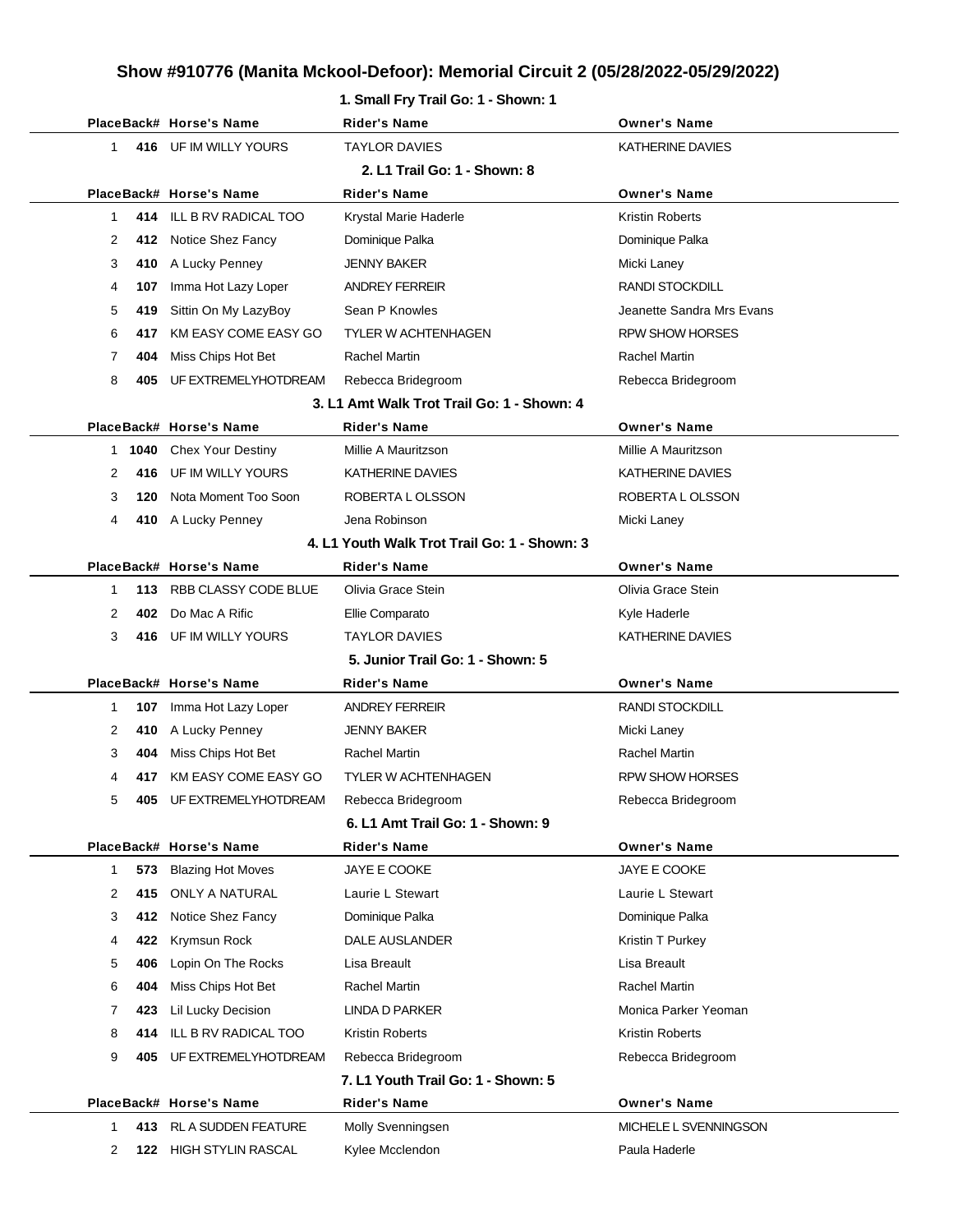## **1. Small Fry Trail Go: 1 - Shown: 1 PlaceBack# Horse's Name Rider's Name Owner's Name 416** UF IM WILLY YOURS TAYLOR DAVIES TARE SERVICE AND MATHERINE DAVIES **2. L1 Trail Go: 1 - Shown: 8 PlaceBack# Horse's Name Rider's Name Owner's Name 414** ILL B RV RADICAL TOO Krystal Marie Haderle **Kristin Roberts** Kristin Roberts **412** Notice Shez Fancy Dominique Palka Dominique Palka Dominique Palka **410** A Lucky Penney **JENNY BAKER Micki Laney** Micki Laney **107** Imma Hot Lazy Loper ANDREY FERREIR RANDI STOCKDILL **419** Sittin On My LazyBoy Sean P Knowles **Subset Conventse Sandra Mrs** Evans **417** KM EASY COME EASY GO TYLER W ACHTENHAGEN RPW SHOW HORSES **404** Miss Chips Hot Bet Rachel Martin **Rachel Martin** Rachel Martin Rachel Martin **405** UF EXTREMELYHOTDREAM Rebecca Bridegroom Rebecca Bridegroom Rebecca Bridegroom **3. L1 Amt Walk Trot Trail Go: 1 - Shown: 4 PlaceBack# Horse's Name Rider's Name Owner's Name 1040** Chex Your Destiny Millie A Mauritzson Millie A Mauritzson Millie A Mauritzson **416** UF IM WILLY YOURS KATHERINE DAVIES KATHERINE DAVIES **120** Nota Moment Too Soon ROBERTA L OLSSON ROBERTA L OLSSON **410** A Lucky Penney **19 Company** Jena Robinson **Accord Accord Micki Laney 4. L1 Youth Walk Trot Trail Go: 1 - Shown: 3 PlaceBack# Horse's Name Rider's Name Owner's Name 113** RBB CLASSY CODE BLUE Olivia Grace Stein Olivia Grace Stein **402** Do Mac A Rific **Comparato Ellie Comparato** Comparato Kyle Haderle **416** UF IM WILLY YOURS TAYLOR DAVIES TARE SERVICE TO A RATHERINE DAVIES **5. Junior Trail Go: 1 - Shown: 5 PlaceBack# Horse's Name Rider's Name Owner's Name 107** Imma Hot Lazy Loper ANDREY FERREIR RANDI STOCKDILL 2 410 A Lucky Penney **JENNY BAKER** Micki Laney **404** Miss Chips Hot Bet Rachel Martin Rachel Martin **417** KM EASY COME EASY GO TYLER W ACHTENHAGEN RPW SHOW HORSES **405** UF EXTREMELYHOTDREAM Rebecca Bridegroom Rebecca Bridegroom **6. L1 Amt Trail Go: 1 - Shown: 9 PlaceBack# Horse's Name Rider's Name Owner's Name 573** Blazing Hot Moves JAYE E COOKE JAYE E COOKE **415** ONLY A NATURAL Laurie L Stewart Laurie L Stewart Laurie L Stewart **412** Notice Shez Fancy Dominique Palka Dominique Palka **422** Krymsun Rock **DALE AUSLANDER** MELLE Kristin T Purkey **406** Lopin On The Rocks Lisa Breault Lisa Breault Lisa Breault **404** Miss Chips Hot Bet Rachel Martin Rachel Martin **423** Lil Lucky Decision LINDA D PARKER Monica Parker Yeoman

**PlaceBack# Horse's Name Rider's Name Owner's Name**

**413** RL A SUDDEN FEATURE Molly Svenningsen MICHELE L SVENNINGSON

**122** HIGH STYLIN RASCAL Kylee Mcclendon Paula Haderle

**414** ILL B RV RADICAL TOO Kristin Roberts **Kristin Roberts** Kristin Roberts **405** UF EXTREMELYHOTDREAM Rebecca Bridegroom Rebecca Bridegroom

**7. L1 Youth Trail Go: 1 - Shown: 5**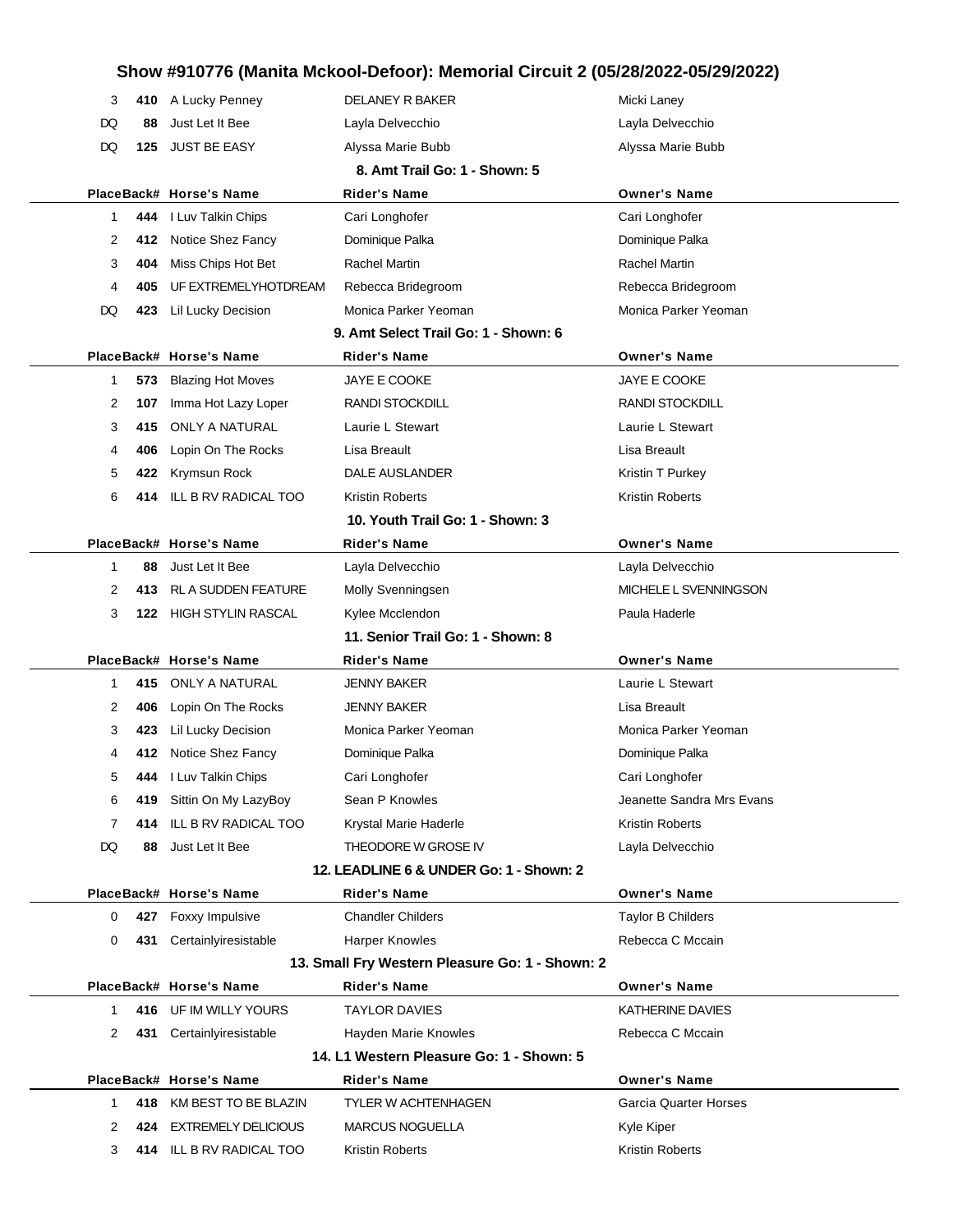| 2<br>3<br>4<br>5<br>6<br>7<br>DQ<br>0 | 406<br>423<br>414<br>88 | Lopin On The Rocks<br>Lil Lucky Decision<br>412 Notice Shez Fancy<br>444 I Luv Talkin Chips<br>419 Sittin On My LazyBoy<br>ILL B RV RADICAL TOO<br>Just Let It Bee<br>PlaceBack# Horse's Name<br>427 Foxxy Impulsive | <b>JENNY BAKER</b><br>Monica Parker Yeoman<br>Dominique Palka<br>Cari Longhofer<br>Sean P Knowles<br>Krystal Marie Haderle<br>THEODORE W GROSE IV<br>12. LEADLINE 6 & UNDER Go: 1 - Shown: 2<br><b>Rider's Name</b><br><b>Chandler Childers</b> | Lisa Breault<br>Monica Parker Yeoman<br>Dominique Palka<br>Cari Longhofer<br>Jeanette Sandra Mrs Evans<br><b>Kristin Roberts</b><br>Layla Delvecchio<br>Owner's Name<br><b>Taylor B Childers</b> |
|---------------------------------------|-------------------------|----------------------------------------------------------------------------------------------------------------------------------------------------------------------------------------------------------------------|-------------------------------------------------------------------------------------------------------------------------------------------------------------------------------------------------------------------------------------------------|--------------------------------------------------------------------------------------------------------------------------------------------------------------------------------------------------|
|                                       |                         |                                                                                                                                                                                                                      |                                                                                                                                                                                                                                                 |                                                                                                                                                                                                  |
|                                       |                         |                                                                                                                                                                                                                      |                                                                                                                                                                                                                                                 |                                                                                                                                                                                                  |
|                                       |                         |                                                                                                                                                                                                                      |                                                                                                                                                                                                                                                 |                                                                                                                                                                                                  |
|                                       |                         |                                                                                                                                                                                                                      |                                                                                                                                                                                                                                                 |                                                                                                                                                                                                  |
|                                       |                         |                                                                                                                                                                                                                      |                                                                                                                                                                                                                                                 |                                                                                                                                                                                                  |
|                                       |                         |                                                                                                                                                                                                                      |                                                                                                                                                                                                                                                 |                                                                                                                                                                                                  |
|                                       |                         |                                                                                                                                                                                                                      |                                                                                                                                                                                                                                                 |                                                                                                                                                                                                  |
|                                       |                         |                                                                                                                                                                                                                      |                                                                                                                                                                                                                                                 |                                                                                                                                                                                                  |
|                                       |                         |                                                                                                                                                                                                                      |                                                                                                                                                                                                                                                 |                                                                                                                                                                                                  |
|                                       |                         |                                                                                                                                                                                                                      |                                                                                                                                                                                                                                                 |                                                                                                                                                                                                  |
| 1                                     | 415                     | ONLY A NATURAL                                                                                                                                                                                                       | <b>JENNY BAKER</b>                                                                                                                                                                                                                              | Laurie L Stewart                                                                                                                                                                                 |
|                                       |                         | PlaceBack# Horse's Name                                                                                                                                                                                              | <b>Rider's Name</b>                                                                                                                                                                                                                             | <b>Owner's Name</b>                                                                                                                                                                              |
|                                       |                         |                                                                                                                                                                                                                      | 11. Senior Trail Go: 1 - Shown: 8                                                                                                                                                                                                               |                                                                                                                                                                                                  |
| 3                                     |                         | 122 HIGH STYLIN RASCAL                                                                                                                                                                                               | Kylee Mcclendon                                                                                                                                                                                                                                 | Paula Haderle                                                                                                                                                                                    |
| 2                                     | 413                     | <b>RL A SUDDEN FEATURE</b>                                                                                                                                                                                           | Molly Svenningsen                                                                                                                                                                                                                               | MICHELE L SVENNINGSON                                                                                                                                                                            |
| 1                                     | 88                      | Just Let It Bee                                                                                                                                                                                                      | Layla Delvecchio                                                                                                                                                                                                                                | Layla Delvecchio                                                                                                                                                                                 |
|                                       |                         | PlaceBack# Horse's Name                                                                                                                                                                                              | <b>Rider's Name</b>                                                                                                                                                                                                                             | <b>Owner's Name</b>                                                                                                                                                                              |
|                                       |                         |                                                                                                                                                                                                                      | 10. Youth Trail Go: 1 - Shown: 3                                                                                                                                                                                                                |                                                                                                                                                                                                  |
| 6                                     | 414                     | ILL B RV RADICAL TOO                                                                                                                                                                                                 | Kristin Roberts                                                                                                                                                                                                                                 | <b>Kristin Roberts</b>                                                                                                                                                                           |
| 5                                     | 422                     | Krymsun Rock                                                                                                                                                                                                         | DALE AUSLANDER                                                                                                                                                                                                                                  | Kristin T Purkey                                                                                                                                                                                 |
| 4                                     | 406                     | Lopin On The Rocks                                                                                                                                                                                                   | Lisa Breault                                                                                                                                                                                                                                    | Lisa Breault                                                                                                                                                                                     |
| 3                                     | 415                     | ONLY A NATURAL                                                                                                                                                                                                       | Laurie L Stewart                                                                                                                                                                                                                                | Laurie L Stewart                                                                                                                                                                                 |
| 2                                     | 107                     | Imma Hot Lazy Loper                                                                                                                                                                                                  | <b>RANDI STOCKDILL</b>                                                                                                                                                                                                                          | <b>RANDI STOCKDILL</b>                                                                                                                                                                           |
| 1                                     | 573                     | <b>Blazing Hot Moves</b>                                                                                                                                                                                             | JAYE E COOKE                                                                                                                                                                                                                                    | JAYE E COOKE                                                                                                                                                                                     |
|                                       |                         | PlaceBack# Horse's Name                                                                                                                                                                                              | <b>Rider's Name</b>                                                                                                                                                                                                                             | Owner's Name                                                                                                                                                                                     |
|                                       |                         |                                                                                                                                                                                                                      | 9. Amt Select Trail Go: 1 - Shown: 6                                                                                                                                                                                                            |                                                                                                                                                                                                  |
| DQ                                    | 423                     | Lil Lucky Decision                                                                                                                                                                                                   | Monica Parker Yeoman                                                                                                                                                                                                                            | Monica Parker Yeoman                                                                                                                                                                             |
| 4                                     | 405                     | UF EXTREMELYHOTDREAM                                                                                                                                                                                                 | Rebecca Bridegroom                                                                                                                                                                                                                              | Rebecca Bridegroom                                                                                                                                                                               |
| 3                                     | 404                     | Miss Chips Hot Bet                                                                                                                                                                                                   | Rachel Martin                                                                                                                                                                                                                                   | Rachel Martin                                                                                                                                                                                    |
| 2                                     |                         | 412 Notice Shez Fancy                                                                                                                                                                                                | Dominique Palka                                                                                                                                                                                                                                 | Dominique Palka                                                                                                                                                                                  |
| 1                                     | 444                     | I Luv Talkin Chips                                                                                                                                                                                                   | Cari Longhofer                                                                                                                                                                                                                                  | Cari Longhofer                                                                                                                                                                                   |
|                                       |                         | PlaceBack# Horse's Name                                                                                                                                                                                              | Rider's Name                                                                                                                                                                                                                                    | Owner's Name                                                                                                                                                                                     |
|                                       |                         |                                                                                                                                                                                                                      | 8. Amt Trail Go: 1 - Shown: 5                                                                                                                                                                                                                   |                                                                                                                                                                                                  |
| DQ                                    | 125                     | <b>JUST BE EASY</b>                                                                                                                                                                                                  | Alyssa Marie Bubb                                                                                                                                                                                                                               | Alyssa Marie Bubb                                                                                                                                                                                |
| DQ                                    | 88                      | Just Let It Bee                                                                                                                                                                                                      | Layla Delvecchio                                                                                                                                                                                                                                | Layla Delvecchio                                                                                                                                                                                 |
| 3                                     |                         | 410 A Lucky Penney                                                                                                                                                                                                   | DELANEY R BAKER                                                                                                                                                                                                                                 | Micki Laney                                                                                                                                                                                      |
|                                       |                         |                                                                                                                                                                                                                      |                                                                                                                                                                                                                                                 |                                                                                                                                                                                                  |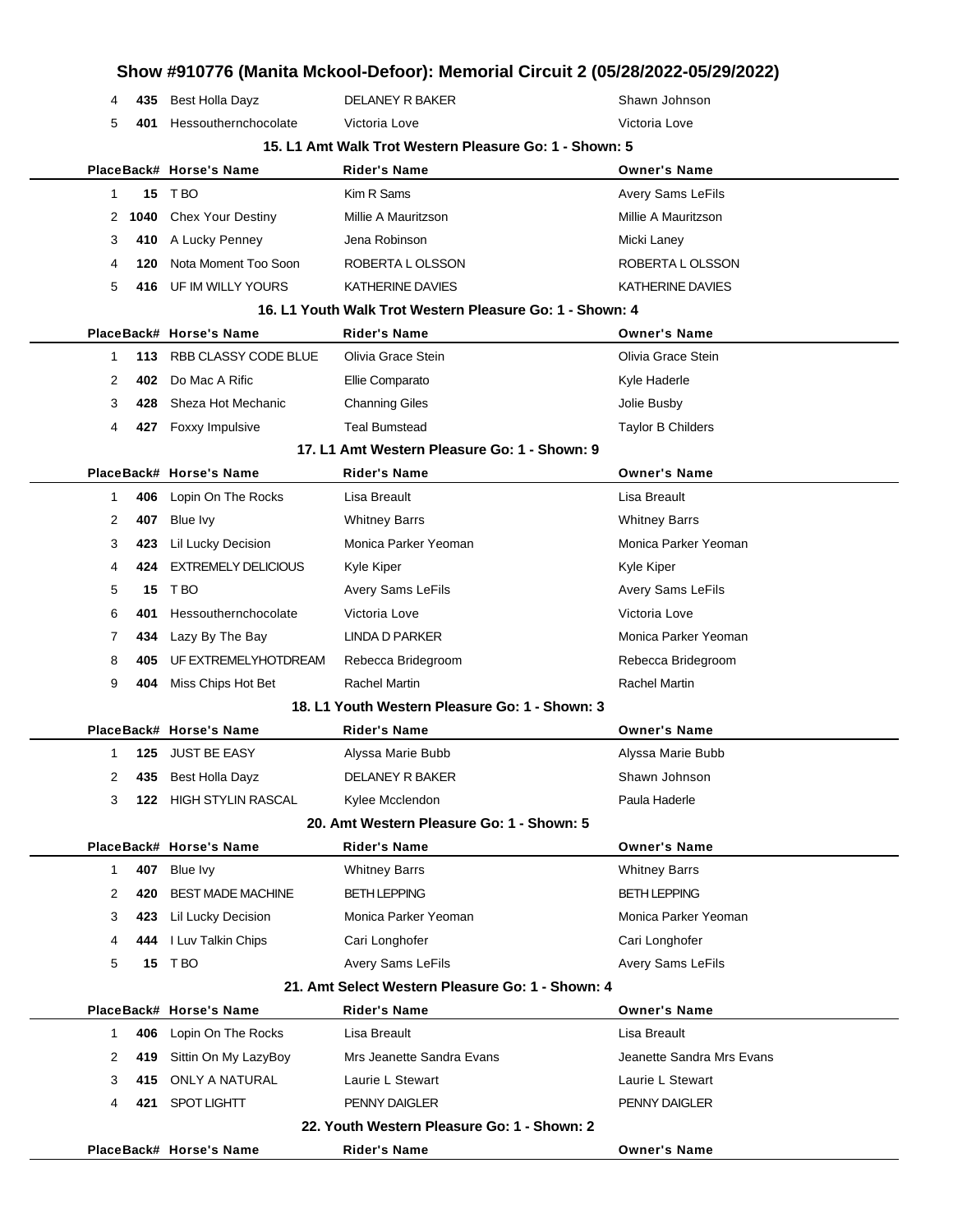|              |      |                            | Show #910776 (Manita Mckool-Defoor): Memorial Circuit 2 (05/28/2022-05/29/2022) |                           |
|--------------|------|----------------------------|---------------------------------------------------------------------------------|---------------------------|
| 4            | 435  | <b>Best Holla Dayz</b>     | <b>DELANEY R BAKER</b>                                                          | Shawn Johnson             |
| 5            | 401  | Hessouthernchocolate       | Victoria Love                                                                   | Victoria Love             |
|              |      |                            | 15. L1 Amt Walk Trot Western Pleasure Go: 1 - Shown: 5                          |                           |
|              |      | PlaceBack# Horse's Name    | <b>Rider's Name</b>                                                             | <b>Owner's Name</b>       |
| $\mathbf 1$  | 15   | T BO                       | Kim R Sams                                                                      | Avery Sams LeFils         |
| 2            | 1040 | <b>Chex Your Destiny</b>   | Millie A Mauritzson                                                             | Millie A Mauritzson       |
| 3            | 410  | A Lucky Penney             | Jena Robinson                                                                   | Micki Laney               |
| 4            | 120  | Nota Moment Too Soon       | ROBERTA L OLSSON                                                                | ROBERTA L OLSSON          |
| 5            | 416  | UF IM WILLY YOURS          | KATHERINE DAVIES                                                                | <b>KATHERINE DAVIES</b>   |
|              |      |                            | 16. L1 Youth Walk Trot Western Pleasure Go: 1 - Shown: 4                        |                           |
|              |      | PlaceBack# Horse's Name    | <b>Rider's Name</b>                                                             | <b>Owner's Name</b>       |
| 1            | 113  | RBB CLASSY CODE BLUE       | Olivia Grace Stein                                                              | Olivia Grace Stein        |
| 2            | 402  | Do Mac A Rific             | Ellie Comparato                                                                 | Kyle Haderle              |
| 3            | 428  | Sheza Hot Mechanic         | <b>Channing Giles</b>                                                           | Jolie Busby               |
| 4            | 427  | Foxxy Impulsive            | <b>Teal Bumstead</b>                                                            | <b>Taylor B Childers</b>  |
|              |      |                            | 17. L1 Amt Western Pleasure Go: 1 - Shown: 9                                    |                           |
|              |      | PlaceBack# Horse's Name    | <b>Rider's Name</b>                                                             | <b>Owner's Name</b>       |
| $\mathbf{1}$ | 406  | Lopin On The Rocks         | Lisa Breault                                                                    | Lisa Breault              |
| 2            | 407  | Blue Ivy                   | <b>Whitney Barrs</b>                                                            | <b>Whitney Barrs</b>      |
| 3            | 423  | Lil Lucky Decision         | Monica Parker Yeoman                                                            | Monica Parker Yeoman      |
| 4            | 424  | <b>EXTREMELY DELICIOUS</b> | Kyle Kiper                                                                      | Kyle Kiper                |
| 5            | 15   | T BO                       | Avery Sams LeFils                                                               | Avery Sams LeFils         |
| 6            | 401  | Hessouthernchocolate       | Victoria Love                                                                   | Victoria Love             |
| 7            | 434  | Lazy By The Bay            | LINDA D PARKER                                                                  | Monica Parker Yeoman      |
| 8            | 405  | UF EXTREMELYHOTDREAM       | Rebecca Bridegroom                                                              | Rebecca Bridegroom        |
| 9            | 404  | Miss Chips Hot Bet         | Rachel Martin                                                                   | Rachel Martin             |
|              |      |                            | 18. L1 Youth Western Pleasure Go: 1 - Shown: 3                                  |                           |
|              |      | PlaceBack# Horse's Name    | <b>Rider's Name</b>                                                             | <b>Owner's Name</b>       |
| 1.           |      | 125 JUST BE EASY           | Alyssa Marie Bubb                                                               | Alyssa Marie Bubb         |
| 2            | 435  | Best Holla Dayz            | DELANEY R BAKER                                                                 | Shawn Johnson             |
| 3            | 122  | <b>HIGH STYLIN RASCAL</b>  | Kylee Mcclendon                                                                 | Paula Haderle             |
|              |      |                            | 20. Amt Western Pleasure Go: 1 - Shown: 5                                       |                           |
|              |      | PlaceBack# Horse's Name    | <b>Rider's Name</b>                                                             | <b>Owner's Name</b>       |
| $\mathbf{1}$ | 407  | Blue lvy                   | <b>Whitney Barrs</b>                                                            | <b>Whitney Barrs</b>      |
| 2            | 420  | <b>BEST MADE MACHINE</b>   | <b>BETH LEPPING</b>                                                             | <b>BETH LEPPING</b>       |
| 3            | 423  | Lil Lucky Decision         | Monica Parker Yeoman                                                            | Monica Parker Yeoman      |
| 4            | 444  | I Luv Talkin Chips         | Cari Longhofer                                                                  | Cari Longhofer            |
| 5            | 15   | T BO                       | Avery Sams LeFils                                                               | Avery Sams LeFils         |
|              |      |                            | 21. Amt Select Western Pleasure Go: 1 - Shown: 4                                |                           |
|              |      | PlaceBack# Horse's Name    | <b>Rider's Name</b>                                                             | <b>Owner's Name</b>       |
| $\mathbf{1}$ | 406  | Lopin On The Rocks         | Lisa Breault                                                                    | Lisa Breault              |
| 2            | 419  | Sittin On My LazyBoy       | Mrs Jeanette Sandra Evans                                                       | Jeanette Sandra Mrs Evans |
| 3            | 415  | <b>ONLY A NATURAL</b>      | Laurie L Stewart                                                                | Laurie L Stewart          |
| 4            | 421  | <b>SPOT LIGHTT</b>         | PENNY DAIGLER                                                                   | PENNY DAIGLER             |
|              |      |                            | 22. Youth Western Pleasure Go: 1 - Shown: 2                                     |                           |
|              |      | PlaceBack# Horse's Name    | <b>Rider's Name</b>                                                             | <b>Owner's Name</b>       |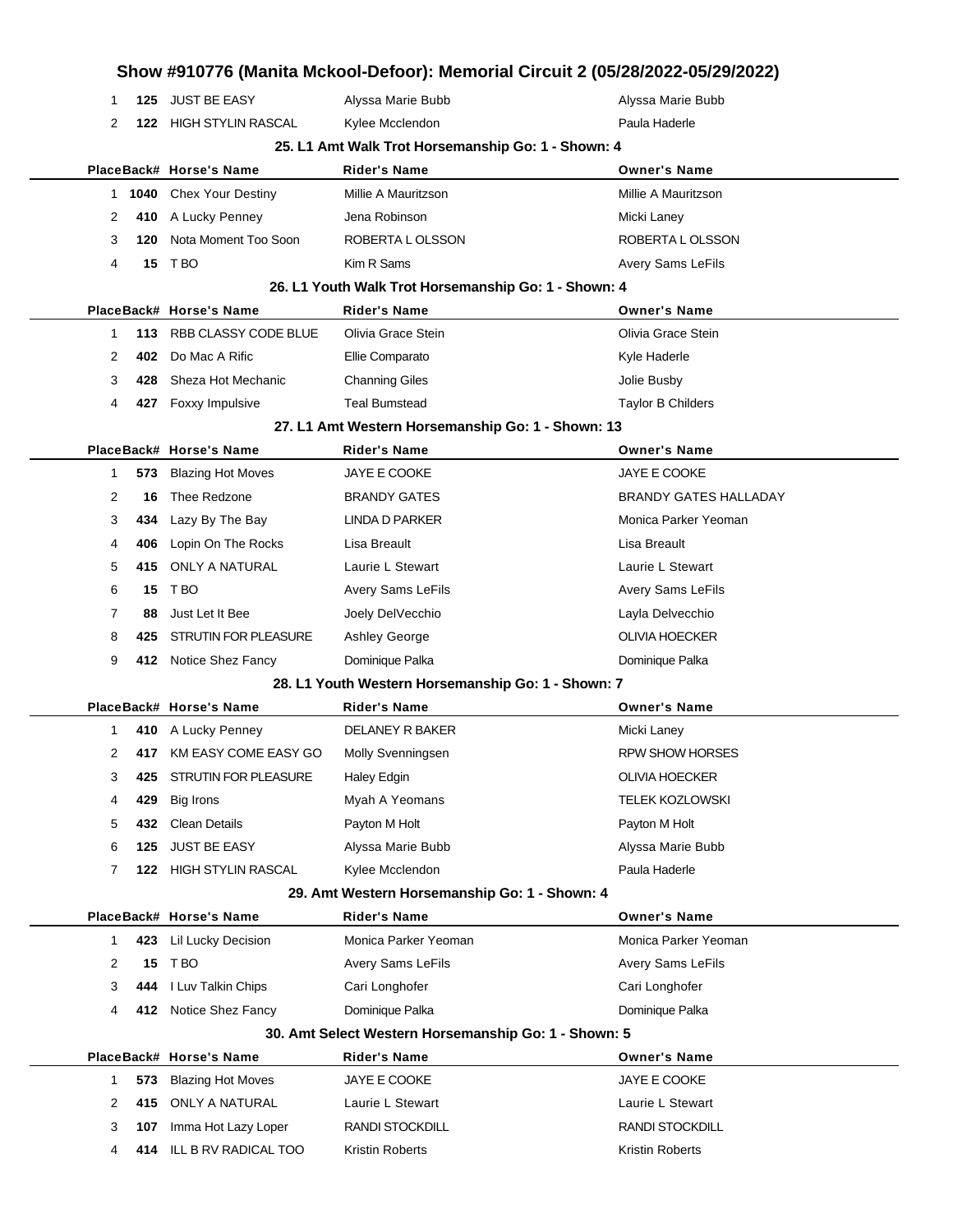|          |                           | Show #910776 (Manita Mckool-Defoor): Memorial Circuit 2 (05/28/2022-05/29/2022) |                              |
|----------|---------------------------|---------------------------------------------------------------------------------|------------------------------|
| 125<br>1 | JUST BE EASY              | Alyssa Marie Bubb                                                               | Alyssa Marie Bubb            |
| 2<br>122 | <b>HIGH STYLIN RASCAL</b> | Kylee Mcclendon                                                                 | Paula Haderle                |
|          |                           | 25. L1 Amt Walk Trot Horsemanship Go: 1 - Shown: 4                              |                              |
|          | PlaceBack# Horse's Name   | <b>Rider's Name</b>                                                             | <b>Owner's Name</b>          |
|          | 1 1040 Chex Your Destiny  | Millie A Mauritzson                                                             | Millie A Mauritzson          |
| 2        | 410 A Lucky Penney        | Jena Robinson                                                                   | Micki Laney                  |
| 3<br>120 | Nota Moment Too Soon      | ROBERTA L OLSSON                                                                | ROBERTA L OLSSON             |
| 15<br>4  | T BO                      | Kim R Sams                                                                      | Avery Sams LeFils            |
|          |                           | 26. L1 Youth Walk Trot Horsemanship Go: 1 - Shown: 4                            |                              |
|          | PlaceBack# Horse's Name   | <b>Rider's Name</b>                                                             | <b>Owner's Name</b>          |
| 1        | 113 RBB CLASSY CODE BLUE  | Olivia Grace Stein                                                              | Olivia Grace Stein           |
| 2<br>402 | Do Mac A Rific            | Ellie Comparato                                                                 | Kyle Haderle                 |
| 3<br>428 | Sheza Hot Mechanic        | <b>Channing Giles</b>                                                           | Jolie Busby                  |
| 4        | 427 Foxxy Impulsive       | <b>Teal Bumstead</b>                                                            | <b>Taylor B Childers</b>     |
|          |                           | 27. L1 Amt Western Horsemanship Go: 1 - Shown: 13                               |                              |
|          | PlaceBack# Horse's Name   | <b>Rider's Name</b>                                                             | <b>Owner's Name</b>          |
| 1<br>573 | <b>Blazing Hot Moves</b>  | JAYE E COOKE                                                                    | <b>JAYE E COOKE</b>          |
| 2<br>16  | Thee Redzone              | <b>BRANDY GATES</b>                                                             | <b>BRANDY GATES HALLADAY</b> |
| 3        | 434 Lazy By The Bay       | <b>LINDA D PARKER</b>                                                           | Monica Parker Yeoman         |
| 406<br>4 | Lopin On The Rocks        | Lisa Breault                                                                    | Lisa Breault                 |
| 5<br>415 | ONLY A NATURAL            | Laurie L Stewart                                                                | Laurie L Stewart             |
| 6<br>15  | T BO                      | Avery Sams LeFils                                                               | Avery Sams LeFils            |
| 7<br>88  | Just Let It Bee           | Joely DelVecchio                                                                | Layla Delvecchio             |
| 425<br>8 | STRUTIN FOR PLEASURE      | Ashley George                                                                   | <b>OLIVIA HOECKER</b>        |
| 9        | 412 Notice Shez Fancy     | Dominique Palka                                                                 | Dominique Palka              |
|          |                           | 28. L1 Youth Western Horsemanship Go: 1 - Shown: 7                              |                              |
|          | PlaceBack# Horse's Name   | Rider's Name                                                                    | <b>Owner's Name</b>          |
| 1        | 410 A Lucky Penney        | DELANEY R BAKER                                                                 | Micki Laney                  |
| 2        | 417 KM EASY COME EASY GO  | Molly Svenningsen                                                               | <b>RPW SHOW HORSES</b>       |
| 3<br>425 | STRUTIN FOR PLEASURE      | Haley Edgin                                                                     | <b>OLIVIA HOECKER</b>        |
| 429<br>4 | <b>Big Irons</b>          | Myah A Yeomans                                                                  | <b>TELEK KOZLOWSKI</b>       |
| 5<br>432 | <b>Clean Details</b>      | Payton M Holt                                                                   | Payton M Holt                |
| 125<br>6 | <b>JUST BE EASY</b>       | Alyssa Marie Bubb                                                               | Alyssa Marie Bubb            |
| 7<br>122 | <b>HIGH STYLIN RASCAL</b> | Kylee Mcclendon                                                                 | Paula Haderle                |
|          |                           | 29. Amt Western Horsemanship Go: 1 - Shown: 4                                   |                              |
|          | PlaceBack# Horse's Name   | <b>Rider's Name</b>                                                             | <b>Owner's Name</b>          |
| 1        | 423 Lil Lucky Decision    | Monica Parker Yeoman                                                            | Monica Parker Yeoman         |
| 2<br>15  | T BO                      | Avery Sams LeFils                                                               | Avery Sams LeFils            |
| 3        | 444 I Luv Talkin Chips    | Cari Longhofer                                                                  | Cari Longhofer               |
| 4        | 412 Notice Shez Fancy     | Dominique Palka                                                                 | Dominique Palka              |
|          |                           | 30. Amt Select Western Horsemanship Go: 1 - Shown: 5                            |                              |
|          | PlaceBack# Horse's Name   | <b>Rider's Name</b>                                                             | <b>Owner's Name</b>          |
| 1<br>573 | <b>Blazing Hot Moves</b>  | JAYE E COOKE                                                                    | JAYE E COOKE                 |
| 2<br>415 | ONLY A NATURAL            | Laurie L Stewart                                                                | Laurie L Stewart             |
| 3<br>107 | Imma Hot Lazy Loper       | RANDI STOCKDILL                                                                 | <b>RANDI STOCKDILL</b>       |
| 414<br>4 | ILL B RV RADICAL TOO      | <b>Kristin Roberts</b>                                                          | Kristin Roberts              |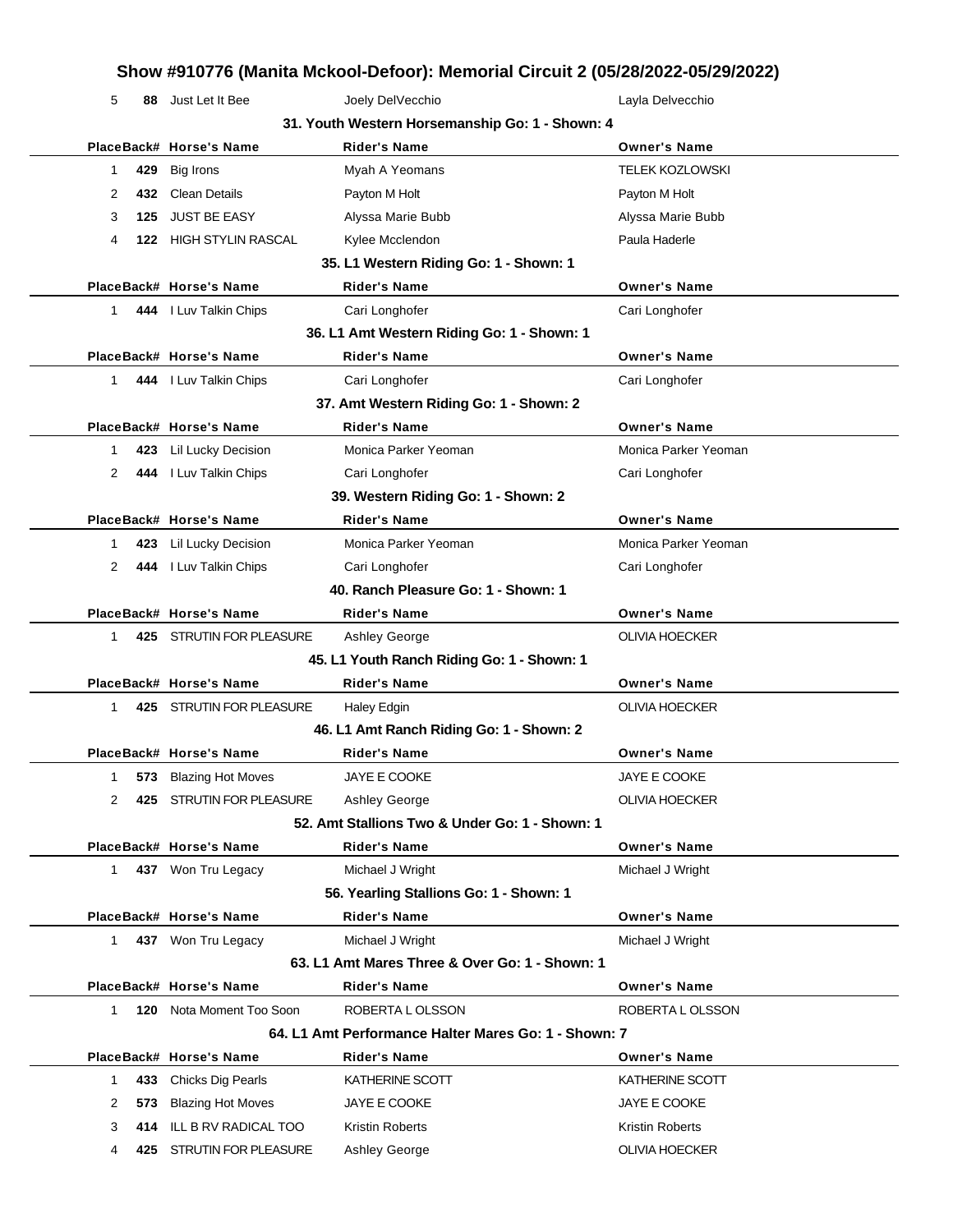## **Show #910776 (Manita Mckool-Defoor): Memorial Circuit 2 (05/28/2022-05/29/2022)** 5 **88** Just Let It Bee Joely DelVecchio Layla Delvecchio **31. Youth Western Horsemanship Go: 1 - Shown: 4 PlaceBack# Horse's Name Rider's Name Owner's Name** 1 **429** Big Irons **Myah A Yeomans** TELEK KOZLOWSKI 2 **432** Clean Details **Payton M Holt** Payton M Holt Payton M Holt 3 **125** JUST BE EASY Alyssa Marie Bubb Alyssa Marie Bubb 4 **122** HIGH STYLIN RASCAL Kylee Mcclendon **Paula Haderle** Paula Haderle **35. L1 Western Riding Go: 1 - Shown: 1 PlaceBack# Horse's Name Rider's Name Owner's Name** 1 **444** I Luv Talkin Chips Cari Longhofer Cari Longhofer Cari Longhofer **36. L1 Amt Western Riding Go: 1 - Shown: 1 PlaceBack# Horse's Name Rider's Name Owner's Name** 1 **444** I Luv Talkin Chips Cari Longhofer Cari Longhofer Cari Longhofer **37. Amt Western Riding Go: 1 - Shown: 2 PlaceBack# Horse's Name Rider's Name Owner's Name** 1 **423** Lil Lucky Decision Monica Parker Yeoman Monica Parker Yeoman 2 **444** I Luv Talkin Chips Cari Longhofer Cari Longhofer Cari Cari Longhofer **39. Western Riding Go: 1 - Shown: 2 PlaceBack# Horse's Name Rider's Name Owner's Name** 1 **423** Lil Lucky Decision Monica Parker Yeoman Monica Parker Yeoman 2 **444** I Luv Talkin Chips Cari Longhofer Cari Longhofer Cari Cari Longhofer **40. Ranch Pleasure Go: 1 - Shown: 1 PlaceBack# Horse's Name Rider's Name Owner's Name** 1 **425** STRUTIN FOR PLEASURE Ashley George **CLIVIA HOECKER 45. L1 Youth Ranch Riding Go: 1 - Shown: 1 PlaceBack# Horse's Name Rider's Name Owner's Name** 1 **425** STRUTIN FOR PLEASURE Haley Edgin **National Structure COLIVIA HOECKER 46. L1 Amt Ranch Riding Go: 1 - Shown: 2 PlaceBack# Horse's Name Rider's Name Owner's Name** 1 **573** Blazing Hot Moves JAYE E COOKE JAYE E COOKE 2 **425** STRUTIN FOR PLEASURE Ashley George CLIVIA HOECKER **52. Amt Stallions Two & Under Go: 1 - Shown: 1 PlaceBack# Horse's Name Rider's Name Owner's Name** 1 **437** Won Tru Legacy Michael J Wright Michael J Wright Michael J Wright **56. Yearling Stallions Go: 1 - Shown: 1 PlaceBack# Horse's Name Rider's Name Owner's Name** 1 **437** Won Tru Legacy Michael J Wright Michael J Wright Michael J Wright **63. L1 Amt Mares Three & Over Go: 1 - Shown: 1 PlaceBack# Horse's Name Rider's Name Owner's Name** 120 Nota Moment Too Soon ROBERTA L OLSSON ROBERTA L OLSSON **64. L1 Amt Performance Halter Mares Go: 1 - Shown: 7 PlaceBack# Horse's Name Rider's Name Owner's Name** 1 **433** Chicks Dig Pearls **KATHERINE SCOTT** KATHERINE SCOTT 2 **573** Blazing Hot Moves JAYE E COOKE JAYE E COOKE 3 **414** ILL B RV RADICAL TOO Kristin Roberts Kristin Roberts 4 **425** STRUTIN FOR PLEASURE Ashley George **Ashley COLIVIA HOECKER**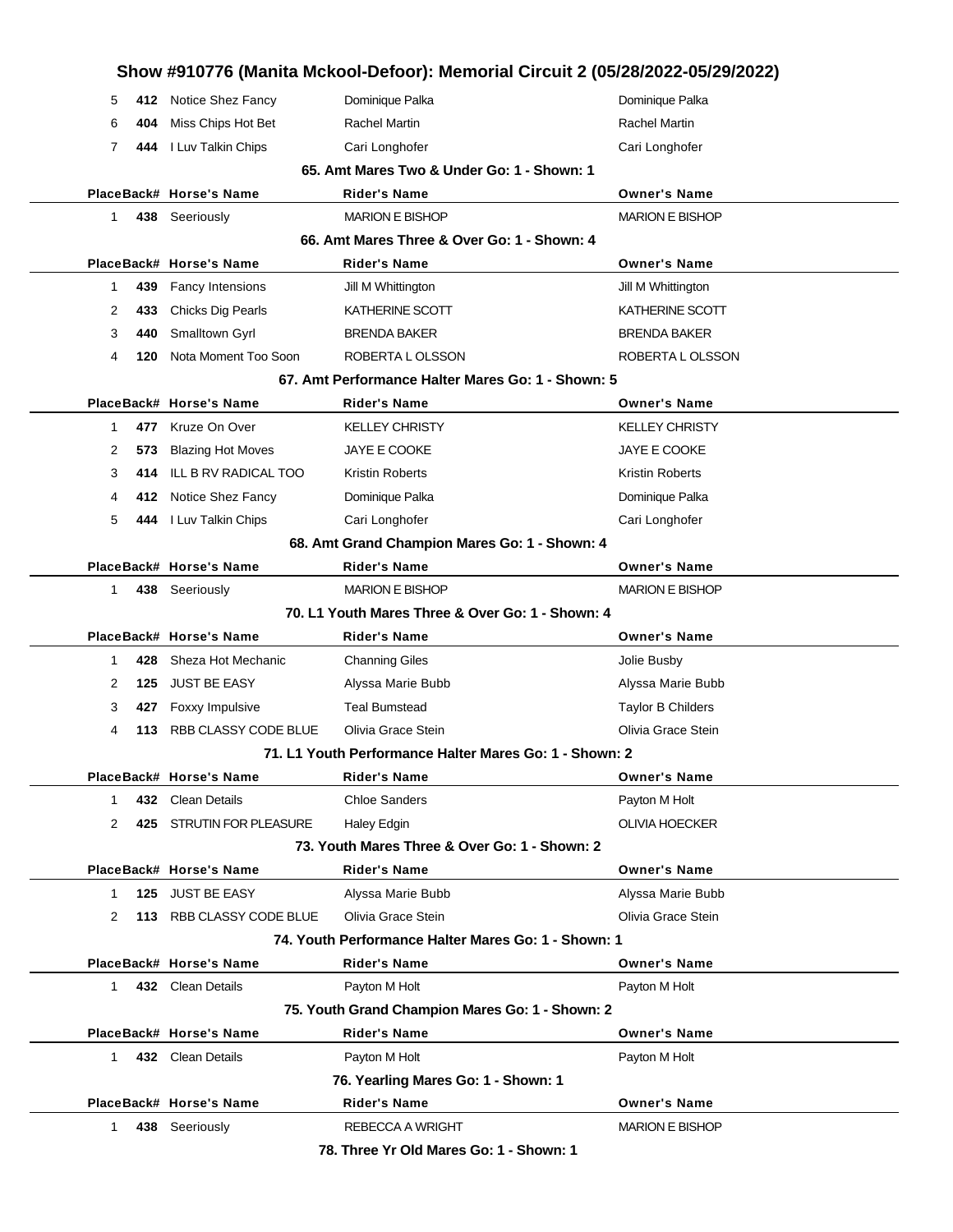|   |     |                             | Show #910776 (Manita Mckool-Defoor): Memorial Circuit 2 (05/28/2022-05/29/2022) |                        |
|---|-----|-----------------------------|---------------------------------------------------------------------------------|------------------------|
| 5 |     | 412 Notice Shez Fancy       | Dominique Palka                                                                 | Dominique Palka        |
| 6 | 404 | Miss Chips Hot Bet          | Rachel Martin                                                                   | Rachel Martin          |
| 7 | 444 | I Luv Talkin Chips          | Cari Longhofer                                                                  | Cari Longhofer         |
|   |     |                             | 65. Amt Mares Two & Under Go: 1 - Shown: 1                                      |                        |
|   |     | PlaceBack# Horse's Name     | <b>Rider's Name</b>                                                             | <b>Owner's Name</b>    |
| 1 | 438 | Seeriously                  | <b>MARION E BISHOP</b>                                                          | <b>MARION E BISHOP</b> |
|   |     |                             | 66. Amt Mares Three & Over Go: 1 - Shown: 4                                     |                        |
|   |     | PlaceBack# Horse's Name     | <b>Rider's Name</b>                                                             | <b>Owner's Name</b>    |
| 1 | 439 | Fancy Intensions            | Jill M Whittington                                                              | Jill M Whittington     |
| 2 | 433 | Chicks Dig Pearls           | KATHERINE SCOTT                                                                 | KATHERINE SCOTT        |
| 3 | 440 | Smalltown Gyrl              | <b>BRENDA BAKER</b>                                                             | BRENDA BAKER           |
| 4 | 120 | Nota Moment Too Soon        | ROBERTA L OLSSON                                                                | ROBERTA L OLSSON       |
|   |     |                             | 67. Amt Performance Halter Mares Go: 1 - Shown: 5                               |                        |
|   |     | PlaceBack# Horse's Name     | <b>Rider's Name</b>                                                             | <b>Owner's Name</b>    |
| 1 | 477 | Kruze On Over               | <b>KELLEY CHRISTY</b>                                                           | <b>KELLEY CHRISTY</b>  |
| 2 | 573 | <b>Blazing Hot Moves</b>    | JAYE E COOKE                                                                    | JAYE E COOKE           |
| 3 | 414 | ILL B RV RADICAL TOO        | Kristin Roberts                                                                 | Kristin Roberts        |
| 4 |     | 412 Notice Shez Fancy       | Dominique Palka                                                                 | Dominique Palka        |
| 5 | 444 | I Luv Talkin Chips          | Cari Longhofer                                                                  | Cari Longhofer         |
|   |     |                             | 68. Amt Grand Champion Mares Go: 1 - Shown: 4                                   |                        |
|   |     | PlaceBack# Horse's Name     | Rider's Name                                                                    | <b>Owner's Name</b>    |
| 1 |     | 438 Seeriously              | <b>MARION E BISHOP</b>                                                          | <b>MARION E BISHOP</b> |
|   |     |                             | 70. L1 Youth Mares Three & Over Go: 1 - Shown: 4                                |                        |
|   |     | PlaceBack# Horse's Name     | Rider's Name                                                                    | <b>Owner's Name</b>    |
| 1 | 428 | Sheza Hot Mechanic          | Channing Giles                                                                  | Jolie Busby            |
| 2 | 125 | <b>JUST BE EASY</b>         | Alyssa Marie Bubb                                                               | Alyssa Marie Bubb      |
| 3 | 427 | Foxxy Impulsive             | Teal Bumstead                                                                   | Taylor B Childers      |
| 4 | 113 | RBB CLASSY CODE BLUE        | Olivia Grace Stein                                                              | Olivia Grace Stein     |
|   |     |                             | 71. L1 Youth Performance Halter Mares Go: 1 - Shown: 2                          |                        |
|   |     | PlaceBack# Horse's Name     | <b>Rider's Name</b>                                                             | <b>Owner's Name</b>    |
| 1 | 432 | <b>Clean Details</b>        | <b>Chloe Sanders</b>                                                            | Payton M Holt          |
| 2 | 425 | STRUTIN FOR PLEASURE        | Haley Edgin                                                                     | OLIVIA HOECKER         |
|   |     |                             | 73. Youth Mares Three & Over Go: 1 - Shown: 2                                   |                        |
|   |     | PlaceBack# Horse's Name     | <b>Rider's Name</b>                                                             | <b>Owner's Name</b>    |
| 1 | 125 | <b>JUST BE EASY</b>         | Alyssa Marie Bubb                                                               | Alyssa Marie Bubb      |
| 2 | 113 | <b>RBB CLASSY CODE BLUE</b> | Olivia Grace Stein                                                              | Olivia Grace Stein     |
|   |     |                             | 74. Youth Performance Halter Mares Go: 1 - Shown: 1                             |                        |
|   |     | PlaceBack# Horse's Name     | <b>Rider's Name</b>                                                             | <b>Owner's Name</b>    |
| 1 |     | 432 Clean Details           | Payton M Holt                                                                   | Payton M Holt          |
|   |     |                             | 75. Youth Grand Champion Mares Go: 1 - Shown: 2                                 |                        |
|   |     | PlaceBack# Horse's Name     | <b>Rider's Name</b>                                                             | <b>Owner's Name</b>    |
| 1 |     | 432 Clean Details           | Payton M Holt                                                                   | Payton M Holt          |
|   |     |                             | 76. Yearling Mares Go: 1 - Shown: 1                                             |                        |
|   |     | PlaceBack# Horse's Name     | <b>Rider's Name</b>                                                             | <b>Owner's Name</b>    |
| 1 |     | 438 Seeriously              | REBECCA A WRIGHT                                                                | <b>MARION E BISHOP</b> |
|   |     |                             | 78. Three Yr Old Mares Go: 1 - Shown: 1                                         |                        |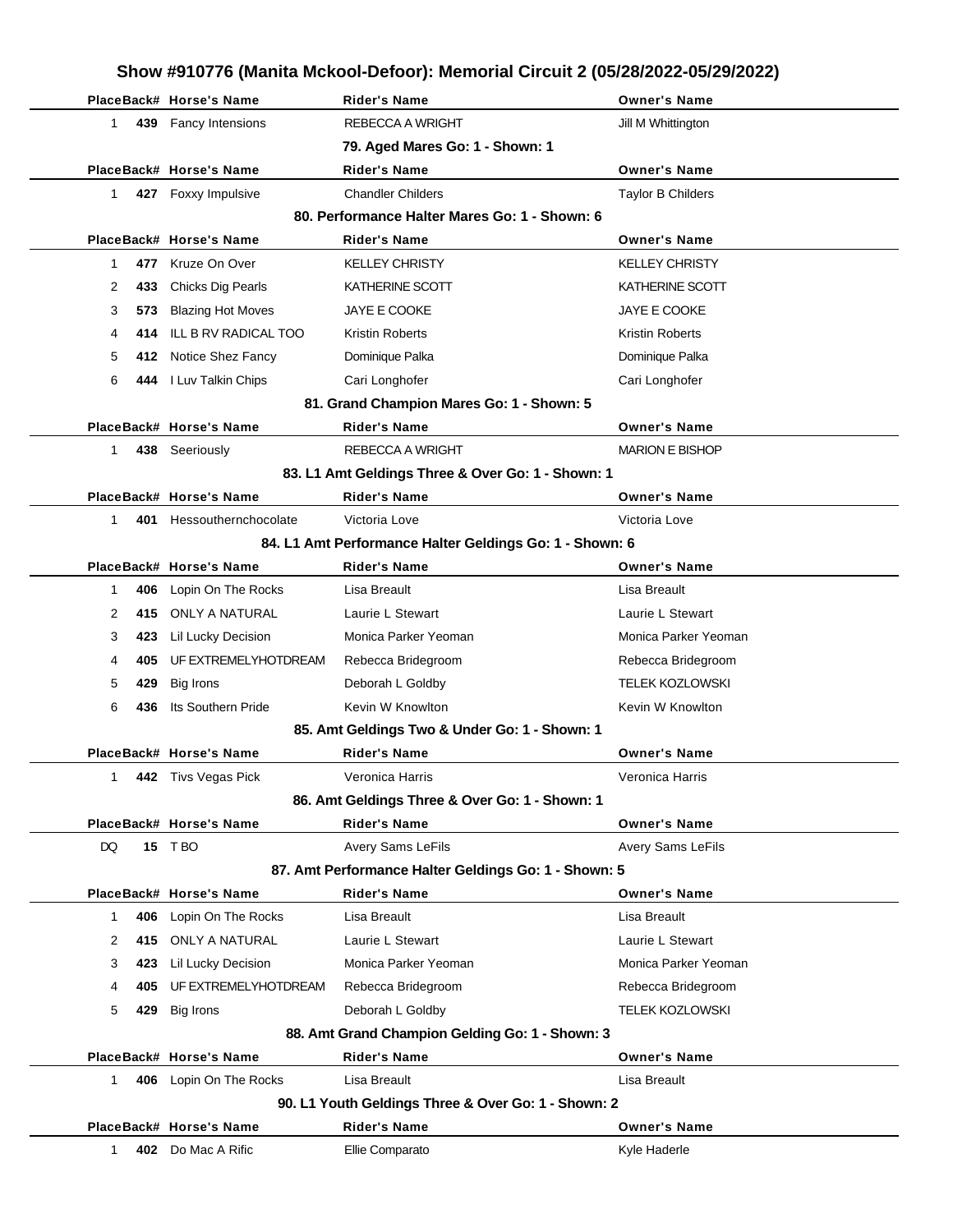|              |     | PlaceBack# Horse's Name  | <b>Rider's Name</b>                                     | <b>Owner's Name</b>      |
|--------------|-----|--------------------------|---------------------------------------------------------|--------------------------|
| $\mathbf{1}$ |     | 439 Fancy Intensions     | <b>REBECCA A WRIGHT</b>                                 | Jill M Whittington       |
|              |     |                          | 79. Aged Mares Go: 1 - Shown: 1                         |                          |
|              |     | PlaceBack# Horse's Name  | <b>Rider's Name</b>                                     | <b>Owner's Name</b>      |
| 1            |     | 427 Foxxy Impulsive      | <b>Chandler Childers</b>                                | <b>Taylor B Childers</b> |
|              |     |                          | 80. Performance Halter Mares Go: 1 - Shown: 6           |                          |
|              |     | PlaceBack# Horse's Name  | <b>Rider's Name</b>                                     | <b>Owner's Name</b>      |
| 1            | 477 | Kruze On Over            | <b>KELLEY CHRISTY</b>                                   | <b>KELLEY CHRISTY</b>    |
| 2            | 433 | Chicks Dig Pearls        | KATHERINE SCOTT                                         | KATHERINE SCOTT          |
| 3            | 573 | <b>Blazing Hot Moves</b> | <b>JAYE E COOKE</b>                                     | JAYE E COOKE             |
| 4            | 414 | ILL B RV RADICAL TOO     | Kristin Roberts                                         | Kristin Roberts          |
| 5            | 412 | Notice Shez Fancy        | Dominique Palka                                         | Dominique Palka          |
| 6            | 444 | I Luv Talkin Chips       | Cari Longhofer                                          | Cari Longhofer           |
|              |     |                          | 81. Grand Champion Mares Go: 1 - Shown: 5               |                          |
|              |     | PlaceBack# Horse's Name  | <b>Rider's Name</b>                                     | <b>Owner's Name</b>      |
| 1            |     | 438 Seeriously           | <b>REBECCA A WRIGHT</b>                                 | <b>MARION E BISHOP</b>   |
|              |     |                          | 83. L1 Amt Geldings Three & Over Go: 1 - Shown: 1       |                          |
|              |     | PlaceBack# Horse's Name  | <b>Rider's Name</b>                                     | <b>Owner's Name</b>      |
| 1            | 401 | Hessouthernchocolate     | Victoria Love                                           | Victoria Love            |
|              |     |                          | 84. L1 Amt Performance Halter Geldings Go: 1 - Shown: 6 |                          |
|              |     | PlaceBack# Horse's Name  | <b>Rider's Name</b>                                     | <b>Owner's Name</b>      |
| 1            | 406 | Lopin On The Rocks       | Lisa Breault                                            | Lisa Breault             |
| 2            | 415 | <b>ONLY A NATURAL</b>    | Laurie L Stewart                                        | Laurie L Stewart         |
| 3            | 423 | Lil Lucky Decision       | Monica Parker Yeoman                                    | Monica Parker Yeoman     |
| 4            | 405 | UF EXTREMELYHOTDREAM     | Rebecca Bridegroom                                      | Rebecca Bridegroom       |
| 5            | 429 | <b>Big Irons</b>         | Deborah L Goldby                                        | <b>TELEK KOZLOWSKI</b>   |
| 6            | 436 | Its Southern Pride       | Kevin W Knowlton                                        | Kevin W Knowlton         |
|              |     |                          | 85. Amt Geldings Two & Under Go: 1 - Shown: 1           |                          |
|              |     | PlaceBack# Horse's Name  | Rider's Name                                            | <b>Owner's Name</b>      |
| 1.           |     | 442 Tivs Vegas Pick      | Veronica Harris                                         | Veronica Harris          |
|              |     |                          | 86. Amt Geldings Three & Over Go: 1 - Shown: 1          |                          |
|              |     | PlaceBack# Horse's Name  | <b>Rider's Name</b>                                     | <b>Owner's Name</b>      |
| DQ           |     | 15 T BO                  | <b>Avery Sams LeFils</b>                                | <b>Avery Sams LeFils</b> |
|              |     |                          | 87. Amt Performance Halter Geldings Go: 1 - Shown: 5    |                          |
|              |     | PlaceBack# Horse's Name  | <b>Rider's Name</b>                                     | <b>Owner's Name</b>      |
| $\mathbf{1}$ | 406 | Lopin On The Rocks       | Lisa Breault                                            | Lisa Breault             |
| 2            | 415 | <b>ONLY A NATURAL</b>    | Laurie L Stewart                                        | Laurie L Stewart         |
| 3            | 423 | Lil Lucky Decision       | Monica Parker Yeoman                                    | Monica Parker Yeoman     |
| 4            | 405 | UF EXTREMELYHOTDREAM     | Rebecca Bridegroom                                      | Rebecca Bridegroom       |
| 5            | 429 | Big Irons                | Deborah L Goldby                                        | <b>TELEK KOZLOWSKI</b>   |
|              |     |                          | 88. Amt Grand Champion Gelding Go: 1 - Shown: 3         |                          |
|              |     | PlaceBack# Horse's Name  | <b>Rider's Name</b>                                     | <b>Owner's Name</b>      |
| $\mathbf{1}$ | 406 | Lopin On The Rocks       | Lisa Breault                                            | Lisa Breault             |
|              |     |                          | 90. L1 Youth Geldings Three & Over Go: 1 - Shown: 2     |                          |
|              |     | PlaceBack# Horse's Name  | <b>Rider's Name</b>                                     | <b>Owner's Name</b>      |
| 1            |     | 402 Do Mac A Rific       | Ellie Comparato                                         | Kyle Haderle             |
|              |     |                          |                                                         |                          |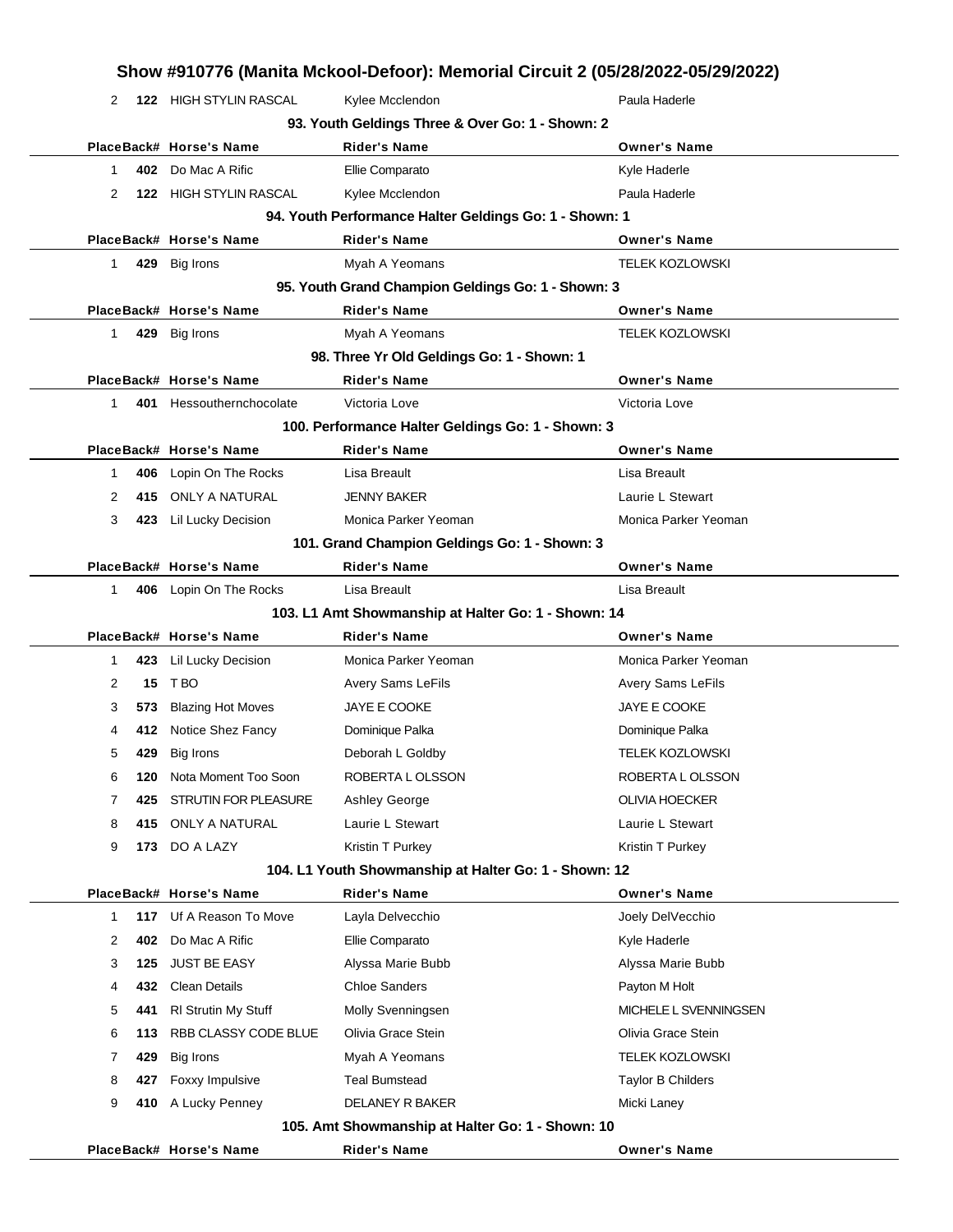|              |     |                          | Show #910776 (Manita Mckool-Defoor): Memorial Circuit 2 (05/28/2022-05/29/2022) |                        |
|--------------|-----|--------------------------|---------------------------------------------------------------------------------|------------------------|
| 2            |     | 122 HIGH STYLIN RASCAL   | Kylee Mcclendon                                                                 | Paula Haderle          |
|              |     |                          | 93. Youth Geldings Three & Over Go: 1 - Shown: 2                                |                        |
|              |     | PlaceBack# Horse's Name  | <b>Rider's Name</b>                                                             | <b>Owner's Name</b>    |
| $\mathbf{1}$ |     | 402 Do Mac A Rific       | Ellie Comparato                                                                 | Kyle Haderle           |
| 2            |     | 122 HIGH STYLIN RASCAL   | Kylee Mcclendon                                                                 | Paula Haderle          |
|              |     |                          | 94. Youth Performance Halter Geldings Go: 1 - Shown: 1                          |                        |
|              |     | PlaceBack# Horse's Name  | <b>Rider's Name</b>                                                             | <b>Owner's Name</b>    |
| 1            |     | 429 Big Irons            | Myah A Yeomans                                                                  | <b>TELEK KOZLOWSKI</b> |
|              |     |                          | 95. Youth Grand Champion Geldings Go: 1 - Shown: 3                              |                        |
|              |     | PlaceBack# Horse's Name  | <b>Rider's Name</b>                                                             | <b>Owner's Name</b>    |
| 1            |     | 429 Big Irons            | Myah A Yeomans                                                                  | <b>TELEK KOZLOWSKI</b> |
|              |     |                          | 98. Three Yr Old Geldings Go: 1 - Shown: 1                                      |                        |
|              |     | PlaceBack# Horse's Name  | <b>Rider's Name</b>                                                             | <b>Owner's Name</b>    |
| 1            |     | 401 Hessouthernchocolate | Victoria Love                                                                   | Victoria Love          |
|              |     |                          | 100. Performance Halter Geldings Go: 1 - Shown: 3                               |                        |
|              |     | PlaceBack# Horse's Name  | <b>Rider's Name</b>                                                             | <b>Owner's Name</b>    |
| 1            | 406 | Lopin On The Rocks       | Lisa Breault                                                                    | Lisa Breault           |
| 2            | 415 | <b>ONLY A NATURAL</b>    | <b>JENNY BAKER</b>                                                              | Laurie L Stewart       |
| 3            |     | 423 Lil Lucky Decision   | Monica Parker Yeoman                                                            | Monica Parker Yeoman   |
|              |     |                          | 101. Grand Champion Geldings Go: 1 - Shown: 3                                   |                        |
|              |     | PlaceBack# Horse's Name  | <b>Rider's Name</b>                                                             | <b>Owner's Name</b>    |
| $\mathbf{1}$ |     | 406 Lopin On The Rocks   | Lisa Breault                                                                    | Lisa Breault           |
|              |     |                          | 103. L1 Amt Showmanship at Halter Go: 1 - Shown: 14                             |                        |
|              |     | PlaceBack# Horse's Name  | <b>Rider's Name</b>                                                             | <b>Owner's Name</b>    |
| 1            |     | 423 Lil Lucky Decision   | Monica Parker Yeoman                                                            | Monica Parker Yeoman   |
| 2            | 15  | T BO                     | <b>Avery Sams LeFils</b>                                                        | Avery Sams LeFils      |
| 3            |     | 573 Blazing Hot Moves    | <b>JAYE E COOKE</b>                                                             | JAYE E COOKE           |
| 4            |     | 412 Notice Shez Fancy    | Dominique Palka                                                                 | Dominique Palka        |
| 5            | 429 | Big Irons                | Deborah L Goldby                                                                | <b>TELEK KOZLOWSKI</b> |
| 6            | 120 | Nota Moment Too Soon     | ROBERTA LOLSSON                                                                 | ROBERTA L OLSSON       |
| 7            | 425 | STRUTIN FOR PLEASURE     | Ashley George                                                                   | <b>OLIVIA HOECKER</b>  |
| 8            | 415 | ONLY A NATURAL           | Laurie L Stewart                                                                | Laurie L Stewart       |
| 9            |     | 173 DO A LAZY            | Kristin T Purkey                                                                | Kristin T Purkey       |
|              |     |                          | 104. L1 Youth Showmanship at Halter Go: 1 - Shown: 12                           |                        |
|              |     | PlaceBack# Horse's Name  | <b>Rider's Name</b>                                                             | <b>Owner's Name</b>    |
| 1            |     | 117 Uf A Reason To Move  | Layla Delvecchio                                                                | Joely DelVecchio       |
| 2            | 402 | Do Mac A Rific           | Ellie Comparato                                                                 | Kyle Haderle           |
| 3            | 125 | <b>JUST BE EASY</b>      | Alyssa Marie Bubb                                                               | Alyssa Marie Bubb      |
| 4            | 432 | <b>Clean Details</b>     | Chloe Sanders                                                                   | Payton M Holt          |
| 5            | 441 | RI Strutin My Stuff      | Molly Svenningsen                                                               | MICHELE L SVENNINGSEN  |
| 6            | 113 | RBB CLASSY CODE BLUE     | Olivia Grace Stein                                                              | Olivia Grace Stein     |
| 7            | 429 | Big Irons                | Myah A Yeomans                                                                  | TELEK KOZLOWSKI        |
| 8            | 427 | Foxxy Impulsive          | <b>Teal Bumstead</b>                                                            | Taylor B Childers      |
| 9            |     | 410 A Lucky Penney       | DELANEY R BAKER                                                                 | Micki Laney            |
|              |     |                          | 105. Amt Showmanship at Halter Go: 1 - Shown: 10                                |                        |
|              |     | PlaceBack# Horse's Name  | <b>Rider's Name</b>                                                             | <b>Owner's Name</b>    |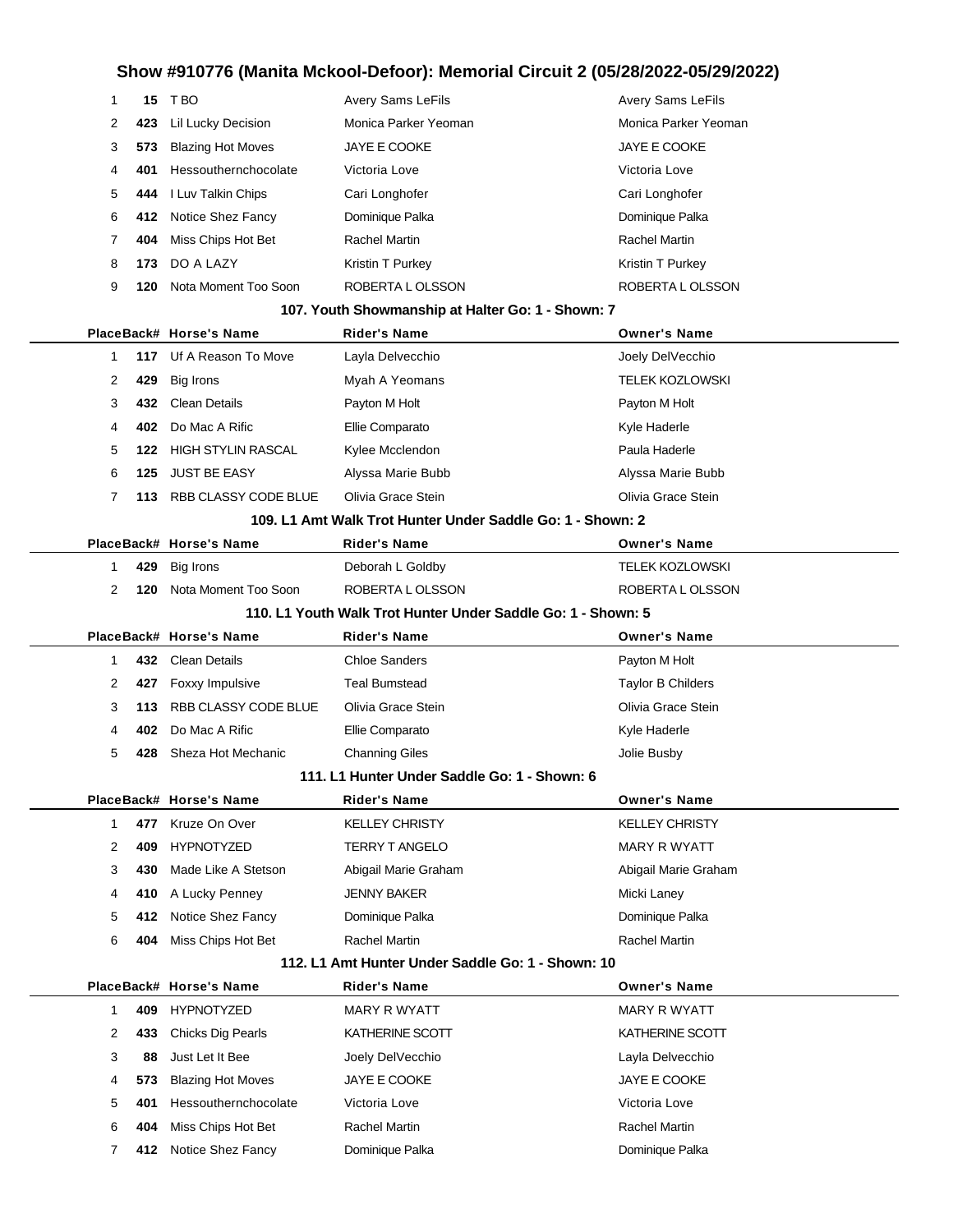| 1                                                            | 15         | T BO                                    | Avery Sams LeFils                                          | <b>Avery Sams LeFils</b>         |  |
|--------------------------------------------------------------|------------|-----------------------------------------|------------------------------------------------------------|----------------------------------|--|
| 2                                                            | 423        | Lil Lucky Decision                      | Monica Parker Yeoman                                       | Monica Parker Yeoman             |  |
| 3                                                            | 573        | <b>Blazing Hot Moves</b>                | JAYE E COOKE                                               | JAYE E COOKE                     |  |
| 4                                                            | 401        | Hessouthernchocolate                    | Victoria Love                                              | Victoria Love                    |  |
| 5                                                            | 444        | I Luv Talkin Chips                      | Cari Longhofer                                             | Cari Longhofer                   |  |
| 6                                                            | 412        | Notice Shez Fancy                       | Dominique Palka                                            | Dominique Palka                  |  |
| 7                                                            | 404        | Miss Chips Hot Bet                      | Rachel Martin                                              | Rachel Martin                    |  |
| 8                                                            | 173        | DO A LAZY                               | Kristin T Purkey                                           | Kristin T Purkey                 |  |
| 9                                                            | 120        | Nota Moment Too Soon                    | ROBERTA L OLSSON                                           | ROBERTA L OLSSON                 |  |
|                                                              |            |                                         | 107. Youth Showmanship at Halter Go: 1 - Shown: 7          |                                  |  |
|                                                              |            | PlaceBack# Horse's Name                 | <b>Rider's Name</b>                                        | <b>Owner's Name</b>              |  |
| 1                                                            | 117        | Uf A Reason To Move                     | Layla Delvecchio                                           | Joely DelVecchio                 |  |
| 2                                                            | 429        | Big Irons                               | Myah A Yeomans                                             | <b>TELEK KOZLOWSKI</b>           |  |
| 3                                                            | 432        | <b>Clean Details</b>                    | Payton M Holt                                              | Payton M Holt                    |  |
| 4                                                            | 402        | Do Mac A Rific                          | Ellie Comparato                                            | Kyle Haderle                     |  |
| 5                                                            | 122        | <b>HIGH STYLIN RASCAL</b>               | Kylee Mcclendon                                            | Paula Haderle                    |  |
| 6                                                            | 125        | <b>JUST BE EASY</b>                     | Alyssa Marie Bubb                                          | Alyssa Marie Bubb                |  |
| $\overline{7}$                                               | 113        | RBB CLASSY CODE BLUE                    | Olivia Grace Stein                                         | Olivia Grace Stein               |  |
|                                                              |            |                                         | 109. L1 Amt Walk Trot Hunter Under Saddle Go: 1 - Shown: 2 |                                  |  |
|                                                              |            | PlaceBack# Horse's Name                 | <b>Rider's Name</b>                                        | <b>Owner's Name</b>              |  |
| 1                                                            | 429        | Big Irons                               | Deborah L Goldby                                           | <b>TELEK KOZLOWSKI</b>           |  |
| 2                                                            | 120        | Nota Moment Too Soon                    | ROBERTA L OLSSON                                           | ROBERTA L OLSSON                 |  |
| 110. L1 Youth Walk Trot Hunter Under Saddle Go: 1 - Shown: 5 |            |                                         |                                                            |                                  |  |
|                                                              |            |                                         |                                                            |                                  |  |
|                                                              |            | PlaceBack# Horse's Name                 | <b>Rider's Name</b>                                        | <b>Owner's Name</b>              |  |
| 1                                                            | 432        | <b>Clean Details</b>                    | <b>Chloe Sanders</b>                                       | Payton M Holt                    |  |
| 2                                                            | 427        | Foxxy Impulsive                         | <b>Teal Bumstead</b>                                       | <b>Taylor B Childers</b>         |  |
| 3                                                            | 113        | RBB CLASSY CODE BLUE                    | Olivia Grace Stein                                         | Olivia Grace Stein               |  |
| 4                                                            | 402        | Do Mac A Rific                          | Ellie Comparato                                            | Kyle Haderle                     |  |
| 5                                                            | 428        | Sheza Hot Mechanic                      | <b>Channing Giles</b>                                      | Jolie Busby                      |  |
|                                                              |            |                                         | 111. L1 Hunter Under Saddle Go: 1 - Shown: 6               |                                  |  |
|                                                              |            | PlaceBack# Horse's Name                 | Rider's Name                                               | <b>Owner's Name</b>              |  |
| $\mathbf{1}$                                                 | 477        | Kruze On Over                           | <b>KELLEY CHRISTY</b>                                      | <b>KELLEY CHRISTY</b>            |  |
| 2                                                            | 409        | <b>HYPNOTYZED</b>                       | <b>TERRY T ANGELO</b>                                      | MARY R WYATT                     |  |
| 3                                                            | 430        | Made Like A Stetson                     | Abigail Marie Graham                                       | Abigail Marie Graham             |  |
| 4                                                            | 410        | A Lucky Penney                          | <b>JENNY BAKER</b>                                         | Micki Laney                      |  |
| 5                                                            | 412        | Notice Shez Fancy                       | Dominique Palka                                            | Dominique Palka                  |  |
| 6                                                            | 404        | Miss Chips Hot Bet                      | Rachel Martin                                              | Rachel Martin                    |  |
|                                                              |            |                                         | 112. L1 Amt Hunter Under Saddle Go: 1 - Shown: 10          |                                  |  |
|                                                              |            | PlaceBack# Horse's Name                 | Rider's Name                                               | <b>Owner's Name</b>              |  |
| $\mathbf{1}$                                                 | 409        | <b>HYPNOTYZED</b>                       | MARY R WYATT                                               | MARY R WYATT                     |  |
| 2                                                            | 433        | Chicks Dig Pearls                       | KATHERINE SCOTT                                            | KATHERINE SCOTT                  |  |
| 3                                                            | 88         | Just Let It Bee                         | Joely DelVecchio                                           | Layla Delvecchio                 |  |
| 4                                                            | 573        | <b>Blazing Hot Moves</b>                | JAYE E COOKE                                               | JAYE E COOKE                     |  |
| 5                                                            | 401        | Hessouthernchocolate                    | Victoria Love                                              | Victoria Love                    |  |
| 6<br>7                                                       | 404<br>412 | Miss Chips Hot Bet<br>Notice Shez Fancy | Rachel Martin<br>Dominique Palka                           | Rachel Martin<br>Dominique Palka |  |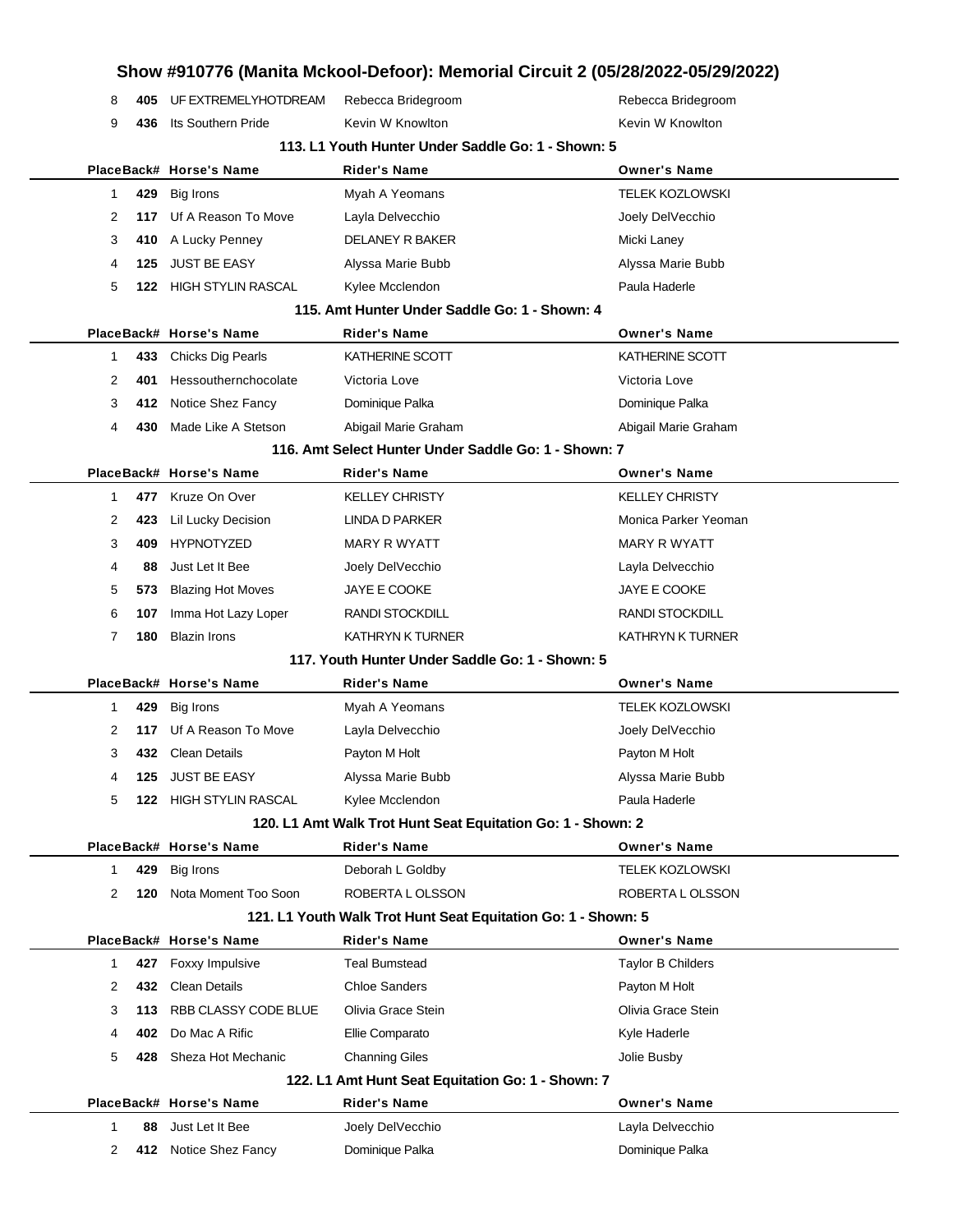|  | 405 UF EXTREMELYHOTDREAM | Rebecca Bridegroom | Rebecca Bridegroom |
|--|--------------------------|--------------------|--------------------|
|  | 9 436 Its Southern Pride | Kevin W Knowlton   | Kevin W Knowlton   |

| 9 | 436 | <b>Its Southern Pride</b> | Kevin W Knowiton                                              | Kevin W Knowiton        |
|---|-----|---------------------------|---------------------------------------------------------------|-------------------------|
|   |     |                           | 113. L1 Youth Hunter Under Saddle Go: 1 - Shown: 5            |                         |
|   |     | PlaceBack# Horse's Name   | <b>Rider's Name</b>                                           | <b>Owner's Name</b>     |
| 1 | 429 | <b>Big Irons</b>          | Myah A Yeomans                                                | <b>TELEK KOZLOWSKI</b>  |
| 2 | 117 | Uf A Reason To Move       | Layla Delvecchio                                              | Joely DelVecchio        |
| 3 | 410 | A Lucky Penney            | <b>DELANEY R BAKER</b>                                        | Micki Laney             |
| 4 | 125 | <b>JUST BE EASY</b>       | Alyssa Marie Bubb                                             | Alyssa Marie Bubb       |
| 5 | 122 | <b>HIGH STYLIN RASCAL</b> | Kylee Mcclendon                                               | Paula Haderle           |
|   |     |                           | 115. Amt Hunter Under Saddle Go: 1 - Shown: 4                 |                         |
|   |     | PlaceBack# Horse's Name   | <b>Rider's Name</b>                                           | <b>Owner's Name</b>     |
| 1 | 433 | Chicks Dig Pearls         | KATHERINE SCOTT                                               | KATHERINE SCOTT         |
| 2 | 401 | Hessouthernchocolate      | Victoria Love                                                 | Victoria Love           |
| 3 | 412 | Notice Shez Fancy         | Dominique Palka                                               | Dominique Palka         |
| 4 | 430 | Made Like A Stetson       | Abigail Marie Graham                                          | Abigail Marie Graham    |
|   |     |                           | 116. Amt Select Hunter Under Saddle Go: 1 - Shown: 7          |                         |
|   |     | PlaceBack# Horse's Name   | <b>Rider's Name</b>                                           | <b>Owner's Name</b>     |
| 1 | 477 | Kruze On Over             | <b>KELLEY CHRISTY</b>                                         | <b>KELLEY CHRISTY</b>   |
| 2 | 423 | Lil Lucky Decision        | <b>LINDA D PARKER</b>                                         | Monica Parker Yeoman    |
| 3 | 409 | <b>HYPNOTYZED</b>         | <b>MARY R WYATT</b>                                           | <b>MARY R WYATT</b>     |
| 4 | 88  | Just Let It Bee           | Joely DelVecchio                                              | Layla Delvecchio        |
| 5 | 573 | <b>Blazing Hot Moves</b>  | JAYE E COOKE                                                  | JAYE E COOKE            |
| 6 | 107 | Imma Hot Lazy Loper       | <b>RANDI STOCKDILL</b>                                        | <b>RANDI STOCKDILL</b>  |
| 7 | 180 | <b>Blazin Irons</b>       | <b>KATHRYN K TURNER</b>                                       | <b>KATHRYN K TURNER</b> |
|   |     |                           | 117. Youth Hunter Under Saddle Go: 1 - Shown: 5               |                         |
|   |     | PlaceBack# Horse's Name   | <b>Rider's Name</b>                                           | <b>Owner's Name</b>     |
| 1 | 429 | Big Irons                 | Myah A Yeomans                                                | <b>TELEK KOZLOWSKI</b>  |
| 2 | 117 | Uf A Reason To Move       | Layla Delvecchio                                              | Joely DelVecchio        |
| 3 | 432 | <b>Clean Details</b>      | Payton M Holt                                                 | Payton M Holt           |
| 4 | 125 | <b>JUST BE EASY</b>       | Alyssa Marie Bubb                                             | Alyssa Marie Bubb       |
| 5 | 122 | <b>HIGH STYLIN RASCAL</b> | Kylee Mcclendon                                               | Paula Haderle           |
|   |     |                           | 120. L1 Amt Walk Trot Hunt Seat Equitation Go: 1 - Shown: 2   |                         |
|   |     | PlaceBack# Horse's Name   | <b>Rider's Name</b>                                           | <b>Owner's Name</b>     |
| 1 | 429 | Big Irons                 | Deborah L Goldby                                              | <b>TELEK KOZLOWSKI</b>  |
| 2 | 120 | Nota Moment Too Soon      | ROBERTA LOLSSON                                               | ROBERTA LOLSSON         |
|   |     |                           | 121. L1 Youth Walk Trot Hunt Seat Equitation Go: 1 - Shown: 5 |                         |
|   |     | PlaceBack# Horse's Name   | <b>Rider's Name</b>                                           | <b>Owner's Name</b>     |
| 1 |     | 427 Foxxy Impulsive       | <b>Teal Bumstead</b>                                          | Taylor B Childers       |
| 2 | 432 | <b>Clean Details</b>      | <b>Chloe Sanders</b>                                          | Payton M Holt           |
| 3 |     | 113 RBB CLASSY CODE BLUE  | Olivia Grace Stein                                            | Olivia Grace Stein      |

**122. L1 Amt Hunt Seat Equitation Go: 1 - Shown: 7**

**402** Do Mac A Rific **Ellie Comparato** Ellie Comparato Kyle Haderle **428** Sheza Hot Mechanic Channing Giles Channing Community Channing Giles Channing Giles Channing Channing Channing Channing Channing Channing Channing Channing Channing Channing Channing Channing Channing Channing Chann

|    | PlaceBack# Horse's Name | Rider's Name     | <b>Owner's Name</b> |
|----|-------------------------|------------------|---------------------|
| 88 | Just Let It Bee         | Joely DelVecchio | Layla Delvecchio    |
|    | 2 412 Notice Shez Fancy | Dominique Palka  | Dominique Palka     |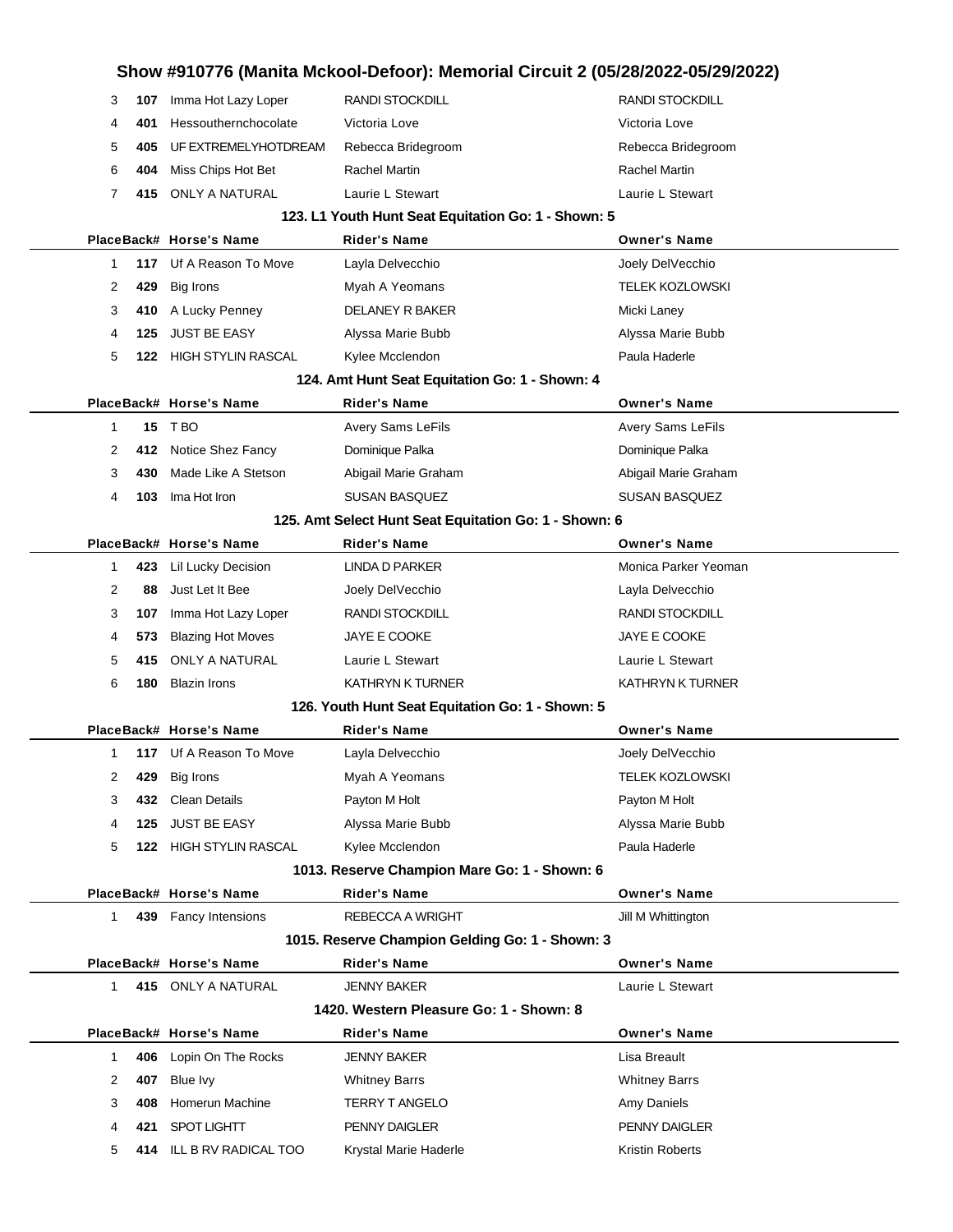| 3                                            | 107 | Imma Hot Lazy Loper      | <b>RANDI STOCKDILL</b>                                | <b>RANDI STOCKDILL</b> |  |  |
|----------------------------------------------|-----|--------------------------|-------------------------------------------------------|------------------------|--|--|
| 4                                            | 401 | Hessouthernchocolate     | Victoria Love                                         | Victoria Love          |  |  |
| 5                                            | 405 | UF EXTREMELYHOTDREAM     | Rebecca Bridegroom                                    | Rebecca Bridegroom     |  |  |
| 6                                            | 404 | Miss Chips Hot Bet       | Rachel Martin                                         | Rachel Martin          |  |  |
| 7                                            | 415 | <b>ONLY A NATURAL</b>    | Laurie L Stewart                                      | Laurie L Stewart       |  |  |
|                                              |     |                          | 123. L1 Youth Hunt Seat Equitation Go: 1 - Shown: 5   |                        |  |  |
|                                              |     | PlaceBack# Horse's Name  | <b>Rider's Name</b>                                   | <b>Owner's Name</b>    |  |  |
| 1                                            |     | 117 Uf A Reason To Move  | Layla Delvecchio                                      | Joely DelVecchio       |  |  |
| 2                                            | 429 | Big Irons                | Myah A Yeomans                                        | <b>TELEK KOZLOWSKI</b> |  |  |
| 3                                            | 410 | A Lucky Penney           | <b>DELANEY R BAKER</b>                                | Micki Laney            |  |  |
| 4                                            | 125 | <b>JUST BE EASY</b>      | Alyssa Marie Bubb                                     | Alyssa Marie Bubb      |  |  |
| 5                                            | 122 | HIGH STYLIN RASCAL       | Kylee Mcclendon                                       | Paula Haderle          |  |  |
|                                              |     |                          | 124. Amt Hunt Seat Equitation Go: 1 - Shown: 4        |                        |  |  |
|                                              |     | PlaceBack# Horse's Name  | <b>Rider's Name</b>                                   | <b>Owner's Name</b>    |  |  |
| $\mathbf{1}$                                 | 15  | T BO                     | Avery Sams LeFils                                     | Avery Sams LeFils      |  |  |
| 2                                            | 412 | Notice Shez Fancy        | Dominique Palka                                       | Dominique Palka        |  |  |
| 3                                            | 430 | Made Like A Stetson      | Abigail Marie Graham                                  | Abigail Marie Graham   |  |  |
| 4                                            | 103 | Ima Hot Iron             | <b>SUSAN BASQUEZ</b>                                  | <b>SUSAN BASQUEZ</b>   |  |  |
|                                              |     |                          | 125. Amt Select Hunt Seat Equitation Go: 1 - Shown: 6 |                        |  |  |
|                                              |     | PlaceBack# Horse's Name  | <b>Rider's Name</b>                                   | <b>Owner's Name</b>    |  |  |
| 1                                            | 423 | Lil Lucky Decision       | LINDA D PARKER                                        | Monica Parker Yeoman   |  |  |
| 2                                            | 88  | Just Let It Bee          | Joely DelVecchio                                      | Layla Delvecchio       |  |  |
| 3                                            | 107 | Imma Hot Lazy Loper      | <b>RANDI STOCKDILL</b>                                | <b>RANDI STOCKDILL</b> |  |  |
| 4                                            | 573 | <b>Blazing Hot Moves</b> | JAYE E COOKE                                          | <b>JAYE E COOKE</b>    |  |  |
| 5                                            | 415 | <b>ONLY A NATURAL</b>    | Laurie L Stewart                                      | Laurie L Stewart       |  |  |
| 6                                            | 180 | <b>Blazin Irons</b>      | KATHRYN K TURNER                                      | KATHRYN K TURNER       |  |  |
|                                              |     |                          | 126. Youth Hunt Seat Equitation Go: 1 - Shown: 5      |                        |  |  |
|                                              |     | PlaceBack# Horse's Name  | <b>Rider's Name</b>                                   | <b>Owner's Name</b>    |  |  |
| 1                                            |     | 117 Uf A Reason To Move  | Layla Delvecchio                                      | Joely DelVecchio       |  |  |
| 2                                            |     | 429 Big Irons            | Myah A Yeomans                                        | TELEK KOZLOWSKI        |  |  |
| 3                                            |     | 432 Clean Details        | Payton M Holt                                         | Payton M Holt          |  |  |
| 4                                            | 125 | <b>JUST BE EASY</b>      | Alyssa Marie Bubb                                     | Alyssa Marie Bubb      |  |  |
| 5                                            |     | 122 HIGH STYLIN RASCAL   | Kylee Mcclendon                                       | Paula Haderle          |  |  |
| 1013. Reserve Champion Mare Go: 1 - Shown: 6 |     |                          |                                                       |                        |  |  |
|                                              |     | PlaceBack# Horse's Name  | Rider's Name                                          | <b>Owner's Name</b>    |  |  |
| $\mathbf{1}$                                 |     | 439 Fancy Intensions     | REBECCA A WRIGHT                                      | Jill M Whittington     |  |  |
|                                              |     |                          | 1015. Reserve Champion Gelding Go: 1 - Shown: 3       |                        |  |  |
|                                              |     | PlaceBack# Horse's Name  | <b>Rider's Name</b>                                   | <b>Owner's Name</b>    |  |  |
| 1.                                           |     | 415 ONLY A NATURAL       | <b>JENNY BAKER</b>                                    | Laurie L Stewart       |  |  |
|                                              |     |                          | 1420. Western Pleasure Go: 1 - Shown: 8               |                        |  |  |
|                                              |     | PlaceBack# Horse's Name  | <b>Rider's Name</b>                                   | <b>Owner's Name</b>    |  |  |
| 1                                            | 406 | Lopin On The Rocks       | JENNY BAKER                                           | Lisa Breault           |  |  |
| 2                                            | 407 | Blue Ivy                 | <b>Whitney Barrs</b>                                  | <b>Whitney Barrs</b>   |  |  |
| 3                                            | 408 | Homerun Machine          | <b>TERRY T ANGELO</b>                                 | Amy Daniels            |  |  |
| 4                                            | 421 | SPOT LIGHTT              | PENNY DAIGLER                                         | PENNY DAIGLER          |  |  |
| 5                                            | 414 | ILL B RV RADICAL TOO     | Krystal Marie Haderle                                 | Kristin Roberts        |  |  |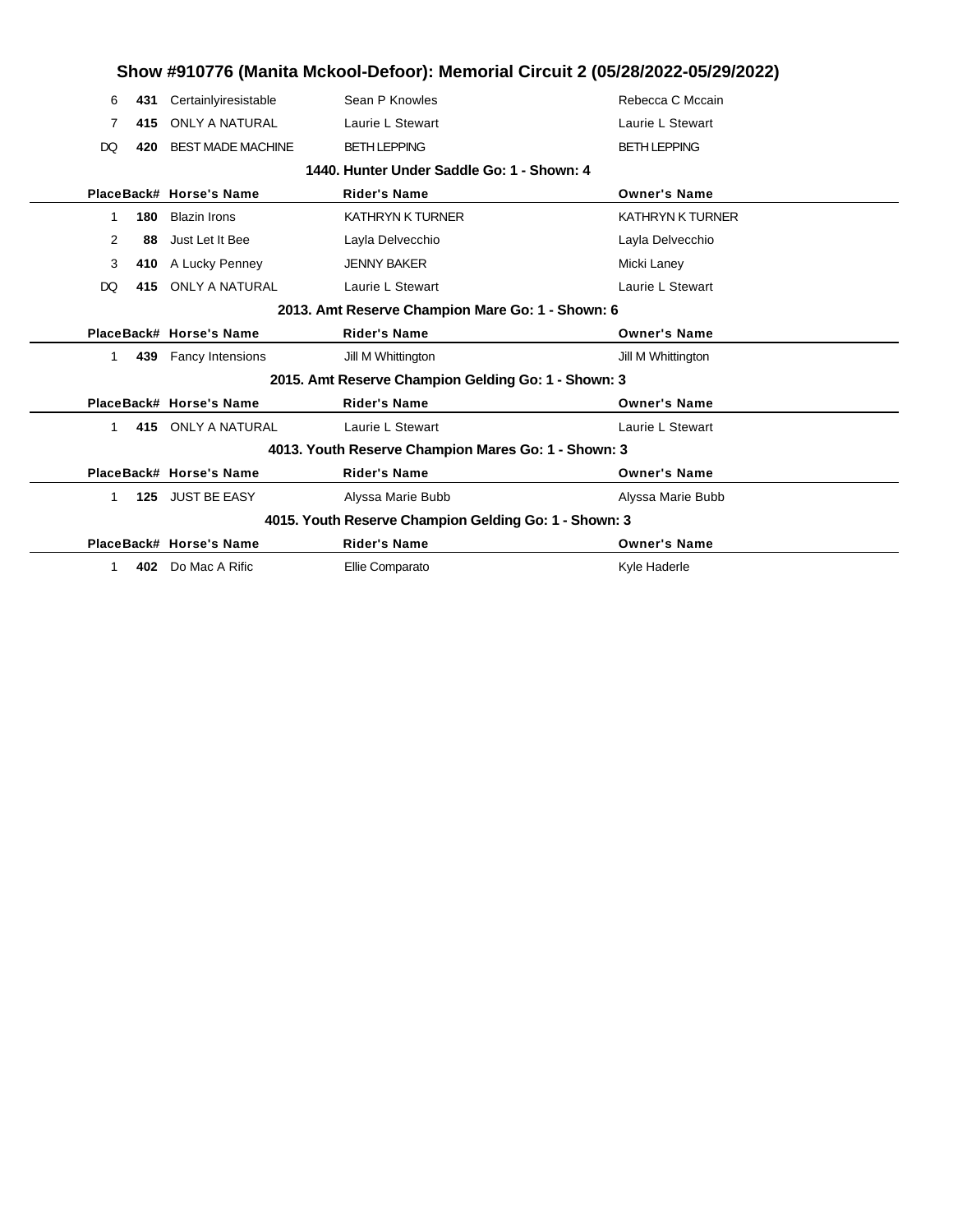| Show #910776 (Manita Mckool-Defoor): Memorial Circuit 2 (05/28/2022-05/29/2022) |     |                          |                                                       |                         |  |  |
|---------------------------------------------------------------------------------|-----|--------------------------|-------------------------------------------------------|-------------------------|--|--|
| 6                                                                               | 431 | Certainlyiresistable     | Sean P Knowles                                        | Rebecca C Mccain        |  |  |
|                                                                                 | 415 | <b>ONLY A NATURAL</b>    | Laurie L Stewart                                      | Laurie L Stewart        |  |  |
| DQ                                                                              | 420 | <b>BEST MADE MACHINE</b> | <b>BETH LEPPING</b>                                   | <b>BETH LEPPING</b>     |  |  |
|                                                                                 |     |                          | 1440. Hunter Under Saddle Go: 1 - Shown: 4            |                         |  |  |
|                                                                                 |     | PlaceBack# Horse's Name  | <b>Rider's Name</b>                                   | <b>Owner's Name</b>     |  |  |
| $\mathbf 1$                                                                     | 180 | <b>Blazin Irons</b>      | <b>KATHRYN K TURNER</b>                               | <b>KATHRYN K TURNER</b> |  |  |
| 2                                                                               | 88  | Just Let It Bee          | Layla Delvecchio                                      | Layla Delvecchio        |  |  |
| 3                                                                               |     | 410 A Lucky Penney       | <b>JENNY BAKER</b>                                    | Micki Laney             |  |  |
| DQ                                                                              | 415 | ONLY A NATURAL           | Laurie L Stewart                                      | Laurie L Stewart        |  |  |
|                                                                                 |     |                          | 2013. Amt Reserve Champion Mare Go: 1 - Shown: 6      |                         |  |  |
|                                                                                 |     | PlaceBack# Horse's Name  | <b>Rider's Name</b>                                   | <b>Owner's Name</b>     |  |  |
|                                                                                 |     | 439 Fancy Intensions     | Jill M Whittington                                    | Jill M Whittington      |  |  |
|                                                                                 |     |                          | 2015. Amt Reserve Champion Gelding Go: 1 - Shown: 3   |                         |  |  |
|                                                                                 |     | PlaceBack# Horse's Name  | <b>Rider's Name</b>                                   | <b>Owner's Name</b>     |  |  |
|                                                                                 |     | 415 ONLY A NATURAL       | Laurie L Stewart                                      | Laurie L Stewart        |  |  |
| 4013. Youth Reserve Champion Mares Go: 1 - Shown: 3                             |     |                          |                                                       |                         |  |  |
|                                                                                 |     | PlaceBack# Horse's Name  | <b>Rider's Name</b>                                   | <b>Owner's Name</b>     |  |  |
|                                                                                 |     | 125 JUST BE EASY         | Alyssa Marie Bubb                                     | Alyssa Marie Bubb       |  |  |
|                                                                                 |     |                          | 4015. Youth Reserve Champion Gelding Go: 1 - Shown: 3 |                         |  |  |
|                                                                                 |     | PlaceBack# Horse's Name  | <b>Rider's Name</b>                                   | <b>Owner's Name</b>     |  |  |
|                                                                                 |     | 402 Do Mac A Rific       | Ellie Comparato                                       | Kyle Haderle            |  |  |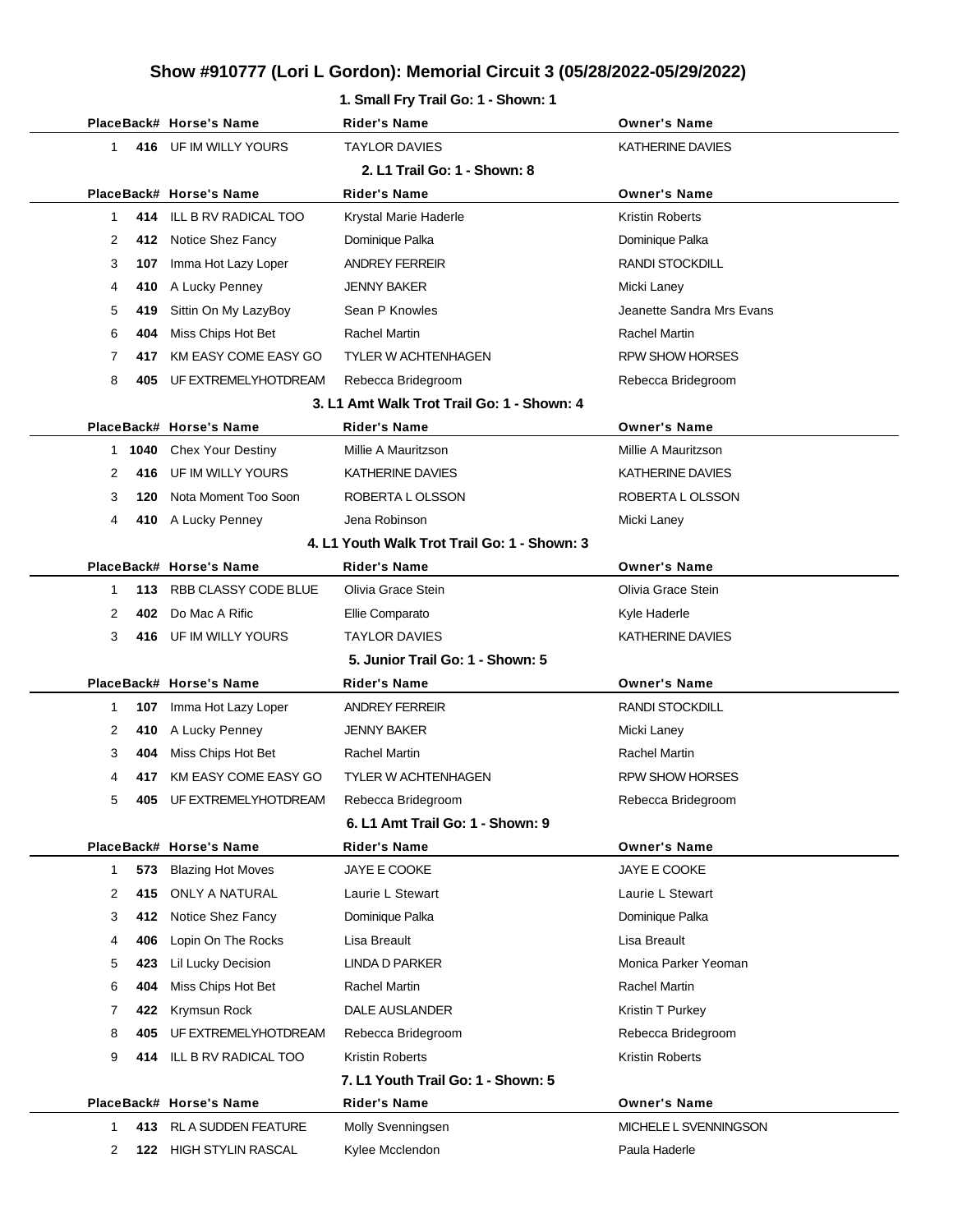### **1. Small Fry Trail Go: 1 - Shown: 1**

|              |     | PlaceBack# Horse's Name    | <b>Rider's Name</b>                          | <b>Owner's Name</b>       |
|--------------|-----|----------------------------|----------------------------------------------|---------------------------|
| 1.           |     | 416 UF IM WILLY YOURS      | <b>TAYLOR DAVIES</b>                         | KATHERINE DAVIES          |
|              |     |                            | 2. L1 Trail Go: 1 - Shown: 8                 |                           |
|              |     | PlaceBack# Horse's Name    | Rider's Name                                 | <b>Owner's Name</b>       |
| $\mathbf{1}$ |     | 414 ILL B RV RADICAL TOO   | Krystal Marie Haderle                        | <b>Kristin Roberts</b>    |
| 2            |     | 412 Notice Shez Fancy      | Dominique Palka                              | Dominique Palka           |
| 3            | 107 | Imma Hot Lazy Loper        | <b>ANDREY FERREIR</b>                        | <b>RANDI STOCKDILL</b>    |
| 4            |     | 410 A Lucky Penney         | <b>JENNY BAKER</b>                           | Micki Laney               |
| 5            | 419 | Sittin On My LazyBoy       | Sean P Knowles                               | Jeanette Sandra Mrs Evans |
| 6            | 404 | Miss Chips Hot Bet         | Rachel Martin                                | <b>Rachel Martin</b>      |
| 7            | 417 | KM EASY COME EASY GO       | <b>TYLER W ACHTENHAGEN</b>                   | <b>RPW SHOW HORSES</b>    |
| 8            |     | 405 UF EXTREMELYHOTDREAM   | Rebecca Bridegroom                           | Rebecca Bridegroom        |
|              |     |                            | 3. L1 Amt Walk Trot Trail Go: 1 - Shown: 4   |                           |
|              |     | PlaceBack# Horse's Name    | Rider's Name                                 | <b>Owner's Name</b>       |
|              |     | 1 1040 Chex Your Destiny   | Millie A Mauritzson                          | Millie A Mauritzson       |
| 2            |     | 416 UF IM WILLY YOURS      | KATHERINE DAVIES                             | KATHERINE DAVIES          |
| 3            | 120 | Nota Moment Too Soon       | ROBERTA L OLSSON                             | ROBERTA L OLSSON          |
| 4            |     | 410 A Lucky Penney         | Jena Robinson                                | Micki Laney               |
|              |     |                            | 4. L1 Youth Walk Trot Trail Go: 1 - Shown: 3 |                           |
|              |     | PlaceBack# Horse's Name    | <b>Rider's Name</b>                          | <b>Owner's Name</b>       |
| 1            | 113 | RBB CLASSY CODE BLUE       | Olivia Grace Stein                           | Olivia Grace Stein        |
| 2            | 402 | Do Mac A Rific             | Ellie Comparato                              | Kyle Haderle              |
| 3            |     | 416 UF IM WILLY YOURS      | <b>TAYLOR DAVIES</b>                         | KATHERINE DAVIES          |
|              |     |                            | 5. Junior Trail Go: 1 - Shown: 5             |                           |
|              |     | PlaceBack# Horse's Name    | Rider's Name                                 | <b>Owner's Name</b>       |
| 1            |     | 107 Imma Hot Lazy Loper    | <b>ANDREY FERREIR</b>                        | <b>RANDI STOCKDILL</b>    |
| 2            | 410 | A Lucky Penney             | <b>JENNY BAKER</b>                           | Micki Laney               |
| 3            | 404 | Miss Chips Hot Bet         | Rachel Martin                                | <b>Rachel Martin</b>      |
| 4            | 417 | KM EASY COME EASY GO       | <b>TYLER W ACHTENHAGEN</b>                   | <b>RPW SHOW HORSES</b>    |
| 5            | 405 | UF EXTREMELYHOTDREAM       | Rebecca Bridegroom                           | Rebecca Bridegroom        |
|              |     |                            | 6. L1 Amt Trail Go: 1 - Shown: 9             |                           |
|              |     | PlaceBack# Horse's Name    | Rider's Name                                 | <b>Owner's Name</b>       |
| 1            | 573 | <b>Blazing Hot Moves</b>   | JAYE E COOKE                                 | JAYE E COOKE              |
| 2            | 415 | ONLY A NATURAL             | Laurie L Stewart                             | Laurie L Stewart          |
| 3            | 412 | Notice Shez Fancy          | Dominique Palka                              | Dominique Palka           |
| 4            | 406 | Lopin On The Rocks         | Lisa Breault                                 | Lisa Breault              |
| 5            | 423 | Lil Lucky Decision         | <b>LINDA D PARKER</b>                        | Monica Parker Yeoman      |
| 6            | 404 | Miss Chips Hot Bet         | Rachel Martin                                | Rachel Martin             |
| 7            | 422 | Krymsun Rock               | DALE AUSLANDER                               | Kristin T Purkey          |
| 8            | 405 | UF EXTREMELYHOTDREAM       | Rebecca Bridegroom                           | Rebecca Bridegroom        |
| 9            | 414 | ILL B RV RADICAL TOO       | Kristin Roberts                              | <b>Kristin Roberts</b>    |
|              |     |                            | 7. L1 Youth Trail Go: 1 - Shown: 5           |                           |
|              |     | PlaceBack# Horse's Name    | <b>Rider's Name</b>                          | <b>Owner's Name</b>       |
| 1            | 413 | <b>RL A SUDDEN FEATURE</b> | Molly Svenningsen                            | MICHELE L SVENNINGSON     |
| 2            |     | 122 HIGH STYLIN RASCAL     | Kylee Mcclendon                              | Paula Haderle             |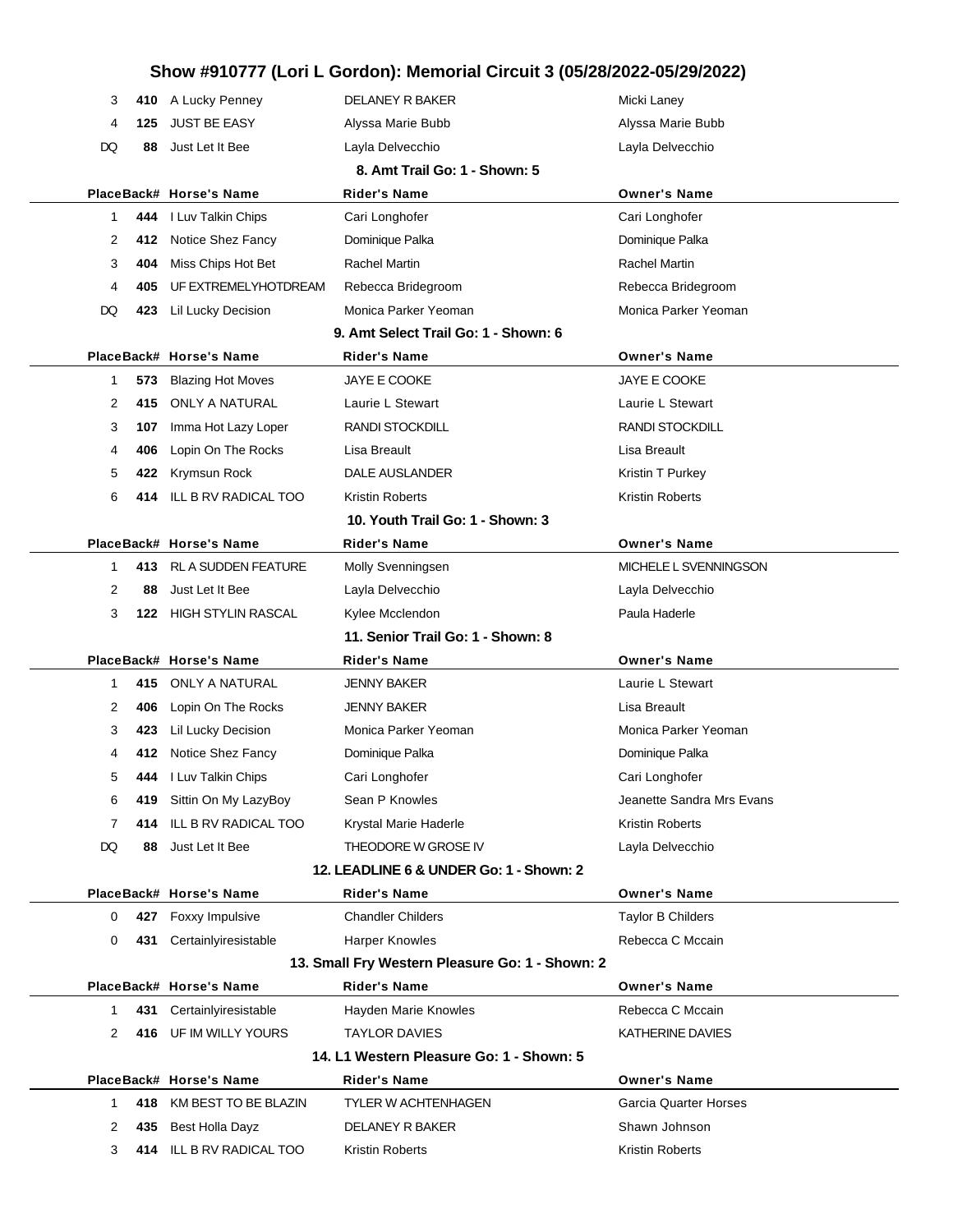| 3         | 410 A Lucky Penney                              | <b>DELANEY R BAKER</b>                          | Micki Laney                      |
|-----------|-------------------------------------------------|-------------------------------------------------|----------------------------------|
| 4<br>125  | <b>JUST BE EASY</b>                             | Alyssa Marie Bubb                               | Alyssa Marie Bubb                |
| DQ<br>88  | Just Let It Bee                                 | Layla Delvecchio                                | Layla Delvecchio                 |
|           |                                                 | 8. Amt Trail Go: 1 - Shown: 5                   |                                  |
|           | PlaceBack# Horse's Name                         | Rider's Name                                    | <b>Owner's Name</b>              |
| 1<br>444  | I Luv Talkin Chips                              | Cari Longhofer                                  | Cari Longhofer                   |
| 2<br>412  | Notice Shez Fancy                               | Dominique Palka                                 | Dominique Palka                  |
| 3<br>404  | Miss Chips Hot Bet                              | Rachel Martin                                   | <b>Rachel Martin</b>             |
| 4<br>405  | UF EXTREMELYHOTDREAM                            | Rebecca Bridegroom                              | Rebecca Bridegroom               |
| DQ<br>423 | Lil Lucky Decision                              | Monica Parker Yeoman                            | Monica Parker Yeoman             |
|           |                                                 | 9. Amt Select Trail Go: 1 - Shown: 6            |                                  |
|           | PlaceBack# Horse's Name                         | <b>Rider's Name</b>                             | <b>Owner's Name</b>              |
| 573<br>1  | <b>Blazing Hot Moves</b>                        | JAYE E COOKE                                    | JAYE E COOKE                     |
| 2<br>415  | <b>ONLY A NATURAL</b>                           | Laurie L Stewart                                | Laurie L Stewart                 |
| 3<br>107  | Imma Hot Lazy Loper                             | <b>RANDI STOCKDILL</b>                          | <b>RANDI STOCKDILL</b>           |
| 406<br>4  | Lopin On The Rocks                              | Lisa Breault                                    | Lisa Breault                     |
| 5<br>422  | Krymsun Rock                                    | DALE AUSLANDER                                  | Kristin T Purkey                 |
| 6<br>414  | ILL B RV RADICAL TOO                            | <b>Kristin Roberts</b>                          | <b>Kristin Roberts</b>           |
|           |                                                 | 10. Youth Trail Go: 1 - Shown: 3                |                                  |
|           | PlaceBack# Horse's Name                         | Rider's Name                                    | <b>Owner's Name</b>              |
| 1<br>413  | <b>RL A SUDDEN FEATURE</b>                      | Molly Svenningsen                               | MICHELE L SVENNINGSON            |
| 2<br>88   | Just Let It Bee                                 | Layla Delvecchio                                | Layla Delvecchio                 |
| 3<br>122  | <b>HIGH STYLIN RASCAL</b>                       | Kylee Mcclendon                                 | Paula Haderle                    |
|           |                                                 |                                                 |                                  |
|           |                                                 | 11. Senior Trail Go: 1 - Shown: 8               |                                  |
|           | PlaceBack# Horse's Name                         | Rider's Name                                    | <b>Owner's Name</b>              |
| 1<br>415  | <b>ONLY A NATURAL</b>                           | <b>JENNY BAKER</b>                              | Laurie L Stewart                 |
| 2<br>406  | Lopin On The Rocks                              | <b>JENNY BAKER</b>                              | Lisa Breault                     |
| 3<br>423  | Lil Lucky Decision                              | Monica Parker Yeoman                            | Monica Parker Yeoman             |
| 4         | 412 Notice Shez Fancy                           | Dominique Palka                                 | Dominique Palka                  |
| 5         | 444 I Luv Talkin Chips                          | Cari Longhofer                                  | Cari Longhofer                   |
| 6         | 419 Sittin On My LazyBoy                        | Sean P Knowles                                  | Jeanette Sandra Mrs Evans        |
| 7<br>414  | ILL B RV RADICAL TOO                            | Krystal Marie Haderle                           | <b>Kristin Roberts</b>           |
| DQ<br>88  | Just Let It Bee                                 | THEODORE W GROSE IV                             | Layla Delvecchio                 |
|           |                                                 | 12. LEADLINE 6 & UNDER Go: 1 - Shown: 2         |                                  |
|           | PlaceBack# Horse's Name                         | Rider's Name                                    | <b>Owner's Name</b>              |
| 0         | 427 Foxxy Impulsive                             | <b>Chandler Childers</b>                        | <b>Taylor B Childers</b>         |
| 0         | 431 Certainlyiresistable                        | Harper Knowles                                  | Rebecca C Mccain                 |
|           |                                                 | 13. Small Fry Western Pleasure Go: 1 - Shown: 2 |                                  |
|           | PlaceBack# Horse's Name                         | Rider's Name                                    | <b>Owner's Name</b>              |
| 1         | 431 Certainlyiresistable                        | Hayden Marie Knowles                            | Rebecca C Mccain                 |
| 2         | 416 UF IM WILLY YOURS                           | <b>TAYLOR DAVIES</b>                            | KATHERINE DAVIES                 |
|           |                                                 | 14. L1 Western Pleasure Go: 1 - Shown: 5        |                                  |
|           | PlaceBack# Horse's Name                         | <b>Rider's Name</b>                             | <b>Owner's Name</b>              |
| 1         | 418 KM BEST TO BE BLAZIN                        | <b>TYLER W ACHTENHAGEN</b>                      | Garcia Quarter Horses            |
| 2<br>3    | 435 Best Holla Dayz<br>414 ILL B RV RADICAL TOO | DELANEY R BAKER<br>Kristin Roberts              | Shawn Johnson<br>Kristin Roberts |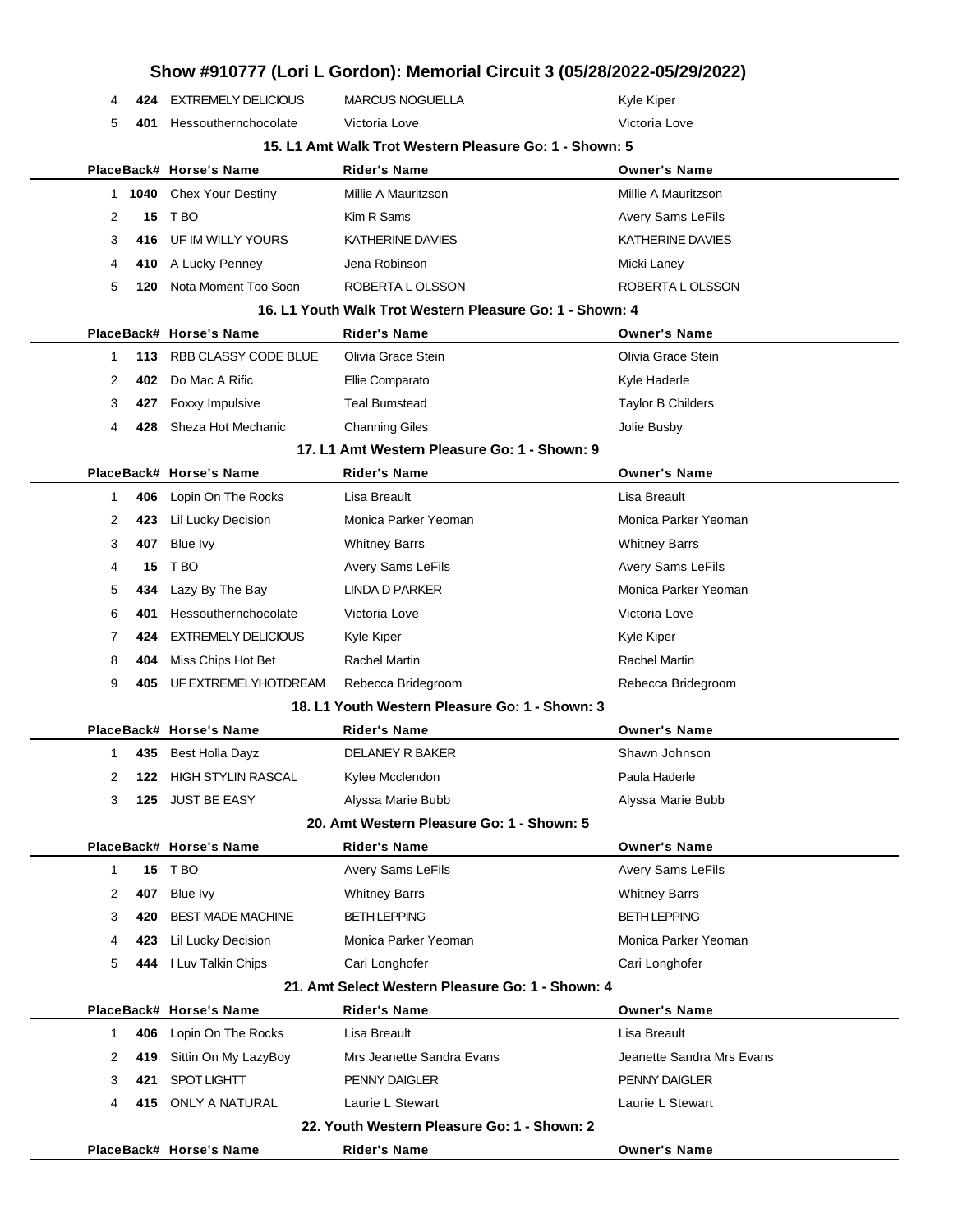| 4            | 424  | <b>EXTREMELY DELICIOUS</b> | <b>MARCUS NOGUELLA</b>                                   | Kyle Kiper                |
|--------------|------|----------------------------|----------------------------------------------------------|---------------------------|
| 5            | 401  | Hessouthernchocolate       | Victoria Love                                            | Victoria Love             |
|              |      |                            | 15. L1 Amt Walk Trot Western Pleasure Go: 1 - Shown: 5   |                           |
|              |      | PlaceBack# Horse's Name    | <b>Rider's Name</b>                                      | <b>Owner's Name</b>       |
| 1            | 1040 | <b>Chex Your Destiny</b>   | Millie A Mauritzson                                      | Millie A Mauritzson       |
| 2            | 15   | T BO                       | Kim R Sams                                               | <b>Avery Sams LeFils</b>  |
| 3            | 416  | UF IM WILLY YOURS          | KATHERINE DAVIES                                         | <b>KATHERINE DAVIES</b>   |
| 4            | 410  | A Lucky Penney             | Jena Robinson                                            | Micki Laney               |
| 5            | 120  | Nota Moment Too Soon       | ROBERTA L OLSSON                                         | ROBERTA L OLSSON          |
|              |      |                            | 16. L1 Youth Walk Trot Western Pleasure Go: 1 - Shown: 4 |                           |
|              |      | PlaceBack# Horse's Name    | <b>Rider's Name</b>                                      | <b>Owner's Name</b>       |
| $\mathbf{1}$ | 113  | RBB CLASSY CODE BLUE       | Olivia Grace Stein                                       | Olivia Grace Stein        |
| 2            | 402  | Do Mac A Rific             | Ellie Comparato                                          | Kyle Haderle              |
| 3            | 427  | Foxxy Impulsive            | <b>Teal Bumstead</b>                                     | <b>Taylor B Childers</b>  |
| 4            | 428  | Sheza Hot Mechanic         | <b>Channing Giles</b>                                    | Jolie Busby               |
|              |      |                            | 17. L1 Amt Western Pleasure Go: 1 - Shown: 9             |                           |
|              |      | PlaceBack# Horse's Name    | <b>Rider's Name</b>                                      | <b>Owner's Name</b>       |
| $\mathbf{1}$ | 406  | Lopin On The Rocks         | Lisa Breault                                             | Lisa Breault              |
| 2            | 423  | Lil Lucky Decision         | Monica Parker Yeoman                                     | Monica Parker Yeoman      |
| 3            | 407  | Blue Ivy                   | <b>Whitney Barrs</b>                                     | <b>Whitney Barrs</b>      |
| 4            | 15   | T BO                       | Avery Sams LeFils                                        | <b>Avery Sams LeFils</b>  |
| 5            | 434  | Lazy By The Bay            | <b>LINDA D PARKER</b>                                    | Monica Parker Yeoman      |
| 6            | 401  | Hessouthernchocolate       | Victoria Love                                            | Victoria Love             |
| 7            | 424  | <b>EXTREMELY DELICIOUS</b> | Kyle Kiper                                               | Kyle Kiper                |
| 8            | 404  | Miss Chips Hot Bet         | Rachel Martin                                            | <b>Rachel Martin</b>      |
| 9            | 405  | UF EXTREMELYHOTDREAM       | Rebecca Bridegroom                                       | Rebecca Bridegroom        |
|              |      |                            | 18. L1 Youth Western Pleasure Go: 1 - Shown: 3           |                           |
|              |      | PlaceBack# Horse's Name    | <b>Rider's Name</b>                                      | <b>Owner's Name</b>       |
| $\mathbf{1}$ |      | 435 Best Holla Davz        | <b>DELANEY R BAKER</b>                                   | Shawn Johnson             |
| 2            | 122  | <b>HIGH STYLIN RASCAL</b>  | Kylee Mcclendon                                          | Paula Haderle             |
| 3            | 125  | <b>JUST BE EASY</b>        | Alyssa Marie Bubb                                        | Alyssa Marie Bubb         |
|              |      |                            | 20. Amt Western Pleasure Go: 1 - Shown: 5                |                           |
|              |      | PlaceBack# Horse's Name    | <b>Rider's Name</b>                                      | <b>Owner's Name</b>       |
| $\mathbf{1}$ | 15   | T BO                       | Avery Sams LeFils                                        | Avery Sams LeFils         |
| 2            | 407  | Blue Ivy                   | <b>Whitney Barrs</b>                                     | <b>Whitney Barrs</b>      |
| 3            | 420  | <b>BEST MADE MACHINE</b>   | <b>BETH LEPPING</b>                                      | <b>BETH LEPPING</b>       |
| 4            | 423  | Lil Lucky Decision         | Monica Parker Yeoman                                     | Monica Parker Yeoman      |
| 5            | 444  | I Luv Talkin Chips         | Cari Longhofer                                           | Cari Longhofer            |
|              |      |                            | 21. Amt Select Western Pleasure Go: 1 - Shown: 4         |                           |
|              |      | PlaceBack# Horse's Name    | <b>Rider's Name</b>                                      | <b>Owner's Name</b>       |
| 1            | 406  | Lopin On The Rocks         | Lisa Breault                                             | Lisa Breault              |
| 2            | 419  | Sittin On My LazyBoy       | Mrs Jeanette Sandra Evans                                | Jeanette Sandra Mrs Evans |
| 3            | 421  | <b>SPOT LIGHTT</b>         | PENNY DAIGLER                                            | PENNY DAIGLER             |
| 4            | 415  | <b>ONLY A NATURAL</b>      | Laurie L Stewart                                         | Laurie L Stewart          |
|              |      |                            | 22. Youth Western Pleasure Go: 1 - Shown: 2              |                           |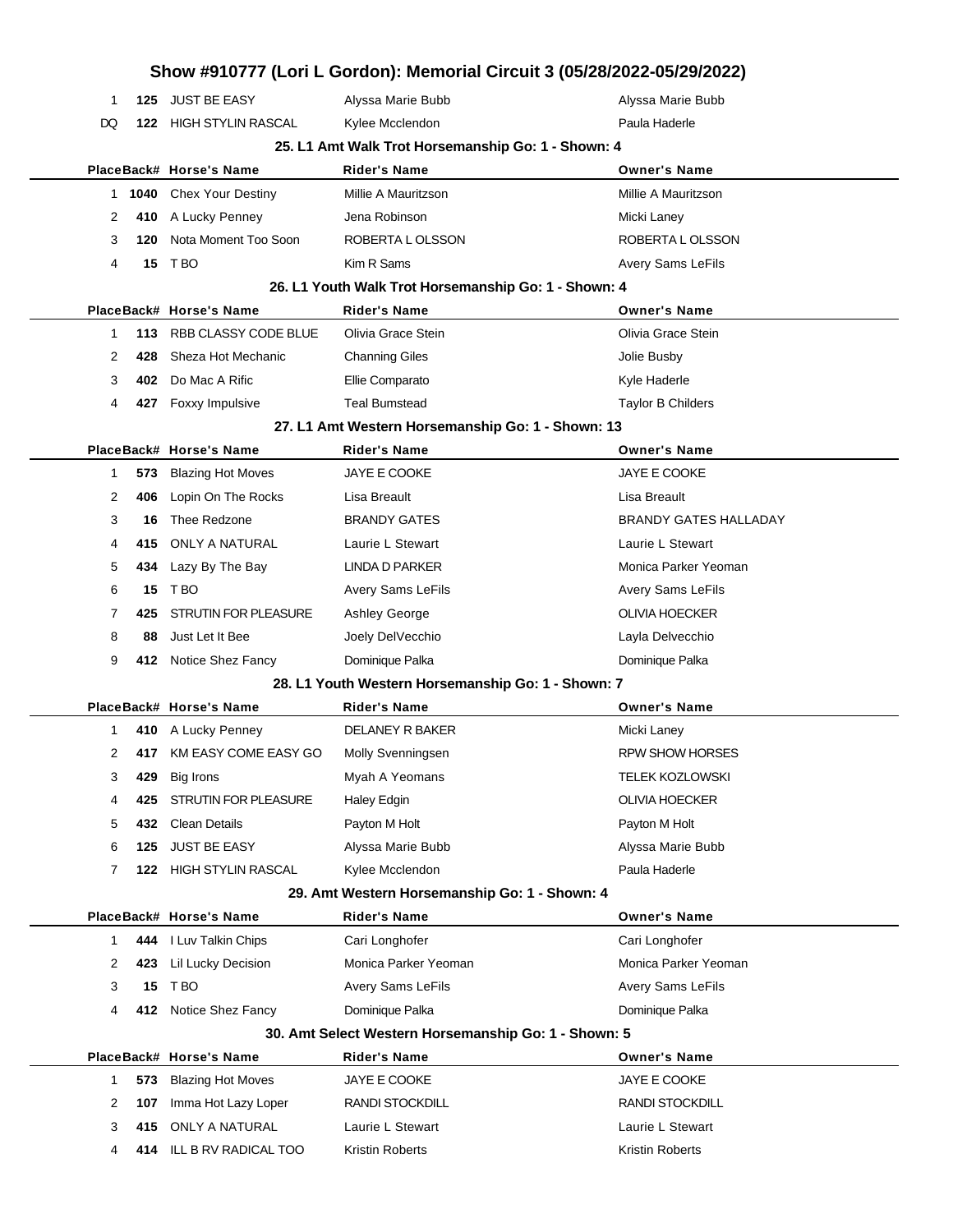|              |      |                           | Show #910777 (Lori L Gordon): Memorial Circuit 3 (05/28/2022-05/29/2022) |                              |
|--------------|------|---------------------------|--------------------------------------------------------------------------|------------------------------|
| 1            |      | 125 JUST BE EASY          | Alyssa Marie Bubb                                                        | Alyssa Marie Bubb            |
| DQ           | 122  | HIGH STYLIN RASCAL        | Kylee Mcclendon                                                          | Paula Haderle                |
|              |      |                           | 25. L1 Amt Walk Trot Horsemanship Go: 1 - Shown: 4                       |                              |
|              |      | PlaceBack# Horse's Name   | <b>Rider's Name</b>                                                      | <b>Owner's Name</b>          |
| 1.           | 1040 | <b>Chex Your Destiny</b>  | Millie A Mauritzson                                                      | Millie A Mauritzson          |
| 2            | 410  | A Lucky Penney            | Jena Robinson                                                            | Micki Laney                  |
| 3            | 120  | Nota Moment Too Soon      | ROBERTA LOLSSON                                                          | ROBERTA L OLSSON             |
| 4            |      | <b>15 TBO</b>             | Kim R Sams                                                               | Avery Sams LeFils            |
|              |      |                           | 26. L1 Youth Walk Trot Horsemanship Go: 1 - Shown: 4                     |                              |
|              |      | PlaceBack# Horse's Name   | <b>Rider's Name</b>                                                      | <b>Owner's Name</b>          |
| 1            | 113  | RBB CLASSY CODE BLUE      | Olivia Grace Stein                                                       | Olivia Grace Stein           |
| 2            | 428  | Sheza Hot Mechanic        | <b>Channing Giles</b>                                                    | Jolie Busby                  |
| 3            | 402  | Do Mac A Rific            | Ellie Comparato                                                          | Kyle Haderle                 |
| 4            | 427  | Foxxy Impulsive           | <b>Teal Bumstead</b>                                                     | <b>Taylor B Childers</b>     |
|              |      |                           | 27. L1 Amt Western Horsemanship Go: 1 - Shown: 13                        |                              |
|              |      | PlaceBack# Horse's Name   | <b>Rider's Name</b>                                                      | <b>Owner's Name</b>          |
| 1            | 573  | <b>Blazing Hot Moves</b>  | JAYE E COOKE                                                             | JAYE E COOKE                 |
| 2            | 406  | Lopin On The Rocks        | Lisa Breault                                                             | Lisa Breault                 |
| 3            | 16   | Thee Redzone              | <b>BRANDY GATES</b>                                                      | <b>BRANDY GATES HALLADAY</b> |
| 4            | 415  | ONLY A NATURAL            | Laurie L Stewart                                                         | Laurie L Stewart             |
| 5            | 434  | Lazy By The Bay           | LINDA D PARKER                                                           | Monica Parker Yeoman         |
| 6            | 15   | T BO                      | Avery Sams LeFils                                                        | <b>Avery Sams LeFils</b>     |
| 7            | 425  | STRUTIN FOR PLEASURE      | Ashley George                                                            | <b>OLIVIA HOECKER</b>        |
| 8            | 88   | Just Let It Bee           | Joely DelVecchio                                                         | Layla Delvecchio             |
| 9            |      | 412 Notice Shez Fancy     | Dominique Palka                                                          | Dominique Palka              |
|              |      |                           | 28. L1 Youth Western Horsemanship Go: 1 - Shown: 7                       |                              |
|              |      | PlaceBack# Horse's Name   | <b>Rider's Name</b>                                                      | <b>Owner's Name</b>          |
| 1            |      | 410 A Lucky Penney        | DELANEY R BAKER                                                          | Micki Laney                  |
| 2            |      | 417 KM EASY COME EASY GO  | Molly Svenningsen                                                        | <b>RPW SHOW HORSES</b>       |
| 3            | 429  | Big Irons                 | Myah A Yeomans                                                           | <b>TELEK KOZLOWSKI</b>       |
| 4            | 425  | STRUTIN FOR PLEASURE      | Haley Edgin                                                              | <b>OLIVIA HOECKER</b>        |
| 5            | 432  | <b>Clean Details</b>      | Payton M Holt                                                            | Payton M Holt                |
| 6            | 125  | <b>JUST BE EASY</b>       | Alyssa Marie Bubb                                                        | Alyssa Marie Bubb            |
| 7            | 122  | <b>HIGH STYLIN RASCAL</b> | Kylee Mcclendon                                                          | Paula Haderle                |
|              |      |                           | 29. Amt Western Horsemanship Go: 1 - Shown: 4                            |                              |
|              |      | PlaceBack# Horse's Name   | <b>Rider's Name</b>                                                      | <b>Owner's Name</b>          |
| 1            |      | 444 I Luv Talkin Chips    | Cari Longhofer                                                           | Cari Longhofer               |
| 2            | 423  | Lil Lucky Decision        | Monica Parker Yeoman                                                     | Monica Parker Yeoman         |
| 3            | 15   | T BO                      | Avery Sams LeFils                                                        | Avery Sams LeFils            |
| 4            |      | 412 Notice Shez Fancy     | Dominique Palka                                                          | Dominique Palka              |
|              |      |                           | 30. Amt Select Western Horsemanship Go: 1 - Shown: 5                     |                              |
|              |      | PlaceBack# Horse's Name   | <b>Rider's Name</b>                                                      | <b>Owner's Name</b>          |
| $\mathbf{1}$ | 573  | <b>Blazing Hot Moves</b>  | JAYE E COOKE                                                             | JAYE E COOKE                 |
| 2            | 107  | Imma Hot Lazy Loper       | RANDI STOCKDILL                                                          | RANDI STOCKDILL              |
| 3            | 415  | <b>ONLY A NATURAL</b>     | Laurie L Stewart                                                         | Laurie L Stewart             |
| 4            |      | 414 ILL B RV RADICAL TOO  | Kristin Roberts                                                          | Kristin Roberts              |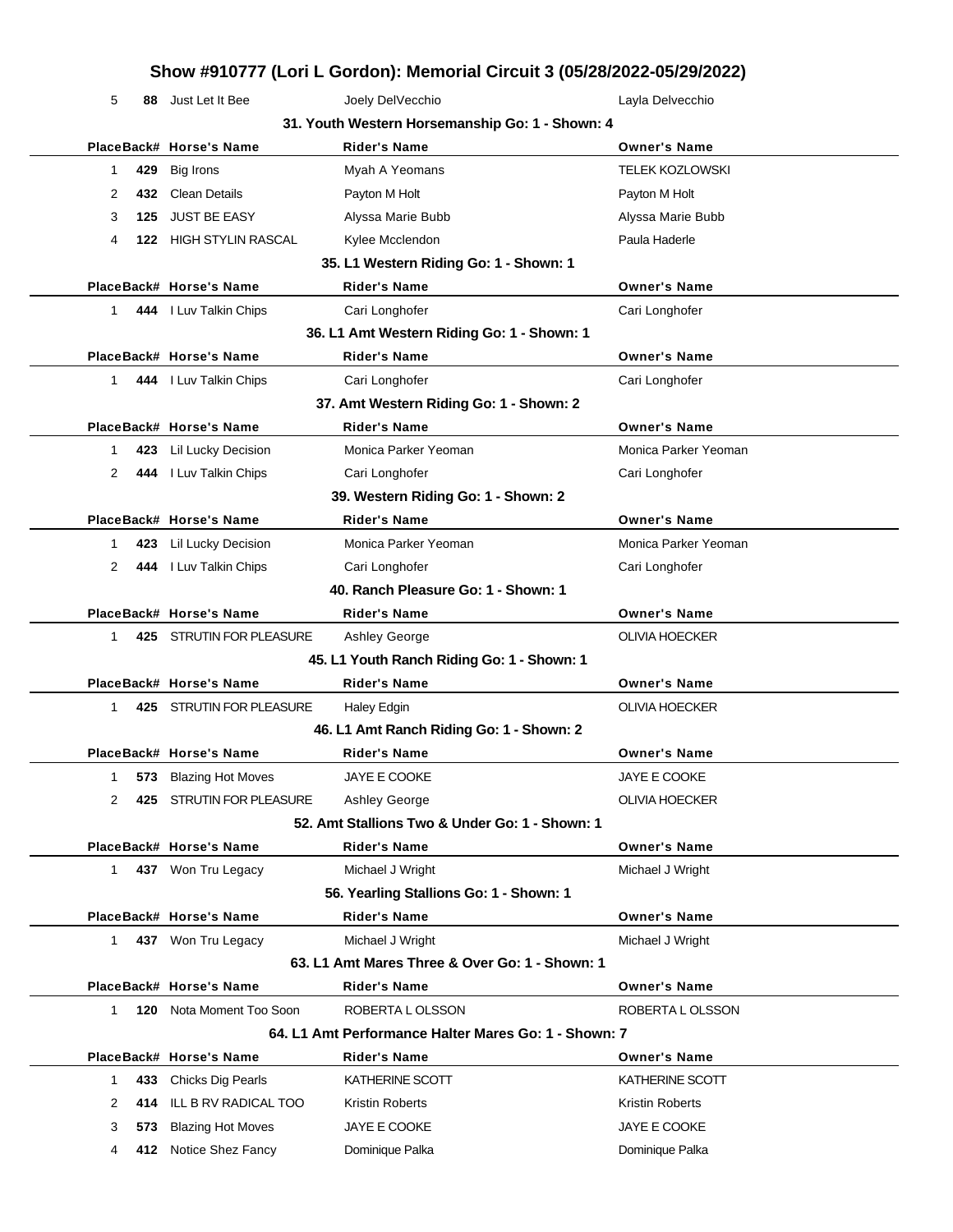| 5            |     | 88 Just Let It Bee       | Joely DelVecchio                                     | Layla Delvecchio       |
|--------------|-----|--------------------------|------------------------------------------------------|------------------------|
|              |     |                          | 31. Youth Western Horsemanship Go: 1 - Shown: 4      |                        |
|              |     | PlaceBack# Horse's Name  | <b>Rider's Name</b>                                  | <b>Owner's Name</b>    |
| 1            | 429 | <b>Big Irons</b>         | Myah A Yeomans                                       | <b>TELEK KOZLOWSKI</b> |
| 2            | 432 | <b>Clean Details</b>     | Payton M Holt                                        | Payton M Holt          |
| 3            | 125 | <b>JUST BE EASY</b>      | Alyssa Marie Bubb                                    | Alyssa Marie Bubb      |
| 4            |     | 122 HIGH STYLIN RASCAL   | Kylee Mcclendon                                      | Paula Haderle          |
|              |     |                          | 35. L1 Western Riding Go: 1 - Shown: 1               |                        |
|              |     | PlaceBack# Horse's Name  | <b>Rider's Name</b>                                  | <b>Owner's Name</b>    |
| $\mathbf{1}$ |     | 444 I Luv Talkin Chips   | Cari Longhofer                                       | Cari Longhofer         |
|              |     |                          | 36. L1 Amt Western Riding Go: 1 - Shown: 1           |                        |
|              |     | PlaceBack# Horse's Name  | <b>Rider's Name</b>                                  | <b>Owner's Name</b>    |
| $\mathbf{1}$ |     | 444 I Luv Talkin Chips   | Cari Longhofer                                       | Cari Longhofer         |
|              |     |                          | 37. Amt Western Riding Go: 1 - Shown: 2              |                        |
|              |     | PlaceBack# Horse's Name  | <b>Rider's Name</b>                                  | <b>Owner's Name</b>    |
| 1            |     | 423 Lil Lucky Decision   | Monica Parker Yeoman                                 | Monica Parker Yeoman   |
| 2            |     | 444 I Luv Talkin Chips   | Cari Longhofer                                       | Cari Longhofer         |
|              |     |                          | 39. Western Riding Go: 1 - Shown: 2                  |                        |
|              |     | PlaceBack# Horse's Name  | <b>Rider's Name</b>                                  | <b>Owner's Name</b>    |
| 1            | 423 | Lil Lucky Decision       | Monica Parker Yeoman                                 | Monica Parker Yeoman   |
| 2            |     | 444 I Luv Talkin Chips   | Cari Longhofer                                       | Cari Longhofer         |
|              |     |                          | 40. Ranch Pleasure Go: 1 - Shown: 1                  |                        |
|              |     | PlaceBack# Horse's Name  | Rider's Name                                         | <b>Owner's Name</b>    |
| $\mathbf 1$  |     | 425 STRUTIN FOR PLEASURE | Ashley George                                        | <b>OLIVIA HOECKER</b>  |
|              |     |                          | 45. L1 Youth Ranch Riding Go: 1 - Shown: 1           |                        |
|              |     | PlaceBack# Horse's Name  | <b>Rider's Name</b>                                  | <b>Owner's Name</b>    |
| 1            |     | 425 STRUTIN FOR PLEASURE | <b>Haley Edgin</b>                                   | <b>OLIVIA HOECKER</b>  |
|              |     |                          | 46. L1 Amt Ranch Riding Go: 1 - Shown: 2             |                        |
|              |     | PlaceBack# Horse's Name  | <b>Rider's Name</b>                                  | <b>Owner's Name</b>    |
|              |     | 573 Blazing Hot Moves    | JAYE E COOKE                                         | JAYE E COOKE           |
| 2            |     | 425 STRUTIN FOR PLEASURE | Ashley George                                        | <b>OLIVIA HOECKER</b>  |
|              |     |                          | 52. Amt Stallions Two & Under Go: 1 - Shown: 1       |                        |
|              |     | PlaceBack# Horse's Name  | <b>Rider's Name</b>                                  | <b>Owner's Name</b>    |
| $\mathbf{1}$ |     | 437 Won Tru Legacy       | Michael J Wright                                     | Michael J Wright       |
|              |     |                          | 56. Yearling Stallions Go: 1 - Shown: 1              |                        |
|              |     | PlaceBack# Horse's Name  | <b>Rider's Name</b>                                  | <b>Owner's Name</b>    |
| $\mathbf{1}$ |     | 437 Won Tru Legacy       | Michael J Wright                                     | Michael J Wright       |
|              |     |                          | 63. L1 Amt Mares Three & Over Go: 1 - Shown: 1       |                        |
|              |     | PlaceBack# Horse's Name  | <b>Rider's Name</b>                                  | <b>Owner's Name</b>    |
| $\mathbf 1$  |     | 120 Nota Moment Too Soon | ROBERTA LOLSSON                                      | ROBERTA L OLSSON       |
|              |     |                          | 64. L1 Amt Performance Halter Mares Go: 1 - Shown: 7 |                        |
|              |     | PlaceBack# Horse's Name  | <b>Rider's Name</b>                                  | <b>Owner's Name</b>    |
| $\mathbf{1}$ | 433 | Chicks Dig Pearls        | KATHERINE SCOTT                                      | KATHERINE SCOTT        |
| 2            | 414 | ILL B RV RADICAL TOO     | Kristin Roberts                                      | <b>Kristin Roberts</b> |
| 3            | 573 | <b>Blazing Hot Moves</b> | JAYE E COOKE                                         | JAYE E COOKE           |
| 4            | 412 | Notice Shez Fancy        | Dominique Palka                                      | Dominique Palka        |
|              |     |                          |                                                      |                        |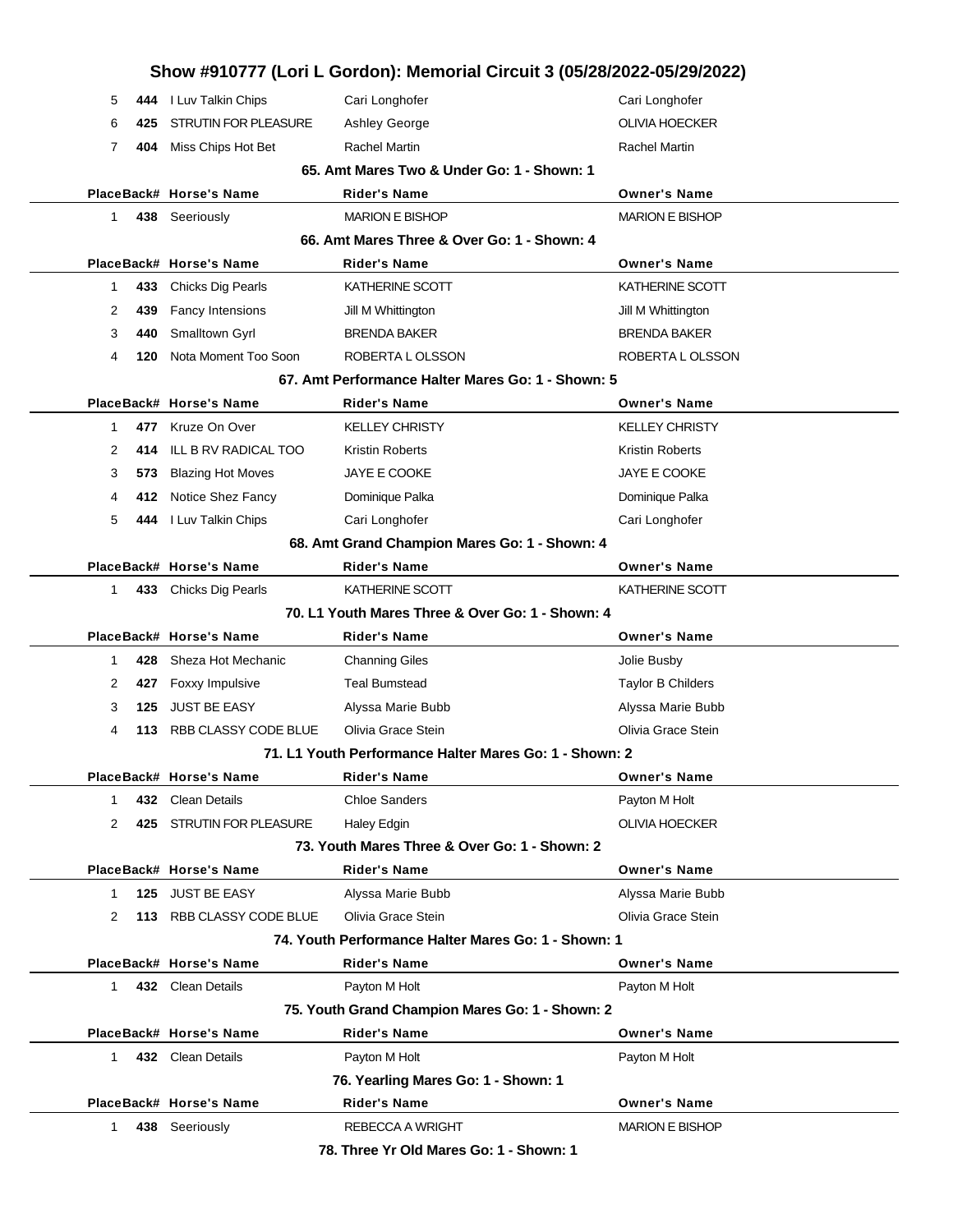|           |     |                             | Show #910777 (Lori L Gordon): Memorial Circuit 3 (05/28/2022-05/29/2022) |                          |
|-----------|-----|-----------------------------|--------------------------------------------------------------------------|--------------------------|
| 5         | 444 | I Luv Talkin Chips          | Cari Longhofer                                                           | Cari Longhofer           |
| 6         | 425 | <b>STRUTIN FOR PLEASURE</b> | Ashley George                                                            | <b>OLIVIA HOECKER</b>    |
| 7         | 404 | Miss Chips Hot Bet          | Rachel Martin                                                            | Rachel Martin            |
|           |     |                             | 65. Amt Mares Two & Under Go: 1 - Shown: 1                               |                          |
|           |     | PlaceBack# Horse's Name     | Rider's Name                                                             | <b>Owner's Name</b>      |
| 1.        |     | 438 Seeriously              | <b>MARION E BISHOP</b>                                                   | <b>MARION E BISHOP</b>   |
|           |     |                             | 66. Amt Mares Three & Over Go: 1 - Shown: 4                              |                          |
|           |     | PlaceBack# Horse's Name     | Rider's Name                                                             | <b>Owner's Name</b>      |
| 1         | 433 | Chicks Dig Pearls           | KATHERINE SCOTT                                                          | KATHERINE SCOTT          |
| 2         | 439 | <b>Fancy Intensions</b>     | Jill M Whittington                                                       | Jill M Whittington       |
| 3         | 440 | Smalltown Gyrl              | <b>BRENDA BAKER</b>                                                      | <b>BRENDA BAKER</b>      |
| 4         | 120 | Nota Moment Too Soon        | ROBERTA L OLSSON                                                         | ROBERTA L OLSSON         |
|           |     |                             | 67. Amt Performance Halter Mares Go: 1 - Shown: 5                        |                          |
|           |     | PlaceBack# Horse's Name     | Rider's Name                                                             | <b>Owner's Name</b>      |
| 1.        | 477 | Kruze On Over               | <b>KELLEY CHRISTY</b>                                                    | <b>KELLEY CHRISTY</b>    |
| 2         | 414 | ILL B RV RADICAL TOO        | Kristin Roberts                                                          | Kristin Roberts          |
| 3         | 573 | <b>Blazing Hot Moves</b>    | JAYE E COOKE                                                             | JAYE E COOKE             |
| 4         | 412 | Notice Shez Fancy           | Dominique Palka                                                          | Dominique Palka          |
| 5         |     | 444 I Luv Talkin Chips      | Cari Longhofer                                                           | Cari Longhofer           |
|           |     |                             | 68. Amt Grand Champion Mares Go: 1 - Shown: 4                            |                          |
|           |     | PlaceBack# Horse's Name     | Rider's Name                                                             | <b>Owner's Name</b>      |
| 1         |     | 433 Chicks Dig Pearls       | KATHERINE SCOTT                                                          | KATHERINE SCOTT          |
|           |     |                             | 70. L1 Youth Mares Three & Over Go: 1 - Shown: 4                         |                          |
|           |     | PlaceBack# Horse's Name     | Rider's Name                                                             | <b>Owner's Name</b>      |
| 1         | 428 | Sheza Hot Mechanic          | <b>Channing Giles</b>                                                    | Jolie Busby              |
| 2         | 427 | <b>Foxxy Impulsive</b>      | <b>Teal Bumstead</b>                                                     | <b>Taylor B Childers</b> |
| 3         | 125 | <b>JUST BE EASY</b>         | Alyssa Marie Bubb                                                        | Alyssa Marie Bubb        |
| 4         | 113 | RBB CLASSY CODE BLUE        | Olivia Grace Stein                                                       | Olivia Grace Stein       |
|           |     |                             | 71. L1 Youth Performance Halter Mares Go: 1 - Shown: 2                   |                          |
|           |     | PlaceBack# Horse's Name     | Rider's Name                                                             | <b>Owner's Name</b>      |
| 1.        |     | 432 Clean Details           | Chloe Sanders                                                            | Payton M Holt            |
| 2         | 425 | STRUTIN FOR PLEASURE        | Haley Edgin                                                              | OLIVIA HOECKER           |
|           |     |                             | 73. Youth Mares Three & Over Go: 1 - Shown: 2                            |                          |
|           |     | PlaceBack# Horse's Name     | Rider's Name                                                             | <b>Owner's Name</b>      |
| 1.        | 125 | <b>JUST BE EASY</b>         | Alyssa Marie Bubb                                                        | Alyssa Marie Bubb        |
| 2         |     | 113 RBB CLASSY CODE BLUE    | Olivia Grace Stein                                                       | Olivia Grace Stein       |
|           |     |                             | 74. Youth Performance Halter Mares Go: 1 - Shown: 1                      |                          |
|           |     | PlaceBack# Horse's Name     | Rider's Name                                                             | <b>Owner's Name</b>      |
| $1 \quad$ |     | 432 Clean Details           | Payton M Holt                                                            | Payton M Holt            |
|           |     |                             | 75. Youth Grand Champion Mares Go: 1 - Shown: 2                          |                          |
|           |     | PlaceBack# Horse's Name     | <b>Rider's Name</b>                                                      | <b>Owner's Name</b>      |
| $1 \quad$ |     | 432 Clean Details           | Payton M Holt                                                            | Payton M Holt            |
|           |     |                             | 76. Yearling Mares Go: 1 - Shown: 1                                      |                          |
|           |     | PlaceBack# Horse's Name     | <b>Rider's Name</b>                                                      | <b>Owner's Name</b>      |
| 1.        |     | 438 Seeriously              | REBECCA A WRIGHT                                                         | <b>MARION E BISHOP</b>   |
|           |     |                             | 78. Three Yr Old Mares Go: 1 - Shown: 1                                  |                          |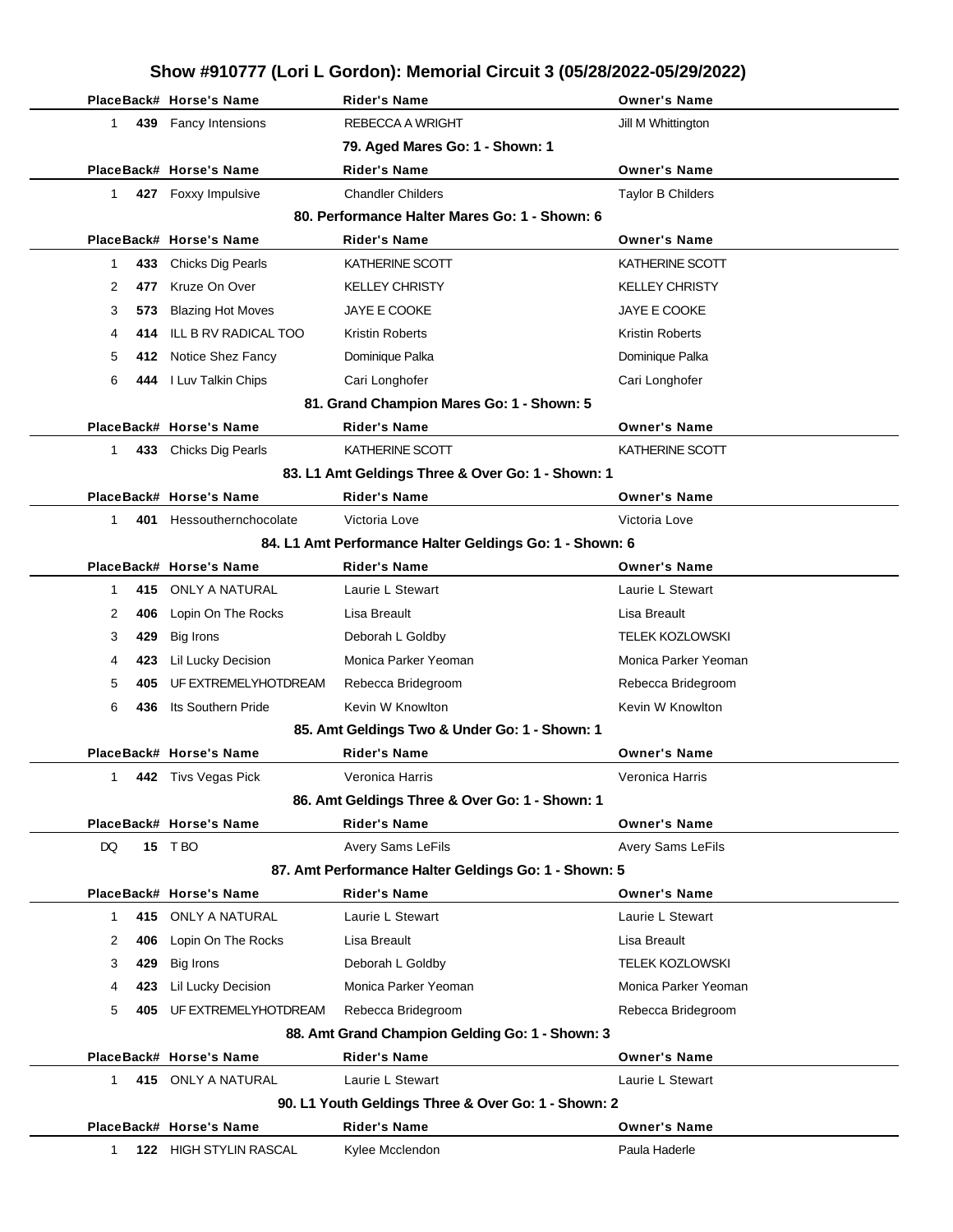|    |           | PlaceBack# Horse's Name       | <b>Rider's Name</b>                                     | <b>Owner's Name</b>      |
|----|-----------|-------------------------------|---------------------------------------------------------|--------------------------|
|    | 1.        | 439 Fancy Intensions          | REBECCA A WRIGHT                                        | Jill M Whittington       |
|    |           |                               | 79. Aged Mares Go: 1 - Shown: 1                         |                          |
|    |           | PlaceBack# Horse's Name       | <b>Rider's Name</b>                                     | <b>Owner's Name</b>      |
|    | 1.        | 427 Foxxy Impulsive           | <b>Chandler Childers</b>                                | <b>Taylor B Childers</b> |
|    |           |                               | 80. Performance Halter Mares Go: 1 - Shown: 6           |                          |
|    |           | PlaceBack# Horse's Name       | <b>Rider's Name</b>                                     | <b>Owner's Name</b>      |
|    | 433<br>1  | Chicks Dig Pearls             | KATHERINE SCOTT                                         | KATHERINE SCOTT          |
|    | 2<br>477  | Kruze On Over                 | <b>KELLEY CHRISTY</b>                                   | <b>KELLEY CHRISTY</b>    |
|    | 3<br>573  | <b>Blazing Hot Moves</b>      | JAYE E COOKE                                            | JAYE E COOKE             |
|    | 4<br>414  | ILL B RV RADICAL TOO          | Kristin Roberts                                         | Kristin Roberts          |
|    | 5         | 412 Notice Shez Fancy         | Dominique Palka                                         | Dominique Palka          |
|    | 6<br>444  | I Luv Talkin Chips            | Cari Longhofer                                          | Cari Longhofer           |
|    |           |                               | 81. Grand Champion Mares Go: 1 - Shown: 5               |                          |
|    |           | PlaceBack# Horse's Name       | <b>Rider's Name</b>                                     | <b>Owner's Name</b>      |
|    | 1.        | 433 Chicks Dig Pearls         | KATHERINE SCOTT                                         | KATHERINE SCOTT          |
|    |           |                               | 83. L1 Amt Geldings Three & Over Go: 1 - Shown: 1       |                          |
|    |           | PlaceBack# Horse's Name       | <b>Rider's Name</b>                                     | <b>Owner's Name</b>      |
|    | 401<br>1. | Hessouthernchocolate          | Victoria Love                                           | Victoria Love            |
|    |           |                               | 84. L1 Amt Performance Halter Geldings Go: 1 - Shown: 6 |                          |
|    |           | PlaceBack# Horse's Name       | <b>Rider's Name</b>                                     | <b>Owner's Name</b>      |
|    | 415<br>1  | ONLY A NATURAL                | Laurie L Stewart                                        | Laurie L Stewart         |
|    | 2<br>406  | Lopin On The Rocks            | Lisa Breault                                            | Lisa Breault             |
|    | 3<br>429  | Big Irons                     | Deborah L Goldby                                        | TELEK KOZLOWSKI          |
|    | 4<br>423  | Lil Lucky Decision            | Monica Parker Yeoman                                    | Monica Parker Yeoman     |
|    | 405<br>5  | UF EXTREMELYHOTDREAM          | Rebecca Bridegroom                                      | Rebecca Bridegroom       |
|    | 6<br>436  | Its Southern Pride            | Kevin W Knowlton                                        | Kevin W Knowlton         |
|    |           |                               | 85. Amt Geldings Two & Under Go: 1 - Shown: 1           |                          |
|    |           | PlaceBack# Horse's Name       | Rider's Name                                            | <b>Owner's Name</b>      |
|    |           | 442 Tivs Vegas Pick           | Veronica Harris                                         | Veronica Harris          |
|    |           |                               | 86. Amt Geldings Three & Over Go: 1 - Shown: 1          |                          |
|    |           | PlaceBack# Horse's Name       | Rider's Name                                            | <b>Owner's Name</b>      |
| DQ |           | 15 TBO                        | Avery Sams LeFils                                       | Avery Sams LeFils        |
|    |           |                               | 87. Amt Performance Halter Geldings Go: 1 - Shown: 5    |                          |
|    |           | PlaceBack# Horse's Name       | <b>Rider's Name</b>                                     | <b>Owner's Name</b>      |
|    | 415<br>1  | <b>ONLY A NATURAL</b>         | Laurie L Stewart                                        | Laurie L Stewart         |
|    | 2<br>406  | Lopin On The Rocks            | Lisa Breault                                            | Lisa Breault             |
|    | 3<br>429  | Big Irons                     | Deborah L Goldby                                        | <b>TELEK KOZLOWSKI</b>   |
|    | 4<br>423  | Lil Lucky Decision            | Monica Parker Yeoman                                    | Monica Parker Yeoman     |
|    | 5<br>405  | UF EXTREMELYHOTDREAM          | Rebecca Bridegroom                                      | Rebecca Bridegroom       |
|    |           |                               | 88. Amt Grand Champion Gelding Go: 1 - Shown: 3         |                          |
|    |           | PlaceBack# Horse's Name       | Rider's Name                                            | <b>Owner's Name</b>      |
|    | 1.        | 415 ONLY A NATURAL            | Laurie L Stewart                                        | Laurie L Stewart         |
|    |           |                               | 90. L1 Youth Geldings Three & Over Go: 1 - Shown: 2     |                          |
|    |           | PlaceBack# Horse's Name       | <b>Rider's Name</b>                                     | <b>Owner's Name</b>      |
|    | 1         | <b>122 HIGH STYLIN RASCAL</b> | Kylee Mcclendon                                         | Paula Haderle            |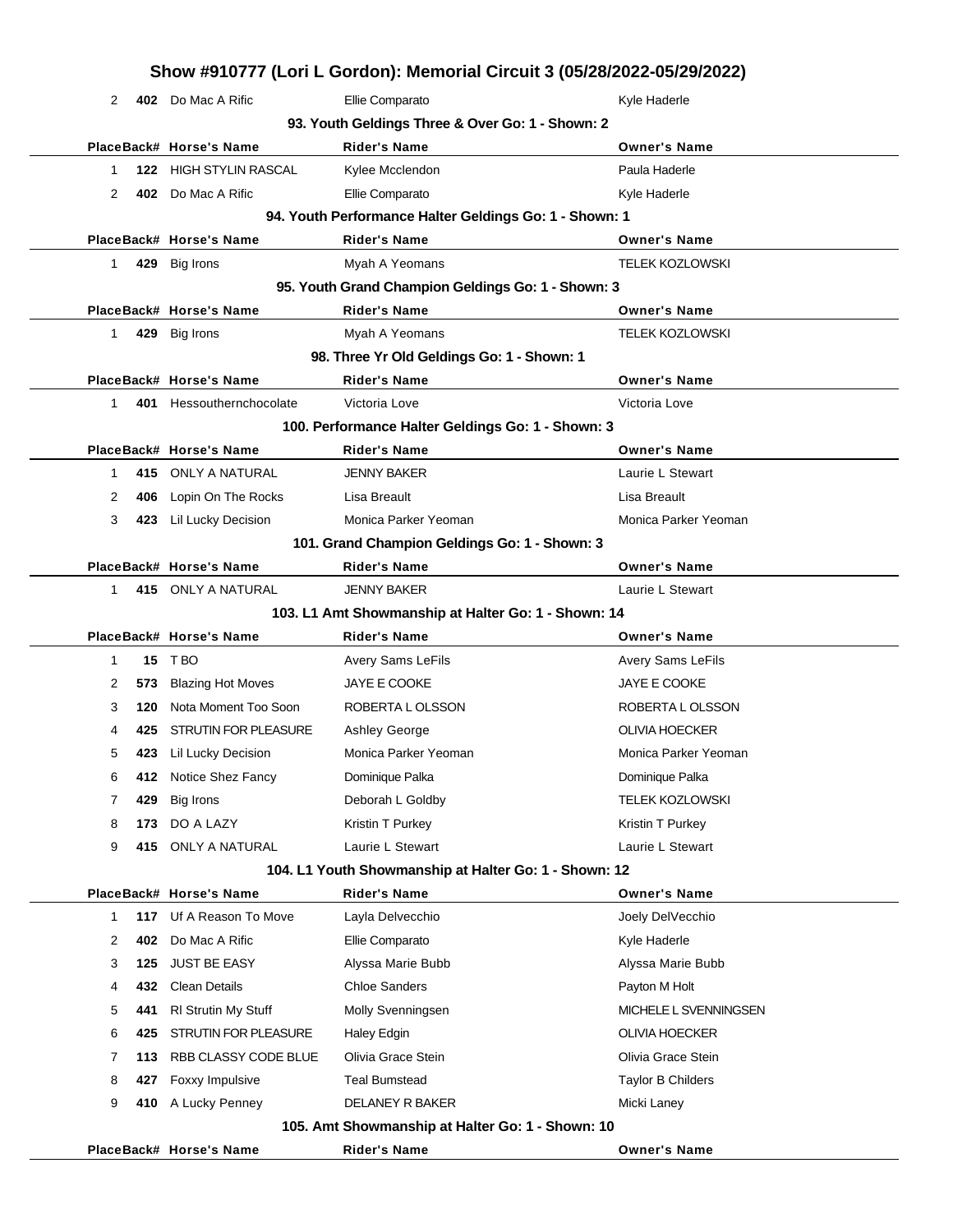## **Show #910777 (Lori L Gordon): Memorial Circuit 3 (05/28/2022-05/29/2022)** 2 **402** Do Mac A Rific **Ellie Comparato** Ellie Comparato Kyle Haderle **93. Youth Geldings Three & Over Go: 1 - Shown: 2 PlaceBack# Horse's Name Rider's Name Owner's Name** 1 **122** HIGH STYLIN RASCAL Kylee Mcclendon **Paula Haderle** Paula Haderle 2 **402** Do Mac A Rific **Ellie Comparato** Ellie Comparato Kyle Haderle **94. Youth Performance Halter Geldings Go: 1 - Shown: 1 PlaceBack# Horse's Name Rider's Name Owner's Name** 1 **429** Big Irons **Myah A Yeomans** TELEK KOZLOWSKI **95. Youth Grand Champion Geldings Go: 1 - Shown: 3 PlaceBack# Horse's Name Rider's Name Owner's Name** 1 **429** Big Irons **Myah A Yeomans** TELEK KOZLOWSKI **98. Three Yr Old Geldings Go: 1 - Shown: 1 PlaceBack# Horse's Name Rider's Name Owner's Name** 1 **401** Hessouthernchocolate Victoria Love **Victoria Love** Victoria Love **100. Performance Halter Geldings Go: 1 - Shown: 3 PlaceBack# Horse's Name Rider's Name Owner's Name** 1 **415** ONLY A NATURAL JENNY BAKER **Laurie L Stewart** 2 **406** Lopin On The Rocks Lisa Breault Lisa Breault 3 **423** Lil Lucky Decision Monica Parker Yeoman Monica Parker Yeoman **101. Grand Champion Geldings Go: 1 - Shown: 3 PlaceBack# Horse's Name Rider's Name Owner's Name** 1 **415** ONLY A NATURAL JENNY BAKER LAURE LAURIE L Stewart **103. L1 Amt Showmanship at Halter Go: 1 - Shown: 14 PlaceBack# Horse's Name Rider's Name Owner's Name** 1 **15** TBO **Avery Sams LeFils** Avery Sams LeFils Avery Sams LeFils 2 **573** Blazing Hot Moves JAYE E COOKE JAYE E COOKE 3 **120** Nota Moment Too Soon ROBERTA L OLSSON ROBERTA L OLSSON 4 **425** STRUTIN FOR PLEASURE Ashley George **CENTAL STATES AS A CONTACT A STATE OLIVIA HOECKER** 5 **423** Lil Lucky Decision Monica Parker Yeoman Monica Parker Yeoman 6 **412** Notice Shez Fancy Dominique Palka Dominique Palka 7 **429** Big Irons **Deborah L Goldby TELEK KOZLOWSKI** 8 **173** DO A LAZY **Kristin T Purkey Kristin T Purkey Kristin T Purkey Kristin T Purkey** 9 **415** ONLY A NATURAL Laurie L Stewart Laurie L Stewart Laurie L Stewart **104. L1 Youth Showmanship at Halter Go: 1 - Shown: 12 PlaceBack# Horse's Name Rider's Name Owner's Name** 1 **117** Uf A Reason To Move Layla Delvecchio Joely DelVecchio 2 **402** Do Mac A Rific **Ellie Comparato** Ellie Comparato Kyle Haderle 3 **125** JUST BE EASY Alyssa Marie Bubb Alyssa Marie Bubb 4 **432** Clean Details **Chloe Sanders Payton M Holt** Payton M Holt 5 **441** RI Strutin My Stuff Molly Svenningsen MICHELE L SVENNINGSEN 6 **425** STRUTIN FOR PLEASURE Haley Edgin **CLIVIA HOECKER** 7 **113** RBB CLASSY CODE BLUE Olivia Grace Stein Olivia Grace Stein 8 **427** Foxxy Impulsive Teal Bumstead Taylor B Childers 9 **410** A Lucky Penney **DELANEY R BAKER** Micki Laney **105. Amt Showmanship at Halter Go: 1 - Shown: 10 PlaceBack# Horse's Name Rider's Name Owner's Name**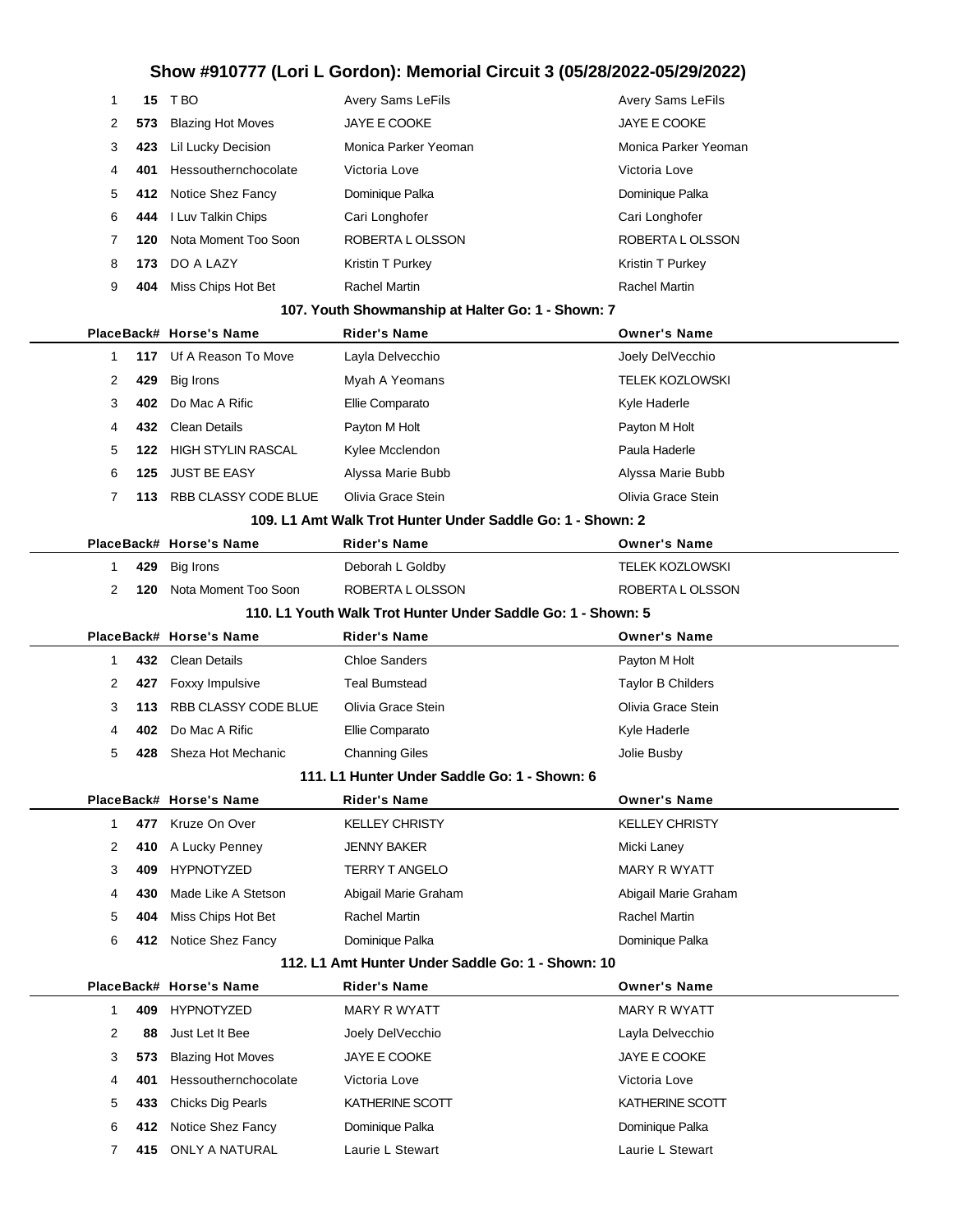| 1                   | T BO<br>15                  | Avery Sams LeFils                                            | Avery Sams LeFils        |
|---------------------|-----------------------------|--------------------------------------------------------------|--------------------------|
| 2<br>573            | <b>Blazing Hot Moves</b>    | JAYE E COOKE                                                 | <b>JAYE E COOKE</b>      |
| 3<br>423            | Lil Lucky Decision          | Monica Parker Yeoman                                         | Monica Parker Yeoman     |
| 4<br>401            | Hessouthernchocolate        | Victoria Love                                                | Victoria Love            |
| 5<br>412            | Notice Shez Fancy           | Dominique Palka                                              | Dominique Palka          |
| 6<br>444            | I Luv Talkin Chips          | Cari Longhofer                                               | Cari Longhofer           |
| 7<br>120            | Nota Moment Too Soon        | ROBERTA L OLSSON                                             | ROBERTA L OLSSON         |
| 8<br>173            | DO A LAZY                   | Kristin T Purkey                                             | Kristin T Purkey         |
| 9<br>404            | Miss Chips Hot Bet          | Rachel Martin                                                | Rachel Martin            |
|                     |                             | 107. Youth Showmanship at Halter Go: 1 - Shown: 7            |                          |
|                     | PlaceBack# Horse's Name     | <b>Rider's Name</b>                                          | <b>Owner's Name</b>      |
| 1<br>117            | Uf A Reason To Move         | Layla Delvecchio                                             | Joely DelVecchio         |
| 2<br>429            | <b>Big Irons</b>            | Myah A Yeomans                                               | <b>TELEK KOZLOWSKI</b>   |
| 3<br>402            | Do Mac A Rific              | Ellie Comparato                                              | Kyle Haderle             |
| 432<br>4            | <b>Clean Details</b>        | Payton M Holt                                                | Payton M Holt            |
| 5<br>122            | <b>HIGH STYLIN RASCAL</b>   | Kylee Mcclendon                                              | Paula Haderle            |
| 6<br>125            | <b>JUST BE EASY</b>         | Alyssa Marie Bubb                                            | Alyssa Marie Bubb        |
| 7<br>113            | RBB CLASSY CODE BLUE        | Olivia Grace Stein                                           | Olivia Grace Stein       |
|                     |                             | 109. L1 Amt Walk Trot Hunter Under Saddle Go: 1 - Shown: 2   |                          |
|                     | PlaceBack# Horse's Name     | <b>Rider's Name</b>                                          | <b>Owner's Name</b>      |
| 429<br>1            | <b>Big Irons</b>            | Deborah L Goldby                                             | TELEK KOZLOWSKI          |
| 2<br>120            | Nota Moment Too Soon        | ROBERTA LOLSSON                                              | ROBERTA L OLSSON         |
|                     |                             | 110. L1 Youth Walk Trot Hunter Under Saddle Go: 1 - Shown: 5 |                          |
|                     | PlaceBack# Horse's Name     | <b>Rider's Name</b>                                          | <b>Owner's Name</b>      |
| 432<br>1            | <b>Clean Details</b>        | <b>Chloe Sanders</b>                                         | Payton M Holt            |
| 2<br>427            | Foxxy Impulsive             | <b>Teal Bumstead</b>                                         | <b>Taylor B Childers</b> |
| 3<br>113            | <b>RBB CLASSY CODE BLUE</b> | Olivia Grace Stein                                           | Olivia Grace Stein       |
| 4<br>402            | Do Mac A Rific              | Ellie Comparato                                              | Kyle Haderle             |
| 5<br>428            | Sheza Hot Mechanic          | <b>Channing Giles</b>                                        | Jolie Busby              |
|                     |                             | 111. L1 Hunter Under Saddle Go: 1 - Shown: 6                 |                          |
|                     | PlaceBack# Horse's Name     | <b>Rider's Name</b>                                          | <b>Owner's Name</b>      |
| $\mathbf{1}$<br>477 | Kruze On Over               | <b>KELLEY CHRISTY</b>                                        | <b>KELLEY CHRISTY</b>    |
| 2<br>410            | A Lucky Penney              | <b>JENNY BAKER</b>                                           | Micki Laney              |
| 3<br>409            | <b>HYPNOTYZED</b>           | <b>TERRY T ANGELO</b>                                        | <b>MARY R WYATT</b>      |
| 4<br>430            | Made Like A Stetson         | Abigail Marie Graham                                         | Abigail Marie Graham     |
| 5<br>404            | Miss Chips Hot Bet          | Rachel Martin                                                | Rachel Martin            |
| 6<br>412            | Notice Shez Fancy           | Dominique Palka                                              | Dominique Palka          |
|                     |                             | 112. L1 Amt Hunter Under Saddle Go: 1 - Shown: 10            |                          |
|                     | PlaceBack# Horse's Name     | <b>Rider's Name</b>                                          | <b>Owner's Name</b>      |
| $\mathbf{1}$<br>409 | <b>HYPNOTYZED</b>           | MARY R WYATT                                                 | MARY R WYATT             |
| $\overline{2}$      | Just Let It Bee<br>88       | Joely DelVecchio                                             | Layla Delvecchio         |
| 3<br>573            | <b>Blazing Hot Moves</b>    | JAYE E COOKE                                                 | JAYE E COOKE             |
| 4<br>401            | Hessouthernchocolate        | Victoria Love                                                | Victoria Love            |
| 5<br>433            | Chicks Dig Pearls           | KATHERINE SCOTT                                              | KATHERINE SCOTT          |
| 6<br>412            | Notice Shez Fancy           | Dominique Palka                                              | Dominique Palka          |
| 7                   | 415 ONLY A NATURAL          | Laurie L Stewart                                             | Laurie L Stewart         |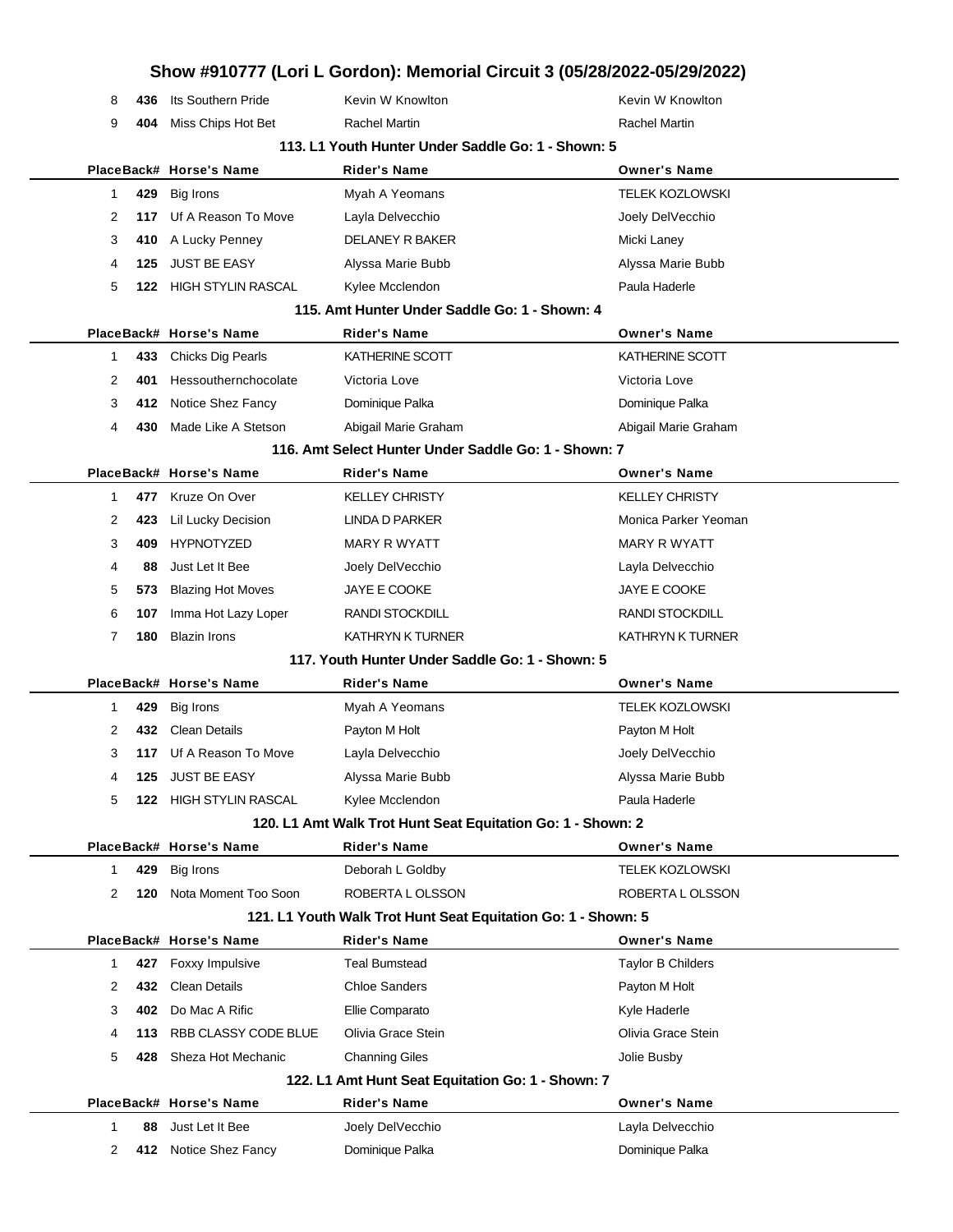| 8              |      | 436 Its Southern Pride        | Kevin W Knowlton                                              | Kevin W Knowlton         |
|----------------|------|-------------------------------|---------------------------------------------------------------|--------------------------|
| 9              | 404  | Miss Chips Hot Bet            | Rachel Martin                                                 | Rachel Martin            |
|                |      |                               | 113. L1 Youth Hunter Under Saddle Go: 1 - Shown: 5            |                          |
|                |      | PlaceBack# Horse's Name       | <b>Rider's Name</b>                                           | <b>Owner's Name</b>      |
| 1              | 429  | Big Irons                     | Myah A Yeomans                                                | <b>TELEK KOZLOWSKI</b>   |
| 2              | 117  | Uf A Reason To Move           | Layla Delvecchio                                              | Joely DelVecchio         |
| 3              |      | 410 A Lucky Penney            | DELANEY R BAKER                                               | Micki Laney              |
| 4              | 125  | <b>JUST BE EASY</b>           | Alyssa Marie Bubb                                             | Alyssa Marie Bubb        |
| 5              |      | 122 HIGH STYLIN RASCAL        | Kylee Mcclendon                                               | Paula Haderle            |
|                |      |                               | 115. Amt Hunter Under Saddle Go: 1 - Shown: 4                 |                          |
|                |      | PlaceBack# Horse's Name       | <b>Rider's Name</b>                                           | <b>Owner's Name</b>      |
| 1              |      | 433 Chicks Dig Pearls         | KATHERINE SCOTT                                               | KATHERINE SCOTT          |
| 2              | 401  | Hessouthernchocolate          | Victoria Love                                                 | Victoria Love            |
| 3              |      | 412 Notice Shez Fancy         | Dominique Palka                                               | Dominique Palka          |
| 4              | 430  | Made Like A Stetson           | Abigail Marie Graham                                          | Abigail Marie Graham     |
|                |      |                               | 116. Amt Select Hunter Under Saddle Go: 1 - Shown: 7          |                          |
|                |      | PlaceBack# Horse's Name       | <b>Rider's Name</b>                                           | <b>Owner's Name</b>      |
| 1              |      | 477 Kruze On Over             | <b>KELLEY CHRISTY</b>                                         | <b>KELLEY CHRISTY</b>    |
| 2              | 423  | Lil Lucky Decision            | LINDA D PARKER                                                | Monica Parker Yeoman     |
| 3              | 409  | HYPNOTYZED                    | <b>MARY R WYATT</b>                                           | <b>MARY R WYATT</b>      |
| 4              | 88   | Just Let It Bee               | Joely DelVecchio                                              | Layla Delvecchio         |
| 5              | 573. | <b>Blazing Hot Moves</b>      | <b>JAYE E COOKE</b>                                           | <b>JAYE E COOKE</b>      |
| 6              | 107  | Imma Hot Lazy Loper           | RANDI STOCKDILL                                               | RANDI STOCKDILL          |
| $\overline{7}$ | 180  | <b>Blazin Irons</b>           | <b>KATHRYN K TURNER</b>                                       | KATHRYN K TURNER         |
|                |      |                               | 117. Youth Hunter Under Saddle Go: 1 - Shown: 5               |                          |
|                |      | PlaceBack# Horse's Name       | <b>Rider's Name</b>                                           | <b>Owner's Name</b>      |
| 1              | 429  | Big Irons                     | Myah A Yeomans                                                | <b>TELEK KOZLOWSKI</b>   |
| 2              |      | 432 Clean Details             | Payton M Holt                                                 | Payton M Holt            |
| 3              |      | 117 Uf A Reason To Move       | Layla Delvecchio                                              | Joely DelVecchio         |
|                | 125  | <b>JUST BE EASY</b>           | Alyssa Marie Bubb                                             | Alyssa Marie Bubb        |
| 5              |      | <b>122 HIGH STYLIN RASCAL</b> | Kylee Mcclendon                                               | Paula Haderle            |
|                |      |                               | 120. L1 Amt Walk Trot Hunt Seat Equitation Go: 1 - Shown: 2   |                          |
|                |      | PlaceBack# Horse's Name       | <b>Rider's Name</b>                                           | <b>Owner's Name</b>      |
| 1              | 429  | Big Irons                     | Deborah L Goldby                                              | <b>TELEK KOZLOWSKI</b>   |
| 2              | 120  | Nota Moment Too Soon          | ROBERTA L OLSSON                                              | ROBERTA L OLSSON         |
|                |      |                               | 121. L1 Youth Walk Trot Hunt Seat Equitation Go: 1 - Shown: 5 |                          |
|                |      | PlaceBack# Horse's Name       | <b>Rider's Name</b>                                           | <b>Owner's Name</b>      |
| 1              | 427  | Foxxy Impulsive               | <b>Teal Bumstead</b>                                          | <b>Taylor B Childers</b> |
| 2              | 432. | <b>Clean Details</b>          | <b>Chloe Sanders</b>                                          | Payton M Holt            |
| 3              | 402. | Do Mac A Rific                | Ellie Comparato                                               | Kyle Haderle             |
| 4              | 113  | RBB CLASSY CODE BLUE          | Olivia Grace Stein                                            | Olivia Grace Stein       |
| 5              | 428  | Sheza Hot Mechanic            | <b>Channing Giles</b>                                         | Jolie Busby              |
|                |      |                               | 122. L1 Amt Hunt Seat Equitation Go: 1 - Shown: 7             |                          |
|                |      | PlaceBack# Horse's Name       | <b>Rider's Name</b>                                           | <b>Owner's Name</b>      |
| 1              | 88   | Just Let It Bee               | Joely DelVecchio                                              | Layla Delvecchio         |
| 2              |      | 412 Notice Shez Fancy         | Dominique Palka                                               | Dominique Palka          |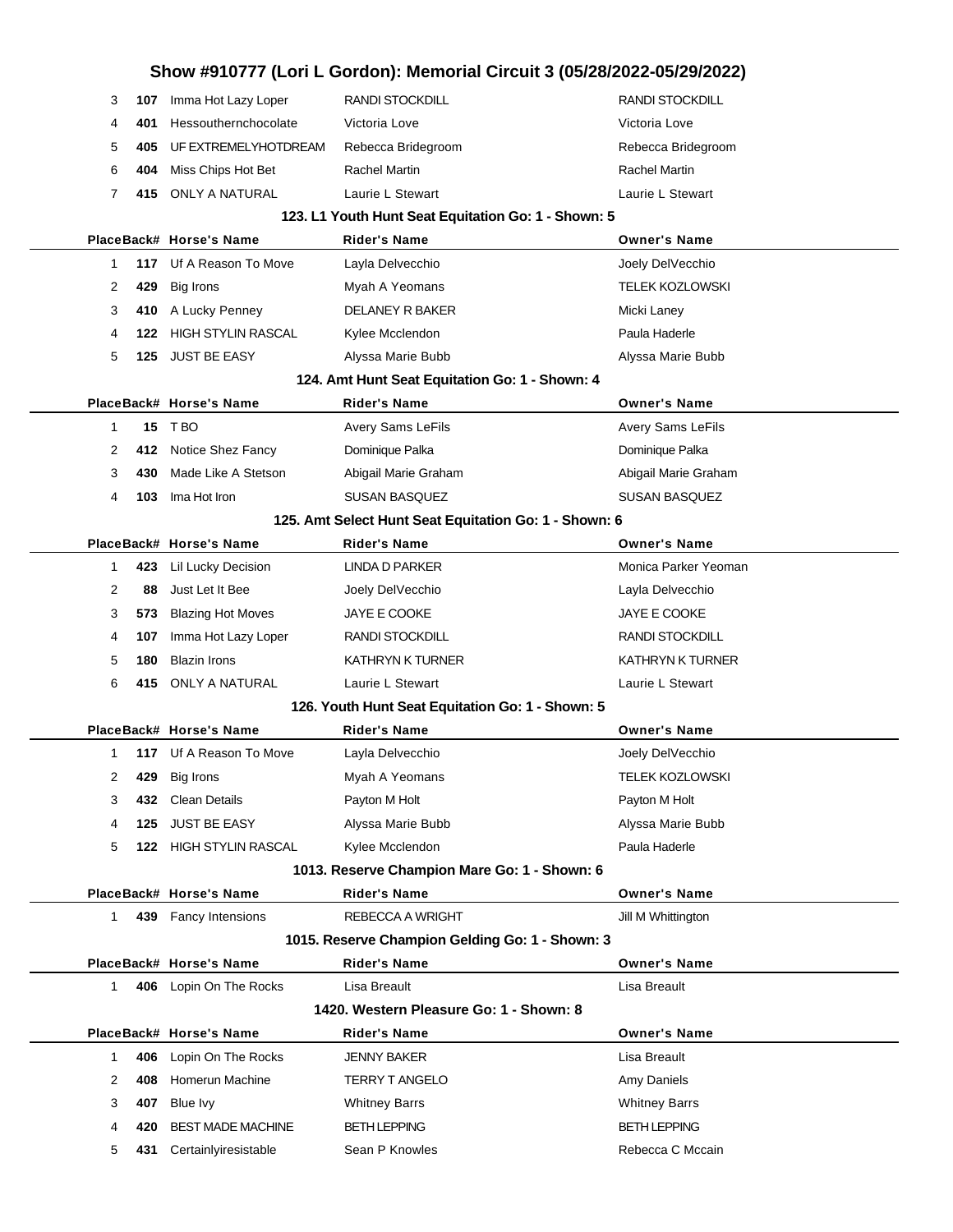|              |     |                           | Show #910777 (Lori L Gordon): Memorial Circuit 3 (05/28/2022-05/29/2022) |                         |
|--------------|-----|---------------------------|--------------------------------------------------------------------------|-------------------------|
| 3            | 107 | Imma Hot Lazy Loper       | <b>RANDI STOCKDILL</b>                                                   | <b>RANDI STOCKDILL</b>  |
| 4            | 401 | Hessouthernchocolate      | Victoria Love                                                            | Victoria Love           |
| 5            | 405 | UF EXTREMELYHOTDREAM      | Rebecca Bridegroom                                                       | Rebecca Bridegroom      |
| 6            | 404 | Miss Chips Hot Bet        | Rachel Martin                                                            | Rachel Martin           |
| 7            | 415 | ONLY A NATURAL            | Laurie L Stewart                                                         | Laurie L Stewart        |
|              |     |                           | 123. L1 Youth Hunt Seat Equitation Go: 1 - Shown: 5                      |                         |
|              |     | PlaceBack# Horse's Name   | <b>Rider's Name</b>                                                      | <b>Owner's Name</b>     |
| 1            | 117 | Uf A Reason To Move       | Layla Delvecchio                                                         | Joely DelVecchio        |
| 2            | 429 | <b>Big Irons</b>          | Myah A Yeomans                                                           | <b>TELEK KOZLOWSKI</b>  |
| 3            | 410 | A Lucky Penney            | <b>DELANEY R BAKER</b>                                                   | Micki Laney             |
| 4            | 122 | <b>HIGH STYLIN RASCAL</b> | Kylee Mcclendon                                                          | Paula Haderle           |
| 5            | 125 | <b>JUST BE EASY</b>       | Alyssa Marie Bubb                                                        | Alyssa Marie Bubb       |
|              |     |                           | 124. Amt Hunt Seat Equitation Go: 1 - Shown: 4                           |                         |
|              |     | PlaceBack# Horse's Name   | <b>Rider's Name</b>                                                      | <b>Owner's Name</b>     |
| 1            | 15  | T BO                      | Avery Sams LeFils                                                        | Avery Sams LeFils       |
| 2            | 412 | Notice Shez Fancy         | Dominique Palka                                                          | Dominique Palka         |
| 3            | 430 | Made Like A Stetson       | Abigail Marie Graham                                                     | Abigail Marie Graham    |
| 4            | 103 | Ima Hot Iron              | <b>SUSAN BASQUEZ</b>                                                     | <b>SUSAN BASQUEZ</b>    |
|              |     |                           | 125. Amt Select Hunt Seat Equitation Go: 1 - Shown: 6                    |                         |
|              |     | PlaceBack# Horse's Name   | <b>Rider's Name</b>                                                      | <b>Owner's Name</b>     |
| $\mathbf{1}$ | 423 | Lil Lucky Decision        | <b>LINDA D PARKER</b>                                                    | Monica Parker Yeoman    |
| 2            | 88  | Just Let It Bee           | Joely DelVecchio                                                         | Layla Delvecchio        |
| 3            | 573 | <b>Blazing Hot Moves</b>  | JAYE E COOKE                                                             | <b>JAYE E COOKE</b>     |
| 4            | 107 | Imma Hot Lazy Loper       | RANDI STOCKDILL                                                          | <b>RANDI STOCKDILL</b>  |
| 5            | 180 | <b>Blazin Irons</b>       | <b>KATHRYN K TURNER</b>                                                  | <b>KATHRYN K TURNER</b> |
| 6            | 415 | <b>ONLY A NATURAL</b>     | Laurie L Stewart                                                         | Laurie L Stewart        |
|              |     |                           | 126. Youth Hunt Seat Equitation Go: 1 - Shown: 5                         |                         |
|              |     | PlaceBack# Horse's Name   | <b>Rider's Name</b>                                                      | <b>Owner's Name</b>     |
|              |     | 117 Uf A Reason To Move   | Layla Delvecchio                                                         | Joely DelVecchio        |
| 2            | 429 | Big Irons                 | Myah A Yeomans                                                           | <b>TELEK KOZLOWSKI</b>  |
| 3            | 432 | <b>Clean Details</b>      | Payton M Holt                                                            | Payton M Holt           |
| 4            | 125 | <b>JUST BE EASY</b>       | Alyssa Marie Bubb                                                        | Alyssa Marie Bubb       |
| 5            | 122 | <b>HIGH STYLIN RASCAL</b> | Kylee Mcclendon                                                          | Paula Haderle           |
|              |     | PlaceBack# Horse's Name   | 1013. Reserve Champion Mare Go: 1 - Shown: 6<br><b>Rider's Name</b>      | <b>Owner's Name</b>     |
| 1.           |     | 439 Fancy Intensions      | REBECCA A WRIGHT                                                         | Jill M Whittington      |
|              |     |                           | 1015. Reserve Champion Gelding Go: 1 - Shown: 3                          |                         |
|              |     | PlaceBack# Horse's Name   | <b>Rider's Name</b>                                                      | <b>Owner's Name</b>     |
| $\mathbf{1}$ | 406 | Lopin On The Rocks        | Lisa Breault                                                             | Lisa Breault            |
|              |     |                           | 1420. Western Pleasure Go: 1 - Shown: 8                                  |                         |
|              |     | PlaceBack# Horse's Name   | <b>Rider's Name</b>                                                      | <b>Owner's Name</b>     |
| 1            | 406 | Lopin On The Rocks        | JENNY BAKER                                                              | Lisa Breault            |
| 2            | 408 | Homerun Machine           | <b>TERRY T ANGELO</b>                                                    | Amy Daniels             |
| 3            | 407 | Blue Ivy                  | <b>Whitney Barrs</b>                                                     | <b>Whitney Barrs</b>    |
| 4            | 420 | <b>BEST MADE MACHINE</b>  | <b>BETH LEPPING</b>                                                      | <b>BETH LEPPING</b>     |
| 5            | 431 | Certainlyiresistable      | Sean P Knowles                                                           | Rebecca C Mccain        |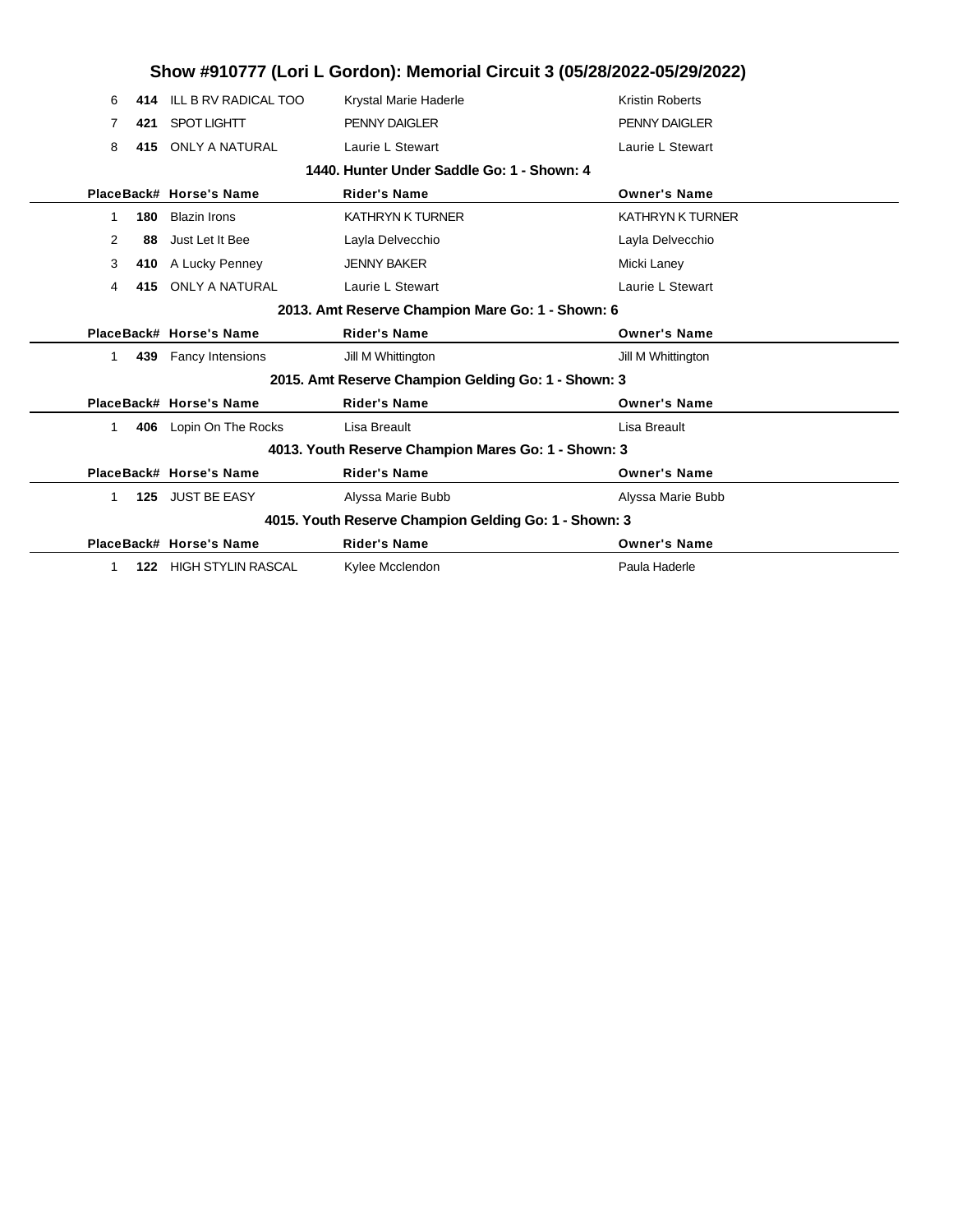|                |     |                         | Show #910777 (Lori L Gordon): Memorial Circuit 3 (05/28/2022-05/29/2022) |                         |
|----------------|-----|-------------------------|--------------------------------------------------------------------------|-------------------------|
| 6              | 414 | ILL B RV RADICAL TOO    | Krystal Marie Haderle                                                    | <b>Kristin Roberts</b>  |
| 7              | 421 | <b>SPOT LIGHTT</b>      | <b>PENNY DAIGLER</b>                                                     | <b>PENNY DAIGLER</b>    |
| 8              | 415 | <b>ONLY A NATURAL</b>   | Laurie L Stewart                                                         | Laurie L Stewart        |
|                |     |                         | 1440. Hunter Under Saddle Go: 1 - Shown: 4                               |                         |
|                |     | PlaceBack# Horse's Name | <b>Rider's Name</b>                                                      | <b>Owner's Name</b>     |
| 1              | 180 | <b>Blazin Irons</b>     | <b>KATHRYN K TURNER</b>                                                  | <b>KATHRYN K TURNER</b> |
| $\overline{2}$ | 88  | Just Let It Bee         | Layla Delvecchio                                                         | Layla Delvecchio        |
| 3              | 410 | A Lucky Penney          | <b>JENNY BAKER</b>                                                       | Micki Laney             |
| 4              | 415 | <b>ONLY A NATURAL</b>   | Laurie L Stewart                                                         | Laurie L Stewart        |
|                |     |                         | 2013. Amt Reserve Champion Mare Go: 1 - Shown: 6                         |                         |
|                |     | PlaceBack# Horse's Name | <b>Rider's Name</b>                                                      | <b>Owner's Name</b>     |
| 1.             |     | 439 Fancy Intensions    | Jill M Whittington                                                       | Jill M Whittington      |
|                |     |                         | 2015. Amt Reserve Champion Gelding Go: 1 - Shown: 3                      |                         |
|                |     | PlaceBack# Horse's Name | <b>Rider's Name</b>                                                      | <b>Owner's Name</b>     |
| 1.             |     | 406 Lopin On The Rocks  | Lisa Breault                                                             | Lisa Breault            |
|                |     |                         | 4013. Youth Reserve Champion Mares Go: 1 - Shown: 3                      |                         |
|                |     |                         |                                                                          |                         |
|                |     | PlaceBack# Horse's Name | <b>Rider's Name</b>                                                      | <b>Owner's Name</b>     |
| 1.             | 125 | <b>JUST BE EASY</b>     | Alyssa Marie Bubb                                                        | Alyssa Marie Bubb       |
|                |     |                         | 4015. Youth Reserve Champion Gelding Go: 1 - Shown: 3                    |                         |
|                |     | PlaceBack# Horse's Name | <b>Rider's Name</b>                                                      | <b>Owner's Name</b>     |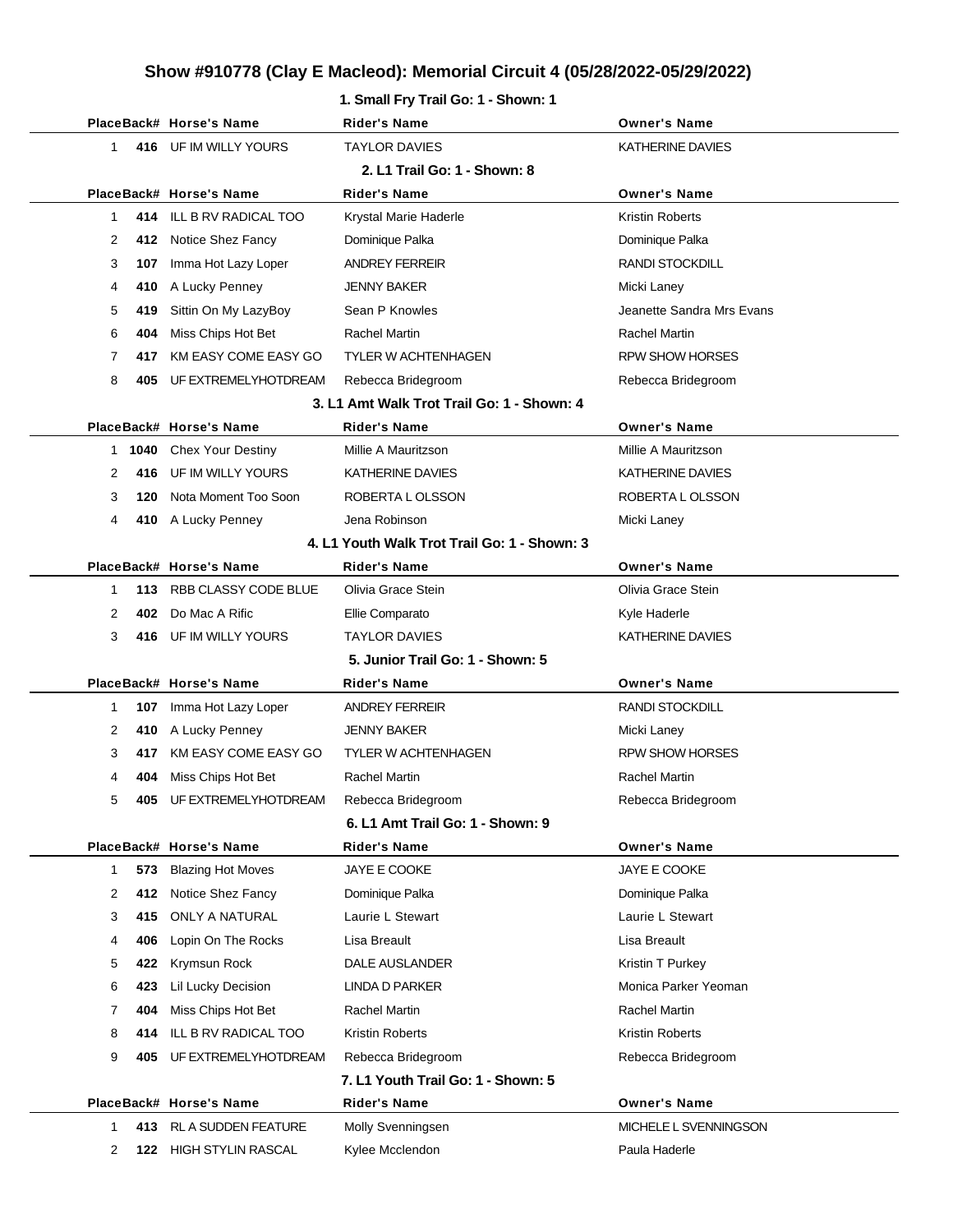#### **1. Small Fry Trail Go: 1 - Shown: 1**

|              |     | PlaceBack# Horse's Name  | Rider's Name                                 | <b>Owner's Name</b>       |
|--------------|-----|--------------------------|----------------------------------------------|---------------------------|
| 1            |     | 416 UF IM WILLY YOURS    | <b>TAYLOR DAVIES</b>                         | KATHERINE DAVIES          |
|              |     |                          | 2. L1 Trail Go: 1 - Shown: 8                 |                           |
|              |     | PlaceBack# Horse's Name  | <b>Rider's Name</b>                          | <b>Owner's Name</b>       |
| $\mathbf 1$  |     | 414 ILL B RV RADICAL TOO | Krystal Marie Haderle                        | <b>Kristin Roberts</b>    |
| 2            |     | 412 Notice Shez Fancy    | Dominique Palka                              | Dominique Palka           |
| 3            | 107 | Imma Hot Lazy Loper      | ANDREY FERREIR                               | <b>RANDI STOCKDILL</b>    |
| 4            |     | 410 A Lucky Penney       | <b>JENNY BAKER</b>                           | Micki Laney               |
| 5            |     | 419 Sittin On My LazyBoy | Sean P Knowles                               | Jeanette Sandra Mrs Evans |
| 6            | 404 | Miss Chips Hot Bet       | <b>Rachel Martin</b>                         | Rachel Martin             |
| 7            |     | 417 KM EASY COME EASY GO | <b>TYLER W ACHTENHAGEN</b>                   | <b>RPW SHOW HORSES</b>    |
| 8            |     | 405 UF EXTREMELYHOTDREAM | Rebecca Bridegroom                           | Rebecca Bridegroom        |
|              |     |                          | 3. L1 Amt Walk Trot Trail Go: 1 - Shown: 4   |                           |
|              |     | PlaceBack# Horse's Name  | <b>Rider's Name</b>                          | <b>Owner's Name</b>       |
|              |     | 1 1040 Chex Your Destiny | Millie A Mauritzson                          | Millie A Mauritzson       |
| 2            |     | 416 UF IM WILLY YOURS    | KATHERINE DAVIES                             | KATHERINE DAVIES          |
| 3            | 120 | Nota Moment Too Soon     | ROBERTA L OLSSON                             | ROBERTA L OLSSON          |
| 4            |     | 410 A Lucky Penney       | Jena Robinson                                | Micki Laney               |
|              |     |                          | 4. L1 Youth Walk Trot Trail Go: 1 - Shown: 3 |                           |
|              |     | PlaceBack# Horse's Name  | <b>Rider's Name</b>                          | <b>Owner's Name</b>       |
| $\mathbf 1$  |     | 113 RBB CLASSY CODE BLUE | Olivia Grace Stein                           | Olivia Grace Stein        |
| 2            |     | 402 Do Mac A Rific       | Ellie Comparato                              | Kyle Haderle              |
| 3            |     | 416 UF IM WILLY YOURS    | <b>TAYLOR DAVIES</b>                         | KATHERINE DAVIES          |
|              |     |                          | 5. Junior Trail Go: 1 - Shown: 5             |                           |
|              |     | PlaceBack# Horse's Name  | <b>Rider's Name</b>                          | <b>Owner's Name</b>       |
| 1            | 107 | Imma Hot Lazy Loper      | <b>ANDREY FERREIR</b>                        | <b>RANDI STOCKDILL</b>    |
| 2            |     | 410 A Lucky Penney       | <b>JENNY BAKER</b>                           | Micki Laney               |
| 3            | 417 | KM EASY COME EASY GO     | <b>TYLER W ACHTENHAGEN</b>                   | <b>RPW SHOW HORSES</b>    |
| 4            | 404 | Miss Chips Hot Bet       | Rachel Martin                                | <b>Rachel Martin</b>      |
| 5            |     | 405 UF EXTREMELYHOTDREAM | Rebecca Bridegroom                           | Rebecca Bridegroom        |
|              |     |                          | 6. L1 Amt Trail Go: 1 - Shown: 9             |                           |
|              |     | PlaceBack# Horse's Name  | <b>Rider's Name</b>                          | <b>Owner's Name</b>       |
| $\mathbf{1}$ | 573 | <b>Blazing Hot Moves</b> | JAYE E COOKE                                 | <b>JAYE E COOKE</b>       |
| 2            | 412 | Notice Shez Fancy        | Dominique Palka                              | Dominique Palka           |
| 3            | 415 | <b>ONLY A NATURAL</b>    | Laurie L Stewart                             | Laurie L Stewart          |
| 4            | 406 | Lopin On The Rocks       | Lisa Breault                                 | Lisa Breault              |
| 5            | 422 | Krymsun Rock             | DALE AUSLANDER                               | Kristin T Purkey          |
| 6            | 423 | Lil Lucky Decision       | LINDA D PARKER                               | Monica Parker Yeoman      |
| 7            | 404 | Miss Chips Hot Bet       | Rachel Martin                                | Rachel Martin             |
| 8            | 414 | ILL B RV RADICAL TOO     | Kristin Roberts                              | <b>Kristin Roberts</b>    |
| 9            |     | 405 UF EXTREMELYHOTDREAM | Rebecca Bridegroom                           | Rebecca Bridegroom        |
|              |     |                          | 7. L1 Youth Trail Go: 1 - Shown: 5           |                           |
|              |     | PlaceBack# Horse's Name  | <b>Rider's Name</b>                          | <b>Owner's Name</b>       |
| 1            |     | 413 RL A SUDDEN FEATURE  | Molly Svenningsen                            | MICHELE L SVENNINGSON     |
| 2            |     | 122 HIGH STYLIN RASCAL   | Kylee Mcclendon                              | Paula Haderle             |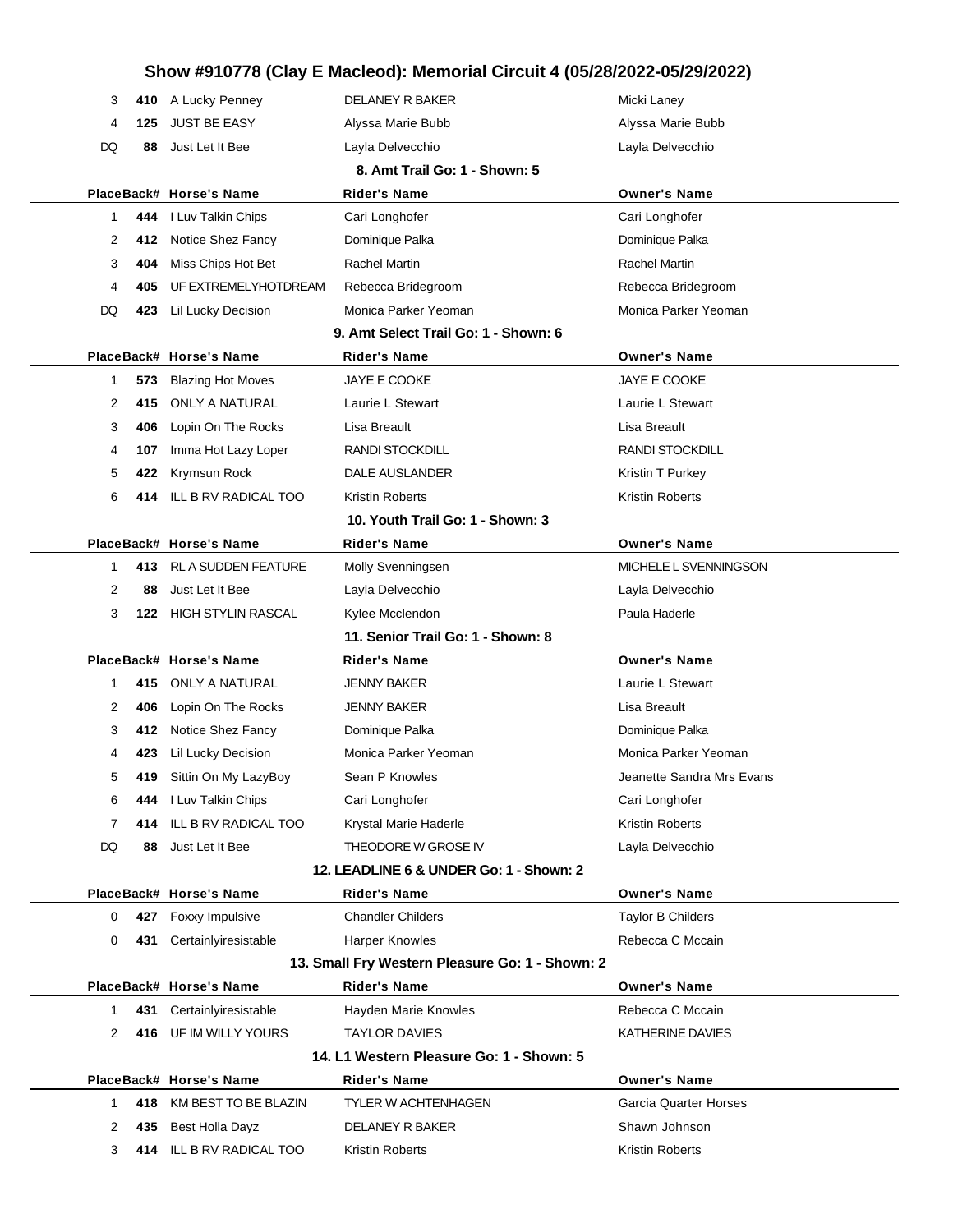| 3         | 410 A Lucky Penney                          | DELANEY R BAKER                                 | Micki Laney                             |
|-----------|---------------------------------------------|-------------------------------------------------|-----------------------------------------|
| 4<br>125  | <b>JUST BE EASY</b>                         | Alyssa Marie Bubb                               | Alyssa Marie Bubb                       |
| DQ<br>88  | Just Let It Bee                             | Layla Delvecchio                                | Layla Delvecchio                        |
|           |                                             | 8. Amt Trail Go: 1 - Shown: 5                   |                                         |
|           | PlaceBack# Horse's Name                     | Rider's Name                                    | <b>Owner's Name</b>                     |
| 1<br>444  | I Luv Talkin Chips                          | Cari Longhofer                                  | Cari Longhofer                          |
| 2<br>412  | Notice Shez Fancy                           | Dominique Palka                                 | Dominique Palka                         |
| 3<br>404  | Miss Chips Hot Bet                          | <b>Rachel Martin</b>                            | <b>Rachel Martin</b>                    |
| 4<br>405  | UF EXTREMELYHOTDREAM                        | Rebecca Bridegroom                              | Rebecca Bridegroom                      |
| DQ<br>423 | Lil Lucky Decision                          | Monica Parker Yeoman                            | Monica Parker Yeoman                    |
|           |                                             | 9. Amt Select Trail Go: 1 - Shown: 6            |                                         |
|           | PlaceBack# Horse's Name                     | <b>Rider's Name</b>                             | <b>Owner's Name</b>                     |
| 573<br>1  | <b>Blazing Hot Moves</b>                    | JAYE E COOKE                                    | JAYE E COOKE                            |
| 2<br>415  | <b>ONLY A NATURAL</b>                       | Laurie L Stewart                                | Laurie L Stewart                        |
| 3<br>406  | Lopin On The Rocks                          | Lisa Breault                                    | Lisa Breault                            |
| 4<br>107  | Imma Hot Lazy Loper                         | <b>RANDI STOCKDILL</b>                          | <b>RANDI STOCKDILL</b>                  |
| 5<br>422  | Krymsun Rock                                | DALE AUSLANDER                                  | Kristin T Purkey                        |
| 6<br>414  | <b>ILL B RV RADICAL TOO</b>                 | <b>Kristin Roberts</b>                          | <b>Kristin Roberts</b>                  |
|           |                                             | 10. Youth Trail Go: 1 - Shown: 3                |                                         |
|           | PlaceBack# Horse's Name                     | Rider's Name                                    | <b>Owner's Name</b>                     |
| 1<br>413  | <b>RL A SUDDEN FEATURE</b>                  | Molly Svenningsen                               | MICHELE L SVENNINGSON                   |
| 2<br>88   | Just Let It Bee                             | Layla Delvecchio                                | Layla Delvecchio                        |
| 3<br>122  | <b>HIGH STYLIN RASCAL</b>                   | Kylee Mcclendon                                 | Paula Haderle                           |
|           |                                             |                                                 |                                         |
|           |                                             | 11. Senior Trail Go: 1 - Shown: 8               |                                         |
|           | PlaceBack# Horse's Name                     | Rider's Name                                    | <b>Owner's Name</b>                     |
| 415<br>1  | <b>ONLY A NATURAL</b>                       | JENNY BAKER                                     | Laurie L Stewart                        |
| 2<br>406  | Lopin On The Rocks                          | <b>JENNY BAKER</b>                              | Lisa Breault                            |
| 3<br>412  | Notice Shez Fancy                           | Dominique Palka                                 | Dominique Palka                         |
| 4<br>423  | <b>Lil Lucky Decision</b>                   | Monica Parker Yeoman                            | Monica Parker Yeoman                    |
| 5<br>419  | Sittin On My LazyBoy                        | Sean P Knowles                                  | Jeanette Sandra Mrs Evans               |
| 6         | 444 I Luv Talkin Chips                      | Cari Longhofer                                  | Cari Longhofer                          |
| 7<br>414  | <b>ILL B RV RADICAL TOO</b>                 | Krystal Marie Haderle                           | <b>Kristin Roberts</b>                  |
| DQ<br>88  | Just Let It Bee                             | THEODORE W GROSE IV                             | Layla Delvecchio                        |
|           |                                             | 12. LEADLINE 6 & UNDER Go: 1 - Shown: 2         |                                         |
|           | PlaceBack# Horse's Name                     | <b>Rider's Name</b>                             | <b>Owner's Name</b>                     |
| 0<br>427  | Foxxy Impulsive                             | <b>Chandler Childers</b>                        | <b>Taylor B Childers</b>                |
| 0         | 431 Certainlyiresistable                    | Harper Knowles                                  | Rebecca C Mccain                        |
|           |                                             | 13. Small Fry Western Pleasure Go: 1 - Shown: 2 |                                         |
|           | PlaceBack# Horse's Name                     | <b>Rider's Name</b>                             | <b>Owner's Name</b>                     |
| 431<br>1  | Certainlyiresistable                        | Hayden Marie Knowles                            | Rebecca C Mccain                        |
| 2<br>416  | UF IM WILLY YOURS                           | <b>TAYLOR DAVIES</b>                            | KATHERINE DAVIES                        |
|           |                                             | 14. L1 Western Pleasure Go: 1 - Shown: 5        |                                         |
|           | PlaceBack# Horse's Name                     | <b>Rider's Name</b>                             | <b>Owner's Name</b>                     |
| 1<br>418  | KM BEST TO BE BLAZIN                        | <b>TYLER W ACHTENHAGEN</b>                      | Garcia Quarter Horses                   |
| 2<br>435  | Best Holla Dayz<br>414 ILL B RV RADICAL TOO | DELANEY R BAKER<br>Kristin Roberts              | Shawn Johnson<br><b>Kristin Roberts</b> |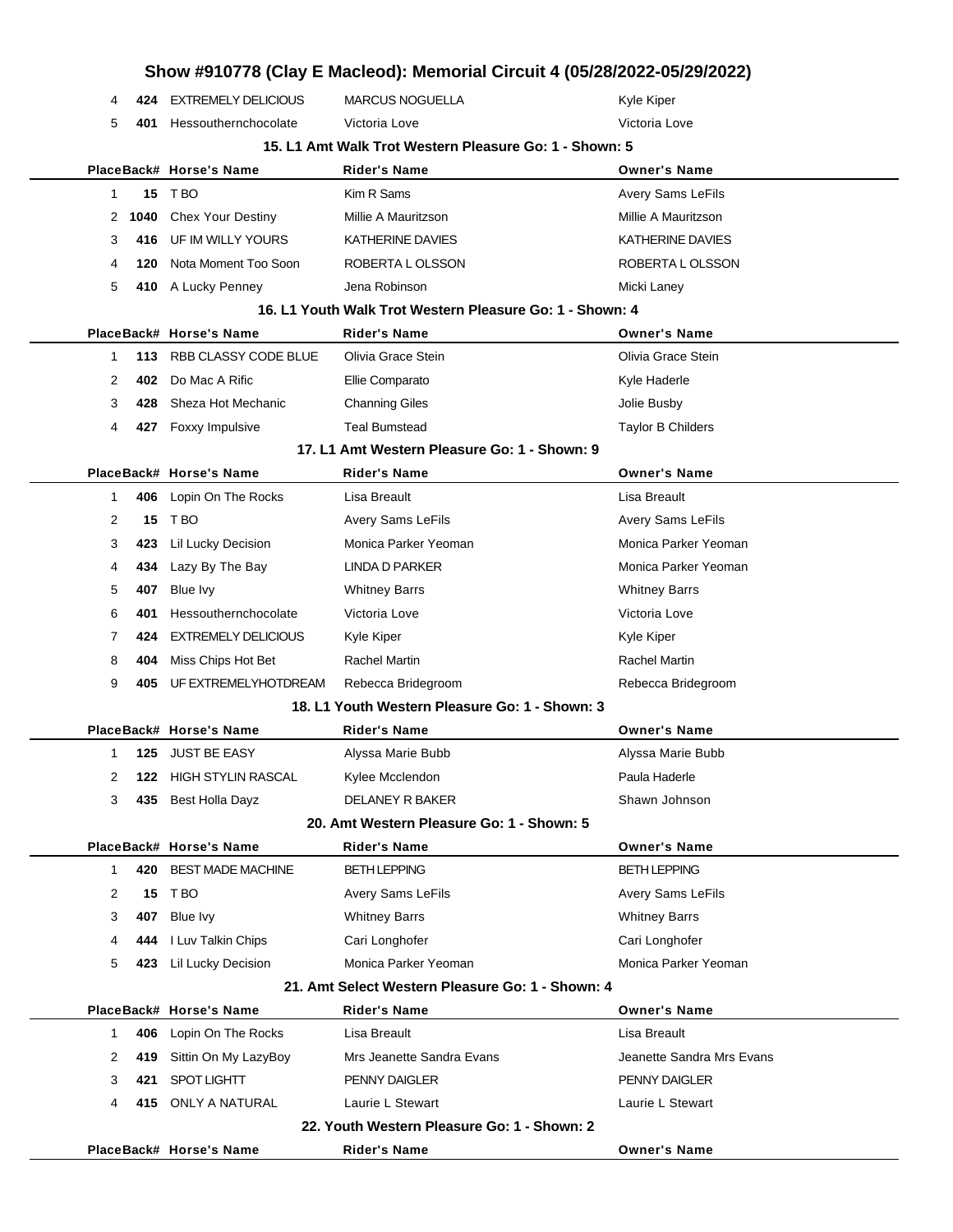|              |      |                            | Show #910778 (Clay E Macleod): Memorial Circuit 4 (05/28/2022-05/29/2022) |                           |
|--------------|------|----------------------------|---------------------------------------------------------------------------|---------------------------|
| 4            | 424  | <b>EXTREMELY DELICIOUS</b> | <b>MARCUS NOGUELLA</b>                                                    | Kyle Kiper                |
| 5            | 401  | Hessouthernchocolate       | Victoria Love                                                             | Victoria Love             |
|              |      |                            | 15. L1 Amt Walk Trot Western Pleasure Go: 1 - Shown: 5                    |                           |
|              |      | PlaceBack# Horse's Name    | <b>Rider's Name</b>                                                       | <b>Owner's Name</b>       |
| $\mathbf{1}$ |      | 15 T BO                    | Kim R Sams                                                                | Avery Sams LeFils         |
| 2            | 1040 | <b>Chex Your Destiny</b>   | Millie A Mauritzson                                                       | Millie A Mauritzson       |
| 3            | 416  | UF IM WILLY YOURS          | KATHERINE DAVIES                                                          | KATHERINE DAVIES          |
| 4            | 120  | Nota Moment Too Soon       | ROBERTA L OLSSON                                                          | ROBERTA L OLSSON          |
| 5            | 410  | A Lucky Penney             | Jena Robinson                                                             | Micki Laney               |
|              |      |                            | 16. L1 Youth Walk Trot Western Pleasure Go: 1 - Shown: 4                  |                           |
|              |      | PlaceBack# Horse's Name    | <b>Rider's Name</b>                                                       | <b>Owner's Name</b>       |
| $\mathbf{1}$ | 113  | RBB CLASSY CODE BLUE       | Olivia Grace Stein                                                        | Olivia Grace Stein        |
| 2            | 402  | Do Mac A Rific             | Ellie Comparato                                                           | Kyle Haderle              |
| 3            | 428  | Sheza Hot Mechanic         | <b>Channing Giles</b>                                                     | Jolie Busby               |
| 4            | 427  | Foxxy Impulsive            | <b>Teal Bumstead</b>                                                      | <b>Taylor B Childers</b>  |
|              |      |                            | 17. L1 Amt Western Pleasure Go: 1 - Shown: 9                              |                           |
|              |      | PlaceBack# Horse's Name    | <b>Rider's Name</b>                                                       | <b>Owner's Name</b>       |
| $\mathbf{1}$ | 406  | Lopin On The Rocks         | Lisa Breault                                                              | Lisa Breault              |
| 2            | 15   | T BO                       | Avery Sams LeFils                                                         | Avery Sams LeFils         |
| 3            | 423  | Lil Lucky Decision         | Monica Parker Yeoman                                                      | Monica Parker Yeoman      |
| 4            | 434  | Lazy By The Bay            | LINDA D PARKER                                                            | Monica Parker Yeoman      |
| 5            | 407  | Blue Ivy                   | <b>Whitney Barrs</b>                                                      | <b>Whitney Barrs</b>      |
| 6            | 401  | Hessouthernchocolate       | Victoria Love                                                             | Victoria Love             |
| 7            | 424  | <b>EXTREMELY DELICIOUS</b> | Kyle Kiper                                                                | Kyle Kiper                |
| 8            | 404  | Miss Chips Hot Bet         | Rachel Martin                                                             | Rachel Martin             |
| 9            | 405  | UF EXTREMELYHOTDREAM       | Rebecca Bridegroom                                                        | Rebecca Bridegroom        |
|              |      |                            | 18. L1 Youth Western Pleasure Go: 1 - Shown: 3                            |                           |
|              |      | PlaceBack# Horse's Name    | <b>Rider's Name</b>                                                       | <b>Owner's Name</b>       |
| 1            |      | 125 JUST BE EASY           | Alyssa Marie Bubb                                                         | Alyssa Marie Bubb         |
| 2            | 122  | <b>HIGH STYLIN RASCAL</b>  | Kylee Mcclendon                                                           | Paula Haderle             |
| 3            | 435  | Best Holla Dayz            | <b>DELANEY R BAKER</b>                                                    | Shawn Johnson             |
|              |      |                            | 20. Amt Western Pleasure Go: 1 - Shown: 5                                 |                           |
|              |      | PlaceBack# Horse's Name    | Rider's Name                                                              | <b>Owner's Name</b>       |
| $\mathbf 1$  | 420  | <b>BEST MADE MACHINE</b>   | <b>BETH LEPPING</b>                                                       | <b>BETH LEPPING</b>       |
| 2            |      | 15 T BO                    | Avery Sams LeFils                                                         | Avery Sams LeFils         |
| 3            | 407  | Blue Ivy                   | <b>Whitney Barrs</b>                                                      | <b>Whitney Barrs</b>      |
| 4            | 444  | I Luv Talkin Chips         | Cari Longhofer                                                            | Cari Longhofer            |
| 5            | 423  | Lil Lucky Decision         | Monica Parker Yeoman                                                      | Monica Parker Yeoman      |
|              |      |                            | 21. Amt Select Western Pleasure Go: 1 - Shown: 4                          |                           |
|              |      | PlaceBack# Horse's Name    | <b>Rider's Name</b>                                                       | <b>Owner's Name</b>       |
| $\mathbf 1$  | 406  | Lopin On The Rocks         | Lisa Breault                                                              | Lisa Breault              |
| 2            | 419  | Sittin On My LazyBoy       | Mrs Jeanette Sandra Evans                                                 | Jeanette Sandra Mrs Evans |
| 3            | 421  | <b>SPOT LIGHTT</b>         | PENNY DAIGLER                                                             | PENNY DAIGLER             |
| 4            | 415  | ONLY A NATURAL             | Laurie L Stewart                                                          | Laurie L Stewart          |
|              |      |                            | 22. Youth Western Pleasure Go: 1 - Shown: 2                               |                           |
|              |      | PlaceBack# Horse's Name    | <b>Rider's Name</b>                                                       | <b>Owner's Name</b>       |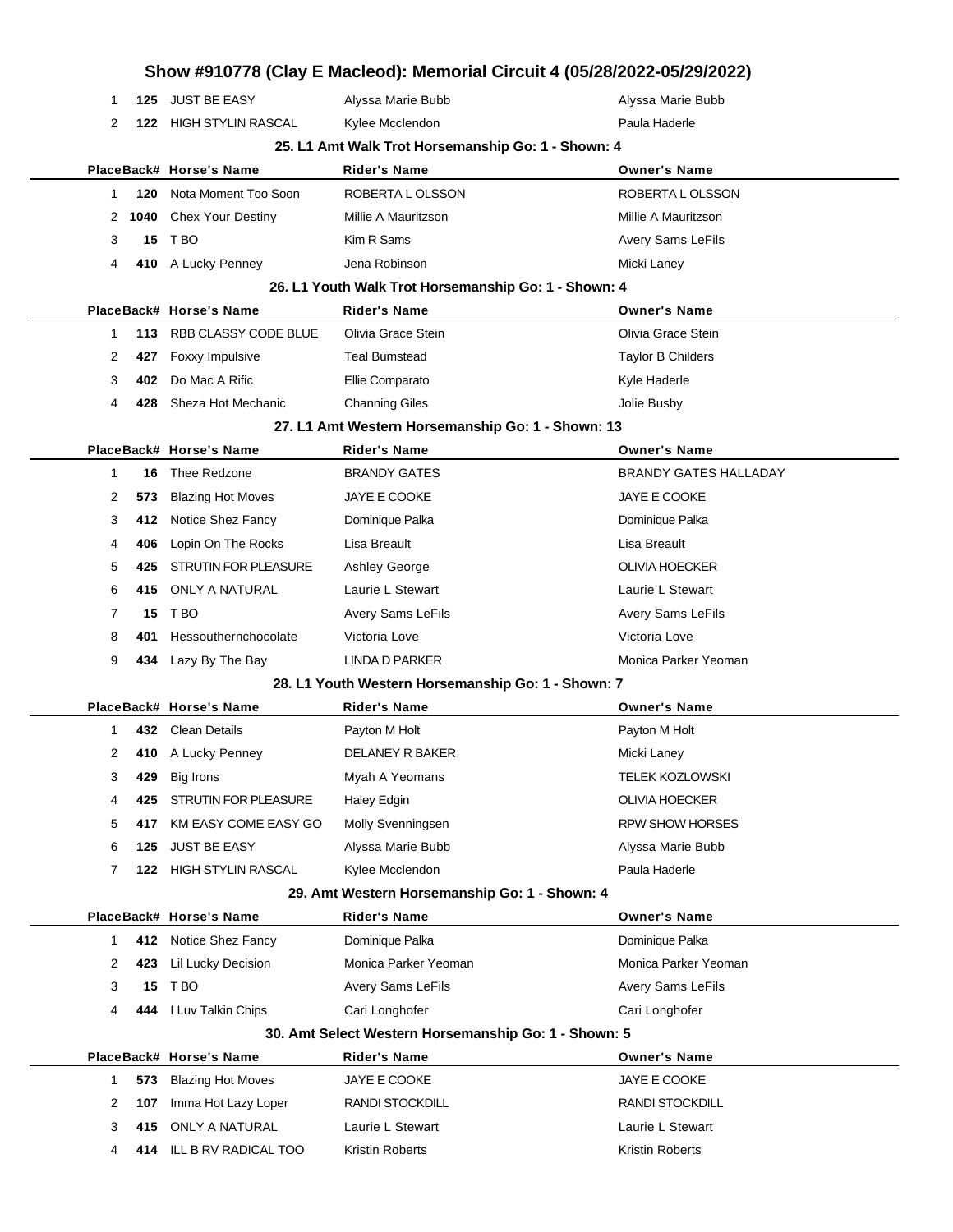|             |      |                           |                                                      | Show #910778 (Clay E Macleod): Memorial Circuit 4 (05/28/2022-05/29/2022) |
|-------------|------|---------------------------|------------------------------------------------------|---------------------------------------------------------------------------|
| 1           |      | 125 JUST BE EASY          | Alyssa Marie Bubb                                    | Alyssa Marie Bubb                                                         |
| 2           | 122  | <b>HIGH STYLIN RASCAL</b> | Kylee Mcclendon                                      | Paula Haderle                                                             |
|             |      |                           | 25. L1 Amt Walk Trot Horsemanship Go: 1 - Shown: 4   |                                                                           |
|             |      | PlaceBack# Horse's Name   | Rider's Name                                         | <b>Owner's Name</b>                                                       |
| 1           | 120  | Nota Moment Too Soon      | ROBERTA LOLSSON                                      | ROBERTA L OLSSON                                                          |
| 2           | 1040 | <b>Chex Your Destiny</b>  | Millie A Mauritzson                                  | Millie A Mauritzson                                                       |
| 3           | 15   | T BO                      | Kim R Sams                                           | Avery Sams LeFils                                                         |
| 4           | 410  | A Lucky Penney            | Jena Robinson                                        | Micki Laney                                                               |
|             |      |                           | 26. L1 Youth Walk Trot Horsemanship Go: 1 - Shown: 4 |                                                                           |
|             |      | PlaceBack# Horse's Name   | <b>Rider's Name</b>                                  | <b>Owner's Name</b>                                                       |
| 1           | 113  | RBB CLASSY CODE BLUE      | Olivia Grace Stein                                   | Olivia Grace Stein                                                        |
| 2           | 427  | Foxxy Impulsive           | <b>Teal Bumstead</b>                                 | <b>Taylor B Childers</b>                                                  |
| 3           | 402  | Do Mac A Rific            | Ellie Comparato                                      | Kyle Haderle                                                              |
| 4           | 428  | Sheza Hot Mechanic        | <b>Channing Giles</b>                                | Jolie Busby                                                               |
|             |      |                           | 27. L1 Amt Western Horsemanship Go: 1 - Shown: 13    |                                                                           |
|             |      | PlaceBack# Horse's Name   | Rider's Name                                         | <b>Owner's Name</b>                                                       |
| 1           | 16   | Thee Redzone              | <b>BRANDY GATES</b>                                  | <b>BRANDY GATES HALLADAY</b>                                              |
| 2           | 573  | <b>Blazing Hot Moves</b>  | JAYE E COOKE                                         | <b>JAYE E COOKE</b>                                                       |
| 3           | 412  | Notice Shez Fancy         | Dominique Palka                                      | Dominique Palka                                                           |
| 4           | 406  | Lopin On The Rocks        | Lisa Breault                                         | Lisa Breault                                                              |
| 5           | 425  | STRUTIN FOR PLEASURE      | Ashley George                                        | <b>OLIVIA HOECKER</b>                                                     |
| 6           | 415  | ONLY A NATURAL            | Laurie L Stewart                                     | Laurie L Stewart                                                          |
| 7           | 15   | T BO                      | Avery Sams LeFils                                    | Avery Sams LeFils                                                         |
| 8           | 401  | Hessouthernchocolate      | Victoria Love                                        | Victoria Love                                                             |
| 9           | 434  | Lazy By The Bay           | LINDA D PARKER                                       | Monica Parker Yeoman                                                      |
|             |      |                           | 28. L1 Youth Western Horsemanship Go: 1 - Shown: 7   |                                                                           |
|             |      | PlaceBack# Horse's Name   | Rider's Name                                         | <b>Owner's Name</b>                                                       |
| 1           | 432  | <b>Clean Details</b>      | Payton M Holt                                        | Payton M Holt                                                             |
| 2           |      | 410 A Lucky Penney        | DELANEY R BAKER                                      | Micki Laney                                                               |
| 3           | 429  | <b>Big Irons</b>          | Myah A Yeomans                                       | <b>TELEK KOZLOWSKI</b>                                                    |
| 4           | 425  | STRUTIN FOR PLEASURE      | Haley Edgin                                          | OLIVIA HOECKER                                                            |
| 5           | 417  | KM EASY COME EASY GO      | Molly Svenningsen                                    | <b>RPW SHOW HORSES</b>                                                    |
| 6           | 125  | <b>JUST BE EASY</b>       | Alyssa Marie Bubb                                    | Alyssa Marie Bubb                                                         |
| 7           | 122  | <b>HIGH STYLIN RASCAL</b> | Kylee Mcclendon                                      | Paula Haderle                                                             |
|             |      |                           | 29. Amt Western Horsemanship Go: 1 - Shown: 4        |                                                                           |
|             |      | PlaceBack# Horse's Name   | <b>Rider's Name</b>                                  | <b>Owner's Name</b>                                                       |
| 1           | 412  | Notice Shez Fancy         | Dominique Palka                                      | Dominique Palka                                                           |
| 2           | 423  | Lil Lucky Decision        | Monica Parker Yeoman                                 | Monica Parker Yeoman                                                      |
| 3           | 15   | T <sub>BO</sub>           | Avery Sams LeFils                                    | Avery Sams LeFils                                                         |
| 4           | 444  | I Luv Talkin Chips        | Cari Longhofer                                       | Cari Longhofer                                                            |
|             |      |                           | 30. Amt Select Western Horsemanship Go: 1 - Shown: 5 |                                                                           |
|             |      | PlaceBack# Horse's Name   | <b>Rider's Name</b>                                  | <b>Owner's Name</b>                                                       |
| $\mathbf 1$ | 573  | <b>Blazing Hot Moves</b>  | JAYE E COOKE                                         | JAYE E COOKE                                                              |
| 2           | 107  | Imma Hot Lazy Loper       | RANDI STOCKDILL                                      | RANDI STOCKDILL                                                           |
| 3           | 415  | <b>ONLY A NATURAL</b>     | Laurie L Stewart                                     | Laurie L Stewart                                                          |
| 4           | 414  | ILL B RV RADICAL TOO      | Kristin Roberts                                      | Kristin Roberts                                                           |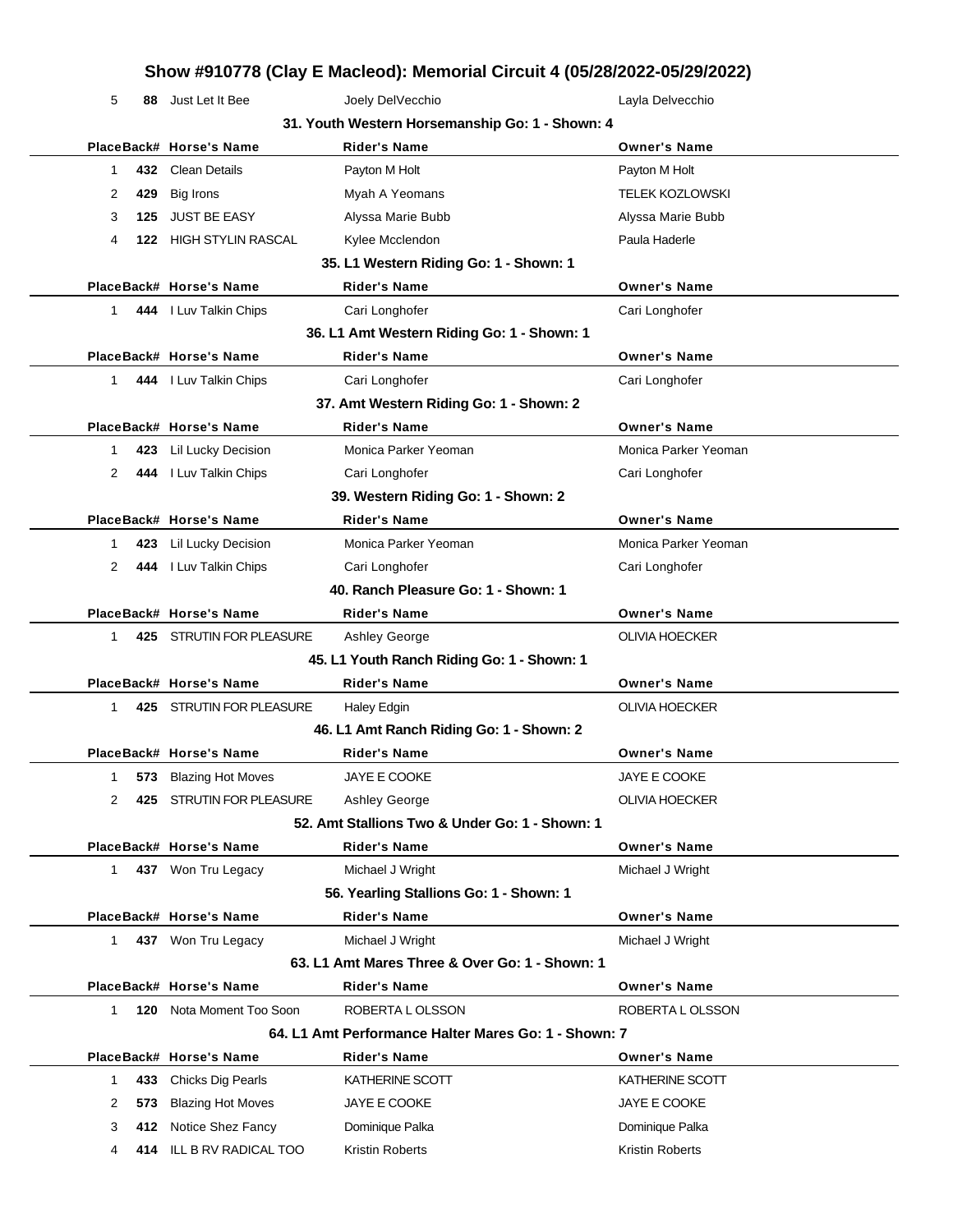| 5                    | 88 Just Let It Bee                              | Joely DelVecchio                                     | Layla Delvecchio       |  |  |  |  |  |
|----------------------|-------------------------------------------------|------------------------------------------------------|------------------------|--|--|--|--|--|
|                      | 31. Youth Western Horsemanship Go: 1 - Shown: 4 |                                                      |                        |  |  |  |  |  |
|                      | PlaceBack# Horse's Name                         | <b>Rider's Name</b>                                  | <b>Owner's Name</b>    |  |  |  |  |  |
| $\mathbf{1}$         | 432 Clean Details                               | Payton M Holt                                        | Payton M Holt          |  |  |  |  |  |
| 429<br>2             | <b>Big Irons</b>                                | Myah A Yeomans                                       | <b>TELEK KOZLOWSKI</b> |  |  |  |  |  |
| 3<br>125             | <b>JUST BE EASY</b>                             | Alyssa Marie Bubb                                    | Alyssa Marie Bubb      |  |  |  |  |  |
| 4                    | 122 HIGH STYLIN RASCAL                          | Kylee Mcclendon                                      | Paula Haderle          |  |  |  |  |  |
|                      |                                                 | 35. L1 Western Riding Go: 1 - Shown: 1               |                        |  |  |  |  |  |
|                      | PlaceBack# Horse's Name                         | <b>Rider's Name</b>                                  | <b>Owner's Name</b>    |  |  |  |  |  |
| $1 \quad$            | 444 I Luv Talkin Chips                          | Cari Longhofer                                       | Cari Longhofer         |  |  |  |  |  |
|                      |                                                 | 36. L1 Amt Western Riding Go: 1 - Shown: 1           |                        |  |  |  |  |  |
|                      | PlaceBack# Horse's Name                         | <b>Rider's Name</b>                                  | <b>Owner's Name</b>    |  |  |  |  |  |
| 1                    | 444 I Luv Talkin Chips                          | Cari Longhofer                                       | Cari Longhofer         |  |  |  |  |  |
|                      |                                                 | 37. Amt Western Riding Go: 1 - Shown: 2              |                        |  |  |  |  |  |
|                      | PlaceBack# Horse's Name                         | <b>Rider's Name</b>                                  | <b>Owner's Name</b>    |  |  |  |  |  |
| 1                    | 423 Lil Lucky Decision                          | Monica Parker Yeoman                                 | Monica Parker Yeoman   |  |  |  |  |  |
| $\mathbf{2}^{\circ}$ | 444 I Luv Talkin Chips                          | Cari Longhofer                                       | Cari Longhofer         |  |  |  |  |  |
|                      |                                                 | 39. Western Riding Go: 1 - Shown: 2                  |                        |  |  |  |  |  |
|                      | PlaceBack# Horse's Name                         | <b>Rider's Name</b>                                  | <b>Owner's Name</b>    |  |  |  |  |  |
| $\mathbf{1}$         | 423 Lil Lucky Decision                          | Monica Parker Yeoman                                 | Monica Parker Yeoman   |  |  |  |  |  |
| 2                    | 444 I Luv Talkin Chips                          | Cari Longhofer                                       | Cari Longhofer         |  |  |  |  |  |
|                      |                                                 | 40. Ranch Pleasure Go: 1 - Shown: 1                  |                        |  |  |  |  |  |
|                      | PlaceBack# Horse's Name                         | <b>Rider's Name</b>                                  | <b>Owner's Name</b>    |  |  |  |  |  |
| $\mathbf{1}$         | 425 STRUTIN FOR PLEASURE                        | Ashley George                                        | <b>OLIVIA HOECKER</b>  |  |  |  |  |  |
|                      |                                                 | 45. L1 Youth Ranch Riding Go: 1 - Shown: 1           |                        |  |  |  |  |  |
|                      | PlaceBack# Horse's Name                         | <b>Rider's Name</b>                                  | <b>Owner's Name</b>    |  |  |  |  |  |
| $\mathbf{1}$         | 425 STRUTIN FOR PLEASURE                        | Haley Edgin                                          | <b>OLIVIA HOECKER</b>  |  |  |  |  |  |
|                      |                                                 | 46. L1 Amt Ranch Riding Go: 1 - Shown: 2             |                        |  |  |  |  |  |
|                      | PlaceBack# Horse's Name                         | <b>Rider's Name</b>                                  | <b>Owner's Name</b>    |  |  |  |  |  |
|                      | 573 Blazing Hot Moves                           | JAYE E COOKE                                         | JAYE E COOKE           |  |  |  |  |  |
| 2                    | 425 STRUTIN FOR PLEASURE                        | Ashley George                                        | <b>OLIVIA HOECKER</b>  |  |  |  |  |  |
|                      |                                                 | 52. Amt Stallions Two & Under Go: 1 - Shown: 1       |                        |  |  |  |  |  |
|                      | PlaceBack# Horse's Name                         | <b>Rider's Name</b>                                  | <b>Owner's Name</b>    |  |  |  |  |  |
| 1                    | 437 Won Tru Legacy                              | Michael J Wright                                     | Michael J Wright       |  |  |  |  |  |
|                      |                                                 | 56. Yearling Stallions Go: 1 - Shown: 1              |                        |  |  |  |  |  |
|                      | PlaceBack# Horse's Name                         | <b>Rider's Name</b>                                  | <b>Owner's Name</b>    |  |  |  |  |  |
| 1                    | 437 Won Tru Legacy                              | Michael J Wright                                     | Michael J Wright       |  |  |  |  |  |
|                      | 63. L1 Amt Mares Three & Over Go: 1 - Shown: 1  |                                                      |                        |  |  |  |  |  |
|                      | PlaceBack# Horse's Name                         | <b>Rider's Name</b>                                  | <b>Owner's Name</b>    |  |  |  |  |  |
| $\mathbf{1}$         | 120 Nota Moment Too Soon                        | ROBERTA L OLSSON                                     | ROBERTA L OLSSON       |  |  |  |  |  |
|                      |                                                 | 64. L1 Amt Performance Halter Mares Go: 1 - Shown: 7 |                        |  |  |  |  |  |
|                      | PlaceBack# Horse's Name                         | <b>Rider's Name</b>                                  | <b>Owner's Name</b>    |  |  |  |  |  |
| $\mathbf{1}$<br>433  | Chicks Dig Pearls                               | KATHERINE SCOTT                                      | KATHERINE SCOTT        |  |  |  |  |  |
| 573<br>2             | <b>Blazing Hot Moves</b>                        | JAYE E COOKE                                         | JAYE E COOKE           |  |  |  |  |  |
| 3<br>412             | Notice Shez Fancy                               | Dominique Palka                                      | Dominique Palka        |  |  |  |  |  |
| 4<br>414             | ILL B RV RADICAL TOO                            | Kristin Roberts                                      | <b>Kristin Roberts</b> |  |  |  |  |  |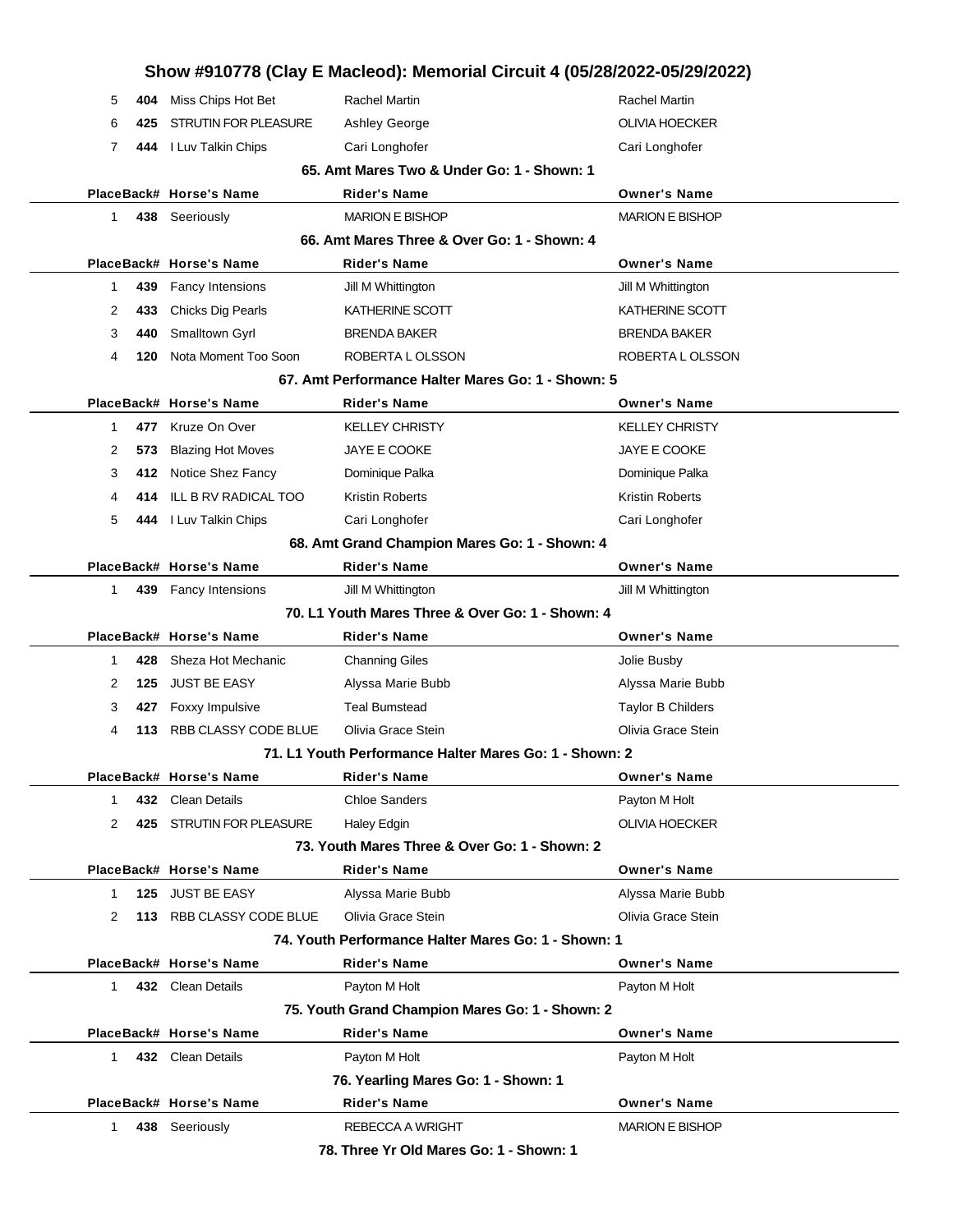|   |     |                             | Show #910778 (Clay E Macleod): Memorial Circuit 4 (05/28/2022-05/29/2022) |                          |
|---|-----|-----------------------------|---------------------------------------------------------------------------|--------------------------|
| 5 | 404 | Miss Chips Hot Bet          | Rachel Martin                                                             | Rachel Martin            |
| 6 | 425 | <b>STRUTIN FOR PLEASURE</b> | Ashley George                                                             | <b>OLIVIA HOECKER</b>    |
| 7 | 444 | I Luv Talkin Chips          | Cari Longhofer                                                            | Cari Longhofer           |
|   |     |                             | 65. Amt Mares Two & Under Go: 1 - Shown: 1                                |                          |
|   |     | PlaceBack# Horse's Name     | <b>Rider's Name</b>                                                       | <b>Owner's Name</b>      |
| 1 |     | 438 Seeriously              | <b>MARION E BISHOP</b>                                                    | <b>MARION E BISHOP</b>   |
|   |     |                             | 66. Amt Mares Three & Over Go: 1 - Shown: 4                               |                          |
|   |     | PlaceBack# Horse's Name     | <b>Rider's Name</b>                                                       | <b>Owner's Name</b>      |
| 1 | 439 | Fancy Intensions            | Jill M Whittington                                                        | Jill M Whittington       |
| 2 | 433 | Chicks Dig Pearls           | KATHERINE SCOTT                                                           | KATHERINE SCOTT          |
| 3 | 440 | Smalltown Gyrl              | <b>BRENDA BAKER</b>                                                       | <b>BRENDA BAKER</b>      |
| 4 | 120 | Nota Moment Too Soon        | ROBERTA LOLSSON                                                           | ROBERTA LOLSSON          |
|   |     |                             | 67. Amt Performance Halter Mares Go: 1 - Shown: 5                         |                          |
|   |     | PlaceBack# Horse's Name     | <b>Rider's Name</b>                                                       | <b>Owner's Name</b>      |
| 1 | 477 | Kruze On Over               | <b>KELLEY CHRISTY</b>                                                     | <b>KELLEY CHRISTY</b>    |
| 2 | 573 | <b>Blazing Hot Moves</b>    | <b>JAYE E COOKE</b>                                                       | <b>JAYE E COOKE</b>      |
| 3 | 412 | Notice Shez Fancy           | Dominique Palka                                                           | Dominique Palka          |
| 4 | 414 | ILL B RV RADICAL TOO        | Kristin Roberts                                                           | Kristin Roberts          |
| 5 |     | 444 I Luv Talkin Chips      | Cari Longhofer                                                            | Cari Longhofer           |
|   |     |                             | 68. Amt Grand Champion Mares Go: 1 - Shown: 4                             |                          |
|   |     | PlaceBack# Horse's Name     | <b>Rider's Name</b>                                                       | <b>Owner's Name</b>      |
| 1 | 439 | Fancy Intensions            | Jill M Whittington                                                        | Jill M Whittington       |
|   |     |                             | 70. L1 Youth Mares Three & Over Go: 1 - Shown: 4                          |                          |
|   |     | PlaceBack# Horse's Name     | <b>Rider's Name</b>                                                       | <b>Owner's Name</b>      |
| 1 | 428 | Sheza Hot Mechanic          | <b>Channing Giles</b>                                                     | Jolie Busby              |
| 2 | 125 | <b>JUST BE EASY</b>         | Alyssa Marie Bubb                                                         | Alyssa Marie Bubb        |
| 3 | 427 | Foxxy Impulsive             | <b>Teal Bumstead</b>                                                      | <b>Taylor B Childers</b> |
| 4 | 113 | RBB CLASSY CODE BLUE        | Olivia Grace Stein                                                        | Olivia Grace Stein       |
|   |     |                             | 71. L1 Youth Performance Halter Mares Go: 1 - Shown: 2                    |                          |
|   |     | PlaceBack# Horse's Name     | <b>Rider's Name</b>                                                       | <b>Owner's Name</b>      |
| 1 | 432 | <b>Clean Details</b>        | <b>Chloe Sanders</b>                                                      | Payton M Holt            |
| 2 | 425 | STRUTIN FOR PLEASURE        | Haley Edgin                                                               | <b>OLIVIA HOECKER</b>    |
|   |     |                             | 73. Youth Mares Three & Over Go: 1 - Shown: 2                             |                          |
|   |     | PlaceBack# Horse's Name     | <b>Rider's Name</b>                                                       | <b>Owner's Name</b>      |
| 1 | 125 | <b>JUST BE EASY</b>         | Alyssa Marie Bubb                                                         | Alyssa Marie Bubb        |
| 2 | 113 | RBB CLASSY CODE BLUE        | Olivia Grace Stein                                                        | Olivia Grace Stein       |
|   |     |                             | 74. Youth Performance Halter Mares Go: 1 - Shown: 1                       |                          |
|   |     | PlaceBack# Horse's Name     | <b>Rider's Name</b>                                                       | <b>Owner's Name</b>      |
| 1 |     | 432 Clean Details           | Payton M Holt                                                             | Payton M Holt            |
|   |     |                             | 75. Youth Grand Champion Mares Go: 1 - Shown: 2                           |                          |
|   |     | PlaceBack# Horse's Name     | <b>Rider's Name</b>                                                       | <b>Owner's Name</b>      |
| 1 |     | 432 Clean Details           | Payton M Holt                                                             | Payton M Holt            |
|   |     |                             | 76. Yearling Mares Go: 1 - Shown: 1                                       |                          |
|   |     | PlaceBack# Horse's Name     | <b>Rider's Name</b>                                                       | <b>Owner's Name</b>      |
| 1 |     | 438 Seeriously              | REBECCA A WRIGHT                                                          | <b>MARION E BISHOP</b>   |
|   |     |                             | 78. Three Yr Old Mares Go: 1 - Shown: 1                                   |                          |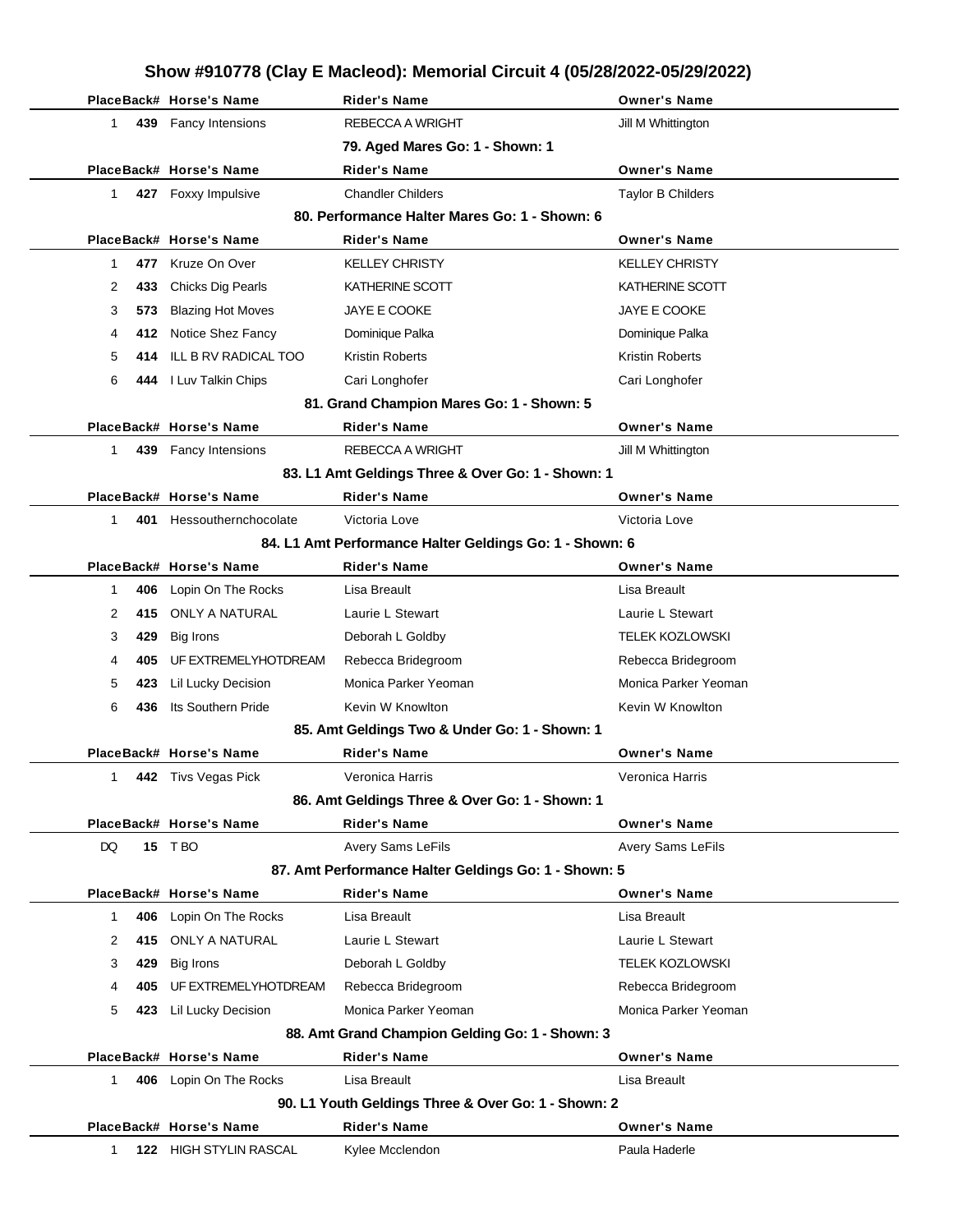|              |     | PlaceBack# Horse's Name  | Show #910778 (Clay E Macieod): Memorial Circuit 4 (05/28/2022-05/29/2022)<br><b>Rider's Name</b> | <b>Owner's Name</b>      |
|--------------|-----|--------------------------|--------------------------------------------------------------------------------------------------|--------------------------|
| $\mathbf 1$  | 439 | <b>Fancy Intensions</b>  | <b>REBECCA A WRIGHT</b>                                                                          | Jill M Whittington       |
|              |     |                          | 79. Aged Mares Go: 1 - Shown: 1                                                                  |                          |
|              |     | PlaceBack# Horse's Name  | <b>Rider's Name</b>                                                                              | <b>Owner's Name</b>      |
| $\mathbf{1}$ |     | 427 Foxxy Impulsive      | <b>Chandler Childers</b>                                                                         | <b>Taylor B Childers</b> |
|              |     |                          | 80. Performance Halter Mares Go: 1 - Shown: 6                                                    |                          |
|              |     | PlaceBack# Horse's Name  | <b>Rider's Name</b>                                                                              | <b>Owner's Name</b>      |
| $\mathbf{1}$ | 477 | Kruze On Over            | <b>KELLEY CHRISTY</b>                                                                            | <b>KELLEY CHRISTY</b>    |
| 2            | 433 | Chicks Dig Pearls        | KATHERINE SCOTT                                                                                  | KATHERINE SCOTT          |
| 3            | 573 | <b>Blazing Hot Moves</b> | JAYE E COOKE                                                                                     | <b>JAYE E COOKE</b>      |
| 4            | 412 | Notice Shez Fancy        | Dominique Palka                                                                                  | Dominique Palka          |
| 5            | 414 | ILL B RV RADICAL TOO     | Kristin Roberts                                                                                  | Kristin Roberts          |
| 6            |     | 444 I Luv Talkin Chips   | Cari Longhofer                                                                                   | Cari Longhofer           |
|              |     |                          | 81. Grand Champion Mares Go: 1 - Shown: 5                                                        |                          |
|              |     | PlaceBack# Horse's Name  | <b>Rider's Name</b>                                                                              | <b>Owner's Name</b>      |
| $\mathbf{1}$ | 439 | Fancy Intensions         | REBECCA A WRIGHT                                                                                 | Jill M Whittington       |
|              |     |                          | 83. L1 Amt Geldings Three & Over Go: 1 - Shown: 1                                                |                          |
|              |     | PlaceBack# Horse's Name  | <b>Rider's Name</b>                                                                              | <b>Owner's Name</b>      |
| 1            | 401 | Hessouthernchocolate     | Victoria Love                                                                                    | Victoria Love            |
|              |     |                          | 84. L1 Amt Performance Halter Geldings Go: 1 - Shown: 6                                          |                          |
|              |     | PlaceBack# Horse's Name  | <b>Rider's Name</b>                                                                              | <b>Owner's Name</b>      |
| 1            | 406 | Lopin On The Rocks       | Lisa Breault                                                                                     | Lisa Breault             |
| 2            | 415 | ONLY A NATURAL           | Laurie L Stewart                                                                                 | Laurie L Stewart         |
| 3            | 429 | Big Irons                | Deborah L Goldby                                                                                 | <b>TELEK KOZLOWSKI</b>   |
| 4            | 405 | UF EXTREMELYHOTDREAM     | Rebecca Bridegroom                                                                               | Rebecca Bridegroom       |
| 5            | 423 | Lil Lucky Decision       | Monica Parker Yeoman                                                                             | Monica Parker Yeoman     |
| 6            | 436 | Its Southern Pride       | Kevin W Knowlton                                                                                 | Kevin W Knowlton         |
|              |     |                          | 85. Amt Geldings Two & Under Go: 1 - Shown: 1                                                    |                          |
|              |     | PlaceBack# Horse's Name  | <b>Rider's Name</b>                                                                              | <b>Owner's Name</b>      |
| 1            |     | 442 Tivs Vegas Pick      | Veronica Harris                                                                                  | Veronica Harris          |
|              |     |                          | 86. Amt Geldings Three & Over Go: 1 - Shown: 1                                                   |                          |
|              |     | PlaceBack# Horse's Name  | <b>Rider's Name</b>                                                                              | <b>Owner's Name</b>      |
| DQ           |     | 15 T BO                  | Avery Sams LeFils                                                                                | <b>Avery Sams LeFils</b> |
|              |     | PlaceBack# Horse's Name  | 87. Amt Performance Halter Geldings Go: 1 - Shown: 5<br><b>Rider's Name</b>                      | <b>Owner's Name</b>      |
| $\mathbf{1}$ | 406 | Lopin On The Rocks       | Lisa Breault                                                                                     | Lisa Breault             |
| 2            |     | 415 ONLY A NATURAL       | Laurie L Stewart                                                                                 | Laurie L Stewart         |
| 3            | 429 | Big Irons                | Deborah L Goldby                                                                                 | <b>TELEK KOZLOWSKI</b>   |
| 4            | 405 | UF EXTREMELYHOTDREAM     | Rebecca Bridegroom                                                                               | Rebecca Bridegroom       |
| 5            | 423 | Lil Lucky Decision       | Monica Parker Yeoman                                                                             | Monica Parker Yeoman     |
|              |     |                          | 88. Amt Grand Champion Gelding Go: 1 - Shown: 3                                                  |                          |
|              |     | PlaceBack# Horse's Name  | <b>Rider's Name</b>                                                                              | <b>Owner's Name</b>      |
| 1            |     | 406 Lopin On The Rocks   | Lisa Breault                                                                                     | Lisa Breault             |
|              |     |                          | 90. L1 Youth Geldings Three & Over Go: 1 - Shown: 2                                              |                          |
|              |     | PlaceBack# Horse's Name  | <b>Rider's Name</b>                                                                              | <b>Owner's Name</b>      |
| $\mathbf{1}$ |     | 122 HIGH STYLIN RASCAL   | Kylee Mcclendon                                                                                  | Paula Haderle            |
|              |     |                          |                                                                                                  |                          |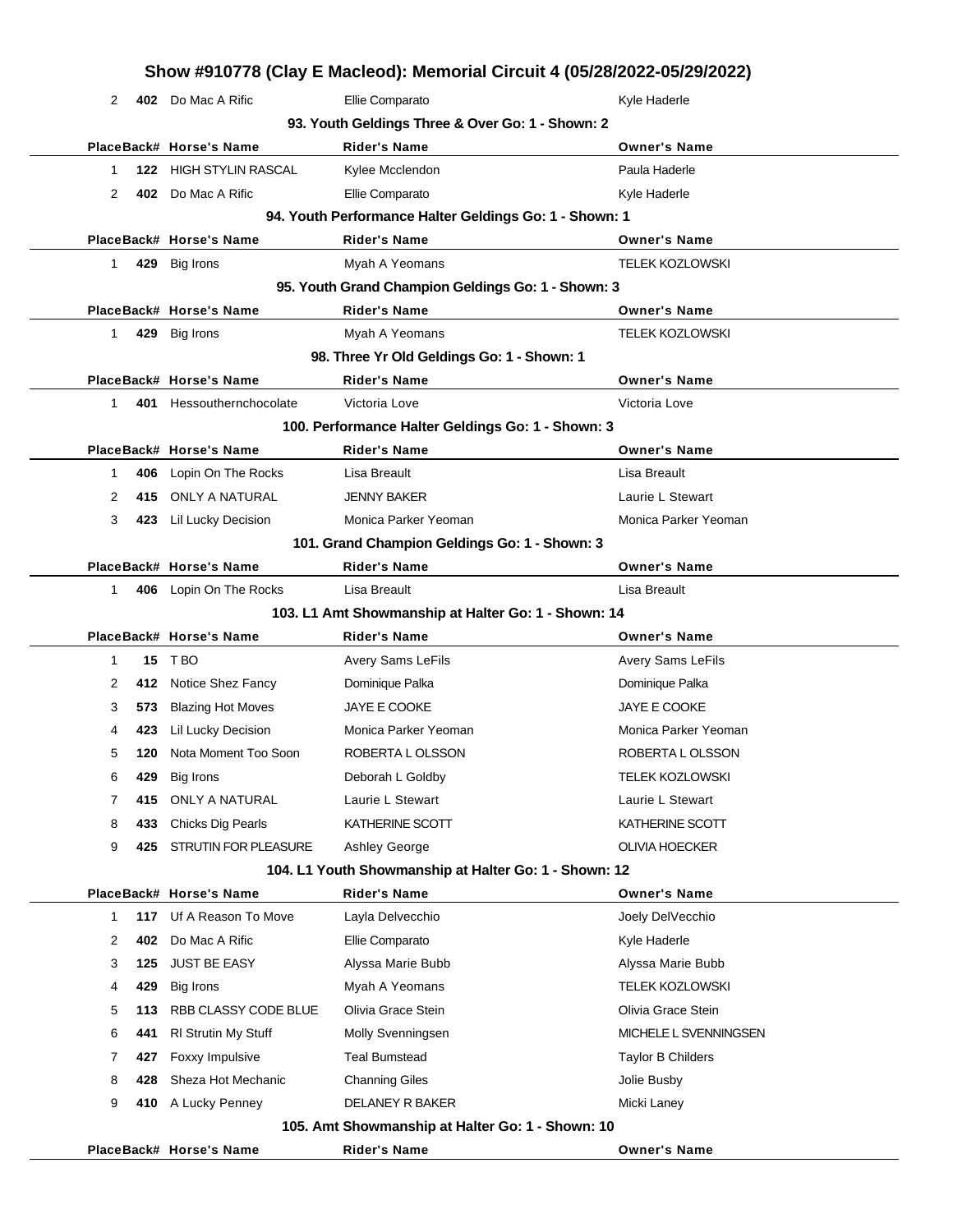## **Show #910778 (Clay E Macleod): Memorial Circuit 4 (05/28/2022-05/29/2022)** 2 **402** Do Mac A Rific **Ellie Comparato** Ellie Comparato Kyle Haderle **93. Youth Geldings Three & Over Go: 1 - Shown: 2 PlaceBack# Horse's Name Rider's Name Owner's Name** 1 **122** HIGH STYLIN RASCAL Kylee Mcclendon **Paula Haderle** Paula Haderle 2 **402** Do Mac A Rific **COMPARTIAL Ellie Comparato** Compartion Compartible Comparato **94. Youth Performance Halter Geldings Go: 1 - Shown: 1 PlaceBack# Horse's Name Rider's Name Owner's Name** 1 **429** Big Irons **Myah A Yeomans** TELEK KOZLOWSKI **95. Youth Grand Champion Geldings Go: 1 - Shown: 3 PlaceBack# Horse's Name Rider's Name Owner's Name** 1 **429** Big Irons **Myah A Yeomans** TELEK KOZLOWSKI **98. Three Yr Old Geldings Go: 1 - Shown: 1 PlaceBack# Horse's Name Rider's Name Owner's Name** 1 **401** Hessouthernchocolate Victoria Love **Victoria Love** Victoria Love **100. Performance Halter Geldings Go: 1 - Shown: 3 PlaceBack# Horse's Name Rider's Name Owner's Name** 1 **406** Lopin On The Rocks Lisa Breault Lisa Breault Lisa Breault Lisa Breault 2 415 ONLY A NATURAL JENNY BAKER **Laurie L Stewart** 3 **423** Lil Lucky Decision Monica Parker Yeoman Monica Parker Yeoman **101. Grand Champion Geldings Go: 1 - Shown: 3 PlaceBack# Horse's Name Rider's Name Owner's Name** 1 **406** Lopin On The Rocks Lisa Breault Lisa Breault **103. L1 Amt Showmanship at Halter Go: 1 - Shown: 14 PlaceBack# Horse's Name Rider's Name Owner's Name** 1 **15** TBO **Avery Sams LeFils** Avery Sams LeFils Avery Sams LeFils 2 **412** Notice Shez Fancy Dominique Palka Dominique Palka 3 **573** Blazing Hot Moves JAYE E COOKE JAYE E COOKE 4 **423** Lil Lucky Decision Monica Parker Yeoman Monica Parker Yeoman 5 **120** Nota Moment Too Soon ROBERTA L OLSSON ROBERTA L OLSSON 6 **429** Big Irons Deborah L Goldby TELEK KOZLOWSKI 7 **415** ONLY A NATURAL Laurie L Stewart Laurie L Stewart 8 **433** Chicks Dig Pearls **KATHERINE SCOTT** KATHERINE SCOTT 9 **425** STRUTIN FOR PLEASURE Ashley George **COLIVIA HOECKER 104. L1 Youth Showmanship at Halter Go: 1 - Shown: 12 PlaceBack# Horse's Name Rider's Name Owner's Name** 1 **117** Uf A Reason To Move Layla Delvecchio Joely DelVecchio 2 **402** Do Mac A Rific **Ellie Comparato** Ellie Comparato Kyle Haderle 3 **125** JUST BE EASY Alyssa Marie Bubb Alyssa Marie Bubb 4 **429** Big Irons **Myah A Yeomans** TELEK KOZLOWSKI 5 **113** RBB CLASSY CODE BLUE Olivia Grace Stein Olivia Grace Stein 6 **441** Rl Strutin My Stuff Molly Svenningsen MICHELE L SVENNINGSEN 7 **427** Foxxy Impulsive Teal Bumstead Taylor B Childers 8 **428** Sheza Hot Mechanic Channing Giles Channing Constanting Constanting Directors and Albert Busby 9 **410** A Lucky Penney **DELANEY R BAKER** Micki Laney **105. Amt Showmanship at Halter Go: 1 - Shown: 10 PlaceBack# Horse's Name Rider's Name Owner's Name**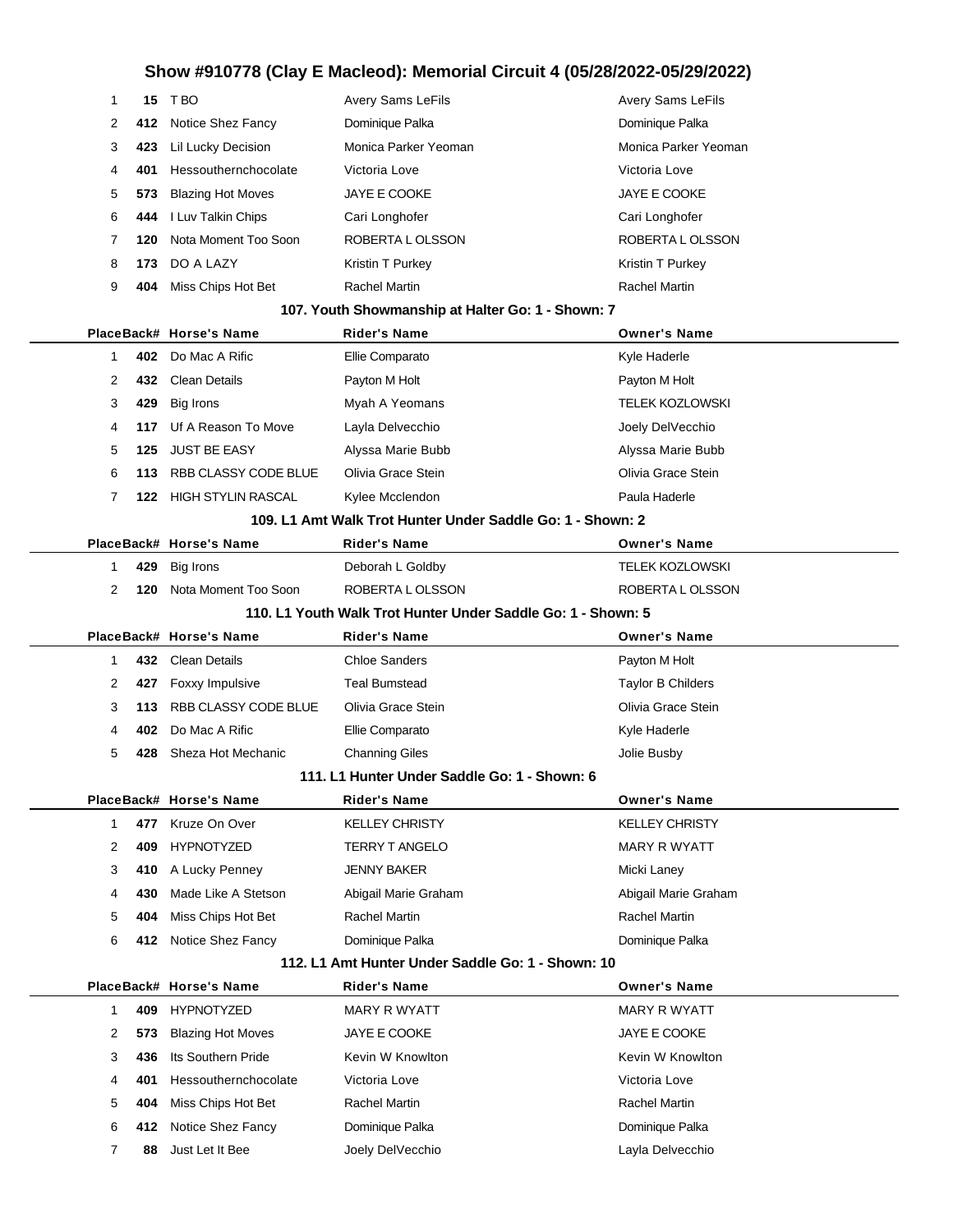| 1 | 15  | T BO                        | <b>Avery Sams LeFils</b>                                     | Avery Sams LeFils      |
|---|-----|-----------------------------|--------------------------------------------------------------|------------------------|
| 2 | 412 | Notice Shez Fancy           | Dominique Palka                                              | Dominique Palka        |
| 3 | 423 | <b>Lil Lucky Decision</b>   | Monica Parker Yeoman                                         | Monica Parker Yeoman   |
| 4 | 401 | Hessouthernchocolate        | Victoria Love                                                | Victoria Love          |
| 5 | 573 | <b>Blazing Hot Moves</b>    | JAYE E COOKE                                                 | <b>JAYE E COOKE</b>    |
| 6 | 444 | I Luv Talkin Chips          | Cari Longhofer                                               | Cari Longhofer         |
| 7 | 120 | Nota Moment Too Soon        | ROBERTA L OLSSON                                             | ROBERTA L OLSSON       |
| 8 | 173 | DO A LAZY                   | Kristin T Purkey                                             | Kristin T Purkey       |
| 9 | 404 | Miss Chips Hot Bet          | Rachel Martin                                                | <b>Rachel Martin</b>   |
|   |     |                             | 107. Youth Showmanship at Halter Go: 1 - Shown: 7            |                        |
|   |     | PlaceBack# Horse's Name     | <b>Rider's Name</b>                                          | <b>Owner's Name</b>    |
| 1 | 402 | Do Mac A Rific              | Ellie Comparato                                              | Kyle Haderle           |
| 2 | 432 | <b>Clean Details</b>        | Payton M Holt                                                | Payton M Holt          |
| 3 | 429 | Big Irons                   | Myah A Yeomans                                               | <b>TELEK KOZLOWSKI</b> |
| 4 | 117 | Uf A Reason To Move         | Layla Delvecchio                                             | Joely DelVecchio       |
| 5 | 125 | <b>JUST BE EASY</b>         | Alyssa Marie Bubb                                            | Alyssa Marie Bubb      |
| 6 | 113 | RBB CLASSY CODE BLUE        | Olivia Grace Stein                                           | Olivia Grace Stein     |
| 7 | 122 | <b>HIGH STYLIN RASCAL</b>   | Kylee Mcclendon                                              | Paula Haderle          |
|   |     |                             | 109. L1 Amt Walk Trot Hunter Under Saddle Go: 1 - Shown: 2   |                        |
|   |     | PlaceBack# Horse's Name     | Rider's Name                                                 | <b>Owner's Name</b>    |
| 1 | 429 | <b>Big Irons</b>            | Deborah L Goldby                                             | <b>TELEK KOZLOWSKI</b> |
| 2 | 120 | Nota Moment Too Soon        | ROBERTA L OLSSON                                             | ROBERTA LOLSSON        |
|   |     |                             | 110. L1 Youth Walk Trot Hunter Under Saddle Go: 1 - Shown: 5 |                        |
|   |     |                             |                                                              |                        |
|   |     | PlaceBack# Horse's Name     | <b>Rider's Name</b>                                          | <b>Owner's Name</b>    |
| 1 | 432 | <b>Clean Details</b>        | <b>Chloe Sanders</b>                                         | Payton M Holt          |
| 2 | 427 | Foxxy Impulsive             | <b>Teal Bumstead</b>                                         | Taylor B Childers      |
| 3 | 113 | <b>RBB CLASSY CODE BLUE</b> | Olivia Grace Stein                                           | Olivia Grace Stein     |
| 4 | 402 | Do Mac A Rific              | Ellie Comparato                                              | Kyle Haderle           |
| 5 | 428 | Sheza Hot Mechanic          | <b>Channing Giles</b>                                        | Jolie Busby            |
|   |     |                             | 111. L1 Hunter Under Saddle Go: 1 - Shown: 6                 |                        |
|   |     | PlaceBack# Horse's Name     | <b>Rider's Name</b>                                          | <b>Owner's Name</b>    |
| 1 | 477 | Kruze On Over               | <b>KELLEY CHRISTY</b>                                        | <b>KELLEY CHRISTY</b>  |
| 2 | 409 | <b>HYPNOTYZED</b>           | <b>TERRY T ANGELO</b>                                        | <b>MARY R WYATT</b>    |
| 3 | 410 | A Lucky Penney              | JENNY BAKER                                                  | Micki Laney            |
| 4 | 430 | Made Like A Stetson         | Abigail Marie Graham                                         | Abigail Marie Graham   |
| 5 | 404 | Miss Chips Hot Bet          | Rachel Martin                                                | Rachel Martin          |
| 6 | 412 | Notice Shez Fancy           | Dominique Palka                                              | Dominique Palka        |
|   |     |                             | 112. L1 Amt Hunter Under Saddle Go: 1 - Shown: 10            |                        |
|   |     | PlaceBack# Horse's Name     | <b>Rider's Name</b>                                          | <b>Owner's Name</b>    |
| 1 | 409 | <b>HYPNOTYZED</b>           | MARY R WYATT                                                 | <b>MARY R WYATT</b>    |
| 2 | 573 | <b>Blazing Hot Moves</b>    | JAYE E COOKE                                                 | JAYE E COOKE           |
| 3 | 436 | Its Southern Pride          | Kevin W Knowlton                                             | Kevin W Knowlton       |
| 4 | 401 | Hessouthernchocolate        | Victoria Love                                                | Victoria Love          |
| 5 | 404 | Miss Chips Hot Bet          | Rachel Martin                                                | Rachel Martin          |
| 6 | 412 | Notice Shez Fancy           | Dominique Palka                                              | Dominique Palka        |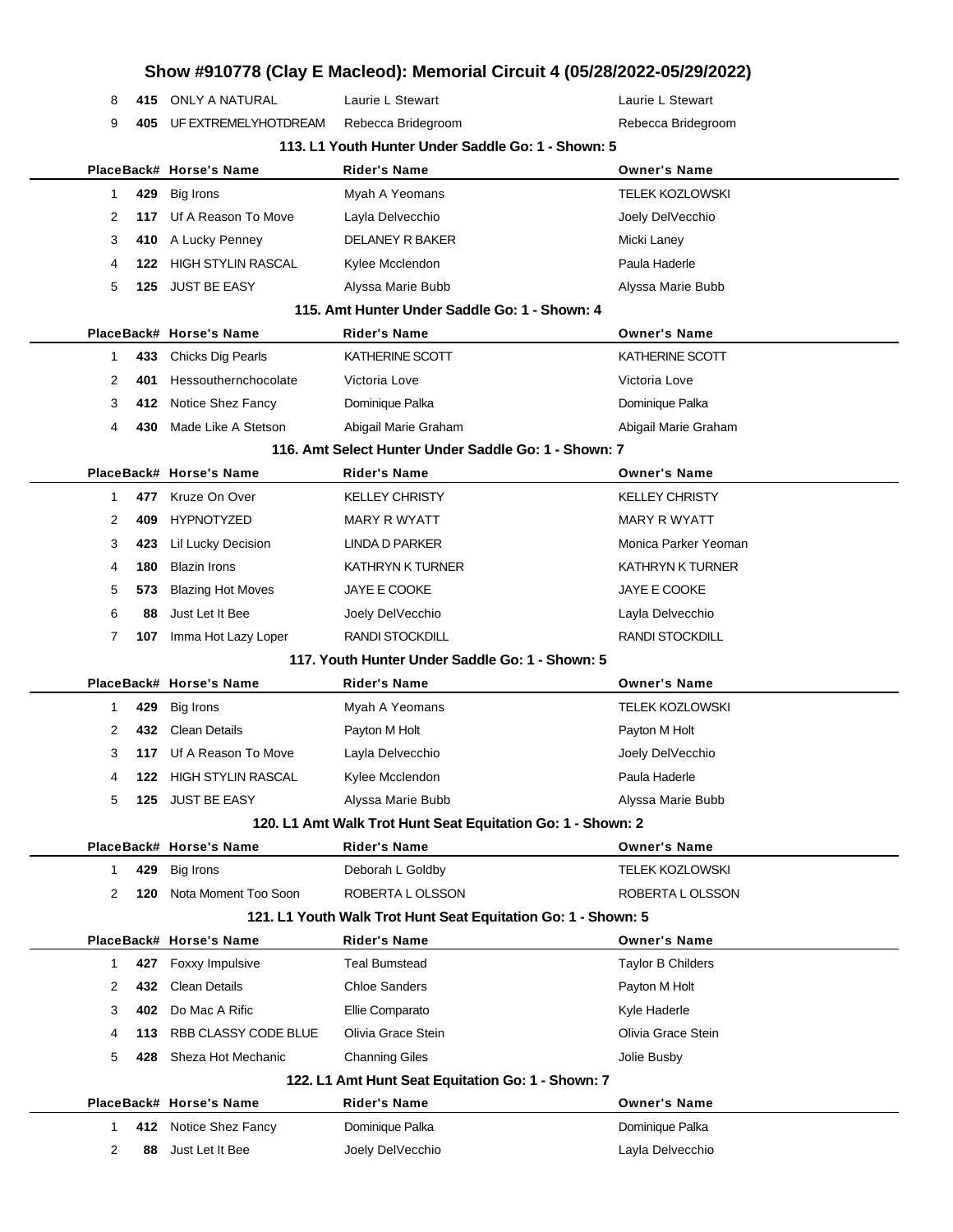|                                                    |     |                           | Show #910778 (Clay E Macleod): Memorial Circuit 4 (05/28/2022-05/29/2022) |                         |  |
|----------------------------------------------------|-----|---------------------------|---------------------------------------------------------------------------|-------------------------|--|
| 8                                                  |     | 415 ONLY A NATURAL        | Laurie L Stewart                                                          | Laurie L Stewart        |  |
| 9                                                  | 405 | UF EXTREMELYHOTDREAM      | Rebecca Bridegroom                                                        | Rebecca Bridegroom      |  |
| 113. L1 Youth Hunter Under Saddle Go: 1 - Shown: 5 |     |                           |                                                                           |                         |  |
|                                                    |     | PlaceBack# Horse's Name   | Rider's Name                                                              | <b>Owner's Name</b>     |  |
| 1                                                  | 429 | <b>Big Irons</b>          | Myah A Yeomans                                                            | <b>TELEK KOZLOWSKI</b>  |  |
| 2                                                  | 117 | Uf A Reason To Move       | Layla Delvecchio                                                          | Joely DelVecchio        |  |
| 3                                                  | 410 | A Lucky Penney            | DELANEY R BAKER                                                           | Micki Laney             |  |
| 4                                                  | 122 | <b>HIGH STYLIN RASCAL</b> | Kylee Mcclendon                                                           | Paula Haderle           |  |
| 5                                                  | 125 | <b>JUST BE EASY</b>       | Alyssa Marie Bubb                                                         | Alyssa Marie Bubb       |  |
|                                                    |     |                           | 115. Amt Hunter Under Saddle Go: 1 - Shown: 4                             |                         |  |
|                                                    |     | PlaceBack# Horse's Name   | <b>Rider's Name</b>                                                       | <b>Owner's Name</b>     |  |
| 1                                                  | 433 | Chicks Dig Pearls         | KATHERINE SCOTT                                                           | KATHERINE SCOTT         |  |
| 2                                                  | 401 | Hessouthernchocolate      | Victoria Love                                                             | Victoria Love           |  |
| 3                                                  | 412 | Notice Shez Fancy         | Dominique Palka                                                           | Dominique Palka         |  |
| 4                                                  | 430 | Made Like A Stetson       | Abigail Marie Graham                                                      | Abigail Marie Graham    |  |
|                                                    |     |                           | 116. Amt Select Hunter Under Saddle Go: 1 - Shown: 7                      |                         |  |
|                                                    |     | PlaceBack# Horse's Name   | <b>Rider's Name</b>                                                       | <b>Owner's Name</b>     |  |
| 1                                                  | 477 | Kruze On Over             | <b>KELLEY CHRISTY</b>                                                     | <b>KELLEY CHRISTY</b>   |  |
| 2                                                  | 409 | <b>HYPNOTYZED</b>         | <b>MARY R WYATT</b>                                                       | <b>MARY R WYATT</b>     |  |
| 3                                                  | 423 | Lil Lucky Decision        | LINDA D PARKER                                                            | Monica Parker Yeoman    |  |
| 4                                                  | 180 | <b>Blazin Irons</b>       | <b>KATHRYN K TURNER</b>                                                   | <b>KATHRYN K TURNER</b> |  |
| 5                                                  | 573 | <b>Blazing Hot Moves</b>  | <b>JAYE E COOKE</b>                                                       | JAYE E COOKE            |  |
| 6                                                  | 88  | Just Let It Bee           | Joely DelVecchio                                                          | Layla Delvecchio        |  |
| 7                                                  | 107 | Imma Hot Lazy Loper       | RANDI STOCKDILL                                                           | RANDI STOCKDILL         |  |
|                                                    |     |                           | 117. Youth Hunter Under Saddle Go: 1 - Shown: 5                           |                         |  |
|                                                    |     | PlaceBack# Horse's Name   | Rider's Name                                                              | <b>Owner's Name</b>     |  |
| 1                                                  | 429 | <b>Big Irons</b>          | Myah A Yeomans                                                            | <b>TELEK KOZLOWSKI</b>  |  |
| 2                                                  | 432 | <b>Clean Details</b>      | Payton M Holt                                                             | Payton M Holt           |  |
| 3                                                  |     | 117 Uf A Reason To Move   | Layla Delvecchio                                                          | Joely DelVecchio        |  |
| 4                                                  | 122 | HIGH STYLIN RASCAL        | Kylee Mcclendon                                                           | Paula Haderle           |  |
| 5                                                  | 125 | JUST BE EASY              | Alyssa Marie Bubb                                                         | Alyssa Marie Bubb       |  |
|                                                    |     |                           | 120. L1 Amt Walk Trot Hunt Seat Equitation Go: 1 - Shown: 2               |                         |  |
|                                                    |     | PlaceBack# Horse's Name   | <b>Rider's Name</b>                                                       | <b>Owner's Name</b>     |  |
| 1                                                  | 429 | Big Irons                 | Deborah L Goldby                                                          | <b>TELEK KOZLOWSKI</b>  |  |
| 2                                                  | 120 | Nota Moment Too Soon      | ROBERTA LOLSSON                                                           | ROBERTA LOLSSON         |  |
|                                                    |     |                           | 121. L1 Youth Walk Trot Hunt Seat Equitation Go: 1 - Shown: 5             |                         |  |
|                                                    |     | PlaceBack# Horse's Name   | <b>Rider's Name</b>                                                       | <b>Owner's Name</b>     |  |
| 1                                                  | 427 | Foxxy Impulsive           | <b>Teal Bumstead</b>                                                      | Taylor B Childers       |  |
| 2                                                  | 432 | <b>Clean Details</b>      | <b>Chloe Sanders</b>                                                      | Payton M Holt           |  |
| 3                                                  | 402 | Do Mac A Rific            | <b>Ellie Comparato</b>                                                    | Kyle Haderle            |  |
| 4                                                  | 113 | RBB CLASSY CODE BLUE      | Olivia Grace Stein                                                        | Olivia Grace Stein      |  |
| 5                                                  | 428 | Sheza Hot Mechanic        | <b>Channing Giles</b>                                                     | Jolie Busby             |  |
|                                                    |     |                           | 122. L1 Amt Hunt Seat Equitation Go: 1 - Shown: 7                         |                         |  |
|                                                    |     | PlaceBack# Horse's Name   | <b>Rider's Name</b>                                                       | <b>Owner's Name</b>     |  |
| 1                                                  | 412 | Notice Shez Fancy         | Dominique Palka                                                           | Dominique Palka         |  |
| 2                                                  | 88  | Just Let It Bee           | Joely DelVecchio                                                          | Layla Delvecchio        |  |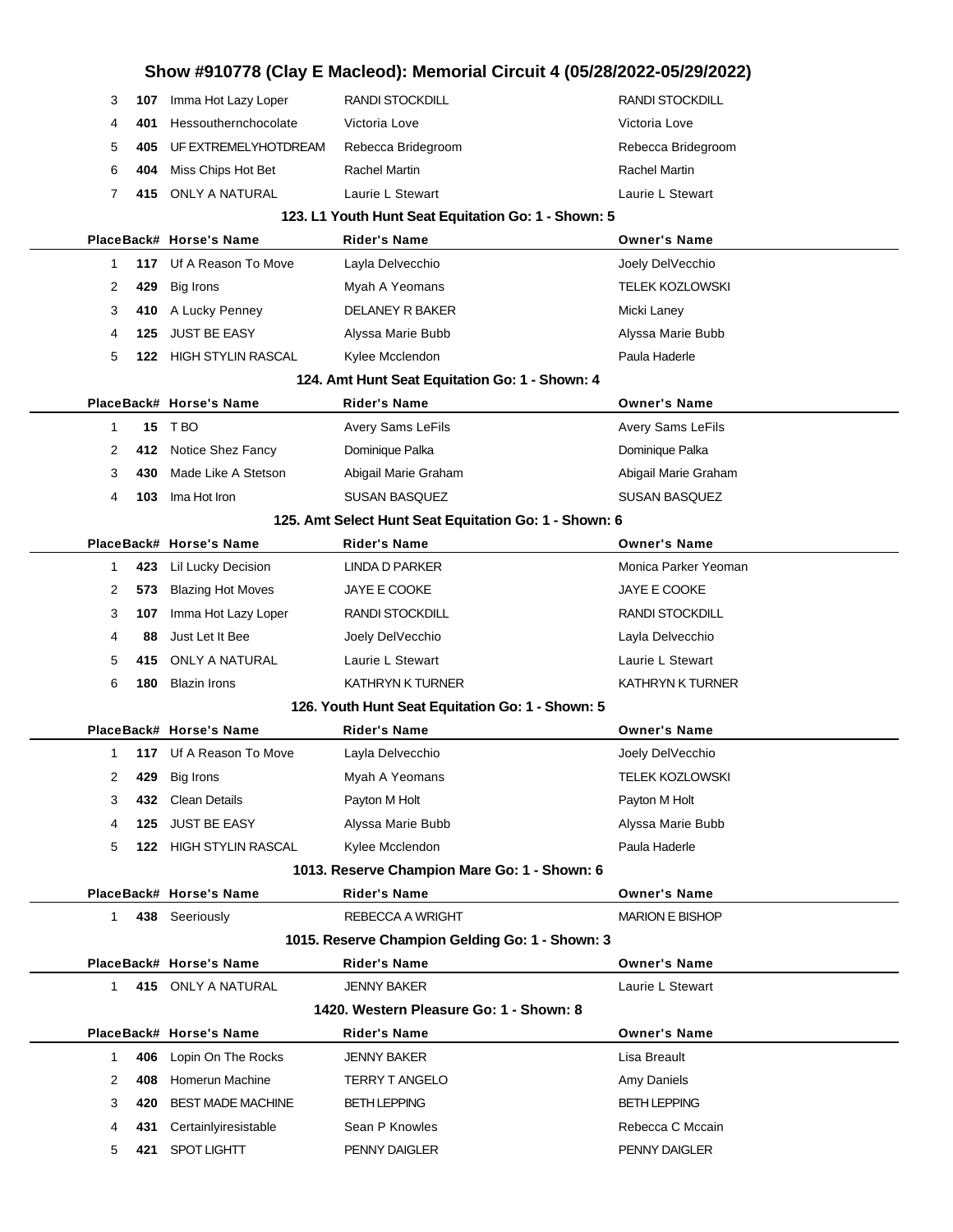## **Show #910778 (Clay E Macleod): Memorial Circuit 4 (05/28/2022-05/29/2022) 107** Imma Hot Lazy Loper RANDI STOCKDILL RANDI STOCKDILL **401** Hessouthernchocolate Victoria Love **Victoria Love** Victoria Love **405** UF EXTREMELYHOTDREAM Rebecca Bridegroom Rebecca Bridegroom **404** Miss Chips Hot Bet Rachel Martin Rachel Martin **415** ONLY A NATURAL Laurie L Stewart Laurie L Stewart Laurie L Stewart **123. L1 Youth Hunt Seat Equitation Go: 1 - Shown: 5 PlaceBack# Horse's Name Rider's Name Owner's Name 117** Uf A Reason To Move Layla Delvecchio **Contained A Contained A Contained A** Joely DelVecchio **429** Big Irons **Myah A Yeomans** TELEK KOZLOWSKI **410** A Lucky Penney **DELANEY R BAKER** Micki Laney **125** JUST BE EASY **Alyssa Marie Bubb Alyssa Marie Bubb** Alyssa Marie Bubb **122** HIGH STYLIN RASCAL Kylee Mcclendon **Paula Haderle** Paula Haderle **124. Amt Hunt Seat Equitation Go: 1 - Shown: 4 PlaceBack# Horse's Name Rider's Name Owner's Name 15** TBO **Avery Sams LeFils** Avery Sams LeFils Avery Sams LeFils **412** Notice Shez Fancy **Dominique Palka** Dominique Palka Dominique Palka **430** Made Like A Stetson Abigail Marie Graham Abigail Marie Graham **103** Ima Hot Iron **SUSAN BASQUEZ** SUSAN BASQUEZ **125. Amt Select Hunt Seat Equitation Go: 1 - Shown: 6 PlaceBack# Horse's Name Rider's Name Owner's Name 423** Lil Lucky Decision **LINDA D PARKER** Monica Parker Yeoman **573** Blazing Hot Moves **JAYE E COOKE JAYE E COOKE 107** Imma Hot Lazy Loper RANDI STOCKDILL RANDI STOCKDILL **88** Just Let It Bee Joely DelVecchio Layla Delvecchio **415** ONLY A NATURAL Laurie L Stewart Laurie L Stewart Laurie L Stewart **180** Blazin Irons KATHRYN K TURNER KATHRYN K TURNER **126. Youth Hunt Seat Equitation Go: 1 - Shown: 5 PlaceBack# Horse's Name Rider's Name Owner's Name 117** Uf A Reason To Move Layla Delvecchio Joely DelVecchio **429** Big Irons **Myah A Yeomans** TELEK KOZLOWSKI **432** Clean Details Payton M Holt Payton M Holt **125** JUST BE EASY **Alyssa Marie Bubb Alyssa Marie Bubb** Alyssa Marie Bubb **122** HIGH STYLIN RASCAL Kylee Mcclendon **Paula Haderle** Paula Haderle **1013. Reserve Champion Mare Go: 1 - Shown: 6 PlaceBack# Horse's Name Rider's Name Owner's Name 438** Seeriously **REBECCA A WRIGHT MARION E BISHOP 1015. Reserve Champion Gelding Go: 1 - Shown: 3 PlaceBack# Horse's Name Rider's Name Owner's Name 415** ONLY A NATURAL **JENNY BAKER Laurie L Stewart 1420. Western Pleasure Go: 1 - Shown: 8 PlaceBack# Horse's Name Rider's Name Owner's Name 406** Lopin On The Rocks **JENNY BAKER Lisa Breault** Lisa Breault **408** Homerun Machine TERRY T ANGELO **Amy Daniels 420** BEST MADE MACHINE BETH LEPPING BETH LEPPING BETH LEPPING **431** Certainlyiresistable Sean P Knowles **Rebecca C Mccain** Rebecca C Mccain **421** SPOT LIGHTT PENNY DAIGLER PENNY DAIGLER